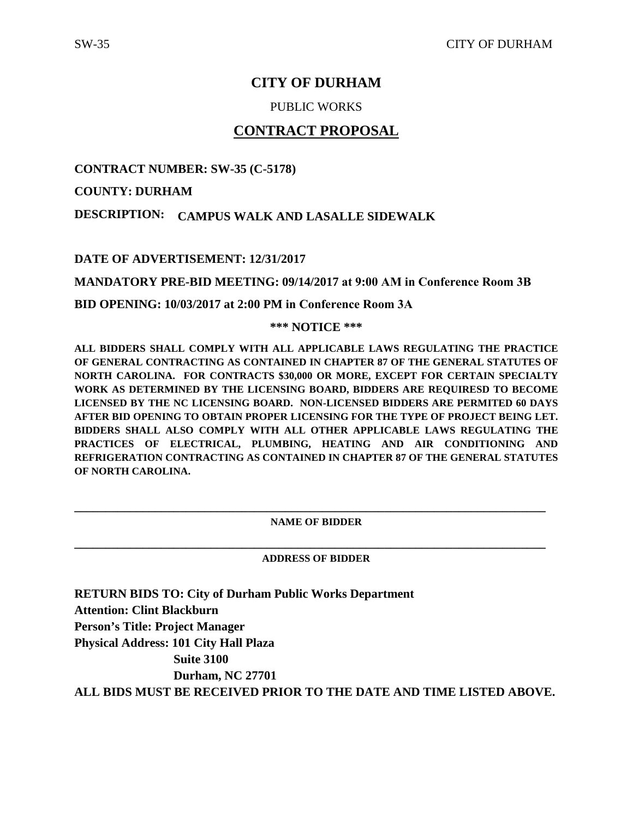# **CITY OF DURHAM**

# PUBLIC WORKS

# **CONTRACT PROPOSAL**

<span id="page-0-0"></span>**CONTRACT NUMBER: SW-35 (C-5178)**

**COUNTY: DURHAM**

**CAMPUS WALK AND LASALLE SIDEWALK DESCRIPTION:** 

**DATE OF ADVERTISEMENT: 12/31/2017** 

**MANDATORY PRE-BID MEETING: 09/14/2017 at 9:00 AM in Conference Room 3B**

**BID OPENING: 10/03/2017 at 2:00 PM in Conference Room 3A**

**\*\*\* NOTICE \*\*\***

**ALL BIDDERS SHALL COMPLY WITH ALL APPLICABLE LAWS REGULATING THE PRACTICE OF GENERAL CONTRACTING AS CONTAINED IN CHAPTER 87 OF THE GENERAL STATUTES OF NORTH CAROLINA. FOR CONTRACTS \$30,000 OR MORE, EXCEPT FOR CERTAIN SPECIALTY WORK AS DETERMINED BY THE LICENSING BOARD, BIDDERS ARE REQUIRESD TO BECOME LICENSED BY THE NC LICENSING BOARD. NON-LICENSED BIDDERS ARE PERMITED 60 DAYS AFTER BID OPENING TO OBTAIN PROPER LICENSING FOR THE TYPE OF PROJECT BEING LET. BIDDERS SHALL ALSO COMPLY WITH ALL OTHER APPLICABLE LAWS REGULATING THE PRACTICES OF ELECTRICAL, PLUMBING, HEATING AND AIR CONDITIONING AND REFRIGERATION CONTRACTING AS CONTAINED IN CHAPTER 87 OF THE GENERAL STATUTES OF NORTH CAROLINA.**

**\_\_\_\_\_\_\_\_\_\_\_\_\_\_\_\_\_\_\_\_\_\_\_\_\_\_\_\_\_\_\_\_\_\_\_\_\_\_\_\_\_\_\_\_\_\_\_\_\_\_\_\_\_\_\_\_\_\_\_\_\_\_\_\_\_\_\_\_\_\_\_\_\_\_\_\_ NAME OF BIDDER**

**ADDRESS OF BIDDER**

**\_\_\_\_\_\_\_\_\_\_\_\_\_\_\_\_\_\_\_\_\_\_\_\_\_\_\_\_\_\_\_\_\_\_\_\_\_\_\_\_\_\_\_\_\_\_\_\_\_\_\_\_\_\_\_\_\_\_\_\_\_\_\_\_\_\_\_\_\_\_\_\_\_\_\_\_**

**RETURN BIDS TO: City of Durham Public Works Department Attention: Clint Blackburn Person's Title: Project Manager Physical Address: 101 City Hall Plaza Suite 3100 Durham, NC 27701** 

**ALL BIDS MUST BE RECEIVED PRIOR TO THE DATE AND TIME LISTED ABOVE.**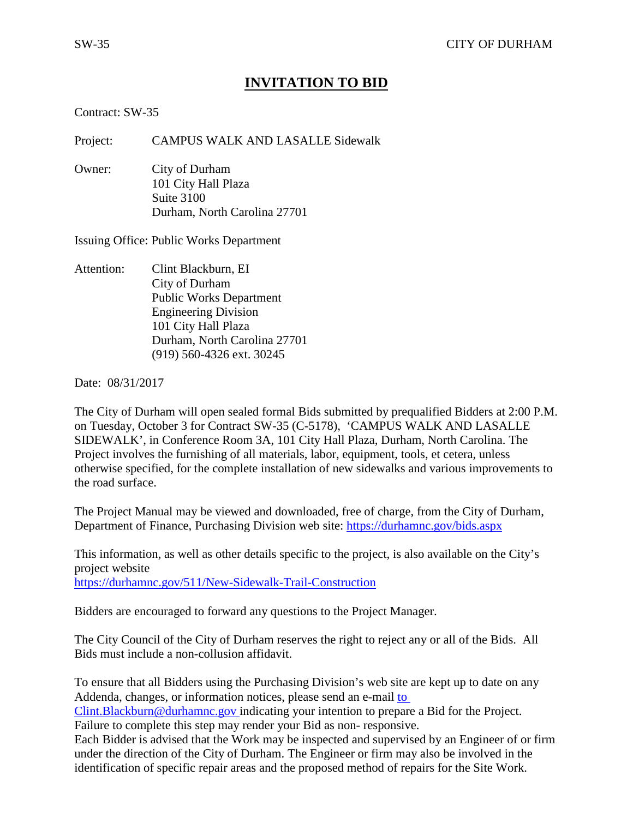# **INVITATION TO BID**

<span id="page-1-0"></span>Contract: SW-35

Project: CAMPUS WALK AND LASALLE Sidewalk

Owner: City of Durham 101 City Hall Plaza Suite 3100 Durham, North Carolina 27701

Issuing Office: Public Works Department

Attention: Clint Blackburn, EI City of Durham Public Works Department Engineering Division 101 City Hall Plaza Durham, North Carolina 27701 (919) 560-4326 ext. 30245

Date: 08/31/2017

The City of Durham will open sealed formal Bids submitted by prequalified Bidders at 2:00 P.M. on Tuesday, October 3 for Contract SW-35 (C-5178), 'CAMPUS WALK AND LASALLE SIDEWALK', in Conference Room 3A, 101 City Hall Plaza, Durham, North Carolina. The Project involves the furnishing of all materials, labor, equipment, tools, et cetera, unless otherwise specified, for the complete installation of new sidewalks and various improvements to the road surface.

The Project Manual may be viewed and downloaded, free of charge, from the City of Durham, Department of Finance, Purchasing Division web site:<https://durhamnc.gov/bids.aspx>

This information, as well as other details specific to the project, is also available on the City's project website <https://durhamnc.gov/511/New-Sidewalk-Trail-Construction>

Bidders are encouraged to forward any questions to the Project Manager.

The City Council of the City of Durham reserves the right to reject any or all of the Bids. All Bids must include a non-collusion affidavit.

To ensure that all Bidders using the Purchasing Division's web site are kept up to date on any Addenda, changes, or information notices, please send an e-mail [to](mailto:clint.blackburn@durhamnc.gov) 

[Clint.Blackburn@durhamnc.gov i](mailto:clint.blackburn@durhamnc.gov)ndicating your intention to prepare a Bid for the Project. Failure to complete this step may render your Bid as non- responsive.

Each Bidder is advised that the Work may be inspected and supervised by an Engineer of or firm under the direction of the City of Durham. The Engineer or firm may also be involved in the identification of specific repair areas and the proposed method of repairs for the Site Work.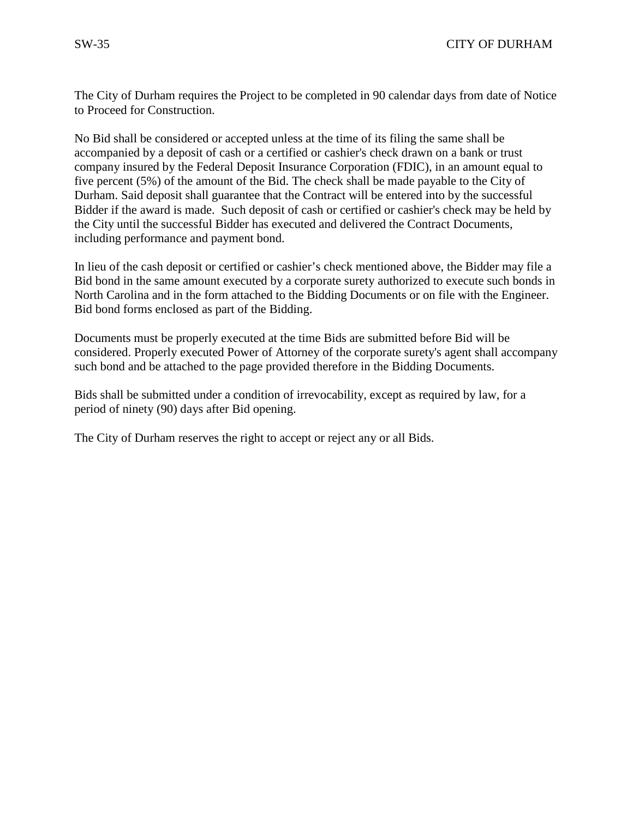The City of Durham requires the Project to be completed in 90 calendar days from date of Notice to Proceed for Construction.

No Bid shall be considered or accepted unless at the time of its filing the same shall be accompanied by a deposit of cash or a certified or cashier's check drawn on a bank or trust company insured by the Federal Deposit Insurance Corporation (FDIC), in an amount equal to five percent (5%) of the amount of the Bid. The check shall be made payable to the City of Durham. Said deposit shall guarantee that the Contract will be entered into by the successful Bidder if the award is made. Such deposit of cash or certified or cashier's check may be held by the City until the successful Bidder has executed and delivered the Contract Documents, including performance and payment bond.

In lieu of the cash deposit or certified or cashier's check mentioned above, the Bidder may file a Bid bond in the same amount executed by a corporate surety authorized to execute such bonds in North Carolina and in the form attached to the Bidding Documents or on file with the Engineer. Bid bond forms enclosed as part of the Bidding.

Documents must be properly executed at the time Bids are submitted before Bid will be considered. Properly executed Power of Attorney of the corporate surety's agent shall accompany such bond and be attached to the page provided therefore in the Bidding Documents.

Bids shall be submitted under a condition of irrevocability, except as required by law, for a period of ninety (90) days after Bid opening.

The City of Durham reserves the right to accept or reject any or all Bids.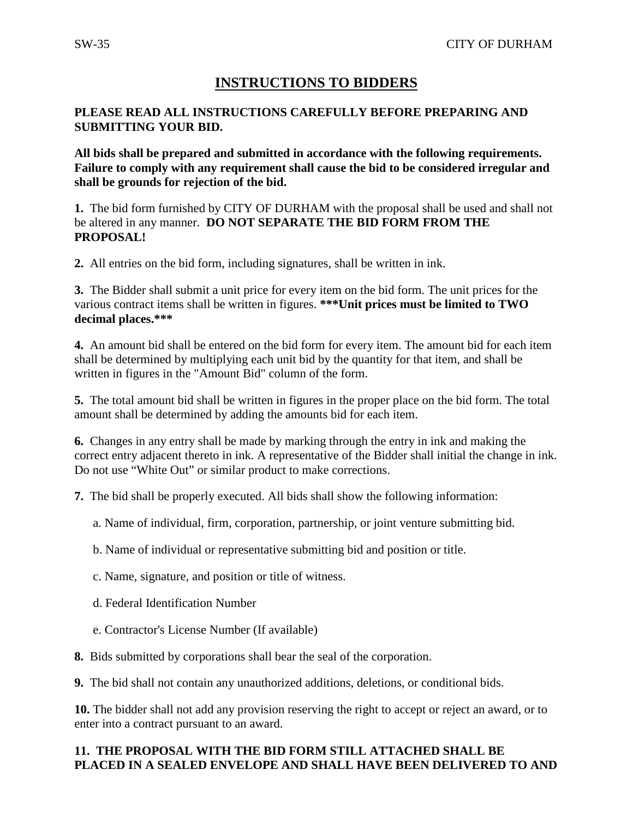# **INSTRUCTIONS TO BIDDERS**

# <span id="page-3-0"></span>**PLEASE READ ALL INSTRUCTIONS CAREFULLY BEFORE PREPARING AND SUBMITTING YOUR BID.**

**All bids shall be prepared and submitted in accordance with the following requirements. Failure to comply with any requirement shall cause the bid to be considered irregular and shall be grounds for rejection of the bid.** 

**1.** The bid form furnished by CITY OF DURHAM with the proposal shall be used and shall not be altered in any manner. **DO NOT SEPARATE THE BID FORM FROM THE PROPOSAL!** 

**2.** All entries on the bid form, including signatures, shall be written in ink.

**3.** The Bidder shall submit a unit price for every item on the bid form. The unit prices for the various contract items shall be written in figures. **\*\*\*Unit prices must be limited to TWO decimal places.\*\*\***

**4.** An amount bid shall be entered on the bid form for every item. The amount bid for each item shall be determined by multiplying each unit bid by the quantity for that item, and shall be written in figures in the "Amount Bid" column of the form.

**5.** The total amount bid shall be written in figures in the proper place on the bid form. The total amount shall be determined by adding the amounts bid for each item.

**6.** Changes in any entry shall be made by marking through the entry in ink and making the correct entry adjacent thereto in ink. A representative of the Bidder shall initial the change in ink. Do not use "White Out" or similar product to make corrections.

**7.** The bid shall be properly executed. All bids shall show the following information:

- a. Name of individual, firm, corporation, partnership, or joint venture submitting bid.
- b. Name of individual or representative submitting bid and position or title.
- c. Name, signature, and position or title of witness.
- d. Federal Identification Number
- e. Contractor's License Number (If available)
- **8.** Bids submitted by corporations shall bear the seal of the corporation.

**9.** The bid shall not contain any unauthorized additions, deletions, or conditional bids.

**10.** The bidder shall not add any provision reserving the right to accept or reject an award, or to enter into a contract pursuant to an award.

# **11. THE PROPOSAL WITH THE BID FORM STILL ATTACHED SHALL BE PLACED IN A SEALED ENVELOPE AND SHALL HAVE BEEN DELIVERED TO AND**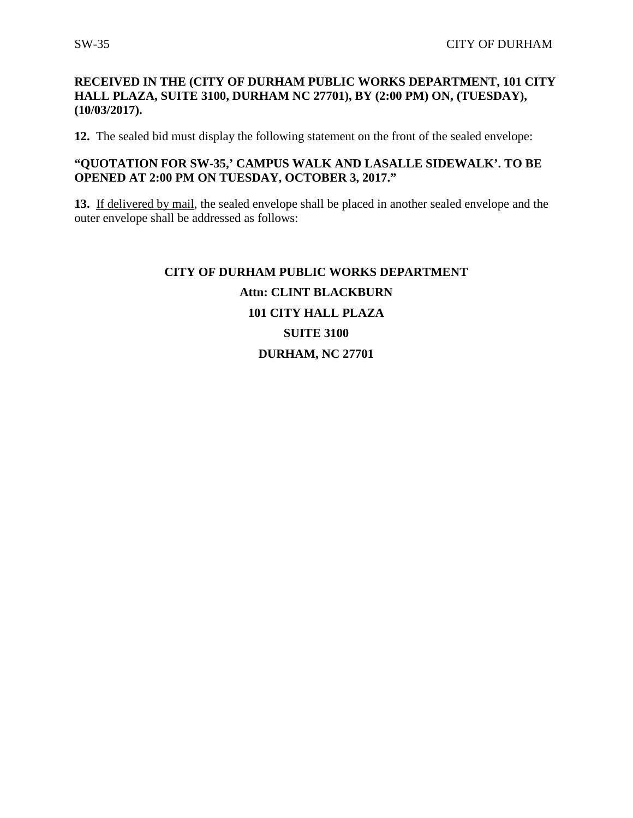# **RECEIVED IN THE (CITY OF DURHAM PUBLIC WORKS DEPARTMENT, 101 CITY HALL PLAZA, SUITE 3100, DURHAM NC 27701), BY (2:00 PM) ON, (TUESDAY), (10/03/2017).**

**12.** The sealed bid must display the following statement on the front of the sealed envelope:

# **"QUOTATION FOR SW-35,' CAMPUS WALK AND LASALLE SIDEWALK'. TO BE OPENED AT 2:00 PM ON TUESDAY, OCTOBER 3, 2017."**

**13.** If delivered by mail, the sealed envelope shall be placed in another sealed envelope and the outer envelope shall be addressed as follows:

# **CITY OF DURHAM PUBLIC WORKS DEPARTMENT Attn: CLINT BLACKBURN 101 CITY HALL PLAZA SUITE 3100 DURHAM, NC 27701**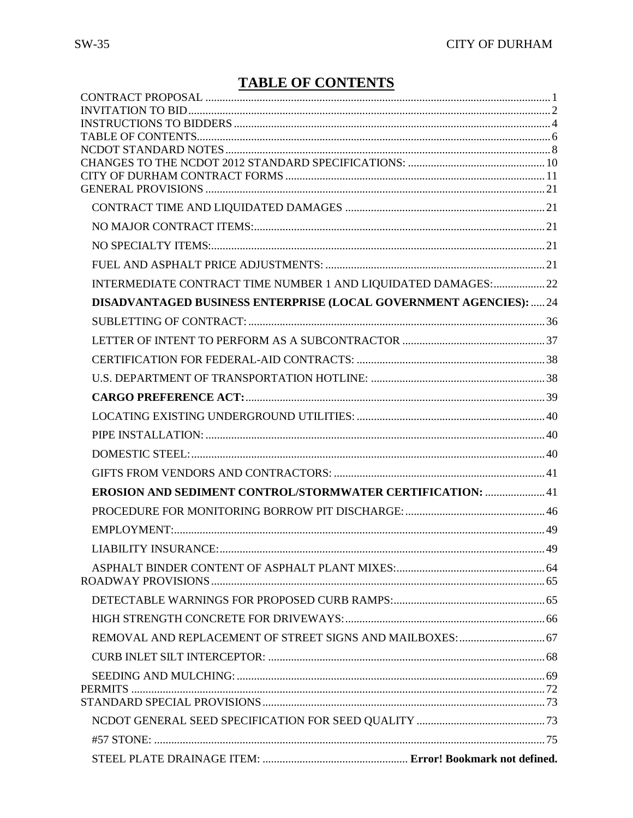# **TABLE OF CONTENTS**

<span id="page-5-0"></span>

| INTERMEDIATE CONTRACT TIME NUMBER 1 AND LIQUIDATED DAMAGES: 22     |  |
|--------------------------------------------------------------------|--|
| DISADVANTAGED BUSINESS ENTERPRISE (LOCAL GOVERNMENT AGENCIES):  24 |  |
|                                                                    |  |
|                                                                    |  |
|                                                                    |  |
|                                                                    |  |
|                                                                    |  |
|                                                                    |  |
|                                                                    |  |
|                                                                    |  |
|                                                                    |  |
| EROSION AND SEDIMENT CONTROL/STORMWATER CERTIFICATION:  41         |  |
|                                                                    |  |
|                                                                    |  |
|                                                                    |  |
|                                                                    |  |
|                                                                    |  |
|                                                                    |  |
|                                                                    |  |
|                                                                    |  |
|                                                                    |  |
|                                                                    |  |
|                                                                    |  |
|                                                                    |  |
|                                                                    |  |
|                                                                    |  |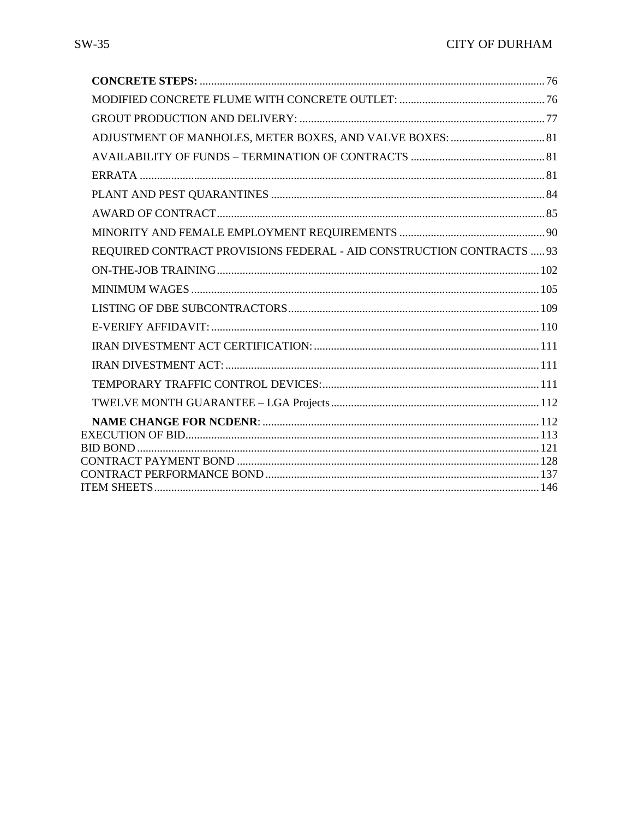| ADJUSTMENT OF MANHOLES, METER BOXES, AND VALVE BOXES:  81             |  |
|-----------------------------------------------------------------------|--|
|                                                                       |  |
|                                                                       |  |
|                                                                       |  |
|                                                                       |  |
|                                                                       |  |
| REQUIRED CONTRACT PROVISIONS FEDERAL - AID CONSTRUCTION CONTRACTS  93 |  |
|                                                                       |  |
|                                                                       |  |
|                                                                       |  |
|                                                                       |  |
|                                                                       |  |
|                                                                       |  |
|                                                                       |  |
|                                                                       |  |
|                                                                       |  |
|                                                                       |  |
|                                                                       |  |
|                                                                       |  |
|                                                                       |  |
|                                                                       |  |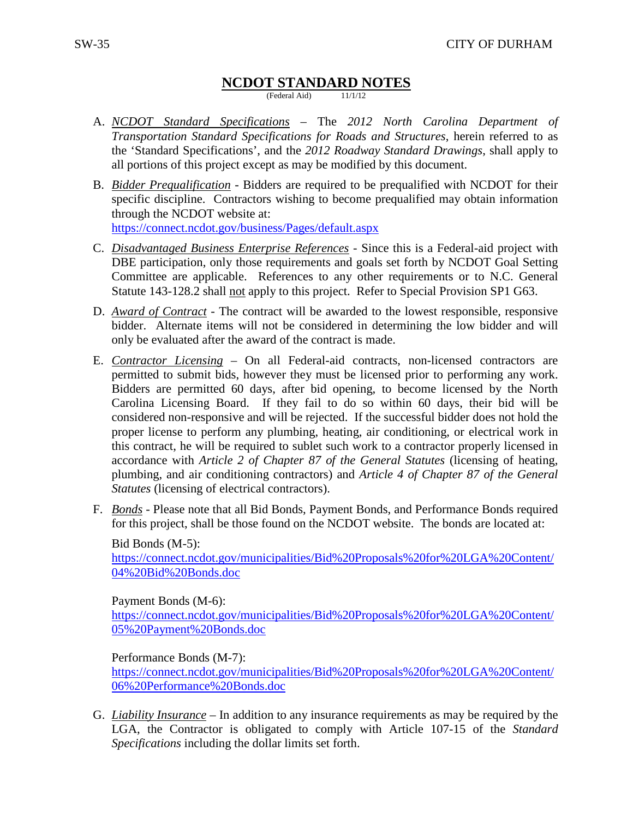# **NCDOT STANDARD NOTES**

(Federal Aid) 11/1/12

- <span id="page-7-0"></span>A. *NCDOT Standard Specifications* – The *2012 North Carolina Department of Transportation Standard Specifications for Roads and Structures*, herein referred to as the 'Standard Specifications', and the *2012 Roadway Standard Drawings*, shall apply to all portions of this project except as may be modified by this document.
- B. *Bidder Prequalification* Bidders are required to be prequalified with NCDOT for their specific discipline. Contractors wishing to become prequalified may obtain information through the NCDOT website at: <https://connect.ncdot.gov/business/Pages/default.aspx>
- C. *Disadvantaged Business Enterprise References* Since this is a Federal-aid project with DBE participation, only those requirements and goals set forth by NCDOT Goal Setting Committee are applicable. References to any other requirements or to N.C. General Statute 143-128.2 shall not apply to this project. Refer to Special Provision SP1 G63.
- D. *Award of Contract* The contract will be awarded to the lowest responsible, responsive bidder. Alternate items will not be considered in determining the low bidder and will only be evaluated after the award of the contract is made.
- E. *Contractor Licensing* On all Federal-aid contracts, non-licensed contractors are permitted to submit bids, however they must be licensed prior to performing any work. Bidders are permitted 60 days, after bid opening, to become licensed by the North Carolina Licensing Board. If they fail to do so within 60 days, their bid will be considered non-responsive and will be rejected. If the successful bidder does not hold the proper license to perform any plumbing, heating, air conditioning, or electrical work in this contract, he will be required to sublet such work to a contractor properly licensed in accordance with *Article 2 of Chapter 87 of the General Statutes* (licensing of heating, plumbing, and air conditioning contractors) and *Article 4 of Chapter 87 of the General Statutes* (licensing of electrical contractors).
- F. *Bonds* Please note that all Bid Bonds, Payment Bonds, and Performance Bonds required for this project, shall be those found on the NCDOT website. The bonds are located at:

# Bid Bonds (M-5):

[https://connect.ncdot.gov/municipalities/Bid%20Proposals%20for%20LGA%20Content/](https://connect.ncdot.gov/municipalities/Bid%20Proposals%20for%20LGA%20Content/04%20Bid%20Bonds.doc) [04%20Bid%20Bonds.doc](https://connect.ncdot.gov/municipalities/Bid%20Proposals%20for%20LGA%20Content/04%20Bid%20Bonds.doc)

### Payment Bonds (M-6):

[https://connect.ncdot.gov/municipalities/Bid%20Proposals%20for%20LGA%20Content/](https://connect.ncdot.gov/municipalities/Bid%20Proposals%20for%20LGA%20Content/05%20Payment%20Bonds.doc) [05%20Payment%20Bonds.doc](https://connect.ncdot.gov/municipalities/Bid%20Proposals%20for%20LGA%20Content/05%20Payment%20Bonds.doc)

# Performance Bonds (M-7):

[https://connect.ncdot.gov/municipalities/Bid%20Proposals%20for%20LGA%20Content/](https://connect.ncdot.gov/municipalities/Bid%20Proposals%20for%20LGA%20Content/06%20Performance%20Bonds.doc) [06%20Performance%20Bonds.doc](https://connect.ncdot.gov/municipalities/Bid%20Proposals%20for%20LGA%20Content/06%20Performance%20Bonds.doc)

G. *Liability Insurance –* In addition to any insurance requirements as may be required by the LGA, the Contractor is obligated to comply with Article 107-15 of the *Standard Specifications* including the dollar limits set forth.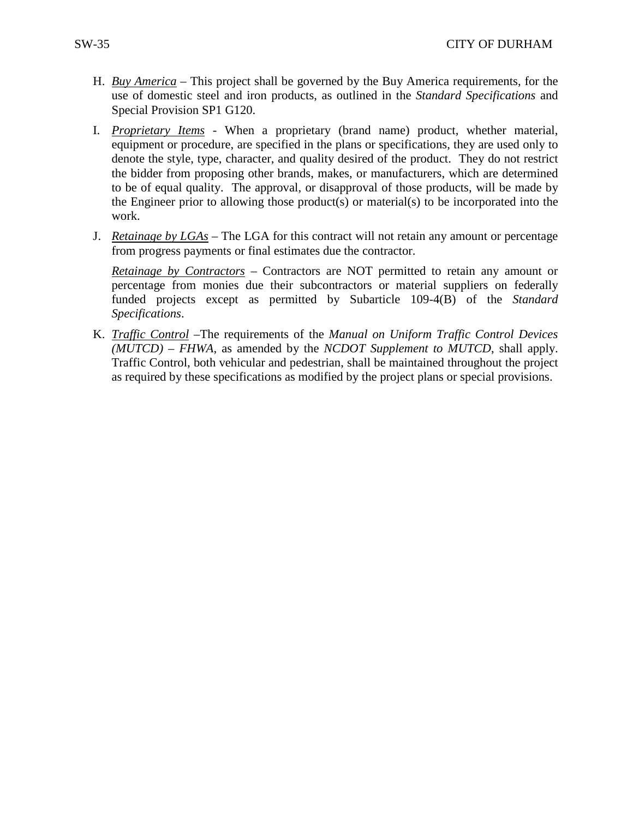- H. *Buy America* This project shall be governed by the Buy America requirements, for the use of domestic steel and iron products, as outlined in the *Standard Specifications* and Special Provision SP1 G120.
- I. *Proprietary Items* When a proprietary (brand name) product, whether material, equipment or procedure, are specified in the plans or specifications, they are used only to denote the style, type, character, and quality desired of the product. They do not restrict the bidder from proposing other brands, makes, or manufacturers, which are determined to be of equal quality. The approval, or disapproval of those products, will be made by the Engineer prior to allowing those product(s) or material(s) to be incorporated into the work.
- J. *Retainage by LGAs* The LGA for this contract will not retain any amount or percentage from progress payments or final estimates due the contractor.

*Retainage by Contractors* – Contractors are NOT permitted to retain any amount or percentage from monies due their subcontractors or material suppliers on federally funded projects except as permitted by Subarticle 109-4(B) of the *Standard Specifications*.

K. *Traffic Control* –The requirements of the *Manual on Uniform Traffic Control Devices (MUTCD) – FHWA*, as amended by the *NCDOT Supplement to MUTCD*, shall apply. Traffic Control, both vehicular and pedestrian, shall be maintained throughout the project as required by these specifications as modified by the project plans or special provisions.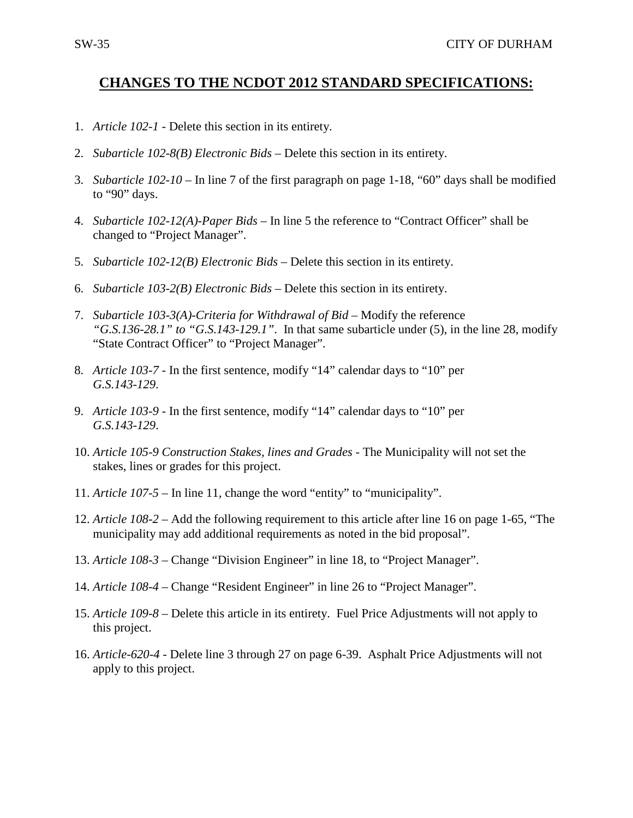# <span id="page-9-0"></span>**CHANGES TO THE NCDOT 2012 STANDARD SPECIFICATIONS:**

- 1. *Article 102-1* Delete this section in its entirety.
- 2. *Subarticle 102-8(B) Electronic Bids* Delete this section in its entirety.
- 3. *Subarticle 102-10 –* In line 7 of the first paragraph on page 1-18, "60" days shall be modified to "90" days.
- 4. *Subarticle 102-12(A)-Paper Bids* In line 5 the reference to "Contract Officer" shall be changed to "Project Manager".
- 5. *Subarticle 102-12(B) Electronic Bids* Delete this section in its entirety.
- 6. *Subarticle 103-2(B) Electronic Bids* Delete this section in its entirety.
- 7. *Subarticle 103-3(A)-Criteria for Withdrawal of Bid* Modify the reference *"G.S.136-28.1" to "G.S.143-129.1"*. In that same subarticle under (5), in the line 28, modify "State Contract Officer" to "Project Manager".
- 8. *Article 103-7* In the first sentence, modify "14" calendar days to "10" per *G.S.143-129*.
- 9. *Article 103-9* In the first sentence, modify "14" calendar days to "10" per *G.S.143-129*.
- 10. *Article 105-9 Construction Stakes, lines and Grades -* The Municipality will not set the stakes, lines or grades for this project.
- 11. *Article 107-5* In line 11, change the word "entity" to "municipality".
- 12. *Article 108-2* Add the following requirement to this article after line 16 on page 1-65, "The municipality may add additional requirements as noted in the bid proposal".
- 13. *Article 108-3* Change "Division Engineer" in line 18, to "Project Manager".
- 14. *Article 108-4* Change "Resident Engineer" in line 26 to "Project Manager".
- 15. *Article 109-8* Delete this article in its entirety. Fuel Price Adjustments will not apply to this project.
- 16. *Article-620-4* Delete line 3 through 27 on page 6-39. Asphalt Price Adjustments will not apply to this project.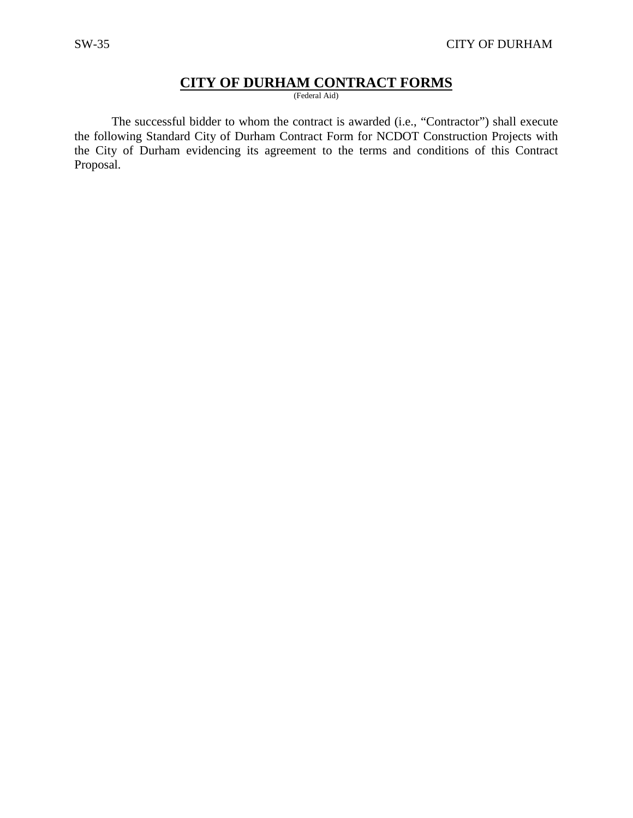# **CITY OF DURHAM CONTRACT FORMS**

(Federal Aid)

<span id="page-10-0"></span>The successful bidder to whom the contract is awarded (i.e., "Contractor") shall execute the following Standard City of Durham Contract Form for NCDOT Construction Projects with the City of Durham evidencing its agreement to the terms and conditions of this Contract Proposal.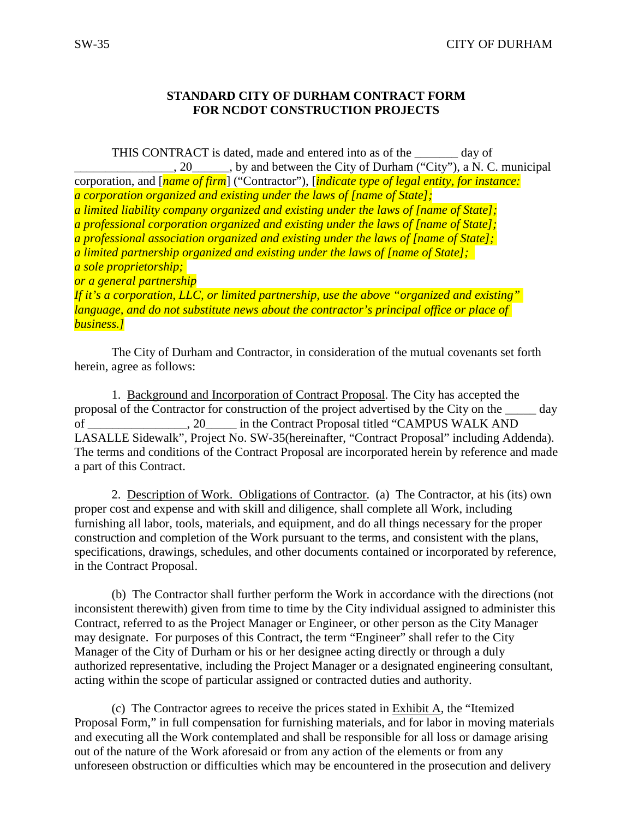# **STANDARD CITY OF DURHAM CONTRACT FORM FOR NCDOT CONSTRUCTION PROJECTS**

THIS CONTRACT is dated, made and entered into as of the \_\_\_\_\_\_\_ day of  $\Box$ , 20, by and between the City of Durham ("City"), a N. C. municipal corporation, and [*name of firm*] ("Contractor"), [*indicate type of legal entity, for instance: a corporation organized and existing under the laws of [name of State]; a limited liability company organized and existing under the laws of [name of State]; a professional corporation organized and existing under the laws of [name of State]; a professional association organized and existing under the laws of [name of State]; a limited partnership organized and existing under the laws of [name of State]; a sole proprietorship; or a general partnership If it's a corporation, LLC, or limited partnership, use the above "organized and existing" language, and do not substitute news about the contractor's principal office or place of business.]*

The City of Durham and Contractor, in consideration of the mutual covenants set forth herein, agree as follows:

1. Background and Incorporation of Contract Proposal. The City has accepted the proposal of the Contractor for construction of the project advertised by the City on the \_\_\_\_\_ day of 20 in the Contract Proposal titled "CAMPUS WALK AND LASALLE Sidewalk", Project No. SW-35(hereinafter, "Contract Proposal" including Addenda). The terms and conditions of the Contract Proposal are incorporated herein by reference and made a part of this Contract.

2. Description of Work. Obligations of Contractor. (a) The Contractor, at his (its) own proper cost and expense and with skill and diligence, shall complete all Work, including furnishing all labor, tools, materials, and equipment, and do all things necessary for the proper construction and completion of the Work pursuant to the terms, and consistent with the plans, specifications, drawings, schedules, and other documents contained or incorporated by reference, in the Contract Proposal.

(b) The Contractor shall further perform the Work in accordance with the directions (not inconsistent therewith) given from time to time by the City individual assigned to administer this Contract, referred to as the Project Manager or Engineer, or other person as the City Manager may designate. For purposes of this Contract, the term "Engineer" shall refer to the City Manager of the City of Durham or his or her designee acting directly or through a duly authorized representative, including the Project Manager or a designated engineering consultant, acting within the scope of particular assigned or contracted duties and authority.

(c) The Contractor agrees to receive the prices stated in Exhibit A, the "Itemized Proposal Form," in full compensation for furnishing materials, and for labor in moving materials and executing all the Work contemplated and shall be responsible for all loss or damage arising out of the nature of the Work aforesaid or from any action of the elements or from any unforeseen obstruction or difficulties which may be encountered in the prosecution and delivery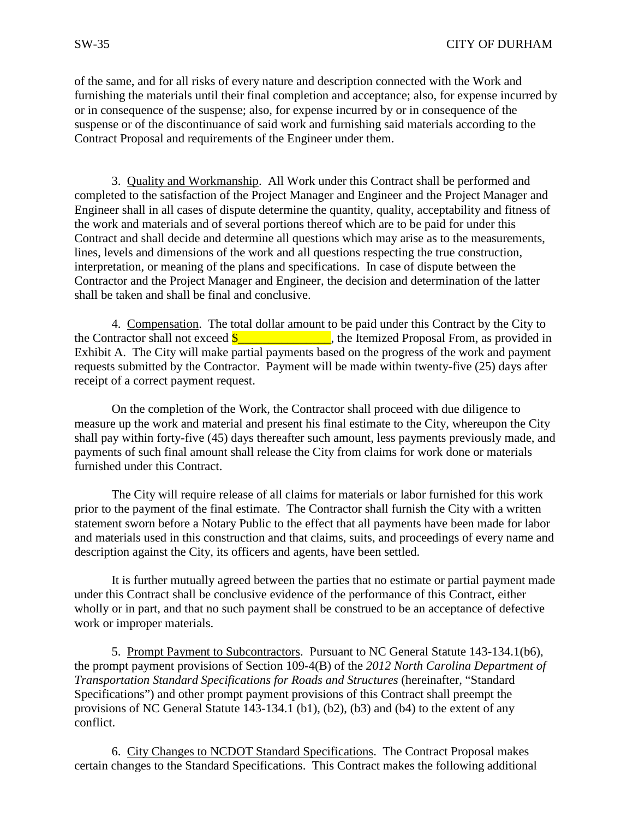of the same, and for all risks of every nature and description connected with the Work and furnishing the materials until their final completion and acceptance; also, for expense incurred by or in consequence of the suspense; also, for expense incurred by or in consequence of the suspense or of the discontinuance of said work and furnishing said materials according to the Contract Proposal and requirements of the Engineer under them.

3. Quality and Workmanship. All Work under this Contract shall be performed and completed to the satisfaction of the Project Manager and Engineer and the Project Manager and Engineer shall in all cases of dispute determine the quantity, quality, acceptability and fitness of the work and materials and of several portions thereof which are to be paid for under this Contract and shall decide and determine all questions which may arise as to the measurements, lines, levels and dimensions of the work and all questions respecting the true construction, interpretation, or meaning of the plans and specifications. In case of dispute between the Contractor and the Project Manager and Engineer, the decision and determination of the latter shall be taken and shall be final and conclusive.

4. Compensation. The total dollar amount to be paid under this Contract by the City to the Contractor shall not exceed  $\frac{\sqrt{2}}{2}$  . the Itemized Proposal From, as provided in Exhibit A. The City will make partial payments based on the progress of the work and payment requests submitted by the Contractor. Payment will be made within twenty-five (25) days after receipt of a correct payment request.

On the completion of the Work, the Contractor shall proceed with due diligence to measure up the work and material and present his final estimate to the City, whereupon the City shall pay within forty-five (45) days thereafter such amount, less payments previously made, and payments of such final amount shall release the City from claims for work done or materials furnished under this Contract.

The City will require release of all claims for materials or labor furnished for this work prior to the payment of the final estimate. The Contractor shall furnish the City with a written statement sworn before a Notary Public to the effect that all payments have been made for labor and materials used in this construction and that claims, suits, and proceedings of every name and description against the City, its officers and agents, have been settled.

It is further mutually agreed between the parties that no estimate or partial payment made under this Contract shall be conclusive evidence of the performance of this Contract, either wholly or in part, and that no such payment shall be construed to be an acceptance of defective work or improper materials.

5. Prompt Payment to Subcontractors. Pursuant to NC General Statute 143-134.1(b6), the prompt payment provisions of Section 109-4(B) of the *2012 North Carolina Department of Transportation Standard Specifications for Roads and Structures* (hereinafter, "Standard Specifications") and other prompt payment provisions of this Contract shall preempt the provisions of NC General Statute 143-134.1 (b1), (b2), (b3) and (b4) to the extent of any conflict.

6. City Changes to NCDOT Standard Specifications. The Contract Proposal makes certain changes to the Standard Specifications. This Contract makes the following additional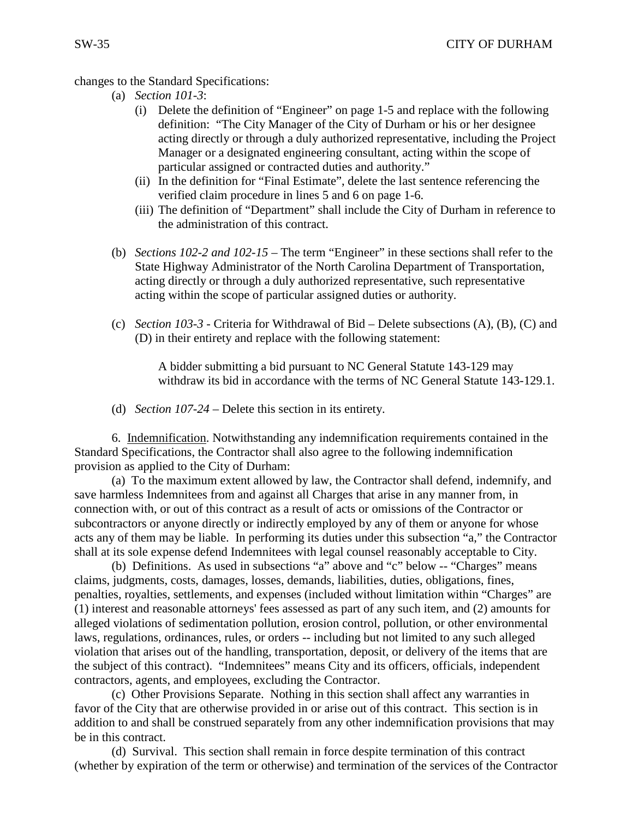## changes to the Standard Specifications:

- (a) *Section 101-3*:
	- (i) Delete the definition of "Engineer" on page 1-5 and replace with the following definition: "The City Manager of the City of Durham or his or her designee acting directly or through a duly authorized representative, including the Project Manager or a designated engineering consultant, acting within the scope of particular assigned or contracted duties and authority."
	- (ii) In the definition for "Final Estimate", delete the last sentence referencing the verified claim procedure in lines 5 and 6 on page 1-6.
	- (iii) The definition of "Department" shall include the City of Durham in reference to the administration of this contract.
- (b) *Sections 102-2 and 102-15* The term "Engineer" in these sections shall refer to the State Highway Administrator of the North Carolina Department of Transportation, acting directly or through a duly authorized representative, such representative acting within the scope of particular assigned duties or authority.
- (c) *Section 103-3*  Criteria for Withdrawal of Bid Delete subsections (A), (B), (C) and (D) in their entirety and replace with the following statement:

A bidder submitting a bid pursuant to NC General Statute 143-129 may withdraw its bid in accordance with the terms of NC General Statute 143-129.1.

(d) *Section 107-24* – Delete this section in its entirety.

6. Indemnification. Notwithstanding any indemnification requirements contained in the Standard Specifications, the Contractor shall also agree to the following indemnification provision as applied to the City of Durham:

(a) To the maximum extent allowed by law, the Contractor shall defend, indemnify, and save harmless Indemnitees from and against all Charges that arise in any manner from, in connection with, or out of this contract as a result of acts or omissions of the Contractor or subcontractors or anyone directly or indirectly employed by any of them or anyone for whose acts any of them may be liable. In performing its duties under this subsection "a," the Contractor shall at its sole expense defend Indemnitees with legal counsel reasonably acceptable to City.

(b) Definitions. As used in subsections "a" above and "c" below -- "Charges" means claims, judgments, costs, damages, losses, demands, liabilities, duties, obligations, fines, penalties, royalties, settlements, and expenses (included without limitation within "Charges" are (1) interest and reasonable attorneys' fees assessed as part of any such item, and (2) amounts for alleged violations of sedimentation pollution, erosion control, pollution, or other environmental laws, regulations, ordinances, rules, or orders -- including but not limited to any such alleged violation that arises out of the handling, transportation, deposit, or delivery of the items that are the subject of this contract). "Indemnitees" means City and its officers, officials, independent contractors, agents, and employees, excluding the Contractor.

(c) Other Provisions Separate. Nothing in this section shall affect any warranties in favor of the City that are otherwise provided in or arise out of this contract. This section is in addition to and shall be construed separately from any other indemnification provisions that may be in this contract.

(d) Survival. This section shall remain in force despite termination of this contract (whether by expiration of the term or otherwise) and termination of the services of the Contractor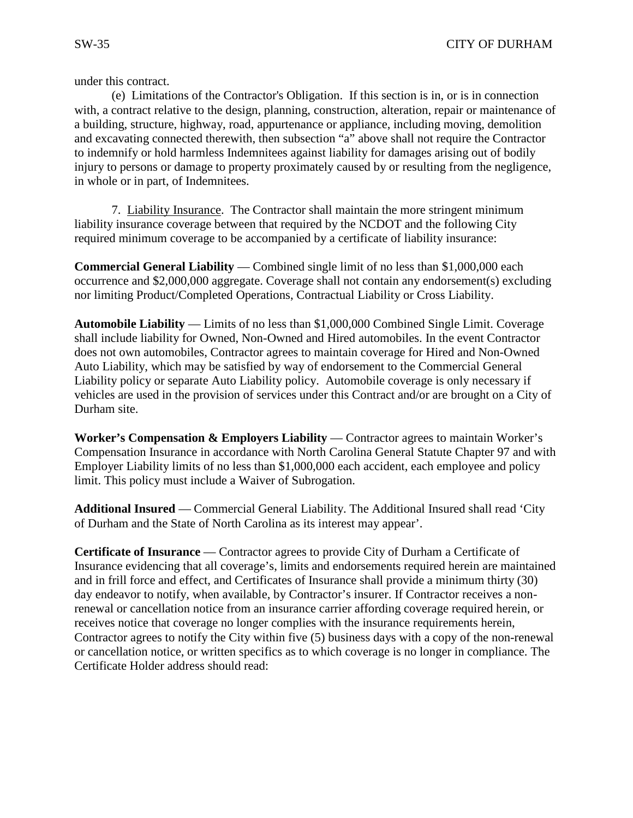under this contract.

(e) Limitations of the Contractor's Obligation. If this section is in, or is in connection with, a contract relative to the design, planning, construction, alteration, repair or maintenance of a building, structure, highway, road, appurtenance or appliance, including moving, demolition and excavating connected therewith, then subsection "a" above shall not require the Contractor to indemnify or hold harmless Indemnitees against liability for damages arising out of bodily injury to persons or damage to property proximately caused by or resulting from the negligence, in whole or in part, of Indemnitees.

7. Liability Insurance. The Contractor shall maintain the more stringent minimum liability insurance coverage between that required by the NCDOT and the following City required minimum coverage to be accompanied by a certificate of liability insurance:

**Commercial General Liability** — Combined single limit of no less than \$1,000,000 each occurrence and \$2,000,000 aggregate. Coverage shall not contain any endorsement(s) excluding nor limiting Product/Completed Operations, Contractual Liability or Cross Liability.

**Automobile Liability** — Limits of no less than \$1,000,000 Combined Single Limit. Coverage shall include liability for Owned, Non-Owned and Hired automobiles. In the event Contractor does not own automobiles, Contractor agrees to maintain coverage for Hired and Non-Owned Auto Liability, which may be satisfied by way of endorsement to the Commercial General Liability policy or separate Auto Liability policy. Automobile coverage is only necessary if vehicles are used in the provision of services under this Contract and/or are brought on a City of Durham site.

**Worker's Compensation & Employers Liability** — Contractor agrees to maintain Worker's Compensation Insurance in accordance with North Carolina General Statute Chapter 97 and with Employer Liability limits of no less than \$1,000,000 each accident, each employee and policy limit. This policy must include a Waiver of Subrogation.

**Additional Insured** — Commercial General Liability. The Additional Insured shall read 'City of Durham and the State of North Carolina as its interest may appear'.

**Certificate of Insurance** — Contractor agrees to provide City of Durham a Certificate of Insurance evidencing that all coverage's, limits and endorsements required herein are maintained and in frill force and effect, and Certificates of Insurance shall provide a minimum thirty (30) day endeavor to notify, when available, by Contractor's insurer. If Contractor receives a nonrenewal or cancellation notice from an insurance carrier affording coverage required herein, or receives notice that coverage no longer complies with the insurance requirements herein, Contractor agrees to notify the City within five (5) business days with a copy of the non-renewal or cancellation notice, or written specifics as to which coverage is no longer in compliance. The Certificate Holder address should read: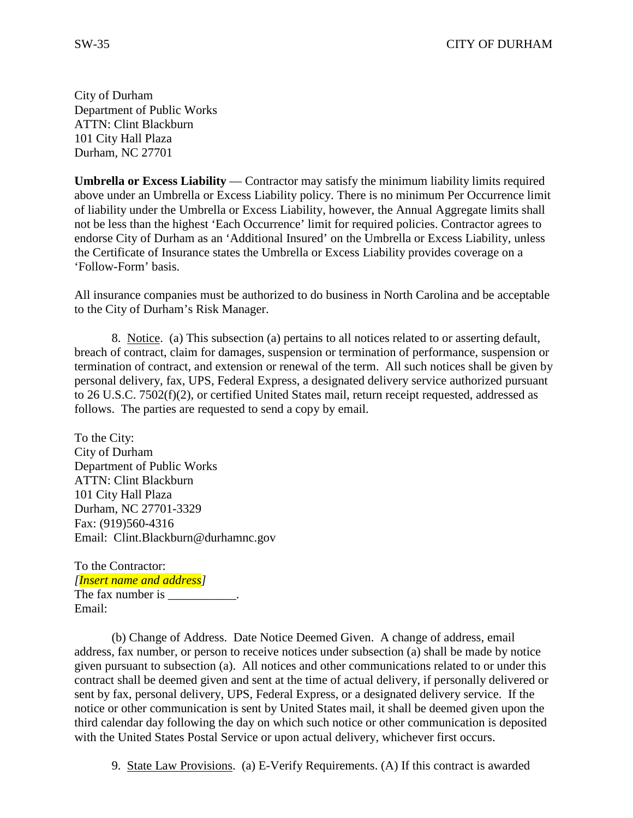City of Durham Department of Public Works ATTN: Clint Blackburn 101 City Hall Plaza Durham, NC 27701

**Umbrella or Excess Liability** — Contractor may satisfy the minimum liability limits required above under an Umbrella or Excess Liability policy. There is no minimum Per Occurrence limit of liability under the Umbrella or Excess Liability, however, the Annual Aggregate limits shall not be less than the highest 'Each Occurrence' limit for required policies. Contractor agrees to endorse City of Durham as an 'Additional Insured' on the Umbrella or Excess Liability, unless the Certificate of Insurance states the Umbrella or Excess Liability provides coverage on a 'Follow-Form' basis.

All insurance companies must be authorized to do business in North Carolina and be acceptable to the City of Durham's Risk Manager.

8. Notice. (a) This subsection (a) pertains to all notices related to or asserting default, breach of contract, claim for damages, suspension or termination of performance, suspension or termination of contract, and extension or renewal of the term. All such notices shall be given by personal delivery, fax, UPS, Federal Express, a designated delivery service authorized pursuant to 26 U.S.C. 7502(f)(2), or certified United States mail, return receipt requested, addressed as follows. The parties are requested to send a copy by email.

To the City: City of Durham Department of Public Works ATTN: Clint Blackburn 101 City Hall Plaza Durham, NC 27701-3329 Fax: (919)560-4316 Email: Clint.Blackburn@durhamnc.gov

To the Contractor: *[Insert name and address]* The fax number is \_\_\_\_\_\_\_\_\_\_. Email:

(b) Change of Address. Date Notice Deemed Given. A change of address, email address, fax number, or person to receive notices under subsection (a) shall be made by notice given pursuant to subsection (a). All notices and other communications related to or under this contract shall be deemed given and sent at the time of actual delivery, if personally delivered or sent by fax, personal delivery, UPS, Federal Express, or a designated delivery service. If the notice or other communication is sent by United States mail, it shall be deemed given upon the third calendar day following the day on which such notice or other communication is deposited with the United States Postal Service or upon actual delivery, whichever first occurs.

9. State Law Provisions. (a) E-Verify Requirements. (A) If this contract is awarded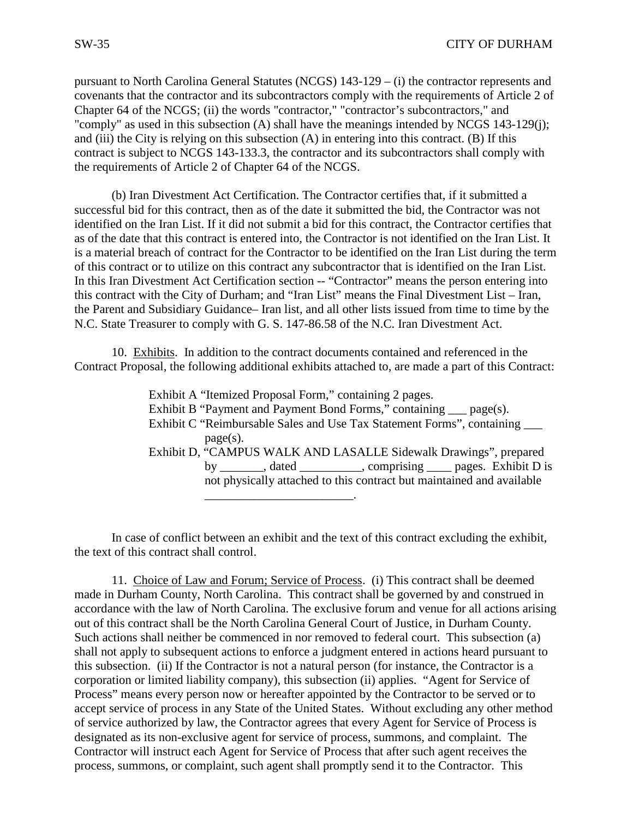pursuant to North Carolina General Statutes (NCGS) 143-129 – (i) the contractor represents and covenants that the contractor and its subcontractors comply with the requirements of Article 2 of Chapter 64 of the NCGS; (ii) the words "contractor," "contractor's subcontractors," and "comply" as used in this subsection (A) shall have the meanings intended by NCGS 143-129(j); and (iii) the City is relying on this subsection (A) in entering into this contract. (B) If this contract is subject to NCGS 143-133.3, the contractor and its subcontractors shall comply with the requirements of Article 2 of Chapter 64 of the NCGS.

(b) Iran Divestment Act Certification. The Contractor certifies that, if it submitted a successful bid for this contract, then as of the date it submitted the bid, the Contractor was not identified on the Iran List. If it did not submit a bid for this contract, the Contractor certifies that as of the date that this contract is entered into, the Contractor is not identified on the Iran List. It is a material breach of contract for the Contractor to be identified on the Iran List during the term of this contract or to utilize on this contract any subcontractor that is identified on the Iran List. In this Iran Divestment Act Certification section -- "Contractor" means the person entering into this contract with the City of Durham; and "Iran List" means the Final Divestment List – Iran, the Parent and Subsidiary Guidance– Iran list, and all other lists issued from time to time by the N.C. State Treasurer to comply with G. S. 147-86.58 of the N.C. Iran Divestment Act.

10. Exhibits. In addition to the contract documents contained and referenced in the Contract Proposal, the following additional exhibits attached to, are made a part of this Contract:

> Exhibit A "Itemized Proposal Form," containing 2 pages. Exhibit B "Payment and Payment Bond Forms," containing \_\_\_ page(s). Exhibit C "Reimbursable Sales and Use Tax Statement Forms", containing \_\_\_ page(s). Exhibit D, "CAMPUS WALK AND LASALLE Sidewalk Drawings", prepared by \_\_\_\_\_\_\_, dated \_\_\_\_\_\_\_\_\_\_, comprising \_\_\_\_ pages. Exhibit D is not physically attached to this contract but maintained and available \_\_\_\_\_\_\_\_\_\_\_\_\_\_\_\_\_\_\_\_\_\_\_\_.

In case of conflict between an exhibit and the text of this contract excluding the exhibit, the text of this contract shall control.

11. Choice of Law and Forum; Service of Process. (i) This contract shall be deemed made in Durham County, North Carolina. This contract shall be governed by and construed in accordance with the law of North Carolina. The exclusive forum and venue for all actions arising out of this contract shall be the North Carolina General Court of Justice, in Durham County. Such actions shall neither be commenced in nor removed to federal court. This subsection (a) shall not apply to subsequent actions to enforce a judgment entered in actions heard pursuant to this subsection. (ii) If the Contractor is not a natural person (for instance, the Contractor is a corporation or limited liability company), this subsection (ii) applies. "Agent for Service of Process" means every person now or hereafter appointed by the Contractor to be served or to accept service of process in any State of the United States. Without excluding any other method of service authorized by law, the Contractor agrees that every Agent for Service of Process is designated as its non-exclusive agent for service of process, summons, and complaint. The Contractor will instruct each Agent for Service of Process that after such agent receives the process, summons, or complaint, such agent shall promptly send it to the Contractor. This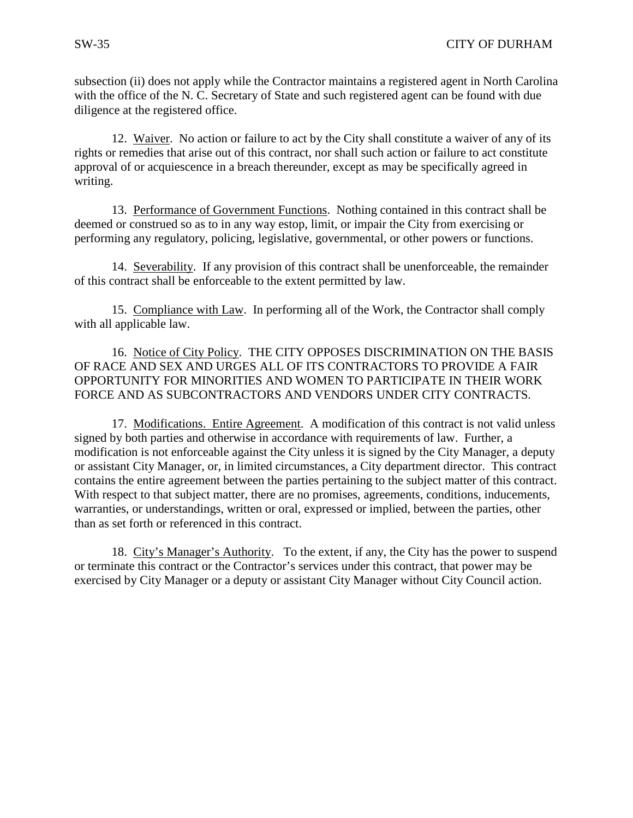subsection (ii) does not apply while the Contractor maintains a registered agent in North Carolina with the office of the N. C. Secretary of State and such registered agent can be found with due diligence at the registered office.

12. Waiver. No action or failure to act by the City shall constitute a waiver of any of its rights or remedies that arise out of this contract, nor shall such action or failure to act constitute approval of or acquiescence in a breach thereunder, except as may be specifically agreed in writing.

13. Performance of Government Functions. Nothing contained in this contract shall be deemed or construed so as to in any way estop, limit, or impair the City from exercising or performing any regulatory, policing, legislative, governmental, or other powers or functions.

14. Severability. If any provision of this contract shall be unenforceable, the remainder of this contract shall be enforceable to the extent permitted by law.

15. Compliance with Law. In performing all of the Work, the Contractor shall comply with all applicable law.

16. Notice of City Policy. THE CITY OPPOSES DISCRIMINATION ON THE BASIS OF RACE AND SEX AND URGES ALL OF ITS CONTRACTORS TO PROVIDE A FAIR OPPORTUNITY FOR MINORITIES AND WOMEN TO PARTICIPATE IN THEIR WORK FORCE AND AS SUBCONTRACTORS AND VENDORS UNDER CITY CONTRACTS.

17. Modifications. Entire Agreement. A modification of this contract is not valid unless signed by both parties and otherwise in accordance with requirements of law. Further, a modification is not enforceable against the City unless it is signed by the City Manager, a deputy or assistant City Manager, or, in limited circumstances, a City department director. This contract contains the entire agreement between the parties pertaining to the subject matter of this contract. With respect to that subject matter, there are no promises, agreements, conditions, inducements, warranties, or understandings, written or oral, expressed or implied, between the parties, other than as set forth or referenced in this contract.

18. City's Manager's Authority. To the extent, if any, the City has the power to suspend or terminate this contract or the Contractor's services under this contract, that power may be exercised by City Manager or a deputy or assistant City Manager without City Council action.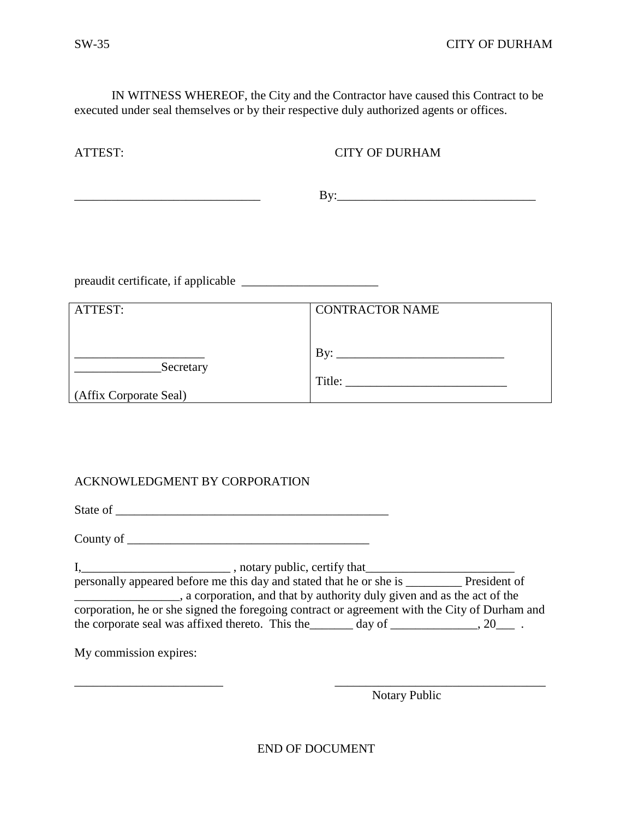IN WITNESS WHEREOF, the City and the Contractor have caused this Contract to be executed under seal themselves or by their respective duly authorized agents or offices.

ATTEST: CITY OF DURHAM

\_\_\_\_\_\_\_\_\_\_\_\_\_\_\_\_\_\_\_\_\_\_\_\_\_\_\_\_\_\_ By:\_\_\_\_\_\_\_\_\_\_\_\_\_\_\_\_\_\_\_\_\_\_\_\_\_\_\_\_\_\_\_\_

preaudit certificate, if applicable \_\_\_\_\_\_\_\_\_\_\_\_\_\_\_\_\_\_\_\_\_\_

| ATTEST:                | <b>CONTRACTOR NAME</b>    |
|------------------------|---------------------------|
|                        |                           |
|                        | $\mathbf{B} \mathbf{y}$ : |
| Secretary              | Title:                    |
| (Affix Corporate Seal) |                           |

# ACKNOWLEDGMENT BY CORPORATION

State of \_\_\_\_\_\_\_\_\_\_\_\_\_\_\_\_\_\_\_\_\_\_\_\_\_\_\_\_\_\_\_\_\_\_\_\_\_\_\_\_\_\_\_\_

County of \_\_\_\_\_\_\_\_\_\_\_\_\_\_\_\_\_\_\_\_\_\_\_\_\_\_\_\_\_\_\_\_\_\_\_\_\_\_\_

 $I, \underline{\hspace{2cm}}$ , notary public, certify that personally appeared before me this day and stated that he or she is \_\_\_\_\_\_\_\_\_ President of **Example 2.1**, a corporation, and that by authority duly given and as the act of the corporation, he or she signed the foregoing contract or agreement with the City of Durham and the corporate seal was affixed thereto. This the\_\_\_\_\_\_\_ day of \_\_\_\_\_\_\_\_\_\_\_\_\_\_, 20\_\_\_ .

My commission expires:

\_\_\_\_\_\_\_\_\_\_\_\_\_\_\_\_\_\_\_\_\_\_\_\_ \_\_\_\_\_\_\_\_\_\_\_\_\_\_\_\_\_\_\_\_\_\_\_\_\_\_\_\_\_\_\_\_\_\_ Notary Public

END OF DOCUMENT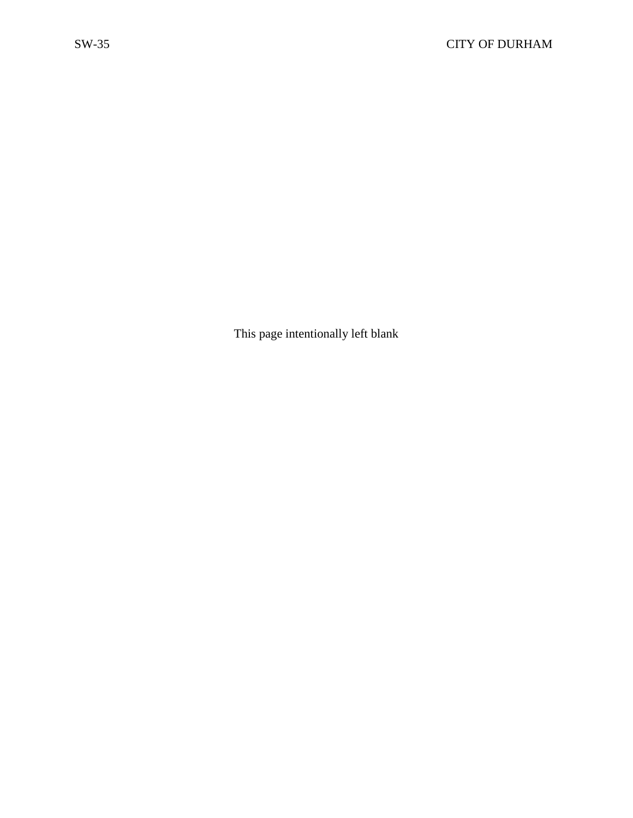This page intentionally left blank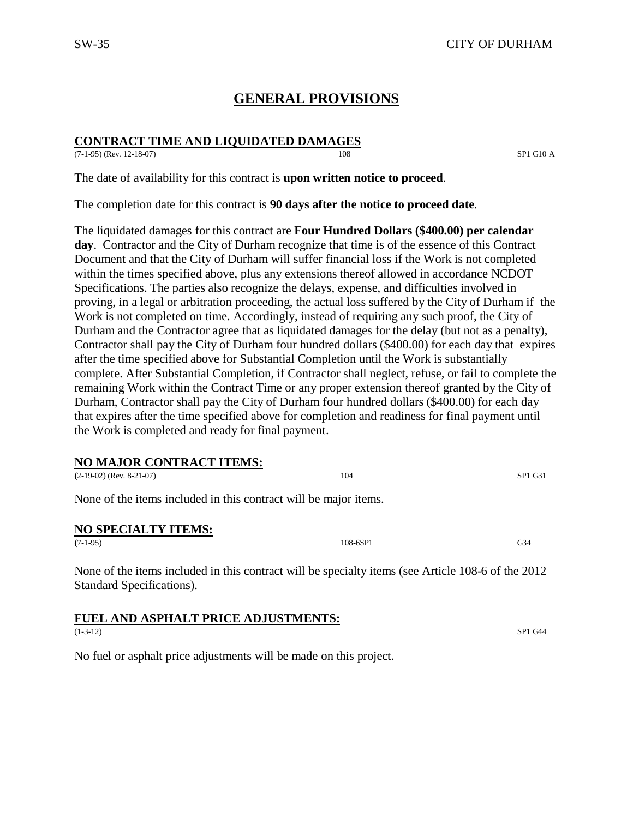# **GENERAL PROVISIONS**

# <span id="page-20-1"></span><span id="page-20-0"></span>**CONTRACT TIME AND LIQUIDATED DAMAGES**

(7-1-95) (Rev. 12-18-07) 108 SP1 G10 A

The date of availability for this contract is **upon written notice to proceed**.

The completion date for this contract is **90 days after the notice to proceed date**.

The liquidated damages for this contract are **Four Hundred Dollars (\$400.00) per calendar day**. Contractor and the City of Durham recognize that time is of the essence of this Contract Document and that the City of Durham will suffer financial loss if the Work is not completed within the times specified above, plus any extensions thereof allowed in accordance NCDOT Specifications. The parties also recognize the delays, expense, and difficulties involved in proving, in a legal or arbitration proceeding, the actual loss suffered by the City of Durham if the Work is not completed on time. Accordingly, instead of requiring any such proof, the City of Durham and the Contractor agree that as liquidated damages for the delay (but not as a penalty), Contractor shall pay the City of Durham four hundred dollars (\$400.00) for each day that expires after the time specified above for Substantial Completion until the Work is substantially complete. After Substantial Completion, if Contractor shall neglect, refuse, or fail to complete the remaining Work within the Contract Time or any proper extension thereof granted by the City of Durham, Contractor shall pay the City of Durham four hundred dollars (\$400.00) for each day that expires after the time specified above for completion and readiness for final payment until the Work is completed and ready for final payment.

#### <span id="page-20-2"></span>**NO MAJOR CONTRACT ITEMS:**

**(**2-19-02) (Rev. 8-21-07) 104 SP1 G31 None of the items included in this contract will be major items. **NO SPECIALTY ITEMS: (**7-1-95) 108-6SP1 G34

<span id="page-20-3"></span>None of the items included in this contract will be specialty items (see Article 108-6 of the 2012 Standard Specifications).

# <span id="page-20-4"></span>**FUEL AND ASPHALT PRICE ADJUSTMENTS:**

No fuel or asphalt price adjustments will be made on this project.

(1-3-12) SP1 G44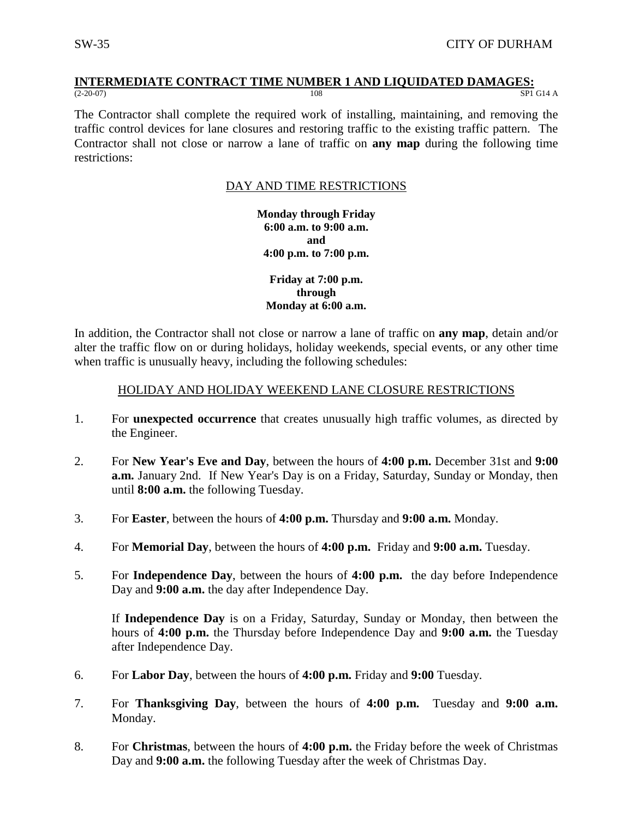#### <span id="page-21-0"></span>**INTERMEDIATE CONTRACT TIME NUMBER 1 AND LIQUIDATED DAMAGES:**  $(2-20-07)$  108 SP1 G14 A

The Contractor shall complete the required work of installing, maintaining, and removing the traffic control devices for lane closures and restoring traffic to the existing traffic pattern. The Contractor shall not close or narrow a lane of traffic on **any map** during the following time restrictions:

#### DAY AND TIME RESTRICTIONS

**Monday through Friday 6:00 a.m. to 9:00 a.m. and 4:00 p.m. to 7:00 p.m.**

**Friday at 7:00 p.m. through Monday at 6:00 a.m.**

In addition, the Contractor shall not close or narrow a lane of traffic on **any map**, detain and/or alter the traffic flow on or during holidays, holiday weekends, special events, or any other time when traffic is unusually heavy, including the following schedules:

### HOLIDAY AND HOLIDAY WEEKEND LANE CLOSURE RESTRICTIONS

- 1. For **unexpected occurrence** that creates unusually high traffic volumes, as directed by the Engineer.
- 2. For **New Year's Eve and Day**, between the hours of **4:00 p.m.** December 31st and **9:00 a.m.** January 2nd. If New Year's Day is on a Friday, Saturday, Sunday or Monday, then until **8:00 a.m.** the following Tuesday.
- 3. For **Easter**, between the hours of **4:00 p.m.** Thursday and **9:00 a.m.** Monday.
- 4. For **Memorial Day**, between the hours of **4:00 p.m.** Friday and **9:00 a.m.** Tuesday.
- 5. For **Independence Day**, between the hours of **4:00 p.m.** the day before Independence Day and **9:00 a.m.** the day after Independence Day.

If **Independence Day** is on a Friday, Saturday, Sunday or Monday, then between the hours of **4:00 p.m.** the Thursday before Independence Day and **9:00 a.m.** the Tuesday after Independence Day.

- 6. For **Labor Day**, between the hours of **4:00 p.m.** Friday and **9:00** Tuesday.
- 7. For **Thanksgiving Day**, between the hours of **4:00 p.m.** Tuesday and **9:00 a.m.** Monday.
- 8. For **Christmas**, between the hours of **4:00 p.m.** the Friday before the week of Christmas Day and **9:00 a.m.** the following Tuesday after the week of Christmas Day.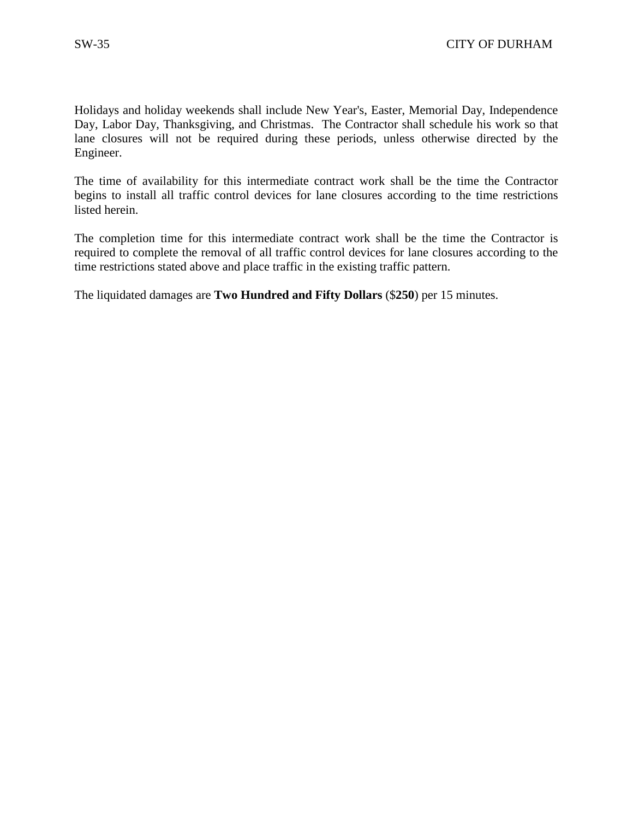Holidays and holiday weekends shall include New Year's, Easter, Memorial Day, Independence Day, Labor Day, Thanksgiving, and Christmas. The Contractor shall schedule his work so that lane closures will not be required during these periods, unless otherwise directed by the Engineer.

The time of availability for this intermediate contract work shall be the time the Contractor begins to install all traffic control devices for lane closures according to the time restrictions listed herein.

The completion time for this intermediate contract work shall be the time the Contractor is required to complete the removal of all traffic control devices for lane closures according to the time restrictions stated above and place traffic in the existing traffic pattern.

The liquidated damages are **Two Hundred and Fifty Dollars** (\$**250**) per 15 minutes.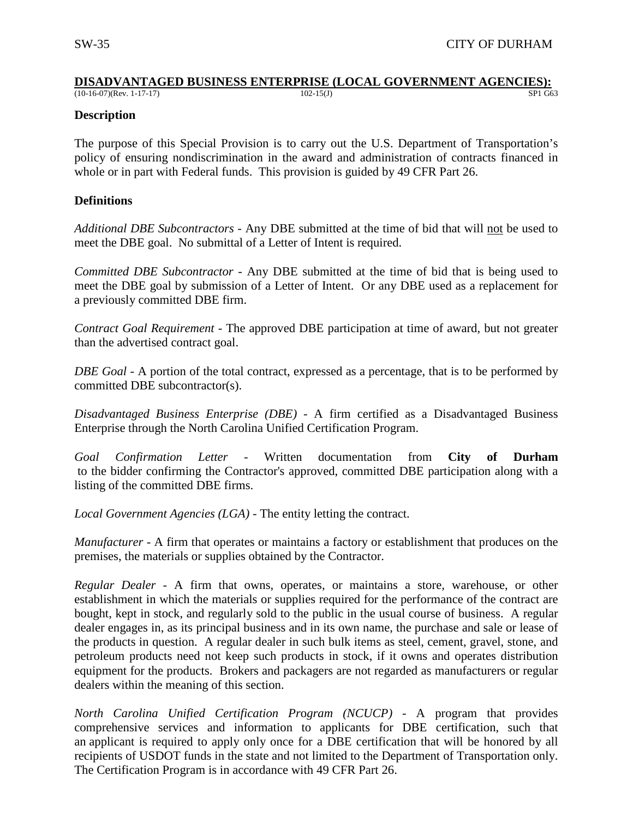#### <span id="page-23-0"></span>**DISADVANTAGED BUSINESS ENTERPRISE (LOCAL GOVERNMENT AGENCIES):**  $(10-16-07)$ (Rev. 1-17-17)

#### **Description**

The purpose of this Special Provision is to carry out the U.S. Department of Transportation's policy of ensuring nondiscrimination in the award and administration of contracts financed in whole or in part with Federal funds. This provision is guided by 49 CFR Part 26.

#### **Definitions**

*Additional DBE Subcontractors* - Any DBE submitted at the time of bid that will not be used to meet the DBE goal. No submittal of a Letter of Intent is required.

*Committed DBE Subcontractor* - Any DBE submitted at the time of bid that is being used to meet the DBE goal by submission of a Letter of Intent. Or any DBE used as a replacement for a previously committed DBE firm.

*Contract Goal Requirement* - The approved DBE participation at time of award, but not greater than the advertised contract goal.

*DBE Goal* - A portion of the total contract, expressed as a percentage, that is to be performed by committed DBE subcontractor(s).

*Disadvantaged Business Enterprise (DBE)* - A firm certified as a Disadvantaged Business Enterprise through the North Carolina Unified Certification Program.

*Goal Confirmation Letter -* Written documentation from **City of Durham** to the bidder confirming the Contractor's approved, committed DBE participation along with a listing of the committed DBE firms.

*Local Government Agencies (LGA)* - The entity letting the contract.

*Manufacturer* - A firm that operates or maintains a factory or establishment that produces on the premises, the materials or supplies obtained by the Contractor.

*Regular Dealer* - A firm that owns, operates, or maintains a store, warehouse, or other establishment in which the materials or supplies required for the performance of the contract are bought, kept in stock, and regularly sold to the public in the usual course of business. A regular dealer engages in, as its principal business and in its own name, the purchase and sale or lease of the products in question. A regular dealer in such bulk items as steel, cement, gravel, stone, and petroleum products need not keep such products in stock, if it owns and operates distribution equipment for the products. Brokers and packagers are not regarded as manufacturers or regular dealers within the meaning of this section.

*North Carolina Unified Certification Pr*o*gram (NCUCP)* - A program that provides comprehensive services and information to applicants for DBE certification, such that an applicant is required to apply only once for a DBE certification that will be honored by all recipients of USDOT funds in the state and not limited to the Department of Transportation only. The Certification Program is in accordance with 49 CFR Part 26.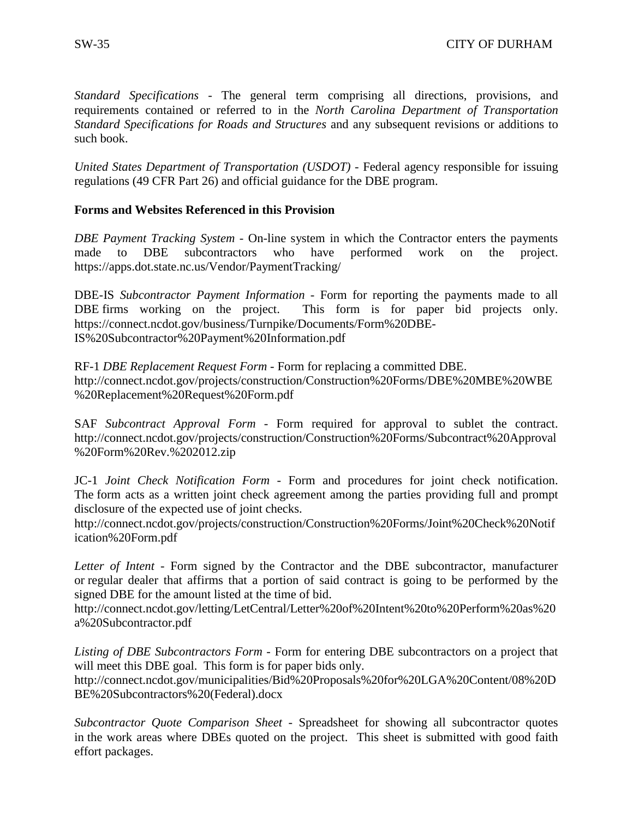*Standard Specifications -* The general term comprising all directions, provisions, and requirements contained or referred to in the *North Carolina Department of Transportation Standard Specifications for Roads and Structures* and any subsequent revisions or additions to such book.

*United States Department of Transportation (USDOT)* - Federal agency responsible for issuing regulations (49 CFR Part 26) and official guidance for the DBE program.

# **Forms and Websites Referenced in this Provision**

*DBE Payment Tracking System* - On-line system in which the Contractor enters the payments made to DBE subcontractors who have performed work on the project. <https://apps.dot.state.nc.us/Vendor/PaymentTracking/>

DBE-IS *Subcontractor Payment Information* - Form for reporting the payments made to all DBE firms working on the project. This form is for paper bid projects only. https://connect.ncdot.gov/business/Turnpike/Documents/Form%20DBE-IS%20Subcontractor%20Payment%20Information.pdf

RF-1 *DBE Replacement Request Form* - Form for replacing a committed DBE. http://connect.ncdot.gov/projects/construction/Construction%20Forms/DBE%20MBE%20WBE %20Replacement%20Request%20Form.pdf

SAF *Subcontract Approval Form* - Form required for approval to sublet the contract. http://connect.ncdot.gov/projects/construction/Construction%20Forms/Subcontract%20Approval %20Form%20Rev.%202012.zip

JC-1 *Joint Check Notification Form* - Form and procedures for joint check notification. The form acts as a written joint check agreement among the parties providing full and prompt disclosure of the expected use of joint checks.

http://connect.ncdot.gov/projects/construction/Construction%20Forms/Joint%20Check%20Notif ication%20Form.pdf

*Letter of Intent* - Form signed by the Contractor and the DBE subcontractor, manufacturer or regular dealer that affirms that a portion of said contract is going to be performed by the signed DBE for the amount listed at the time of bid.

http://connect.ncdot.gov/letting/LetCentral/Letter%20of%20Intent%20to%20Perform%20as%20 a%20Subcontractor.pdf

*Listing of DBE Subcontractors Form -* Form for entering DBE subcontractors on a project that will meet this DBE goal. This form is for paper bids only.

http://connect.ncdot.gov/municipalities/Bid%20Proposals%20for%20LGA%20Content/08%20D BE%20Subcontractors%20(Federal).docx

*Subcontractor Quote Comparison Sheet -* Spreadsheet for showing all subcontractor quotes in the work areas where DBEs quoted on the project. This sheet is submitted with good faith effort packages.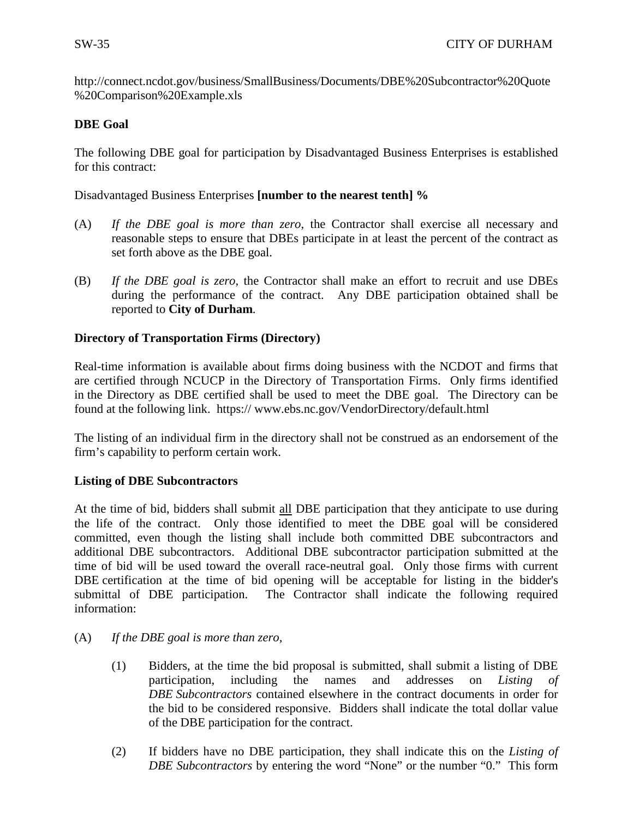http://connect.ncdot.gov/business/SmallBusiness/Documents/DBE%20Subcontractor%20Quote %20Comparison%20Example.xls

# **DBE Goal**

The following DBE goal for participation by Disadvantaged Business Enterprises is established for this contract:

Disadvantaged Business Enterprises **[number to the nearest tenth] %**

- (A) *If the DBE goal is more than zero*, the Contractor shall exercise all necessary and reasonable steps to ensure that DBEs participate in at least the percent of the contract as set forth above as the DBE goal.
- (B) *If the DBE goal is zero*, the Contractor shall make an effort to recruit and use DBEs during the performance of the contract. Any DBE participation obtained shall be reported to **City of Durham**.

# **Directory of Transportation Firms (Directory)**

Real-time information is available about firms doing business with the NCDOT and firms that are certified through NCUCP in the Directory of Transportation Firms. Only firms identified in the Directory as DBE certified shall be used to meet the DBE goal. The Directory can be found at the following link. https:// www.ebs.nc.gov/VendorDirectory/default.html

The listing of an individual firm in the directory shall not be construed as an endorsement of the firm's capability to perform certain work.

# **Listing of DBE Subcontractors**

At the time of bid, bidders shall submit all DBE participation that they anticipate to use during the life of the contract. Only those identified to meet the DBE goal will be considered committed, even though the listing shall include both committed DBE subcontractors and additional DBE subcontractors. Additional DBE subcontractor participation submitted at the time of bid will be used toward the overall race-neutral goal. Only those firms with current DBE certification at the time of bid opening will be acceptable for listing in the bidder's submittal of DBE participation. The Contractor shall indicate the following required information:

- (A) *If the DBE goal is more than zero,*
	- (1) Bidders, at the time the bid proposal is submitted, shall submit a listing of DBE participation, including the names and addresses on *Listing of DBE Subcontractors* contained elsewhere in the contract documents in order for the bid to be considered responsive. Bidders shall indicate the total dollar value of the DBE participation for the contract.
	- (2) If bidders have no DBE participation, they shall indicate this on the *Listing of DBE Subcontractors* by entering the word "None" or the number "0." This form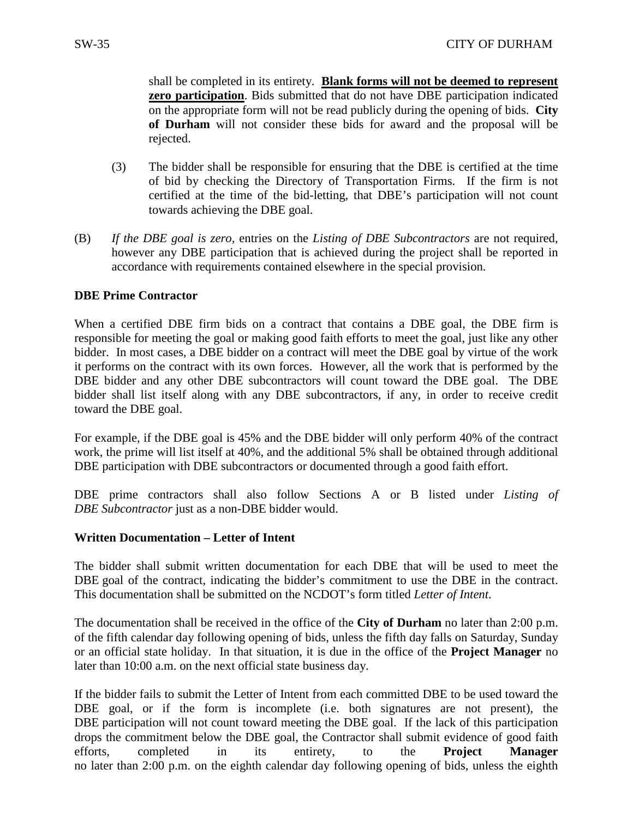shall be completed in its entirety. **Blank forms will not be deemed to represent zero participation**. Bids submitted that do not have DBE participation indicated on the appropriate form will not be read publicly during the opening of bids. **City of Durham** will not consider these bids for award and the proposal will be rejected.

- (3) The bidder shall be responsible for ensuring that the DBE is certified at the time of bid by checking the Directory of Transportation Firms. If the firm is not certified at the time of the bid-letting, that DBE's participation will not count towards achieving the DBE goal.
- (B) *If the DBE goal is zero,* entries on the *Listing of DBE Subcontractors* are not required, however any DBE participation that is achieved during the project shall be reported in accordance with requirements contained elsewhere in the special provision.

# **DBE Prime Contractor**

When a certified DBE firm bids on a contract that contains a DBE goal, the DBE firm is responsible for meeting the goal or making good faith efforts to meet the goal, just like any other bidder. In most cases, a DBE bidder on a contract will meet the DBE goal by virtue of the work it performs on the contract with its own forces. However, all the work that is performed by the DBE bidder and any other DBE subcontractors will count toward the DBE goal. The DBE bidder shall list itself along with any DBE subcontractors, if any, in order to receive credit toward the DBE goal.

For example, if the DBE goal is 45% and the DBE bidder will only perform 40% of the contract work, the prime will list itself at 40%, and the additional 5% shall be obtained through additional DBE participation with DBE subcontractors or documented through a good faith effort.

DBE prime contractors shall also follow Sections A or B listed under *Listing of DBE Subcontractor* just as a non-DBE bidder would.

### **Written Documentation – Letter of Intent**

The bidder shall submit written documentation for each DBE that will be used to meet the DBE goal of the contract, indicating the bidder's commitment to use the DBE in the contract. This documentation shall be submitted on the NCDOT's form titled *Letter of Intent*.

The documentation shall be received in the office of the **City of Durham** no later than 2:00 p.m. of the fifth calendar day following opening of bids, unless the fifth day falls on Saturday, Sunday or an official state holiday. In that situation, it is due in the office of the **Project Manager** no later than 10:00 a.m. on the next official state business day.

If the bidder fails to submit the Letter of Intent from each committed DBE to be used toward the DBE goal, or if the form is incomplete (i.e. both signatures are not present), the DBE participation will not count toward meeting the DBE goal. If the lack of this participation drops the commitment below the DBE goal, the Contractor shall submit evidence of good faith efforts, completed in its entirety, to the **Project Manager** no later than 2:00 p.m. on the eighth calendar day following opening of bids, unless the eighth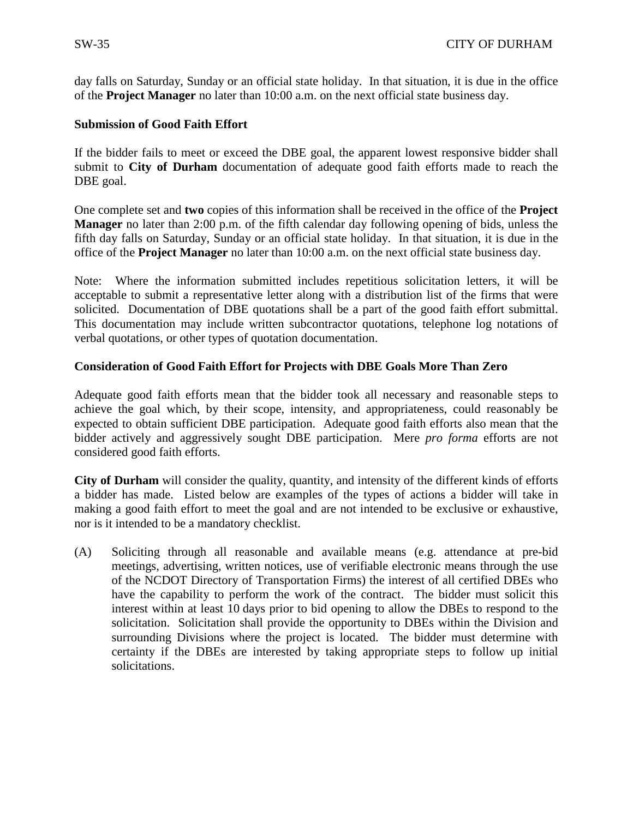day falls on Saturday, Sunday or an official state holiday. In that situation, it is due in the office of the **Project Manager** no later than 10:00 a.m. on the next official state business day.

# **Submission of Good Faith Effort**

If the bidder fails to meet or exceed the DBE goal, the apparent lowest responsive bidder shall submit to **City of Durham** documentation of adequate good faith efforts made to reach the DBE goal.

One complete set and **two** copies of this information shall be received in the office of the **Project Manager** no later than 2:00 p.m. of the fifth calendar day following opening of bids, unless the fifth day falls on Saturday, Sunday or an official state holiday. In that situation, it is due in the office of the **Project Manager** no later than 10:00 a.m. on the next official state business day.

Note: Where the information submitted includes repetitious solicitation letters, it will be acceptable to submit a representative letter along with a distribution list of the firms that were solicited. Documentation of DBE quotations shall be a part of the good faith effort submittal. This documentation may include written subcontractor quotations, telephone log notations of verbal quotations, or other types of quotation documentation.

# **Consideration of Good Faith Effort for Projects with DBE Goals More Than Zero**

Adequate good faith efforts mean that the bidder took all necessary and reasonable steps to achieve the goal which, by their scope, intensity, and appropriateness, could reasonably be expected to obtain sufficient DBE participation. Adequate good faith efforts also mean that the bidder actively and aggressively sought DBE participation. Mere *pro forma* efforts are not considered good faith efforts.

**City of Durham** will consider the quality, quantity, and intensity of the different kinds of efforts a bidder has made. Listed below are examples of the types of actions a bidder will take in making a good faith effort to meet the goal and are not intended to be exclusive or exhaustive, nor is it intended to be a mandatory checklist.

(A) Soliciting through all reasonable and available means (e.g. attendance at pre-bid meetings, advertising, written notices, use of verifiable electronic means through the use of the NCDOT Directory of Transportation Firms) the interest of all certified DBEs who have the capability to perform the work of the contract. The bidder must solicit this interest within at least 10 days prior to bid opening to allow the DBEs to respond to the solicitation. Solicitation shall provide the opportunity to DBEs within the Division and surrounding Divisions where the project is located. The bidder must determine with certainty if the DBEs are interested by taking appropriate steps to follow up initial solicitations.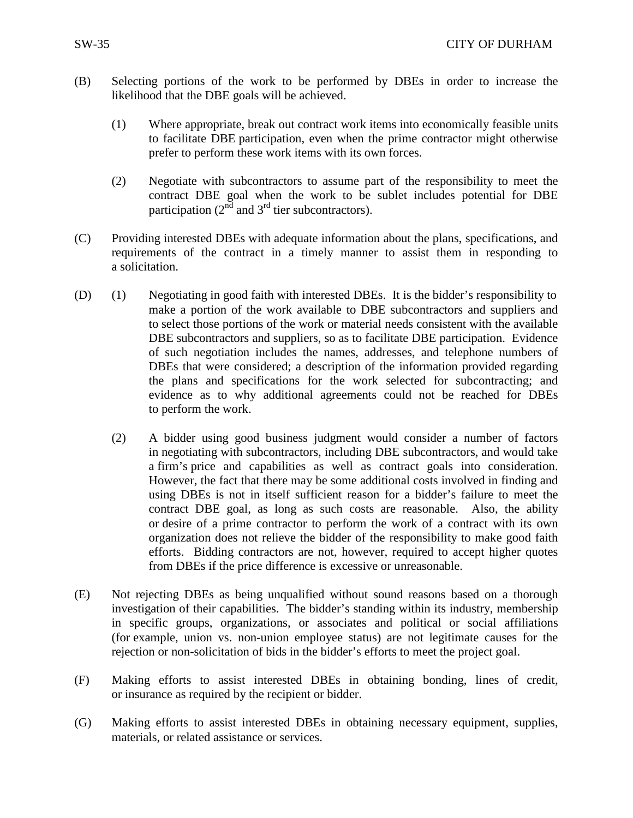- (B) Selecting portions of the work to be performed by DBEs in order to increase the likelihood that the DBE goals will be achieved.
	- (1) Where appropriate, break out contract work items into economically feasible units to facilitate DBE participation, even when the prime contractor might otherwise prefer to perform these work items with its own forces.
	- (2) Negotiate with subcontractors to assume part of the responsibility to meet the contract DBE goal when the work to be sublet includes potential for DBE participation  $(2^{nd}$  and  $3^{rd}$  tier subcontractors).
- (C) Providing interested DBEs with adequate information about the plans, specifications, and requirements of the contract in a timely manner to assist them in responding to a solicitation.
- (D) (1) Negotiating in good faith with interested DBEs. It is the bidder's responsibility to make a portion of the work available to DBE subcontractors and suppliers and to select those portions of the work or material needs consistent with the available DBE subcontractors and suppliers, so as to facilitate DBE participation. Evidence of such negotiation includes the names, addresses, and telephone numbers of DBEs that were considered; a description of the information provided regarding the plans and specifications for the work selected for subcontracting; and evidence as to why additional agreements could not be reached for DBEs to perform the work.
	- (2) A bidder using good business judgment would consider a number of factors in negotiating with subcontractors, including DBE subcontractors, and would take a firm's price and capabilities as well as contract goals into consideration. However, the fact that there may be some additional costs involved in finding and using DBEs is not in itself sufficient reason for a bidder's failure to meet the contract DBE goal, as long as such costs are reasonable. Also, the ability or desire of a prime contractor to perform the work of a contract with its own organization does not relieve the bidder of the responsibility to make good faith efforts. Bidding contractors are not, however, required to accept higher quotes from DBEs if the price difference is excessive or unreasonable.
- (E) Not rejecting DBEs as being unqualified without sound reasons based on a thorough investigation of their capabilities. The bidder's standing within its industry, membership in specific groups, organizations, or associates and political or social affiliations (for example, union vs. non-union employee status) are not legitimate causes for the rejection or non-solicitation of bids in the bidder's efforts to meet the project goal.
- (F) Making efforts to assist interested DBEs in obtaining bonding, lines of credit, or insurance as required by the recipient or bidder.
- (G) Making efforts to assist interested DBEs in obtaining necessary equipment, supplies, materials, or related assistance or services.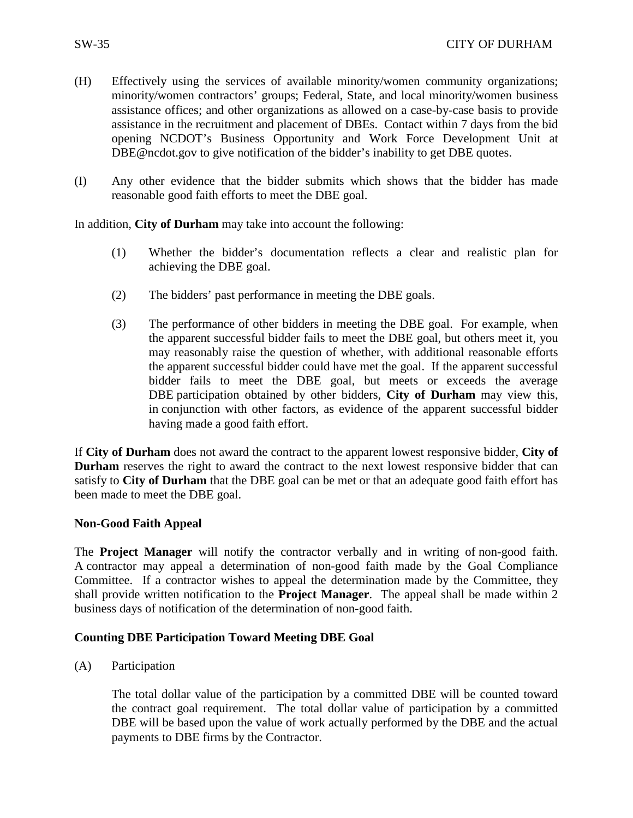- (H) Effectively using the services of available minority/women community organizations; minority/women contractors' groups; Federal, State, and local minority/women business assistance offices; and other organizations as allowed on a case-by-case basis to provide assistance in the recruitment and placement of DBEs. Contact within 7 days from the bid opening NCDOT's Business Opportunity and Work Force Development Unit at DBE@ncdot.gov to give notification of the bidder's inability to get DBE quotes.
- (I) Any other evidence that the bidder submits which shows that the bidder has made reasonable good faith efforts to meet the DBE goal.

In addition, **City of Durham** may take into account the following:

- (1) Whether the bidder's documentation reflects a clear and realistic plan for achieving the DBE goal.
- (2) The bidders' past performance in meeting the DBE goals.
- (3) The performance of other bidders in meeting the DBE goal. For example, when the apparent successful bidder fails to meet the DBE goal, but others meet it, you may reasonably raise the question of whether, with additional reasonable efforts the apparent successful bidder could have met the goal. If the apparent successful bidder fails to meet the DBE goal, but meets or exceeds the average DBE participation obtained by other bidders, **City of Durham** may view this, in conjunction with other factors, as evidence of the apparent successful bidder having made a good faith effort.

If **City of Durham** does not award the contract to the apparent lowest responsive bidder, **City of Durham** reserves the right to award the contract to the next lowest responsive bidder that can satisfy to **City of Durham** that the DBE goal can be met or that an adequate good faith effort has been made to meet the DBE goal.

### **Non-Good Faith Appeal**

The **Project Manager** will notify the contractor verbally and in writing of non-good faith. A contractor may appeal a determination of non-good faith made by the Goal Compliance Committee. If a contractor wishes to appeal the determination made by the Committee, they shall provide written notification to the **Project Manager**. The appeal shall be made within 2 business days of notification of the determination of non-good faith.

### **Counting DBE Participation Toward Meeting DBE Goal**

(A) Participation

The total dollar value of the participation by a committed DBE will be counted toward the contract goal requirement. The total dollar value of participation by a committed DBE will be based upon the value of work actually performed by the DBE and the actual payments to DBE firms by the Contractor.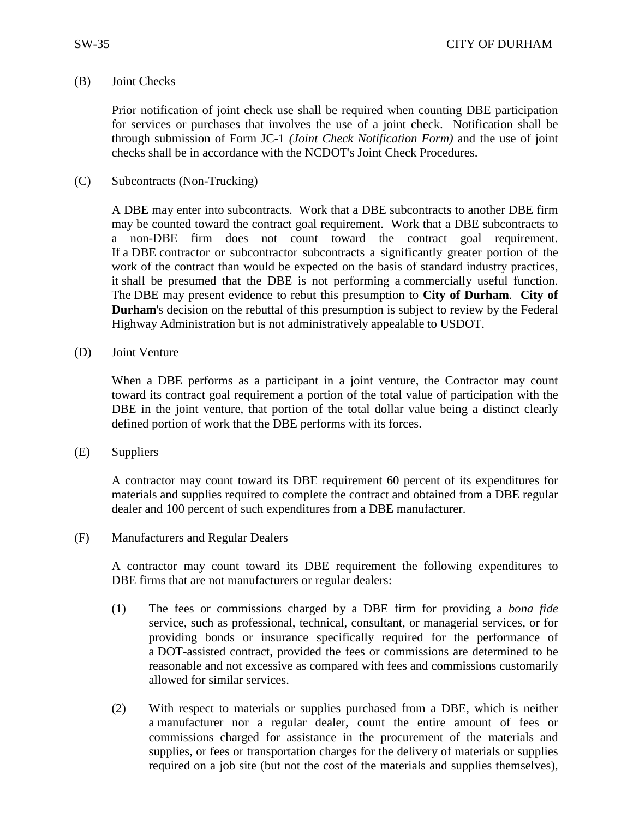## (B) Joint Checks

Prior notification of joint check use shall be required when counting DBE participation for services or purchases that involves the use of a joint check. Notification shall be through submission of Form JC-1 *(Joint Check Notification Form)* and the use of joint checks shall be in accordance with the NCDOT's Joint Check Procedures.

(C) Subcontracts (Non-Trucking)

A DBE may enter into subcontracts. Work that a DBE subcontracts to another DBE firm may be counted toward the contract goal requirement. Work that a DBE subcontracts to a non-DBE firm does not count toward the contract goal requirement. If a DBE contractor or subcontractor subcontracts a significantly greater portion of the work of the contract than would be expected on the basis of standard industry practices, it shall be presumed that the DBE is not performing a commercially useful function. The DBE may present evidence to rebut this presumption to **City of Durham**. **City of Durham**'s decision on the rebuttal of this presumption is subject to review by the Federal Highway Administration but is not administratively appealable to USDOT.

(D) Joint Venture

When a DBE performs as a participant in a joint venture, the Contractor may count toward its contract goal requirement a portion of the total value of participation with the DBE in the joint venture, that portion of the total dollar value being a distinct clearly defined portion of work that the DBE performs with its forces.

(E) Suppliers

A contractor may count toward its DBE requirement 60 percent of its expenditures for materials and supplies required to complete the contract and obtained from a DBE regular dealer and 100 percent of such expenditures from a DBE manufacturer.

(F) Manufacturers and Regular Dealers

A contractor may count toward its DBE requirement the following expenditures to DBE firms that are not manufacturers or regular dealers:

- (1) The fees or commissions charged by a DBE firm for providing a *bona fide* service, such as professional, technical, consultant, or managerial services, or for providing bonds or insurance specifically required for the performance of a DOT-assisted contract, provided the fees or commissions are determined to be reasonable and not excessive as compared with fees and commissions customarily allowed for similar services.
- (2) With respect to materials or supplies purchased from a DBE, which is neither a manufacturer nor a regular dealer, count the entire amount of fees or commissions charged for assistance in the procurement of the materials and supplies, or fees or transportation charges for the delivery of materials or supplies required on a job site (but not the cost of the materials and supplies themselves),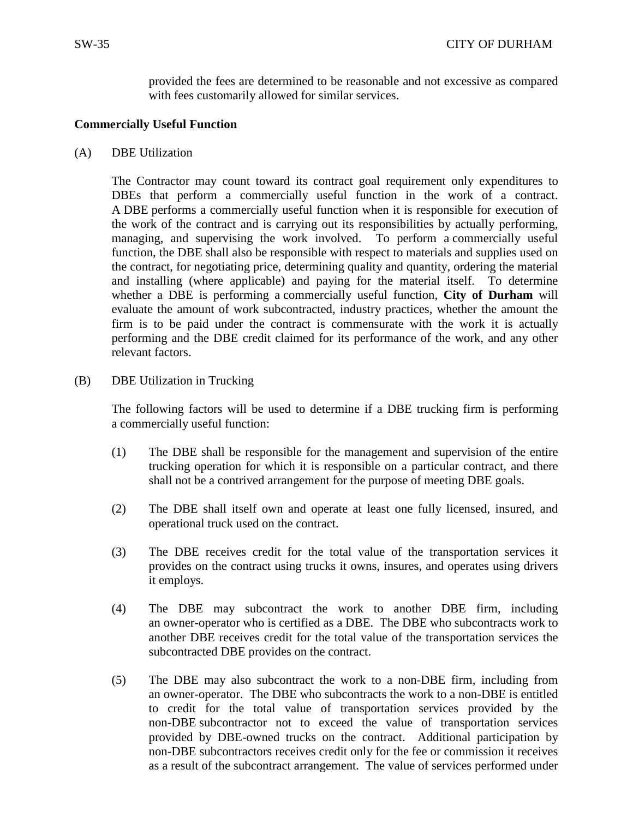provided the fees are determined to be reasonable and not excessive as compared with fees customarily allowed for similar services.

# **Commercially Useful Function**

(A) DBE Utilization

The Contractor may count toward its contract goal requirement only expenditures to DBEs that perform a commercially useful function in the work of a contract. A DBE performs a commercially useful function when it is responsible for execution of the work of the contract and is carrying out its responsibilities by actually performing, managing, and supervising the work involved. To perform a commercially useful function, the DBE shall also be responsible with respect to materials and supplies used on the contract, for negotiating price, determining quality and quantity, ordering the material and installing (where applicable) and paying for the material itself. To determine whether a DBE is performing a commercially useful function, **City of Durham** will evaluate the amount of work subcontracted, industry practices, whether the amount the firm is to be paid under the contract is commensurate with the work it is actually performing and the DBE credit claimed for its performance of the work, and any other relevant factors.

(B) DBE Utilization in Trucking

The following factors will be used to determine if a DBE trucking firm is performing a commercially useful function:

- (1) The DBE shall be responsible for the management and supervision of the entire trucking operation for which it is responsible on a particular contract, and there shall not be a contrived arrangement for the purpose of meeting DBE goals.
- (2) The DBE shall itself own and operate at least one fully licensed, insured, and operational truck used on the contract.
- (3) The DBE receives credit for the total value of the transportation services it provides on the contract using trucks it owns, insures, and operates using drivers it employs.
- (4) The DBE may subcontract the work to another DBE firm, including an owner-operator who is certified as a DBE. The DBE who subcontracts work to another DBE receives credit for the total value of the transportation services the subcontracted DBE provides on the contract.
- (5) The DBE may also subcontract the work to a non-DBE firm, including from an owner-operator. The DBE who subcontracts the work to a non-DBE is entitled to credit for the total value of transportation services provided by the non-DBE subcontractor not to exceed the value of transportation services provided by DBE-owned trucks on the contract. Additional participation by non-DBE subcontractors receives credit only for the fee or commission it receives as a result of the subcontract arrangement. The value of services performed under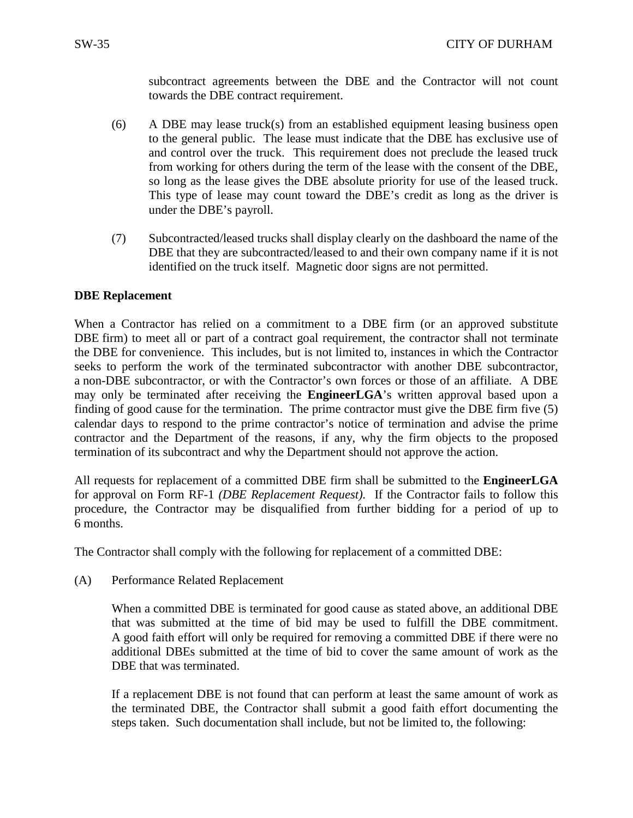subcontract agreements between the DBE and the Contractor will not count towards the DBE contract requirement.

- (6) A DBE may lease truck(s) from an established equipment leasing business open to the general public. The lease must indicate that the DBE has exclusive use of and control over the truck. This requirement does not preclude the leased truck from working for others during the term of the lease with the consent of the DBE, so long as the lease gives the DBE absolute priority for use of the leased truck. This type of lease may count toward the DBE's credit as long as the driver is under the DBE's payroll.
- (7) Subcontracted/leased trucks shall display clearly on the dashboard the name of the DBE that they are subcontracted/leased to and their own company name if it is not identified on the truck itself. Magnetic door signs are not permitted.

# **DBE Replacement**

When a Contractor has relied on a commitment to a DBE firm (or an approved substitute DBE firm) to meet all or part of a contract goal requirement, the contractor shall not terminate the DBE for convenience. This includes, but is not limited to, instances in which the Contractor seeks to perform the work of the terminated subcontractor with another DBE subcontractor, a non-DBE subcontractor, or with the Contractor's own forces or those of an affiliate. A DBE may only be terminated after receiving the **EngineerLGA**'s written approval based upon a finding of good cause for the termination. The prime contractor must give the DBE firm five (5) calendar days to respond to the prime contractor's notice of termination and advise the prime contractor and the Department of the reasons, if any, why the firm objects to the proposed termination of its subcontract and why the Department should not approve the action.

All requests for replacement of a committed DBE firm shall be submitted to the **EngineerLGA** for approval on Form RF-1 *(DBE Replacement Request).* If the Contractor fails to follow this procedure, the Contractor may be disqualified from further bidding for a period of up to 6 months.

The Contractor shall comply with the following for replacement of a committed DBE:

(A) Performance Related Replacement

When a committed DBE is terminated for good cause as stated above, an additional DBE that was submitted at the time of bid may be used to fulfill the DBE commitment. A good faith effort will only be required for removing a committed DBE if there were no additional DBEs submitted at the time of bid to cover the same amount of work as the DBE that was terminated.

If a replacement DBE is not found that can perform at least the same amount of work as the terminated DBE, the Contractor shall submit a good faith effort documenting the steps taken. Such documentation shall include, but not be limited to, the following: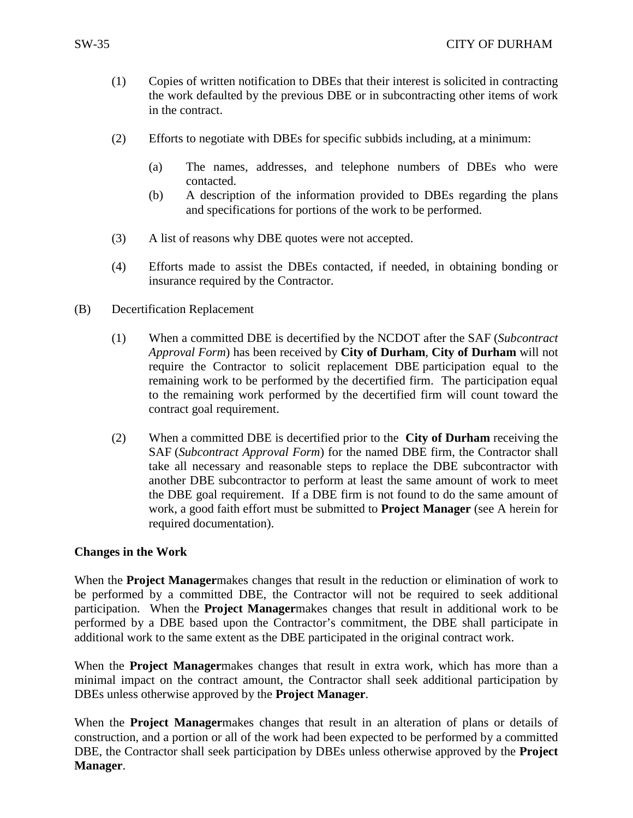- (1) Copies of written notification to DBEs that their interest is solicited in contracting the work defaulted by the previous DBE or in subcontracting other items of work in the contract.
- (2) Efforts to negotiate with DBEs for specific subbids including, at a minimum:
	- (a) The names, addresses, and telephone numbers of DBEs who were contacted.
	- (b) A description of the information provided to DBEs regarding the plans and specifications for portions of the work to be performed.
- (3) A list of reasons why DBE quotes were not accepted.
- (4) Efforts made to assist the DBEs contacted, if needed, in obtaining bonding or insurance required by the Contractor.
- (B) Decertification Replacement
	- (1) When a committed DBE is decertified by the NCDOT after the SAF (*Subcontract Approval Form*) has been received by **City of Durham**, **City of Durham** will not require the Contractor to solicit replacement DBE participation equal to the remaining work to be performed by the decertified firm. The participation equal to the remaining work performed by the decertified firm will count toward the contract goal requirement.
	- (2) When a committed DBE is decertified prior to the **City of Durham** receiving the SAF (*Subcontract Approval Form*) for the named DBE firm, the Contractor shall take all necessary and reasonable steps to replace the DBE subcontractor with another DBE subcontractor to perform at least the same amount of work to meet the DBE goal requirement. If a DBE firm is not found to do the same amount of work, a good faith effort must be submitted to **Project Manager** (see A herein for required documentation).

# **Changes in the Work**

When the **Project Manager**makes changes that result in the reduction or elimination of work to be performed by a committed DBE, the Contractor will not be required to seek additional participation. When the **Project Manager**makes changes that result in additional work to be performed by a DBE based upon the Contractor's commitment, the DBE shall participate in additional work to the same extent as the DBE participated in the original contract work.

When the **Project Manager**makes changes that result in extra work, which has more than a minimal impact on the contract amount, the Contractor shall seek additional participation by DBEs unless otherwise approved by the **Project Manager**.

When the **Project Manager**makes changes that result in an alteration of plans or details of construction, and a portion or all of the work had been expected to be performed by a committed DBE, the Contractor shall seek participation by DBEs unless otherwise approved by the **Project Manager**.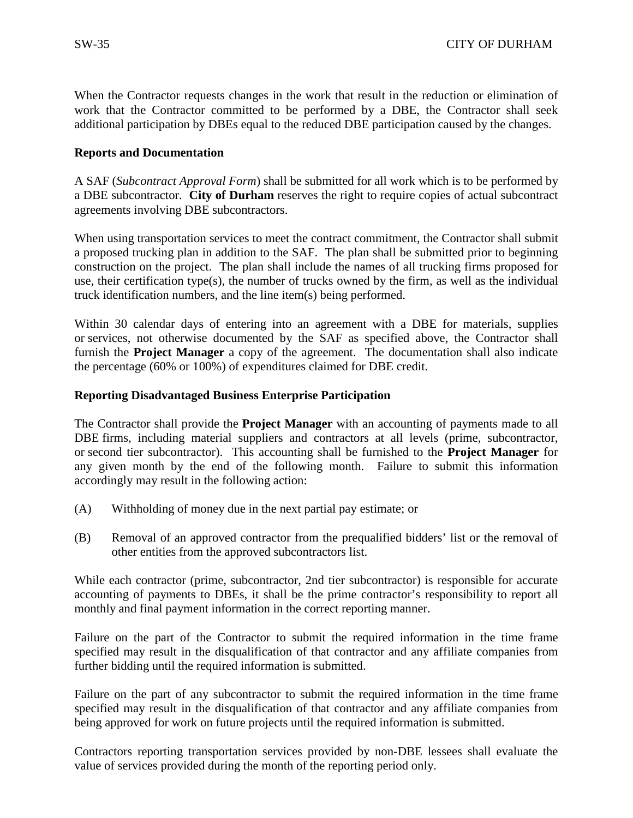When the Contractor requests changes in the work that result in the reduction or elimination of work that the Contractor committed to be performed by a DBE, the Contractor shall seek additional participation by DBEs equal to the reduced DBE participation caused by the changes.

# **Reports and Documentation**

A SAF (*Subcontract Approval Form*) shall be submitted for all work which is to be performed by a DBE subcontractor. **City of Durham** reserves the right to require copies of actual subcontract agreements involving DBE subcontractors.

When using transportation services to meet the contract commitment, the Contractor shall submit a proposed trucking plan in addition to the SAF. The plan shall be submitted prior to beginning construction on the project. The plan shall include the names of all trucking firms proposed for use, their certification type(s), the number of trucks owned by the firm, as well as the individual truck identification numbers, and the line item(s) being performed.

Within 30 calendar days of entering into an agreement with a DBE for materials, supplies or services, not otherwise documented by the SAF as specified above, the Contractor shall furnish the **Project Manager** a copy of the agreement. The documentation shall also indicate the percentage (60% or 100%) of expenditures claimed for DBE credit.

# **Reporting Disadvantaged Business Enterprise Participation**

The Contractor shall provide the **Project Manager** with an accounting of payments made to all DBE firms, including material suppliers and contractors at all levels (prime, subcontractor, or second tier subcontractor). This accounting shall be furnished to the **Project Manager** for any given month by the end of the following month. Failure to submit this information accordingly may result in the following action:

- (A) Withholding of money due in the next partial pay estimate; or
- (B) Removal of an approved contractor from the prequalified bidders' list or the removal of other entities from the approved subcontractors list.

While each contractor (prime, subcontractor, 2nd tier subcontractor) is responsible for accurate accounting of payments to DBEs, it shall be the prime contractor's responsibility to report all monthly and final payment information in the correct reporting manner.

Failure on the part of the Contractor to submit the required information in the time frame specified may result in the disqualification of that contractor and any affiliate companies from further bidding until the required information is submitted.

Failure on the part of any subcontractor to submit the required information in the time frame specified may result in the disqualification of that contractor and any affiliate companies from being approved for work on future projects until the required information is submitted.

Contractors reporting transportation services provided by non-DBE lessees shall evaluate the value of services provided during the month of the reporting period only.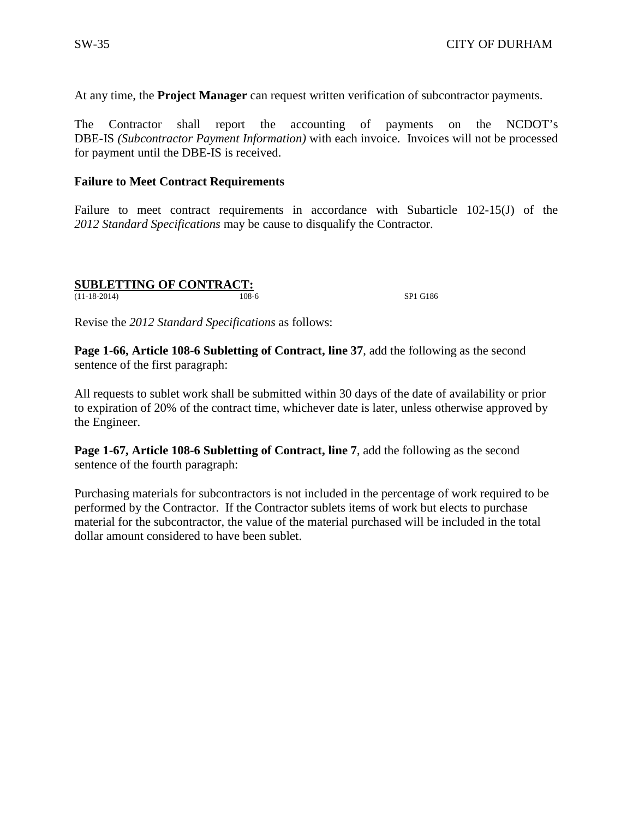At any time, the **Project Manager** can request written verification of subcontractor payments.

The Contractor shall report the accounting of payments on the NCDOT's DBE-IS *(Subcontractor Payment Information)* with each invoice. Invoices will not be processed for payment until the DBE-IS is received.

### **Failure to Meet Contract Requirements**

Failure to meet contract requirements in accordance with Subarticle 102-15(J) of the *2012 Standard Specifications* may be cause to disqualify the Contractor.

#### <span id="page-35-0"></span>**SUBLETTING OF CONTRAC** (11-18-2014) 108-6 SP1 G186

Revise the *2012 Standard Specifications* as follows:

**Page 1-66, Article 108-6 Subletting of Contract, line 37**, add the following as the second sentence of the first paragraph:

All requests to sublet work shall be submitted within 30 days of the date of availability or prior to expiration of 20% of the contract time, whichever date is later, unless otherwise approved by the Engineer.

**Page 1-67, Article 108-6 Subletting of Contract, line 7**, add the following as the second sentence of the fourth paragraph:

Purchasing materials for subcontractors is not included in the percentage of work required to be performed by the Contractor. If the Contractor sublets items of work but elects to purchase material for the subcontractor, the value of the material purchased will be included in the total dollar amount considered to have been sublet.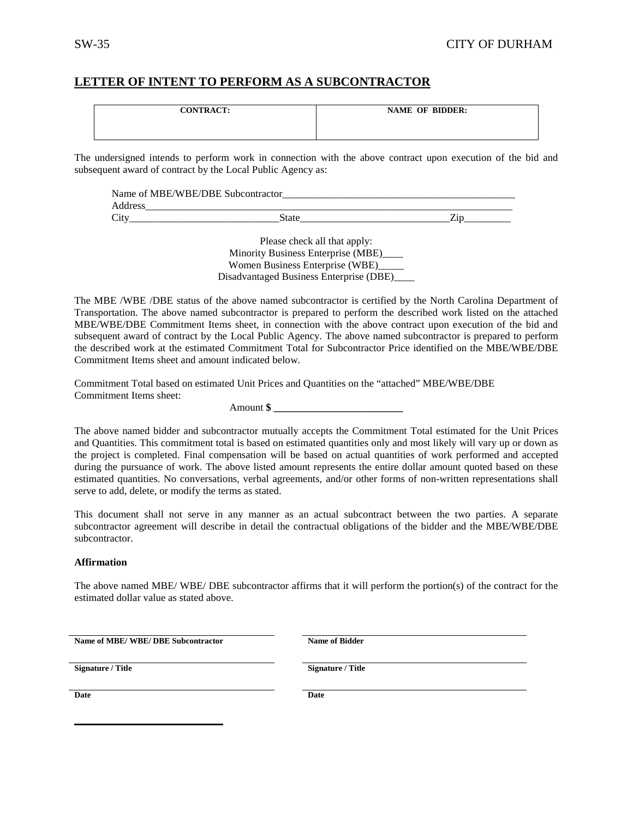#### **LETTER OF INTENT TO PERFORM AS A SUBCONTRACTOR**

| <b>CONTRACT:</b> | <b>NAME OF BIDDER:</b> |
|------------------|------------------------|
|                  |                        |
|                  |                        |
|                  |                        |

The undersigned intends to perform work in connection with the above contract upon execution of the bid and subsequent award of contract by the Local Public Agency as:

| Name of MBE/WBE/DBE Subcontractor |     |
|-----------------------------------|-----|
|                                   |     |
| Նու                               | -41 |

Please check all that apply: Minority Business Enterprise (MBE)\_\_\_\_ Women Business Enterprise (WBE)\_\_\_\_\_ Disadvantaged Business Enterprise (DBE)\_\_\_\_

The MBE /WBE /DBE status of the above named subcontractor is certified by the North Carolina Department of Transportation. The above named subcontractor is prepared to perform the described work listed on the attached MBE/WBE/DBE Commitment Items sheet, in connection with the above contract upon execution of the bid and subsequent award of contract by the Local Public Agency. The above named subcontractor is prepared to perform the described work at the estimated Commitment Total for Subcontractor Price identified on the MBE/WBE/DBE Commitment Items sheet and amount indicated below.

Commitment Total based on estimated Unit Prices and Quantities on the "attached" MBE/WBE/DBE Commitment Items sheet:

Amount **\$ \_\_\_\_\_\_\_\_\_\_\_\_\_\_\_\_\_\_\_\_\_\_\_\_\_**

The above named bidder and subcontractor mutually accepts the Commitment Total estimated for the Unit Prices and Quantities. This commitment total is based on estimated quantities only and most likely will vary up or down as the project is completed. Final compensation will be based on actual quantities of work performed and accepted during the pursuance of work. The above listed amount represents the entire dollar amount quoted based on these estimated quantities. No conversations, verbal agreements, and/or other forms of non-written representations shall serve to add, delete, or modify the terms as stated.

This document shall not serve in any manner as an actual subcontract between the two parties. A separate subcontractor agreement will describe in detail the contractual obligations of the bidder and the MBE/WBE/DBE subcontractor.

#### **Affirmation**

The above named MBE/ WBE/ DBE subcontractor affirms that it will perform the portion(s) of the contract for the estimated dollar value as stated above.

**Name of MBE/ WBE/ DBE Subcontractor Name of Bidder** 

**Signature / Title Signature / Title**

**Date Date**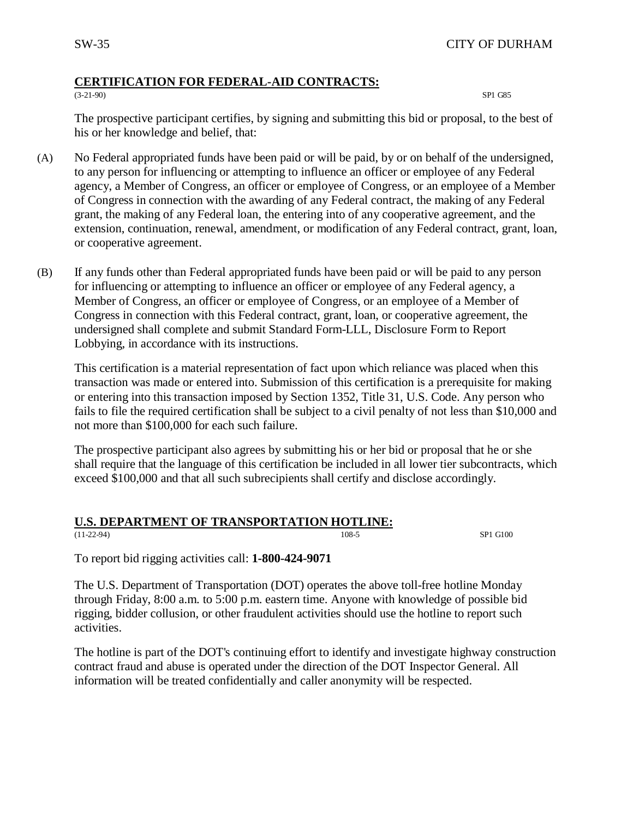#### **CERTIFICATION FOR FEDERAL-AID CONTRACTS:**

(3-21-90) SP1 G85

The prospective participant certifies, by signing and submitting this bid or proposal, to the best of his or her knowledge and belief, that:

- (A) No Federal appropriated funds have been paid or will be paid, by or on behalf of the undersigned, to any person for influencing or attempting to influence an officer or employee of any Federal agency, a Member of Congress, an officer or employee of Congress, or an employee of a Member of Congress in connection with the awarding of any Federal contract, the making of any Federal grant, the making of any Federal loan, the entering into of any cooperative agreement, and the extension, continuation, renewal, amendment, or modification of any Federal contract, grant, loan, or cooperative agreement.
- (B) If any funds other than Federal appropriated funds have been paid or will be paid to any person for influencing or attempting to influence an officer or employee of any Federal agency, a Member of Congress, an officer or employee of Congress, or an employee of a Member of Congress in connection with this Federal contract, grant, loan, or cooperative agreement, the undersigned shall complete and submit Standard Form-LLL, Disclosure Form to Report Lobbying, in accordance with its instructions.

This certification is a material representation of fact upon which reliance was placed when this transaction was made or entered into. Submission of this certification is a prerequisite for making or entering into this transaction imposed by Section 1352, Title 31, U.S. Code. Any person who fails to file the required certification shall be subject to a civil penalty of not less than \$10,000 and not more than \$100,000 for each such failure.

The prospective participant also agrees by submitting his or her bid or proposal that he or she shall require that the language of this certification be included in all lower tier subcontracts, which exceed \$100,000 and that all such subrecipients shall certify and disclose accordingly.

#### **U.S. DEPARTMENT OF TRANSPORTATION HOTLINE:**

(11-22-94) 108-5 SP1 G100

To report bid rigging activities call: **1-800-424-9071**

The U.S. Department of Transportation (DOT) operates the above toll-free hotline Monday through Friday, 8:00 a.m. to 5:00 p.m. eastern time. Anyone with knowledge of possible bid rigging, bidder collusion, or other fraudulent activities should use the hotline to report such activities.

The hotline is part of the DOT's continuing effort to identify and investigate highway construction contract fraud and abuse is operated under the direction of the DOT Inspector General. All information will be treated confidentially and caller anonymity will be respected.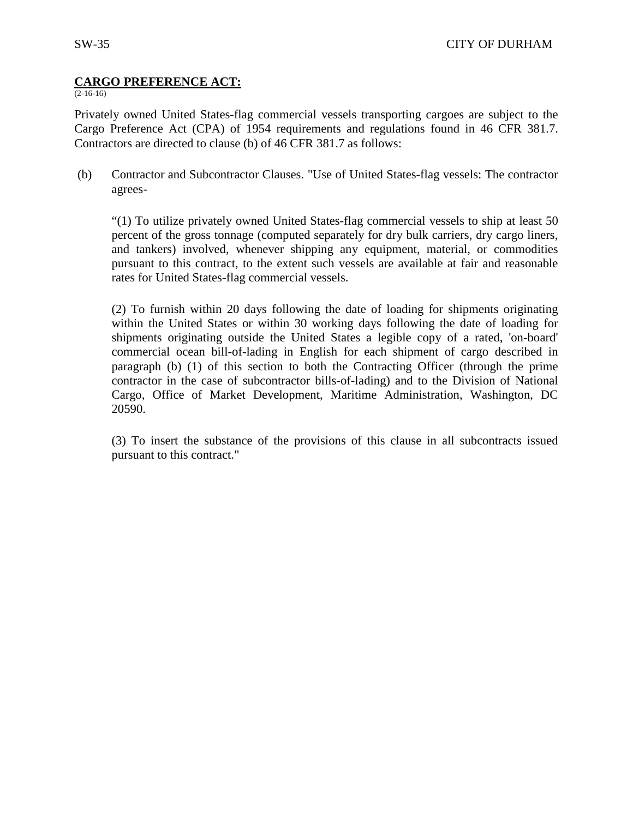#### **CARGO PREFERENCE ACT:**

 $(2-16-16)$ 

Privately owned United States-flag commercial vessels transporting cargoes are subject to the Cargo Preference Act (CPA) of 1954 requirements and regulations found in 46 CFR 381.7. Contractors are directed to clause (b) of 46 CFR 381.7 as follows:

(b) Contractor and Subcontractor Clauses. "Use of United States-flag vessels: The contractor agrees-

"(1) To utilize privately owned United States-flag commercial vessels to ship at least 50 percent of the gross tonnage (computed separately for dry bulk carriers, dry cargo liners, and tankers) involved, whenever shipping any equipment, material, or commodities pursuant to this contract, to the extent such vessels are available at fair and reasonable rates for United States-flag commercial vessels.

(2) To furnish within 20 days following the date of loading for shipments originating within the United States or within 30 working days following the date of loading for shipments originating outside the United States a legible copy of a rated, 'on-board' commercial ocean bill-of-lading in English for each shipment of cargo described in paragraph (b) (1) of this section to both the Contracting Officer (through the prime contractor in the case of subcontractor bills-of-lading) and to the Division of National Cargo, Office of Market Development, Maritime Administration, Washington, DC 20590.

(3) To insert the substance of the provisions of this clause in all subcontracts issued pursuant to this contract."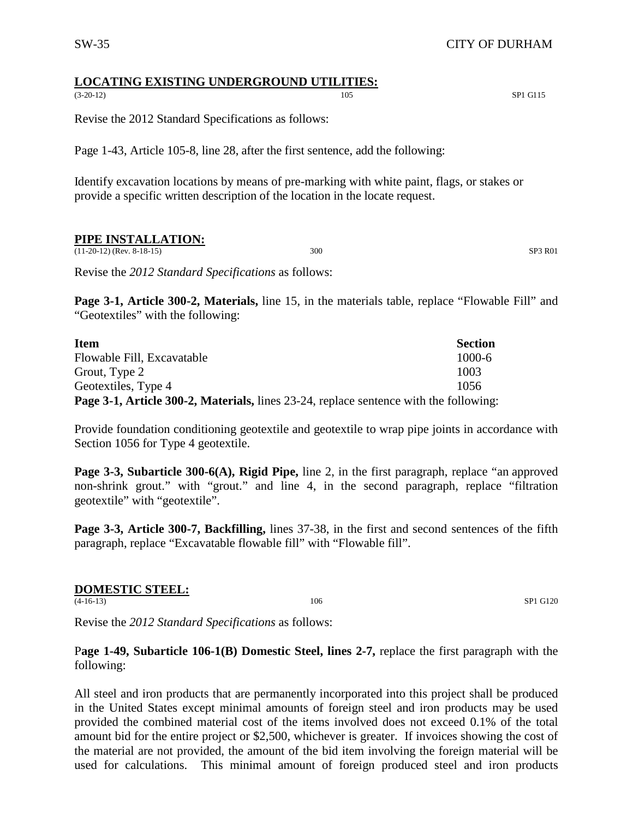#### **LOCATING EXISTING UNDERGROUND UTILITIES:**

(3-20-12) SP1 G115

Revise the 2012 Standard Specifications as follows:

Page 1-43, Article 105-8, line 28, after the first sentence, add the following:

Identify excavation locations by means of pre-marking with white paint, flags, or stakes or provide a specific written description of the location in the locate request.

#### **PIPE INSTALLATION:**

 $(11-20-12)$  (Rev. 8-18-15) 300 SP3 R01

Revise the *2012 Standard Specifications* as follows:

**Page 3-1, Article 300-2, Materials,** line 15, in the materials table, replace "Flowable Fill" and "Geotextiles" with the following:

| <b>Item</b>                                                                                  | <b>Section</b> |
|----------------------------------------------------------------------------------------------|----------------|
| Flowable Fill, Excavatable                                                                   | $1000 - 6$     |
| Grout, Type 2                                                                                | 1003           |
| Geotextiles, Type 4                                                                          | 1056           |
| <b>Page 3-1, Article 300-2, Materials, lines 23-24, replace sentence with the following:</b> |                |

Provide foundation conditioning geotextile and geotextile to wrap pipe joints in accordance with Section 1056 for Type 4 geotextile.

**Page 3-3, Subarticle 300-6(A), Rigid Pipe,** line 2, in the first paragraph, replace "an approved non-shrink grout." with "grout." and line 4, in the second paragraph, replace "filtration geotextile" with "geotextile".

**Page 3-3, Article 300-7, Backfilling,** lines 37-38, in the first and second sentences of the fifth paragraph, replace "Excavatable flowable fill" with "Flowable fill".

(4-16-13) 106 SP1 G120

Revise the *2012 Standard Specifications* as follows:

P**age 1-49, Subarticle 106-1(B) Domestic Steel, lines 2-7,** replace the first paragraph with the following:

All steel and iron products that are permanently incorporated into this project shall be produced in the United States except minimal amounts of foreign steel and iron products may be used provided the combined material cost of the items involved does not exceed 0.1% of the total amount bid for the entire project or \$2,500, whichever is greater. If invoices showing the cost of the material are not provided, the amount of the bid item involving the foreign material will be used for calculations. This minimal amount of foreign produced steel and iron products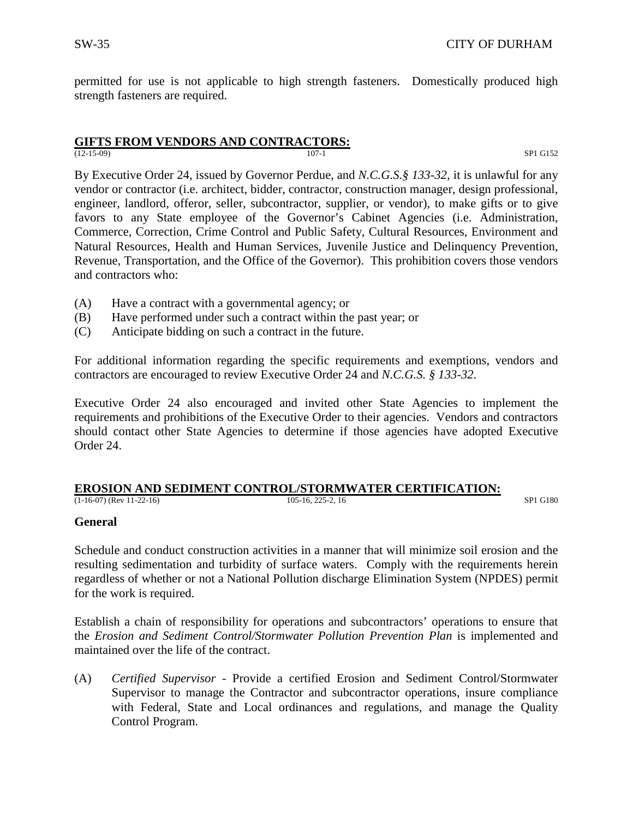permitted for use is not applicable to high strength fasteners. Domestically produced high strength fasteners are required.

# **GIFTS FROM VENDORS AND CONTRACTORS:**<br>(12-15-09)

(12-15-09) SP1 G152

By Executive Order 24, issued by Governor Perdue, and *N.C.G.S.§ 133-32,* it is unlawful for any vendor or contractor (i.e. architect, bidder, contractor, construction manager, design professional, engineer, landlord, offeror, seller, subcontractor, supplier, or vendor), to make gifts or to give favors to any State employee of the Governor's Cabinet Agencies (i.e. Administration, Commerce, Correction, Crime Control and Public Safety, Cultural Resources, Environment and Natural Resources, Health and Human Services, Juvenile Justice and Delinquency Prevention, Revenue, Transportation, and the Office of the Governor). This prohibition covers those vendors and contractors who:

- (A) Have a contract with a governmental agency; or
- (B) Have performed under such a contract within the past year; or
- (C) Anticipate bidding on such a contract in the future.

For additional information regarding the specific requirements and exemptions, vendors and contractors are encouraged to review Executive Order 24 and *N.C.G.S. § 133-32*.

Executive Order 24 also encouraged and invited other State Agencies to implement the requirements and prohibitions of the Executive Order to their agencies. Vendors and contractors should contact other State Agencies to determine if those agencies have adopted Executive Order 24.

# **EROSION AND SEDIMENT CONTROL/STORMWATER CERTIFICATION:**<br>(1-16-07) (Rev 11-22-16)<br>(1-16-07)

(1-16-07) (Rev 11-22-16) 105-16, 225-2, 16 SP1 G180

#### **General**

Schedule and conduct construction activities in a manner that will minimize soil erosion and the resulting sedimentation and turbidity of surface waters. Comply with the requirements herein regardless of whether or not a National Pollution discharge Elimination System (NPDES) permit for the work is required.

Establish a chain of responsibility for operations and subcontractors' operations to ensure that the *Erosion and Sediment Control/Stormwater Pollution Prevention Plan* is implemented and maintained over the life of the contract.

(A) *Certified Supervisor* - Provide a certified Erosion and Sediment Control/Stormwater Supervisor to manage the Contractor and subcontractor operations, insure compliance with Federal, State and Local ordinances and regulations, and manage the Quality Control Program.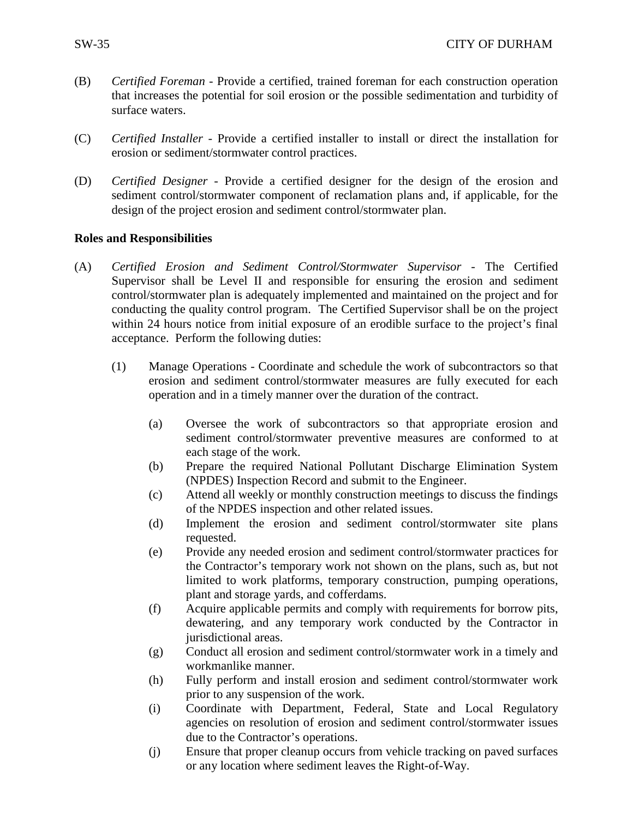- (B) *Certified Foreman* Provide a certified, trained foreman for each construction operation that increases the potential for soil erosion or the possible sedimentation and turbidity of surface waters.
- (C) *Certified Installer* Provide a certified installer to install or direct the installation for erosion or sediment/stormwater control practices.
- (D) *Certified Designer* Provide a certified designer for the design of the erosion and sediment control/stormwater component of reclamation plans and, if applicable, for the design of the project erosion and sediment control/stormwater plan.

#### **Roles and Responsibilities**

- (A) *Certified Erosion and Sediment Control/Stormwater Supervisor* The Certified Supervisor shall be Level II and responsible for ensuring the erosion and sediment control/stormwater plan is adequately implemented and maintained on the project and for conducting the quality control program. The Certified Supervisor shall be on the project within 24 hours notice from initial exposure of an erodible surface to the project's final acceptance. Perform the following duties:
	- (1) Manage Operations Coordinate and schedule the work of subcontractors so that erosion and sediment control/stormwater measures are fully executed for each operation and in a timely manner over the duration of the contract.
		- (a) Oversee the work of subcontractors so that appropriate erosion and sediment control/stormwater preventive measures are conformed to at each stage of the work.
		- (b) Prepare the required National Pollutant Discharge Elimination System (NPDES) Inspection Record and submit to the Engineer.
		- (c) Attend all weekly or monthly construction meetings to discuss the findings of the NPDES inspection and other related issues.
		- (d) Implement the erosion and sediment control/stormwater site plans requested.
		- (e) Provide any needed erosion and sediment control/stormwater practices for the Contractor's temporary work not shown on the plans, such as, but not limited to work platforms, temporary construction, pumping operations, plant and storage yards, and cofferdams.
		- (f) Acquire applicable permits and comply with requirements for borrow pits, dewatering, and any temporary work conducted by the Contractor in jurisdictional areas.
		- (g) Conduct all erosion and sediment control/stormwater work in a timely and workmanlike manner.
		- (h) Fully perform and install erosion and sediment control/stormwater work prior to any suspension of the work.
		- (i) Coordinate with Department, Federal, State and Local Regulatory agencies on resolution of erosion and sediment control/stormwater issues due to the Contractor's operations.
		- (j) Ensure that proper cleanup occurs from vehicle tracking on paved surfaces or any location where sediment leaves the Right-of-Way.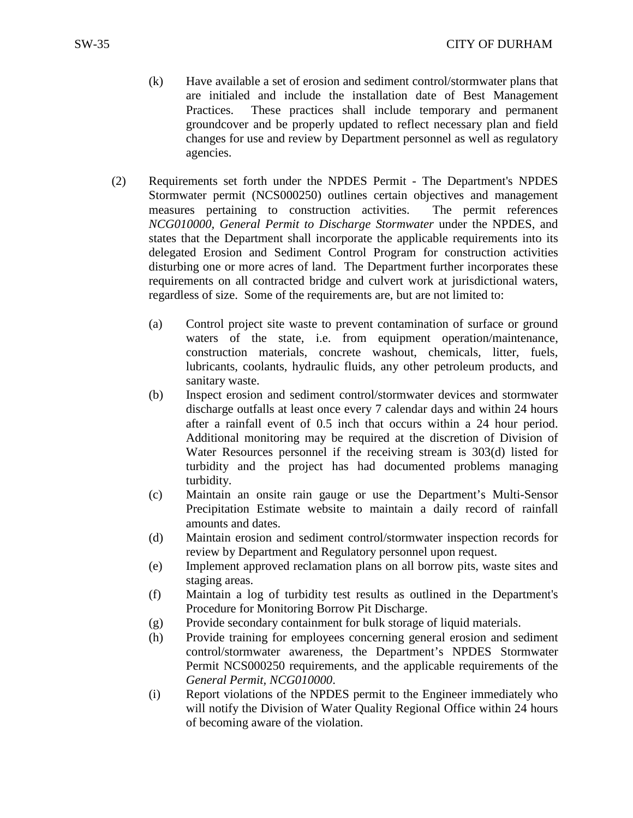- (k) Have available a set of erosion and sediment control/stormwater plans that are initialed and include the installation date of Best Management Practices. These practices shall include temporary and permanent groundcover and be properly updated to reflect necessary plan and field changes for use and review by Department personnel as well as regulatory agencies.
- (2) Requirements set forth under the NPDES Permit The Department's NPDES Stormwater permit (NCS000250) outlines certain objectives and management measures pertaining to construction activities. The permit references *NCG010000, General Permit to Discharge Stormwater* under the NPDES, and states that the Department shall incorporate the applicable requirements into its delegated Erosion and Sediment Control Program for construction activities disturbing one or more acres of land. The Department further incorporates these requirements on all contracted bridge and culvert work at jurisdictional waters, regardless of size. Some of the requirements are, but are not limited to:
	- (a) Control project site waste to prevent contamination of surface or ground waters of the state, i.e. from equipment operation/maintenance, construction materials, concrete washout, chemicals, litter, fuels, lubricants, coolants, hydraulic fluids, any other petroleum products, and sanitary waste.
	- (b) Inspect erosion and sediment control/stormwater devices and stormwater discharge outfalls at least once every 7 calendar days and within 24 hours after a rainfall event of 0.5 inch that occurs within a 24 hour period. Additional monitoring may be required at the discretion of Division of Water Resources personnel if the receiving stream is 303(d) listed for turbidity and the project has had documented problems managing turbidity.
	- (c) Maintain an onsite rain gauge or use the Department's Multi-Sensor Precipitation Estimate website to maintain a daily record of rainfall amounts and dates.
	- (d) Maintain erosion and sediment control/stormwater inspection records for review by Department and Regulatory personnel upon request.
	- (e) Implement approved reclamation plans on all borrow pits, waste sites and staging areas.
	- (f) Maintain a log of turbidity test results as outlined in the Department's Procedure for Monitoring Borrow Pit Discharge.
	- (g) Provide secondary containment for bulk storage of liquid materials.
	- (h) Provide training for employees concerning general erosion and sediment control/stormwater awareness, the Department's NPDES Stormwater Permit NCS000250 requirements, and the applicable requirements of the *General Permit, NCG010000*.
	- (i) Report violations of the NPDES permit to the Engineer immediately who will notify the Division of Water Quality Regional Office within 24 hours of becoming aware of the violation.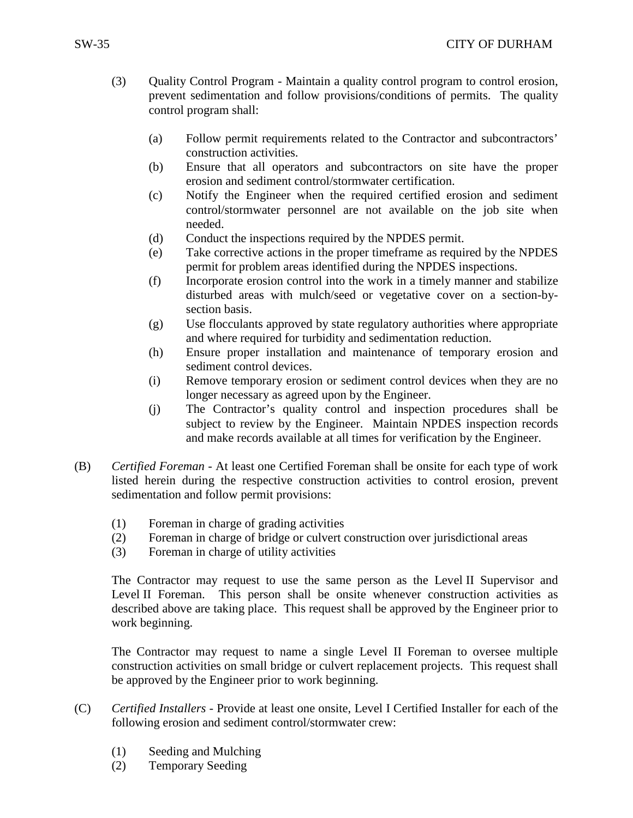- (3) Quality Control Program Maintain a quality control program to control erosion, prevent sedimentation and follow provisions/conditions of permits. The quality control program shall:
	- (a) Follow permit requirements related to the Contractor and subcontractors' construction activities.
	- (b) Ensure that all operators and subcontractors on site have the proper erosion and sediment control/stormwater certification.
	- (c) Notify the Engineer when the required certified erosion and sediment control/stormwater personnel are not available on the job site when needed.
	- (d) Conduct the inspections required by the NPDES permit.
	- (e) Take corrective actions in the proper timeframe as required by the NPDES permit for problem areas identified during the NPDES inspections.
	- (f) Incorporate erosion control into the work in a timely manner and stabilize disturbed areas with mulch/seed or vegetative cover on a section-bysection basis.
	- (g) Use flocculants approved by state regulatory authorities where appropriate and where required for turbidity and sedimentation reduction.
	- (h) Ensure proper installation and maintenance of temporary erosion and sediment control devices.
	- (i) Remove temporary erosion or sediment control devices when they are no longer necessary as agreed upon by the Engineer.
	- (j) The Contractor's quality control and inspection procedures shall be subject to review by the Engineer. Maintain NPDES inspection records and make records available at all times for verification by the Engineer.
- (B) *Certified Foreman*  At least one Certified Foreman shall be onsite for each type of work listed herein during the respective construction activities to control erosion, prevent sedimentation and follow permit provisions:
	- (1) Foreman in charge of grading activities
	- (2) Foreman in charge of bridge or culvert construction over jurisdictional areas
	- (3) Foreman in charge of utility activities

The Contractor may request to use the same person as the Level II Supervisor and Level II Foreman. This person shall be onsite whenever construction activities as described above are taking place. This request shall be approved by the Engineer prior to work beginning.

The Contractor may request to name a single Level II Foreman to oversee multiple construction activities on small bridge or culvert replacement projects. This request shall be approved by the Engineer prior to work beginning.

- (C) *Certified Installers* Provide at least one onsite, Level I Certified Installer for each of the following erosion and sediment control/stormwater crew:
	- (1) Seeding and Mulching
	- (2) Temporary Seeding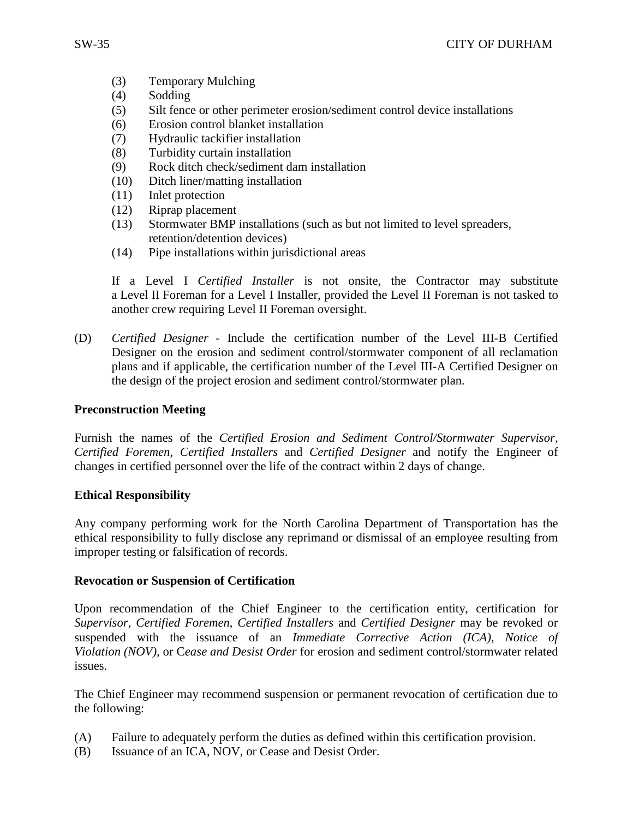- (3) Temporary Mulching
- (4) Sodding
- (5) Silt fence or other perimeter erosion/sediment control device installations
- (6) Erosion control blanket installation
- (7) Hydraulic tackifier installation
- (8) Turbidity curtain installation
- (9) Rock ditch check/sediment dam installation
- (10) Ditch liner/matting installation
- (11) Inlet protection
- (12) Riprap placement
- (13) Stormwater BMP installations (such as but not limited to level spreaders, retention/detention devices)
- (14) Pipe installations within jurisdictional areas

If a Level I *Certified Installer* is not onsite, the Contractor may substitute a Level II Foreman for a Level I Installer, provided the Level II Foreman is not tasked to another crew requiring Level II Foreman oversight.

(D) *Certified Designer* - Include the certification number of the Level III-B Certified Designer on the erosion and sediment control/stormwater component of all reclamation plans and if applicable, the certification number of the Level III-A Certified Designer on the design of the project erosion and sediment control/stormwater plan.

#### **Preconstruction Meeting**

Furnish the names of the *Certified Erosion and Sediment Control/Stormwater Supervisor, Certified Foremen, Certified Installers* and *Certified Designer* and notify the Engineer of changes in certified personnel over the life of the contract within 2 days of change.

#### **Ethical Responsibility**

Any company performing work for the North Carolina Department of Transportation has the ethical responsibility to fully disclose any reprimand or dismissal of an employee resulting from improper testing or falsification of records.

#### **Revocation or Suspension of Certification**

Upon recommendation of the Chief Engineer to the certification entity, certification for *Supervisor*, *Certified Foremen*, *Certified Installers* and *Certified Designer* may be revoked or suspended with the issuance of an *Immediate Corrective Action (ICA), Notice of Violation (NOV),* or C*ease and Desist Order* for erosion and sediment control/stormwater related issues.

The Chief Engineer may recommend suspension or permanent revocation of certification due to the following:

- (A) Failure to adequately perform the duties as defined within this certification provision.
- (B) Issuance of an ICA, NOV, or Cease and Desist Order.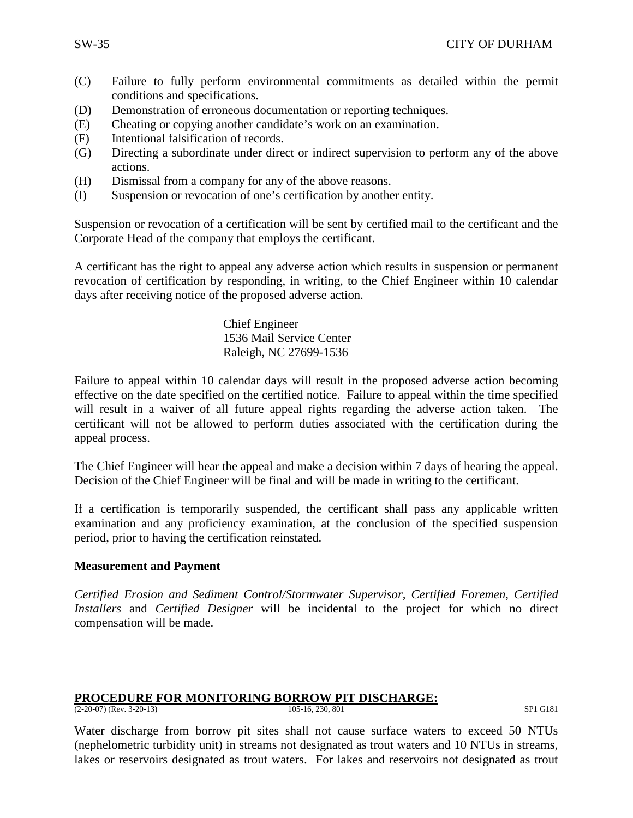- (C) Failure to fully perform environmental commitments as detailed within the permit conditions and specifications.
- (D) Demonstration of erroneous documentation or reporting techniques.
- (E) Cheating or copying another candidate's work on an examination.
- (F) Intentional falsification of records.
- (G) Directing a subordinate under direct or indirect supervision to perform any of the above actions.
- (H) Dismissal from a company for any of the above reasons.
- (I) Suspension or revocation of one's certification by another entity.

Suspension or revocation of a certification will be sent by certified mail to the certificant and the Corporate Head of the company that employs the certificant.

A certificant has the right to appeal any adverse action which results in suspension or permanent revocation of certification by responding, in writing, to the Chief Engineer within 10 calendar days after receiving notice of the proposed adverse action.

> Chief Engineer 1536 Mail Service Center Raleigh, NC 27699-1536

Failure to appeal within 10 calendar days will result in the proposed adverse action becoming effective on the date specified on the certified notice. Failure to appeal within the time specified will result in a waiver of all future appeal rights regarding the adverse action taken. The certificant will not be allowed to perform duties associated with the certification during the appeal process.

The Chief Engineer will hear the appeal and make a decision within 7 days of hearing the appeal. Decision of the Chief Engineer will be final and will be made in writing to the certificant.

If a certification is temporarily suspended, the certificant shall pass any applicable written examination and any proficiency examination, at the conclusion of the specified suspension period, prior to having the certification reinstated.

#### **Measurement and Payment**

*Certified Erosion and Sediment Control/Stormwater Supervisor, Certified Foremen, Certified Installers* and *Certified Designer* will be incidental to the project for which no direct compensation will be made.

### **PROCEDURE FOR MONITORING BORROW PIT DISCHARGE:**<br>(2-20-07) (Rev. 3-20-13)

 $(2-20-07)$  (Rev. 3-20-13)  $(3-16, 230, 801)$  SP1 G181

Water discharge from borrow pit sites shall not cause surface waters to exceed 50 NTUs (nephelometric turbidity unit) in streams not designated as trout waters and 10 NTUs in streams, lakes or reservoirs designated as trout waters. For lakes and reservoirs not designated as trout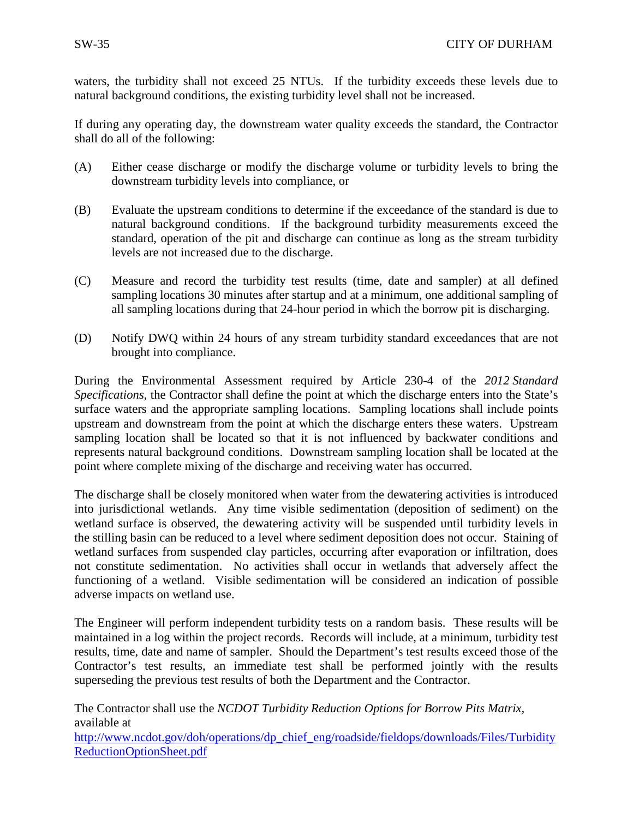waters, the turbidity shall not exceed 25 NTUs. If the turbidity exceeds these levels due to natural background conditions, the existing turbidity level shall not be increased.

If during any operating day, the downstream water quality exceeds the standard, the Contractor shall do all of the following:

- (A) Either cease discharge or modify the discharge volume or turbidity levels to bring the downstream turbidity levels into compliance, or
- (B) Evaluate the upstream conditions to determine if the exceedance of the standard is due to natural background conditions. If the background turbidity measurements exceed the standard, operation of the pit and discharge can continue as long as the stream turbidity levels are not increased due to the discharge.
- (C) Measure and record the turbidity test results (time, date and sampler) at all defined sampling locations 30 minutes after startup and at a minimum, one additional sampling of all sampling locations during that 24-hour period in which the borrow pit is discharging.
- (D) Notify DWQ within 24 hours of any stream turbidity standard exceedances that are not brought into compliance.

During the Environmental Assessment required by Article 230-4 of the *2012 Standard Specifications*, the Contractor shall define the point at which the discharge enters into the State's surface waters and the appropriate sampling locations. Sampling locations shall include points upstream and downstream from the point at which the discharge enters these waters. Upstream sampling location shall be located so that it is not influenced by backwater conditions and represents natural background conditions. Downstream sampling location shall be located at the point where complete mixing of the discharge and receiving water has occurred.

The discharge shall be closely monitored when water from the dewatering activities is introduced into jurisdictional wetlands. Any time visible sedimentation (deposition of sediment) on the wetland surface is observed, the dewatering activity will be suspended until turbidity levels in the stilling basin can be reduced to a level where sediment deposition does not occur. Staining of wetland surfaces from suspended clay particles, occurring after evaporation or infiltration, does not constitute sedimentation. No activities shall occur in wetlands that adversely affect the functioning of a wetland. Visible sedimentation will be considered an indication of possible adverse impacts on wetland use.

The Engineer will perform independent turbidity tests on a random basis. These results will be maintained in a log within the project records. Records will include, at a minimum, turbidity test results, time, date and name of sampler. Should the Department's test results exceed those of the Contractor's test results, an immediate test shall be performed jointly with the results superseding the previous test results of both the Department and the Contractor.

The Contractor shall use the *NCDOT Turbidity Reduction Options for Borrow Pits Matrix,*  available at

[http://www.ncdot.gov/doh/operations/dp\\_chief\\_eng/roadside/fieldops/downloads/Files/Turbidity](http://www.ncdot.gov/doh/operations/dp_chief_eng/roadside/fieldops/downloads/Files/TurbidityReductionOptionSheet.pdf) [ReductionOptionSheet.pdf](http://www.ncdot.gov/doh/operations/dp_chief_eng/roadside/fieldops/downloads/Files/TurbidityReductionOptionSheet.pdf)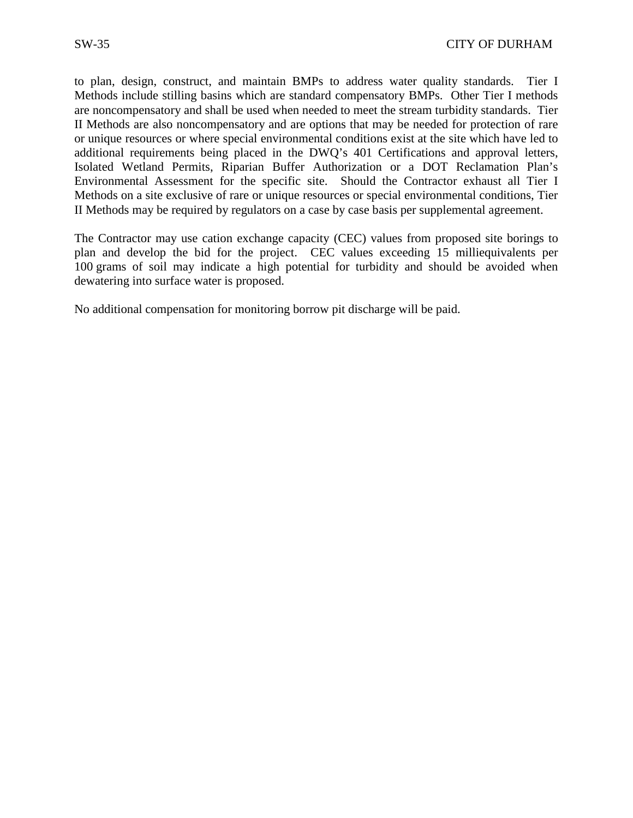to plan, design, construct, and maintain BMPs to address water quality standards. Tier I Methods include stilling basins which are standard compensatory BMPs. Other Tier I methods are noncompensatory and shall be used when needed to meet the stream turbidity standards. Tier II Methods are also noncompensatory and are options that may be needed for protection of rare or unique resources or where special environmental conditions exist at the site which have led to additional requirements being placed in the DWQ's 401 Certifications and approval letters, Isolated Wetland Permits, Riparian Buffer Authorization or a DOT Reclamation Plan's Environmental Assessment for the specific site. Should the Contractor exhaust all Tier I Methods on a site exclusive of rare or unique resources or special environmental conditions, Tier II Methods may be required by regulators on a case by case basis per supplemental agreement.

The Contractor may use cation exchange capacity (CEC) values from proposed site borings to plan and develop the bid for the project. CEC values exceeding 15 milliequivalents per 100 grams of soil may indicate a high potential for turbidity and should be avoided when dewatering into surface water is proposed.

No additional compensation for monitoring borrow pit discharge will be paid.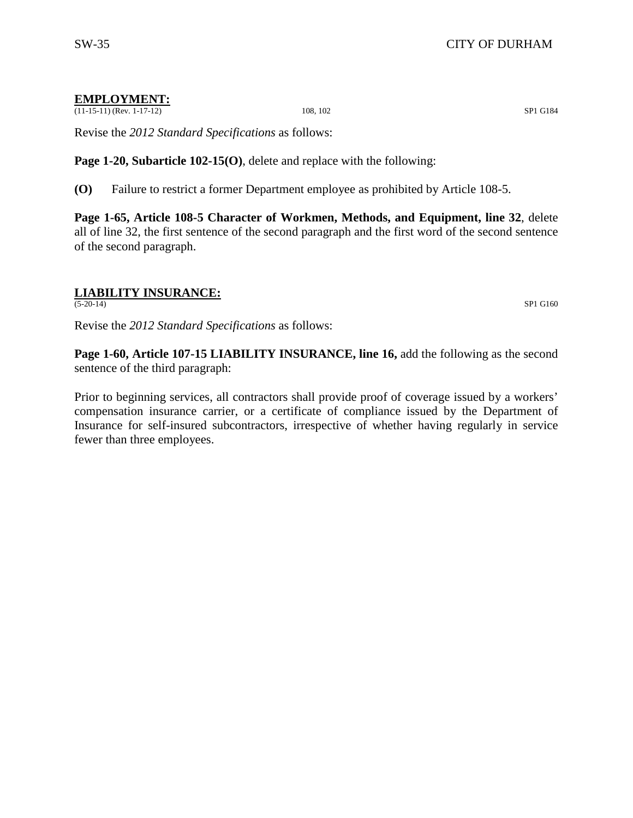#### **EMPLOYMENT:**

 $\frac{(11-15-11)(\text{Rev. }1-17-12)}{108, 102}$  SP1 G184

Revise the *2012 Standard Specifications* as follows:

**Page 1-20, Subarticle 102-15(O)**, delete and replace with the following:

**(O)** Failure to restrict a former Department employee as prohibited by Article 108-5.

**Page 1-65, Article 108-5 Character of Workmen, Methods, and Equipment, line 32**, delete all of line 32, the first sentence of the second paragraph and the first word of the second sentence of the second paragraph.

# **LIABILITY INSURANCE:**

 $(S-20-14)$  SP1 G160

Revise the *2012 Standard Specifications* as follows:

**Page 1-60, Article 107-15 LIABILITY INSURANCE, line 16,** add the following as the second sentence of the third paragraph:

Prior to beginning services, all contractors shall provide proof of coverage issued by a workers' compensation insurance carrier, or a certificate of compliance issued by the Department of Insurance for self-insured subcontractors, irrespective of whether having regularly in service fewer than three employees.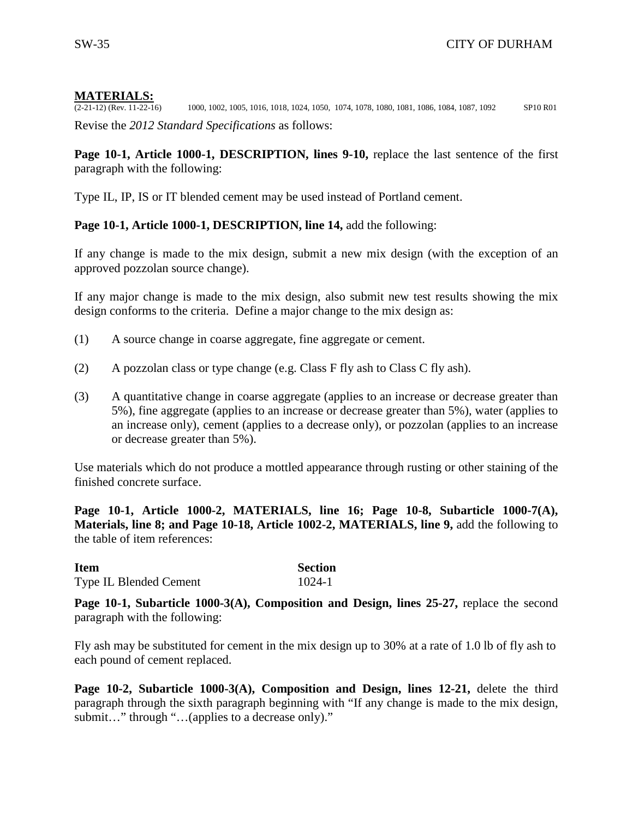# **MATERIALS:**<br>(2-21-12) (Rev. 11-22-16)

(2000, 1002, 1005, 1016, 1018, 1024, 1050, 1074, 1078, 1080, 1081, 1086, 1084, 1087, 1092 SP10 R01 Revise the *2012 Standard Specifications* as follows:

Page 10-1, Article 1000-1, DESCRIPTION, lines 9-10, replace the last sentence of the first paragraph with the following:

Type IL, IP, IS or IT blended cement may be used instead of Portland cement.

#### Page 10-1, Article 1000-1, DESCRIPTION, line 14, add the following:

If any change is made to the mix design, submit a new mix design (with the exception of an approved pozzolan source change).

If any major change is made to the mix design, also submit new test results showing the mix design conforms to the criteria. Define a major change to the mix design as:

- (1) A source change in coarse aggregate, fine aggregate or cement.
- (2) A pozzolan class or type change (e.g. Class F fly ash to Class C fly ash).
- (3) A quantitative change in coarse aggregate (applies to an increase or decrease greater than 5%), fine aggregate (applies to an increase or decrease greater than 5%), water (applies to an increase only), cement (applies to a decrease only), or pozzolan (applies to an increase or decrease greater than 5%).

Use materials which do not produce a mottled appearance through rusting or other staining of the finished concrete surface.

**Page 10-1, Article 1000-2, MATERIALS, line 16; Page 10-8, Subarticle 1000-7(A), Materials, line 8; and Page 10-18, Article 1002-2, MATERIALS, line 9,** add the following to the table of item references:

| <b>Item</b>                   | <b>Section</b> |
|-------------------------------|----------------|
| <b>Type IL Blended Cement</b> | $1024 - 1$     |

**Page 10-1, Subarticle 1000-3(A), Composition and Design, lines 25-27,** replace the second paragraph with the following:

Fly ash may be substituted for cement in the mix design up to 30% at a rate of 1.0 lb of fly ash to each pound of cement replaced.

**Page 10-2, Subarticle 1000-3(A), Composition and Design, lines 12-21,** delete the third paragraph through the sixth paragraph beginning with "If any change is made to the mix design, submit…" through "…(applies to a decrease only)."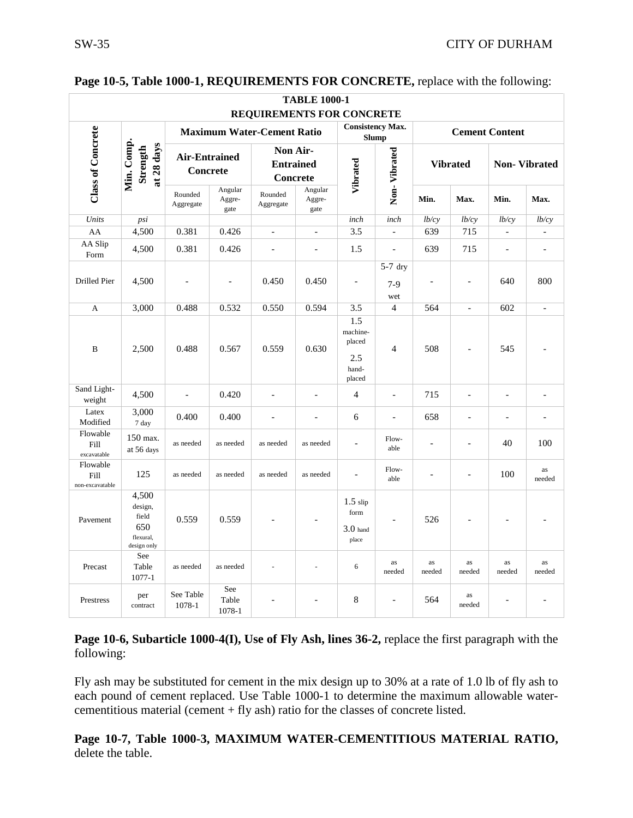| <b>TABLE 1000-1</b>                        |                                                              |                                         |                           |                                                 |                           |                                                     |                           |              |                       |                          |                          |  |
|--------------------------------------------|--------------------------------------------------------------|-----------------------------------------|---------------------------|-------------------------------------------------|---------------------------|-----------------------------------------------------|---------------------------|--------------|-----------------------|--------------------------|--------------------------|--|
| <b>REQUIREMENTS FOR CONCRETE</b>           |                                                              |                                         |                           |                                                 |                           |                                                     |                           |              |                       |                          |                          |  |
|                                            |                                                              |                                         |                           | <b>Maximum Water-Cement Ratio</b>               |                           | <b>Slump</b>                                        | <b>Consistency Max.</b>   |              | <b>Cement Content</b> |                          |                          |  |
| <b>Class of Concrete</b>                   | Min. Comp.<br>at 28 days<br>Strength                         | <b>Air-Entrained</b><br><b>Concrete</b> |                           | Non Air-<br><b>Entrained</b><br><b>Concrete</b> |                           | Vibrated                                            | Non-Vibrated              |              | <b>Vibrated</b>       |                          | <b>Non-Vibrated</b>      |  |
|                                            |                                                              | Rounded<br>Aggregate                    | Angular<br>Aggre-<br>gate | Rounded<br>Aggregate                            | Angular<br>Aggre-<br>gate |                                                     |                           | Min.         | Max.                  | Min.                     | Max.                     |  |
| Units                                      | psi                                                          |                                         |                           |                                                 |                           | inch                                                | inch                      | lb/cy        | lb/cy                 | lb/cy                    | lb/cy                    |  |
| AA                                         | 4,500                                                        | 0.381                                   | 0.426                     | $\overline{a}$                                  | $\overline{a}$            | 3.5                                                 | $\overline{a}$            | 639          | 715                   | $\overline{\phantom{a}}$ | $\overline{a}$           |  |
| AA Slip<br>Form                            | 4,500                                                        | 0.381                                   | 0.426                     | $\overline{\phantom{a}}$                        | $\overline{\phantom{0}}$  | 1.5                                                 | $\overline{\phantom{0}}$  | 639          | 715                   | $\overline{a}$           | $\overline{\phantom{a}}$ |  |
| Drilled Pier                               | 4,500                                                        |                                         |                           | 0.450                                           | 0.450                     | $\overline{a}$                                      | $5-7$ dry<br>$7-9$<br>wet |              |                       | 640                      | 800                      |  |
| A                                          | 3,000                                                        | 0.488                                   | 0.532                     | 0.550                                           | 0.594                     | 3.5                                                 | $\overline{4}$            | 564          |                       | 602                      |                          |  |
| B                                          | 2,500                                                        | 0.488                                   | 0.567                     | 0.559                                           | 0.630                     | 1.5<br>machine-<br>placed<br>2.5<br>hand-<br>placed | $\overline{4}$            | 508          |                       | 545                      |                          |  |
| Sand Light-<br>weight                      | 4,500                                                        | $\overline{a}$                          | 0.420                     | $\overline{a}$                                  | $\overline{a}$            | $\overline{4}$                                      | $\overline{a}$            | 715          | $\overline{a}$        | $\overline{a}$           | $\overline{a}$           |  |
| Latex<br>Modified                          | 3,000<br>7 day                                               | 0.400                                   | 0.400                     | $\overline{a}$                                  | $\qquad \qquad -$         | 6                                                   | $\overline{a}$            | 658          | $\overline{a}$        | $\overline{a}$           | $\overline{\phantom{0}}$ |  |
| Flowable<br>Fill<br>excavatable            | 150 max.<br>at 56 days                                       | as needed                               | as needed                 | as needed                                       | as needed                 |                                                     | Flow-<br>able             |              |                       | 40                       | 100                      |  |
| Flowable<br><b>Fill</b><br>non-excavatable | 125                                                          | as needed                               | as needed                 | as needed                                       | as needed                 | $\overline{a}$                                      | Flow-<br>able             |              | $\overline{a}$        | 100                      | as<br>needed             |  |
| Pavement                                   | 4,500<br>design,<br>field<br>650<br>flexural,<br>design only | 0.559                                   | 0.559                     |                                                 |                           | $1.5$ slip<br>form<br>3.0 <sub>hand</sub><br>place  |                           | 526          |                       |                          |                          |  |
| Precast                                    | See<br>Table<br>1077-1                                       | as needed                               | as needed                 |                                                 |                           | 6                                                   | as<br>needed              | as<br>needed | as<br>needed          | as<br>needed             | as<br>needed             |  |
| Prestress                                  | per<br>contract                                              | See Table<br>1078-1                     | See<br>Table<br>1078-1    |                                                 |                           | 8                                                   | $\overline{a}$            | 564          | as<br>needed          |                          |                          |  |

#### Page 10-5, Table 1000-1, REQUIREMENTS FOR CONCRETE, replace with the following:

**Page 10-6, Subarticle 1000-4(I), Use of Fly Ash, lines 36-2,** replace the first paragraph with the following:

Fly ash may be substituted for cement in the mix design up to 30% at a rate of 1.0 lb of fly ash to each pound of cement replaced. Use Table 1000-1 to determine the maximum allowable watercementitious material (cement + fly ash) ratio for the classes of concrete listed.

**Page 10-7, Table 1000-3, MAXIMUM WATER-CEMENTITIOUS MATERIAL RATIO,**  delete the table.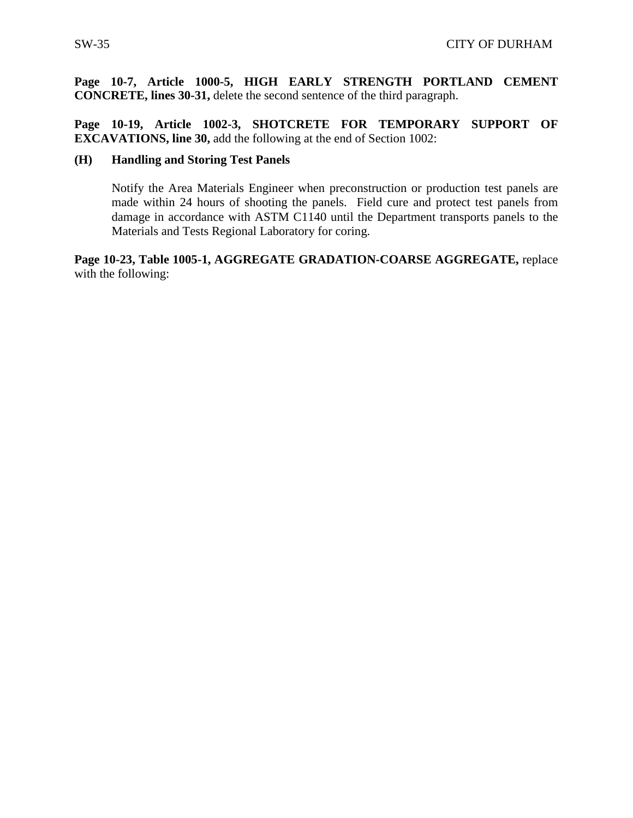**Page 10-7, Article 1000-5, HIGH EARLY STRENGTH PORTLAND CEMENT CONCRETE, lines 30-31,** delete the second sentence of the third paragraph.

**Page 10-19, Article 1002-3, SHOTCRETE FOR TEMPORARY SUPPORT OF EXCAVATIONS, line 30,** add the following at the end of Section 1002:

#### **(H) Handling and Storing Test Panels**

Notify the Area Materials Engineer when preconstruction or production test panels are made within 24 hours of shooting the panels. Field cure and protect test panels from damage in accordance with ASTM C1140 until the Department transports panels to the Materials and Tests Regional Laboratory for coring.

**Page 10-23, Table 1005-1, AGGREGATE GRADATION-COARSE AGGREGATE,** replace with the following: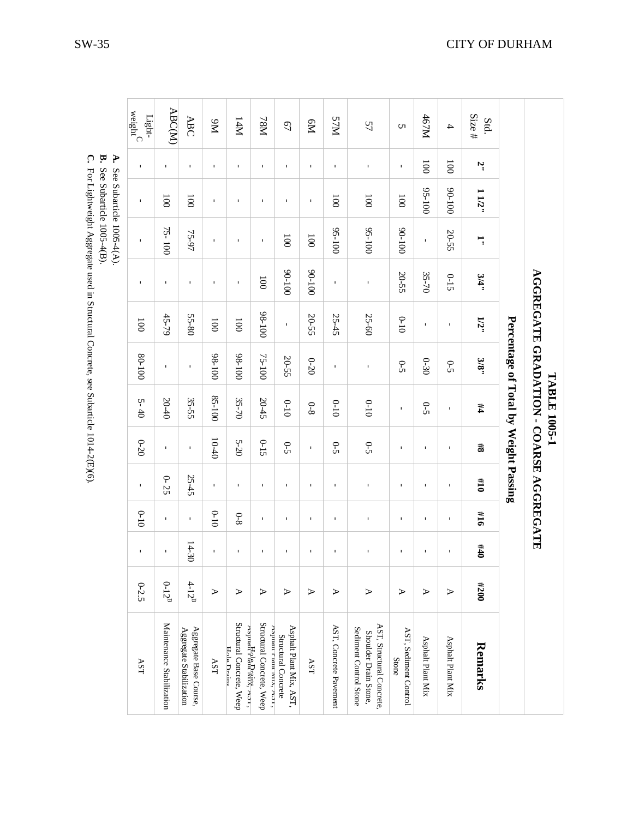|                                                                                                                                                                                                                               | てんし ひょうこうしょう しょくしゃ |
|-------------------------------------------------------------------------------------------------------------------------------------------------------------------------------------------------------------------------------|--------------------|
|                                                                                                                                                                                                                               |                    |
|                                                                                                                                                                                                                               |                    |
|                                                                                                                                                                                                                               |                    |
| I SHEET CHARGE THREE COLORED IN THE CHARGE COLOR SOC OF DEALERS TO THE THREE COLORED THAT THE THREE COLORED IN THE COLORED COLORED TO THE THREE COLORED TO THE THREE COLORED TO THE THREE COLORED TO THE THREE COLORED TO THE |                    |
|                                                                                                                                                                                                                               |                    |
|                                                                                                                                                                                                                               |                    |
| í                                                                                                                                                                                                                             |                    |
|                                                                                                                                                                                                                               |                    |

SW

|                                                                                        | $\underline{\mathrm{weight}}^\mathbf{C}$<br>${\rm Light}$ | <b>ABC(M)</b>             | <b>ABC</b>                                        | <b>N6</b>             | I4M                                                                         | $N8L$                                                         | $\mathcal{L}^{\mathcal{D}}$                    | PM             | <b>NLS</b>             | 57                                                                          | S                                     | 467M              | 4                 | Size #<br>Std.  |                                       |                                               |
|----------------------------------------------------------------------------------------|-----------------------------------------------------------|---------------------------|---------------------------------------------------|-----------------------|-----------------------------------------------------------------------------|---------------------------------------------------------------|------------------------------------------------|----------------|------------------------|-----------------------------------------------------------------------------|---------------------------------------|-------------------|-------------------|-----------------|---------------------------------------|-----------------------------------------------|
| Þ.<br>P.                                                                               | $\mathbf{I}$                                              | $\mathbf{I}$              | $\mathbf{L}$                                      | $\blacksquare$        | $\blacksquare$                                                              | $\mathbf{L}$                                                  | $\mathbf{I}$                                   | $\mathbf{L}$   | $\blacksquare$         |                                                                             | $\mathbf{I}$                          | $\overline{5}$    | $\overline{5}$    | 2.,             |                                       |                                               |
|                                                                                        | $\blacksquare$                                            | $\overline{5}$            | $\overline{5}$                                    | $\mathbf{I}$          | $\mathbf I$                                                                 | $\mathbf{I}$                                                  | $\mathbf I$                                    | $\mathbf{I}$   | $\overline{5}$         | $\overline{5}$                                                              | $\overline{0}$                        | $95 - 100$        | 001-06            | 11/2"           |                                       |                                               |
| See Subarticle 1005-4(B).<br>See Subarticle 1005-4(A).                                 | $\mathbf{L}$                                              | 75-100                    | 75-97                                             | $\blacksquare$        | $\blacksquare$                                                              | $\mathbf{L}$                                                  | $\overline{5}$                                 | $\overline{5}$ | 95-100                 | $95 - 100$                                                                  | 001-06                                | $\mathbf{I}$      | 20-55             | Ę               |                                       |                                               |
|                                                                                        | $\mathbf{I}$                                              | $\mathbf{I}$              | $\mathbf{I}$                                      | $\blacksquare$        | $\mathbf I$                                                                 | 100                                                           | 001-06                                         | 001-06         | $\mathbf{I}$           | $\mathbf{I}$                                                                | 20-55                                 | 35-70             | $0 - 15$          | 3/4"            |                                       |                                               |
|                                                                                        | $\overline{0}0$                                           | $45 - 79$                 | 55-80                                             | $\overline{00}$       | $\overline{0}0$                                                             | 001-86                                                        | $\mathbf{I}$                                   | 20-55          | 25-45                  | 25-60                                                                       | $0 - 10$                              | $\mathbf{I}$      | $\mathbf I$       | 1/2"            |                                       |                                               |
| C. For Lightweight Aggregate used in Structural Concrete, see Subarticle 1014-2(E)(6). | 001-08                                                    | $\mathbf{I}$              | $\mathbf{I}$                                      | 001-86                | 001-86                                                                      | 75-100                                                        | 20-55                                          | $0 - 20$       | $\mathbf I$            | $\blacksquare$                                                              | $\overline{c}$ -5                     | $0 - 30$          | $6-5$             | 3/8"            | Percentage of Total by Weight Passing | <b>AGGREGATE GRADATION - COARSE AGGREGATE</b> |
|                                                                                        | $5 - 40$                                                  | 20-40                     | 35-55                                             | $85 - 100$            | 35-70                                                                       | 20-45                                                         | $0 - 10$                                       | $0 - 8$        | $0 - 10$               | $0 - 10$                                                                    | $\mathbf{r}$                          | $S-5$             | $\mathbf{I}$      | #4              |                                       | TABLE 1005-1                                  |
|                                                                                        | $0 - 20$                                                  | $\mathbf{I}$              | $\mathbf{I}$                                      | $10-40$               | 5-20                                                                        | $0 - 15$                                                      | $6-5$                                          | I.             | $6-5$                  | $S-2$                                                                       | $\mathbf{L}$                          | $\mathbf{I}$      | $\mathbf{I}$      | 48              |                                       |                                               |
|                                                                                        | $\mathbf I$                                               | $0 - 25$                  | 25-45                                             | $\mathbf{L}$          | $\mathbf I$                                                                 | $\mathbf{L}$                                                  | $\mathbf{I}$                                   | $\mathbf I$    | $\mathbf{I}$           | $\blacksquare$                                                              | $\mathbf{L}$                          | $\mathbf{I}$      | $\mathbf{I}$      | 01#             |                                       |                                               |
|                                                                                        | $0 - 10$                                                  | $\mathbf{I}$              | $\mathbf{I}$                                      | $0 - 10$              | $8 - 0$                                                                     | $\blacksquare$                                                | $\mathbf{I}$                                   | $\mathbf{I}$   | $\mathbf{I}$           | $\mathbf I$                                                                 | $\mathbf{I}$                          | $\mathbf I$       | $\mathbf{I}$      | 91#             |                                       |                                               |
|                                                                                        | $\mathbf I$                                               | $\mathbf{I}$              | $14-30$                                           |                       |                                                                             | $\mathbf{I}$                                                  | ı                                              | f,             | f,                     |                                                                             | $\mathbf{I}$                          | $\mathbf{I}$      | $\mathbf{I}$      | 64 <sup>4</sup> |                                       |                                               |
|                                                                                        | $0 - 2.5$                                                 | $0 - 12^B$                | $4 - 12^B$                                        | $\blacktriangleright$ | $\triangleright$                                                            | ⋗                                                             | ⋗                                              | ⋗              | ⊅                      | $\blacktriangleright$                                                       | ⋗                                     | ⋗                 | $\triangleright$  | 007#            |                                       |                                               |
|                                                                                        | AST                                                       | Maintenance Stabilization | Aggregate Base Course,<br>Aggregate Stabilization | $\Lambda \mathrm{ST}$ | Structural Concrete, Weep<br>rspualt Plah Drain, 201,<br><b>Hole Drains</b> | Structural Concrete, Weep<br><b>GSPHALL LAIR INLIA, GO L,</b> | Asphalt Plant Mix, AST,<br>Structural Concrete | AST            | AST, Concrete Pavement | AST, Structural Concrete<br>Sediment Control Stone<br>Shoulder Drain Stone, | AST, Sediment Control<br><b>Stone</b> | Asphalt Plant Mix | Asphalt Plant Mix | Remarks         |                                       |                                               |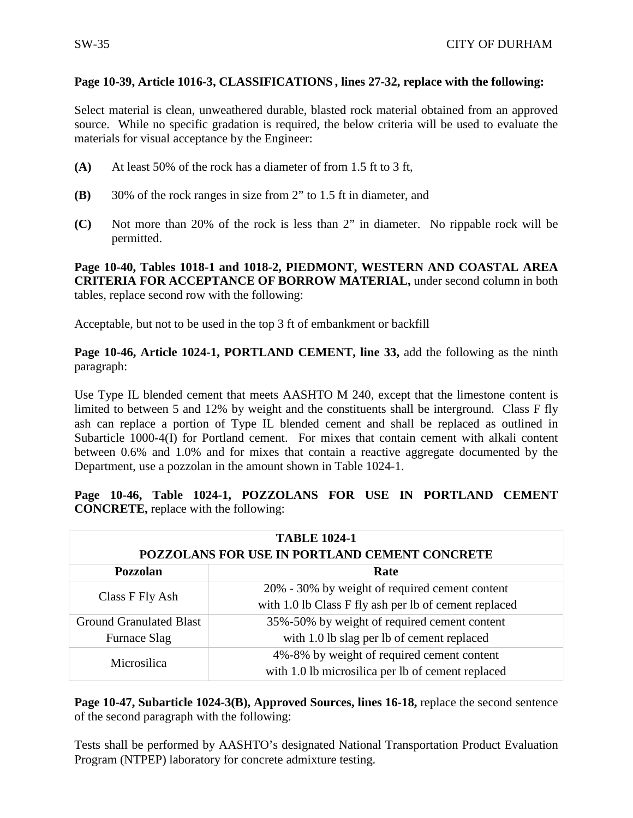#### **Page 10-39, Article 1016-3, CLASSIFICATIONS , lines 27-32, replace with the following:**

Select material is clean, unweathered durable, blasted rock material obtained from an approved source. While no specific gradation is required, the below criteria will be used to evaluate the materials for visual acceptance by the Engineer:

- **(A)** At least 50% of the rock has a diameter of from 1.5 ft to 3 ft,
- **(B)** 30% of the rock ranges in size from 2" to 1.5 ft in diameter, and
- **(C)** Not more than 20% of the rock is less than 2" in diameter. No rippable rock will be permitted.

**Page 10-40, Tables 1018-1 and 1018-2, PIEDMONT, WESTERN AND COASTAL AREA CRITERIA FOR ACCEPTANCE OF BORROW MATERIAL,** under second column in both tables, replace second row with the following:

Acceptable, but not to be used in the top 3 ft of embankment or backfill

**Page 10-46, Article 1024-1, PORTLAND CEMENT, line 33,** add the following as the ninth paragraph:

Use Type IL blended cement that meets AASHTO M 240, except that the limestone content is limited to between 5 and 12% by weight and the constituents shall be interground. Class F fly ash can replace a portion of Type IL blended cement and shall be replaced as outlined in Subarticle 1000-4(I) for Portland cement. For mixes that contain cement with alkali content between 0.6% and 1.0% and for mixes that contain a reactive aggregate documented by the Department, use a pozzolan in the amount shown in Table 1024-1.

**Page 10-46, Table 1024-1, POZZOLANS FOR USE IN PORTLAND CEMENT CONCRETE,** replace with the following:

| <b>TABLE 1024-1</b><br>POZZOLANS FOR USE IN PORTLAND CEMENT CONCRETE |                                                       |  |  |  |  |  |
|----------------------------------------------------------------------|-------------------------------------------------------|--|--|--|--|--|
| <b>Pozzolan</b>                                                      | Rate                                                  |  |  |  |  |  |
| Class F Fly Ash                                                      | 20% - 30% by weight of required cement content        |  |  |  |  |  |
|                                                                      | with 1.0 lb Class F fly ash per lb of cement replaced |  |  |  |  |  |
| <b>Ground Granulated Blast</b>                                       | 35%-50% by weight of required cement content          |  |  |  |  |  |
| <b>Furnace Slag</b>                                                  | with 1.0 lb slag per lb of cement replaced            |  |  |  |  |  |
| Microsilica                                                          | 4%-8% by weight of required cement content            |  |  |  |  |  |
|                                                                      | with 1.0 lb microsilica per lb of cement replaced     |  |  |  |  |  |

**Page 10-47, Subarticle 1024-3(B), Approved Sources, lines 16-18, replace the second sentence** of the second paragraph with the following:

Tests shall be performed by AASHTO's designated National Transportation Product Evaluation Program (NTPEP) laboratory for concrete admixture testing.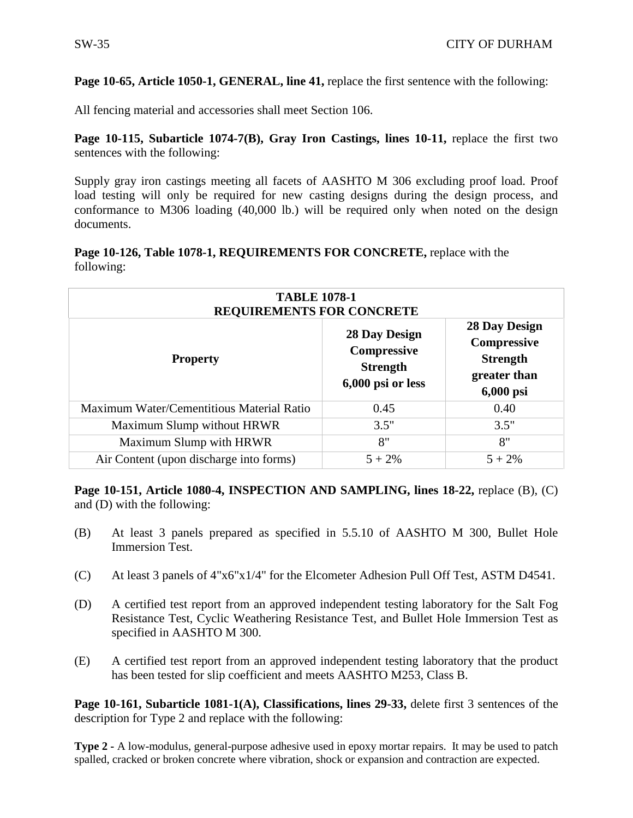**Page 10-65, Article 1050-1, GENERAL, line 41, replace the first sentence with the following:** 

All fencing material and accessories shall meet Section 106.

**Page 10-115, Subarticle 1074-7(B), Gray Iron Castings, lines 10-11, replace the first two** sentences with the following:

Supply gray iron castings meeting all facets of AASHTO M 306 excluding proof load. Proof load testing will only be required for new casting designs during the design process, and conformance to M306 loading (40,000 lb.) will be required only when noted on the design documents.

**Page 10-126, Table 1078-1, REQUIREMENTS FOR CONCRETE,** replace with the following:

| <b>TABLE 1078-1</b><br><b>REQUIREMENTS FOR CONCRETE</b> |                                                                                    |                                                                                     |  |  |  |  |  |
|---------------------------------------------------------|------------------------------------------------------------------------------------|-------------------------------------------------------------------------------------|--|--|--|--|--|
| <b>Property</b>                                         | <b>28 Day Design</b><br><b>Compressive</b><br><b>Strength</b><br>6,000 psi or less | 28 Day Design<br><b>Compressive</b><br><b>Strength</b><br>greater than<br>6,000 psi |  |  |  |  |  |
| Maximum Water/Cementitious Material Ratio               | 0.45                                                                               | 0.40                                                                                |  |  |  |  |  |
| Maximum Slump without HRWR                              | 3.5"                                                                               | 3.5"                                                                                |  |  |  |  |  |
| Maximum Slump with HRWR                                 | 8"                                                                                 | 8"                                                                                  |  |  |  |  |  |
| Air Content (upon discharge into forms)                 | $5 + 2\%$                                                                          | $5 + 2\%$                                                                           |  |  |  |  |  |

**Page 10-151, Article 1080-4, INSPECTION AND SAMPLING, lines 18-22,** replace (B), (C) and (D) with the following:

- (B) At least 3 panels prepared as specified in 5.5.10 of AASHTO M 300, Bullet Hole Immersion Test.
- (C) At least 3 panels of 4"x6"x1/4" for the Elcometer Adhesion Pull Off Test, ASTM D4541.
- (D) A certified test report from an approved independent testing laboratory for the Salt Fog Resistance Test, Cyclic Weathering Resistance Test, and Bullet Hole Immersion Test as specified in AASHTO M 300.
- (E) A certified test report from an approved independent testing laboratory that the product has been tested for slip coefficient and meets AASHTO M253, Class B.

**Page 10-161, Subarticle 1081-1(A), Classifications, lines 29-33,** delete first 3 sentences of the description for Type 2 and replace with the following:

**Type 2 -** A low-modulus, general-purpose adhesive used in epoxy mortar repairs. It may be used to patch spalled, cracked or broken concrete where vibration, shock or expansion and contraction are expected.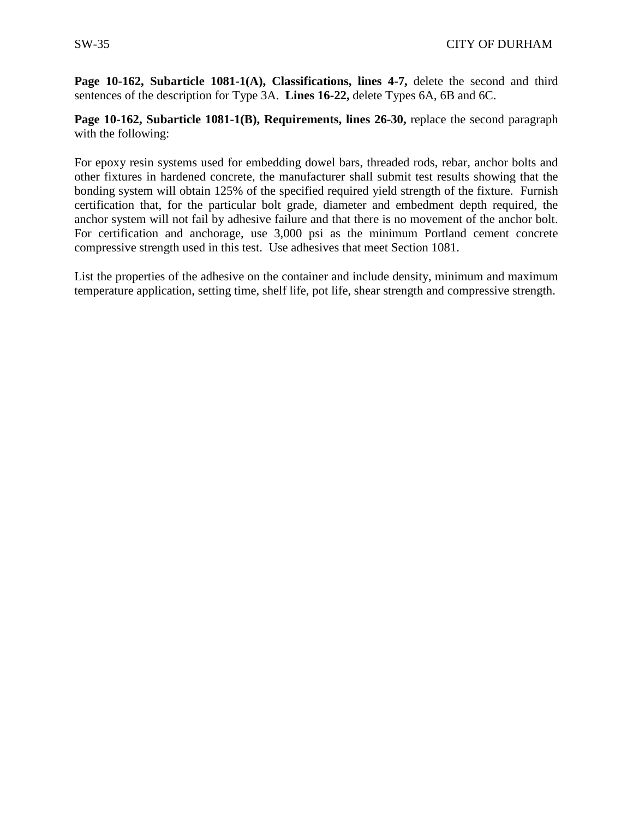**Page 10-162, Subarticle 1081-1(A), Classifications, lines 4-7,** delete the second and third sentences of the description for Type 3A. **Lines 16-22,** delete Types 6A, 6B and 6C.

Page 10-162, Subarticle 1081-1(B), Requirements, lines 26-30, replace the second paragraph with the following:

For epoxy resin systems used for embedding dowel bars, threaded rods, rebar, anchor bolts and other fixtures in hardened concrete, the manufacturer shall submit test results showing that the bonding system will obtain 125% of the specified required yield strength of the fixture. Furnish certification that, for the particular bolt grade, diameter and embedment depth required, the anchor system will not fail by adhesive failure and that there is no movement of the anchor bolt. For certification and anchorage, use 3,000 psi as the minimum Portland cement concrete compressive strength used in this test. Use adhesives that meet Section 1081.

List the properties of the adhesive on the container and include density, minimum and maximum temperature application, setting time, shelf life, pot life, shear strength and compressive strength.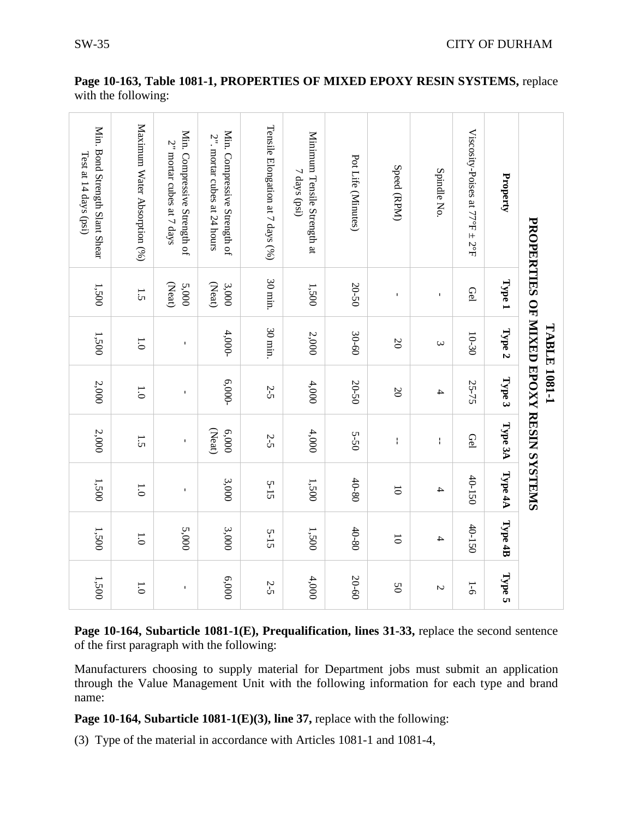| PROPERTIES OF MIXED EPOXY RESIN SYSTEMS                      |                   | <b>TABLE 1081-1</b> |                          |                 |                |                |                  |
|--------------------------------------------------------------|-------------------|---------------------|--------------------------|-----------------|----------------|----------------|------------------|
| Property                                                     | Type 1            | Type 2              | Type 3                   | Type 3A         | Type 4A        | Type 4B        | Type 5           |
| Viscosity-Poises at $77^{\circ}F \pm 2^{\circ}F$             | Gel               | $10-30$             | 25-75                    | Gel             | 40-150         | 40-150         | $\overline{9}$ - |
| Spindle No.                                                  | $\mathbf{I}$      | $\omega$            | $\overline{\mathcal{A}}$ | ł.              | 4              | 4              | $\mathcal{L}$    |
| Speed (RPM)                                                  | $\mathbf{I}$      | $\mathfrak{D}$      | $\overline{50}$          | $\mathbf{I}$    | $\overline{0}$ | $\overline{0}$ | $\mathcal{S}^0$  |
| Pot Life (Minutes)                                           | 20-50             | 30-60               | 20-50                    | 5-50            | $40 - 80$      | 40-80          | 20-60            |
| Minimum Tensile Strength at<br>$7$ days (psi)                | 1,500             | $2,000$             | 4,000                    | 4,000           | 1,500          | 1,500          | 4,000            |
| Tensile Elongation at 7 days (%)                             | $30 \text{ min.}$ | $30 \text{ min.}$   | 2-5                      | $2-5$           | $5 - 15$       | $5 - 15$       | 2-5              |
| Min. Compressive Strength of<br>2". mortar cubes at 24 hours | (Neat)<br>3,000   | 4,000-              | $6,000-$                 | (Neat)<br>000'9 | 3,000          | 3,000          | 6,000            |
| Min. Compressive Strength of<br>2" mortar cubes at 7 days    | (Neat)<br>5,000   | Î.                  | ĭ.                       | ĭ.              | $\mathbf{I}$   | 5,000          | Î.               |
| Maximum Water Absorption (%)                                 | $\overline{5}$    | $\overline{0}$      | $\overline{0}$           | $\ddot{.}$      | $\overline{0}$ | $\overline{0}$ | $\overline{0}$   |
| Min. Bond Strength Slant Shear<br>Test at 14 days (psi)      | 1,500             | 1,500               | $2,000$                  | 2,000           | 1,500          | 1,500          | 1,500            |

**Page 10-163, Table 1081-1, PROPERTIES OF MIXED EPOXY RESIN SYSTEMS,** replace with the following:

Page 10-164, Subarticle 1081-1(E), Prequalification, lines 31-33, replace the second sentence of the first paragraph with the following:

Manufacturers choosing to supply material for Department jobs must submit an application through the Value Management Unit with the following information for each type and brand name:

**Page 10-164, Subarticle 1081-1(E)(3), line 37, replace with the following:** 

(3) Type of the material in accordance with Articles 1081-1 and 1081-4,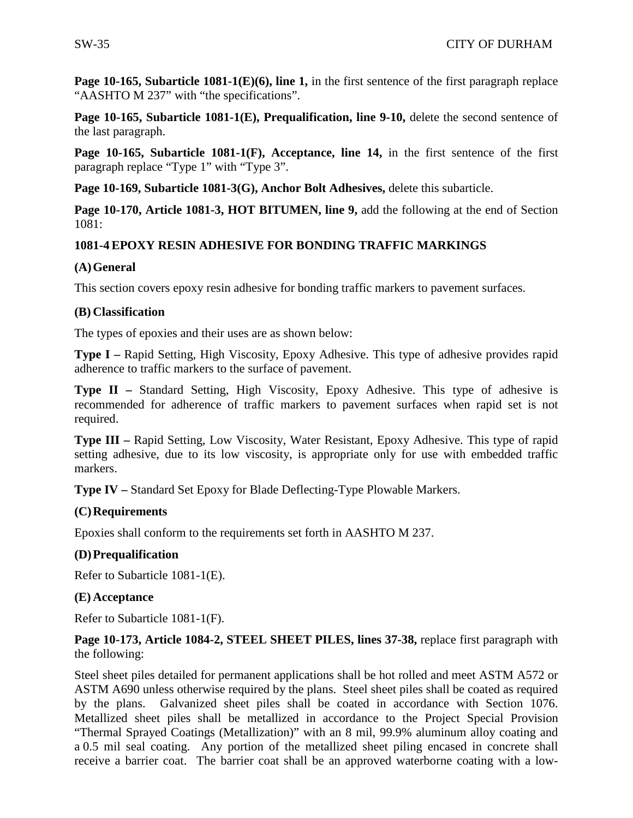**Page 10-165, Subarticle 1081-1(E)(6), line 1,** in the first sentence of the first paragraph replace "AASHTO M 237" with "the specifications".

**Page 10-165, Subarticle 1081-1(E), Prequalification, line 9-10, delete the second sentence of** the last paragraph.

Page 10-165, Subarticle 1081-1(F), Acceptance, line 14, in the first sentence of the first paragraph replace "Type 1" with "Type 3".

**Page 10-169, Subarticle 1081-3(G), Anchor Bolt Adhesives,** delete this subarticle.

**Page 10-170, Article 1081-3, HOT BITUMEN, line 9,** add the following at the end of Section 1081:

#### **1081-4 EPOXY RESIN ADHESIVE FOR BONDING TRAFFIC MARKINGS**

#### **(A)General**

This section covers epoxy resin adhesive for bonding traffic markers to pavement surfaces.

#### **(B) Classification**

The types of epoxies and their uses are as shown below:

**Type I –** Rapid Setting, High Viscosity, Epoxy Adhesive. This type of adhesive provides rapid adherence to traffic markers to the surface of pavement.

**Type II –** Standard Setting, High Viscosity, Epoxy Adhesive. This type of adhesive is recommended for adherence of traffic markers to pavement surfaces when rapid set is not required.

**Type III –** Rapid Setting, Low Viscosity, Water Resistant, Epoxy Adhesive. This type of rapid setting adhesive, due to its low viscosity, is appropriate only for use with embedded traffic markers.

**Type IV –** Standard Set Epoxy for Blade Deflecting-Type Plowable Markers.

#### **(C)Requirements**

Epoxies shall conform to the requirements set forth in AASHTO M 237.

#### **(D)Prequalification**

Refer to Subarticle 1081-1(E).

#### **(E) Acceptance**

Refer to Subarticle 1081-1(F).

#### **Page 10-173, Article 1084-2, STEEL SHEET PILES, lines 37-38,** replace first paragraph with the following:

Steel sheet piles detailed for permanent applications shall be hot rolled and meet ASTM A572 or ASTM A690 unless otherwise required by the plans. Steel sheet piles shall be coated as required by the plans. Galvanized sheet piles shall be coated in accordance with Section 1076. Metallized sheet piles shall be metallized in accordance to the Project Special Provision "Thermal Sprayed Coatings (Metallization)" with an 8 mil, 99.9% aluminum alloy coating and a 0.5 mil seal coating. Any portion of the metallized sheet piling encased in concrete shall receive a barrier coat. The barrier coat shall be an approved waterborne coating with a low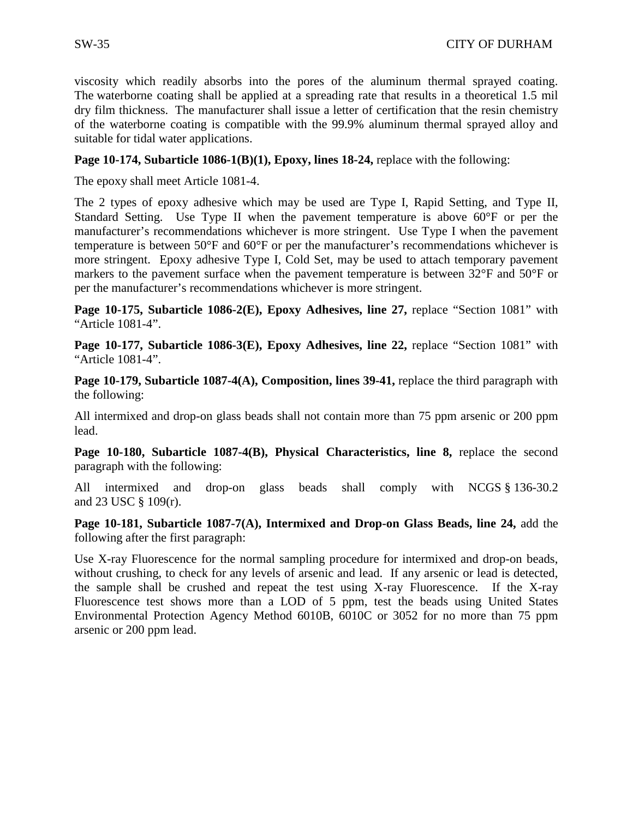viscosity which readily absorbs into the pores of the aluminum thermal sprayed coating. The waterborne coating shall be applied at a spreading rate that results in a theoretical 1.5 mil dry film thickness. The manufacturer shall issue a letter of certification that the resin chemistry of the waterborne coating is compatible with the 99.9% aluminum thermal sprayed alloy and suitable for tidal water applications.

#### **Page 10-174, Subarticle 1086-1(B)(1), Epoxy, lines 18-24,** replace with the following:

The epoxy shall meet Article 1081-4.

The 2 types of epoxy adhesive which may be used are Type I, Rapid Setting, and Type II, Standard Setting. Use Type II when the pavement temperature is above 60°F or per the manufacturer's recommendations whichever is more stringent. Use Type I when the pavement temperature is between 50°F and 60°F or per the manufacturer's recommendations whichever is more stringent. Epoxy adhesive Type I, Cold Set, may be used to attach temporary pavement markers to the pavement surface when the pavement temperature is between 32°F and 50°F or per the manufacturer's recommendations whichever is more stringent.

**Page 10-175, Subarticle 1086-2(E), Epoxy Adhesives, line 27,** replace "Section 1081" with "Article 1081-4".

**Page 10-177, Subarticle 1086-3(E), Epoxy Adhesives, line 22,** replace "Section 1081" with "Article 1081-4".

**Page 10-179, Subarticle 1087-4(A), Composition, lines 39-41,** replace the third paragraph with the following:

All intermixed and drop-on glass beads shall not contain more than 75 ppm arsenic or 200 ppm lead.

**Page 10-180, Subarticle 1087-4(B), Physical Characteristics, line 8,** replace the second paragraph with the following:

All intermixed and drop-on glass beads shall comply with NCGS § 136-30.2 and 23 USC § 109(r).

**Page 10-181, Subarticle 1087-7(A), Intermixed and Drop-on Glass Beads, line 24,** add the following after the first paragraph:

Use X-ray Fluorescence for the normal sampling procedure for intermixed and drop-on beads, without crushing, to check for any levels of arsenic and lead. If any arsenic or lead is detected, the sample shall be crushed and repeat the test using X-ray Fluorescence. If the X-ray Fluorescence test shows more than a LOD of 5 ppm, test the beads using United States Environmental Protection Agency Method 6010B, 6010C or 3052 for no more than 75 ppm arsenic or 200 ppm lead.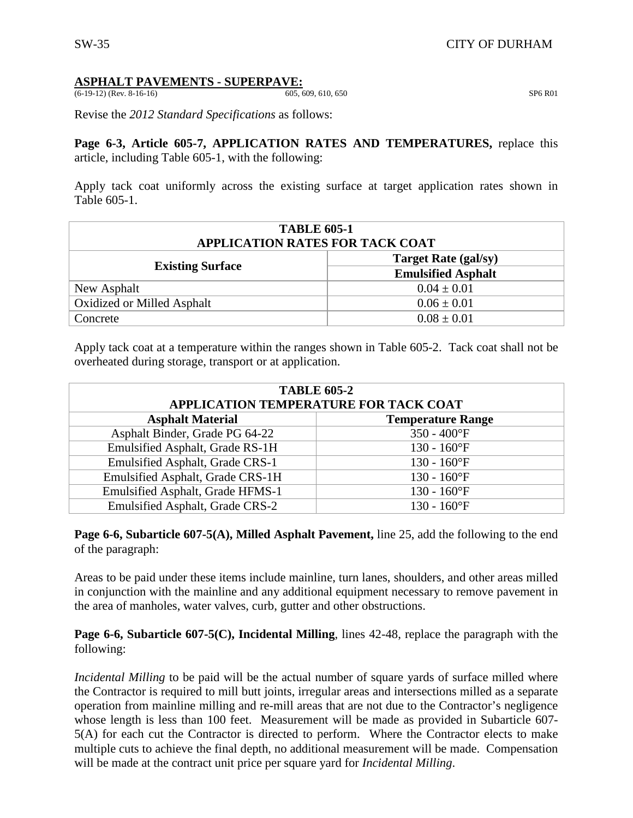## **ASPHALT PAVEMENTS - SUPERPAVE:**<br>(6-19-12) (Rev. 8-16-16)<br>(65. 609, 610, 650)

 $\frac{(6-19-12)}{(6-19-12)}$  (Rev. 8-16-16) SP6 R01

Revise the *2012 Standard Specifications* as follows:

**Page 6-3, Article 605-7, APPLICATION RATES AND TEMPERATURES,** replace this article, including Table 605-1, with the following:

Apply tack coat uniformly across the existing surface at target application rates shown in Table 605-1.

| <b>TABLE 605-1</b><br><b>APPLICATION RATES FOR TACK COAT</b> |                             |
|--------------------------------------------------------------|-----------------------------|
|                                                              | <b>Target Rate (gal/sy)</b> |
| <b>Existing Surface</b>                                      | <b>Emulsified Asphalt</b>   |
| New Asphalt                                                  | $0.04 \pm 0.01$             |
| Oxidized or Milled Asphalt                                   | $0.06 \pm 0.01$             |
| Concrete                                                     | $0.08 \pm 0.01$             |

Apply tack coat at a temperature within the ranges shown in Table 605-2. Tack coat shall not be overheated during storage, transport or at application.

| <b>TABLE 605-2</b><br><b>APPLICATION TEMPERATURE FOR TACK COAT</b> |                            |  |  |
|--------------------------------------------------------------------|----------------------------|--|--|
| <b>Asphalt Material</b>                                            | <b>Temperature Range</b>   |  |  |
| Asphalt Binder, Grade PG 64-22                                     | $350 - 400$ °F             |  |  |
| Emulsified Asphalt, Grade RS-1H                                    | $130 - 160$ <sup>o</sup> F |  |  |
| Emulsified Asphalt, Grade CRS-1                                    | $130 - 160$ <sup>o</sup> F |  |  |
| Emulsified Asphalt, Grade CRS-1H                                   | $130 - 160$ <sup>o</sup> F |  |  |
| Emulsified Asphalt, Grade HFMS-1                                   | $130 - 160$ <sup>o</sup> F |  |  |
| <b>Emulsified Asphalt, Grade CRS-2</b>                             | $130 - 160$ <sup>o</sup> F |  |  |

**Page 6-6, Subarticle 607-5(A), Milled Asphalt Pavement,** line 25, add the following to the end of the paragraph:

Areas to be paid under these items include mainline, turn lanes, shoulders, and other areas milled in conjunction with the mainline and any additional equipment necessary to remove pavement in the area of manholes, water valves, curb, gutter and other obstructions.

**Page 6-6, Subarticle 607-5(C), Incidental Milling**, lines 42-48, replace the paragraph with the following:

*Incidental Milling* to be paid will be the actual number of square yards of surface milled where the Contractor is required to mill butt joints, irregular areas and intersections milled as a separate operation from mainline milling and re-mill areas that are not due to the Contractor's negligence whose length is less than 100 feet. Measurement will be made as provided in Subarticle 607- 5(A) for each cut the Contractor is directed to perform. Where the Contractor elects to make multiple cuts to achieve the final depth, no additional measurement will be made. Compensation will be made at the contract unit price per square yard for *Incidental Milling*.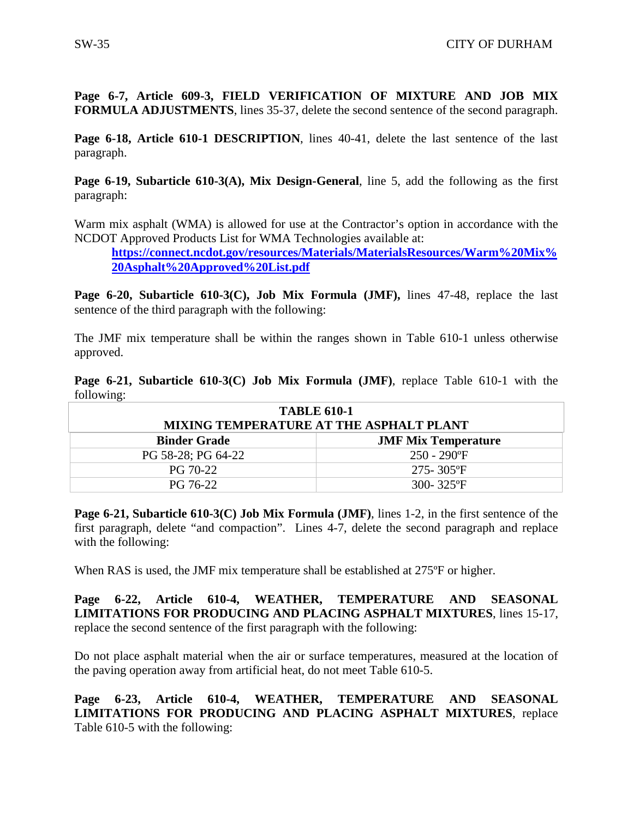**Page 6-7, Article 609-3, FIELD VERIFICATION OF MIXTURE AND JOB MIX FORMULA ADJUSTMENTS**, lines 35-37, delete the second sentence of the second paragraph.

**Page 6-18, Article 610-1 DESCRIPTION**, lines 40-41, delete the last sentence of the last paragraph.

**Page 6-19, Subarticle 610-3(A), Mix Design-General**, line 5, add the following as the first paragraph:

Warm mix asphalt (WMA) is allowed for use at the Contractor's option in accordance with the NCDOT Approved Products List for WMA Technologies available at:

**[https://connect.ncdot.gov/resources/Materials/MaterialsResources/Warm%20Mix%](https://connect.ncdot.gov/resources/Materials/MaterialsResources/Warm%20Mix%20Asphalt%20Approved%20List.pdf) [20Asphalt%20Approved%20List.pdf](https://connect.ncdot.gov/resources/Materials/MaterialsResources/Warm%20Mix%20Asphalt%20Approved%20List.pdf)**

**Page 6-20, Subarticle 610-3(C), Job Mix Formula (JMF),** lines 47-48, replace the last sentence of the third paragraph with the following:

The JMF mix temperature shall be within the ranges shown in Table 610-1 unless otherwise approved.

|            | Page 6-21, Subarticle 610-3(C) Job Mix Formula (JMF), replace Table 610-1 with the |  |  |  |  |  |
|------------|------------------------------------------------------------------------------------|--|--|--|--|--|
| following: |                                                                                    |  |  |  |  |  |

| <b>TABLE 610-1</b><br>MIXING TEMPERATURE AT THE ASPHALT PLANT |                            |  |
|---------------------------------------------------------------|----------------------------|--|
| <b>Binder Grade</b>                                           | <b>JMF Mix Temperature</b> |  |
| PG 58-28; PG 64-22                                            | $250 - 290$ °F             |  |
| PG 70-22                                                      | $275 - 305$ °F             |  |
| PG 76-22                                                      | $300 - 325$ °F             |  |

**Page 6-21, Subarticle 610-3(C) Job Mix Formula (JMF)**, lines 1-2, in the first sentence of the first paragraph, delete "and compaction". Lines 4-7, delete the second paragraph and replace with the following:

When RAS is used, the JMF mix temperature shall be established at 275<sup>o</sup>F or higher.

**Page 6-22, Article 610-4, WEATHER, TEMPERATURE AND SEASONAL LIMITATIONS FOR PRODUCING AND PLACING ASPHALT MIXTURES**, lines 15-17, replace the second sentence of the first paragraph with the following:

Do not place asphalt material when the air or surface temperatures, measured at the location of the paving operation away from artificial heat, do not meet Table 610-5.

**Page 6-23, Article 610-4, WEATHER, TEMPERATURE AND SEASONAL LIMITATIONS FOR PRODUCING AND PLACING ASPHALT MIXTURES**, replace Table 610-5 with the following: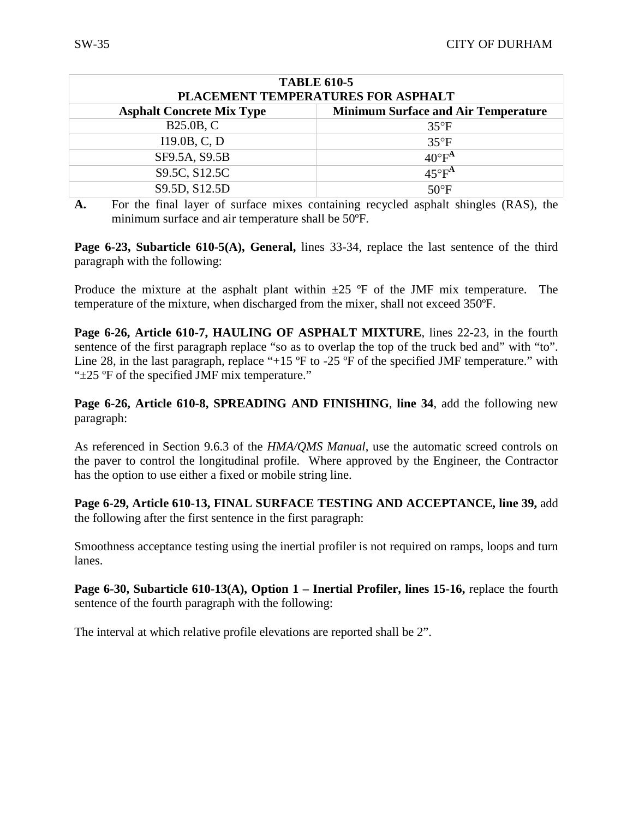| <b>TABLE 610-5</b><br>PLACEMENT TEMPERATURES FOR ASPHALT |                                            |  |  |
|----------------------------------------------------------|--------------------------------------------|--|--|
| <b>Asphalt Concrete Mix Type</b>                         | <b>Minimum Surface and Air Temperature</b> |  |  |
| B25.0B, C                                                | $35^{\circ}F$                              |  |  |
| I19.0B, C, D                                             | $35^{\circ}F$                              |  |  |
| SF9.5A, S9.5B                                            | $40^{\circ}F^{\mathbf{A}}$                 |  |  |
| S9.5C, S12.5C                                            | $45^{\circ}F^A$                            |  |  |
| S9.5D, S12.5D                                            | $50^{\circ}$ F                             |  |  |

**A.** For the final layer of surface mixes containing recycled asphalt shingles (RAS), the minimum surface and air temperature shall be 50ºF.

**Page 6-23, Subarticle 610-5(A), General,** lines 33-34, replace the last sentence of the third paragraph with the following:

Produce the mixture at the asphalt plant within  $\pm 25$  °F of the JMF mix temperature. The temperature of the mixture, when discharged from the mixer, shall not exceed 350ºF.

**Page 6-26, Article 610-7, HAULING OF ASPHALT MIXTURE**, lines 22-23, in the fourth sentence of the first paragraph replace "so as to overlap the top of the truck bed and" with "to". Line 28, in the last paragraph, replace "+15 °F to -25 °F of the specified JMF temperature." with "±25 ºF of the specified JMF mix temperature."

**Page 6-26, Article 610-8, SPREADING AND FINISHING**, **line 34**, add the following new paragraph:

As referenced in Section 9.6.3 of the *HMA/QMS Manual*, use the automatic screed controls on the paver to control the longitudinal profile. Where approved by the Engineer, the Contractor has the option to use either a fixed or mobile string line.

**Page 6-29, Article 610-13, FINAL SURFACE TESTING AND ACCEPTANCE, line 39,** add the following after the first sentence in the first paragraph:

Smoothness acceptance testing using the inertial profiler is not required on ramps, loops and turn lanes.

**Page 6-30, Subarticle 610-13(A), Option 1 – Inertial Profiler, lines 15-16,** replace the fourth sentence of the fourth paragraph with the following:

The interval at which relative profile elevations are reported shall be 2".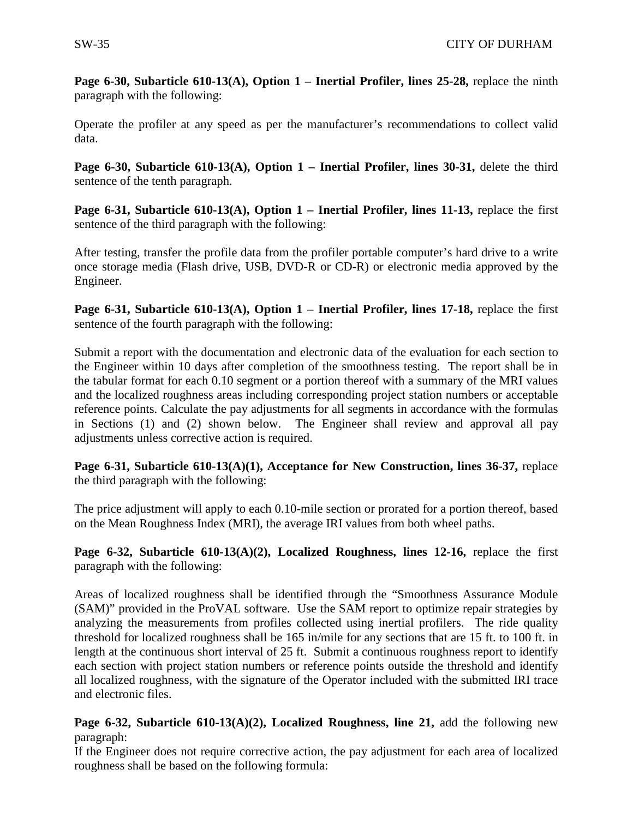**Page 6-30, Subarticle 610-13(A), Option 1 – Inertial Profiler, lines 25-28,** replace the ninth paragraph with the following:

Operate the profiler at any speed as per the manufacturer's recommendations to collect valid data.

**Page 6-30, Subarticle 610-13(A), Option 1 – Inertial Profiler, lines 30-31,** delete the third sentence of the tenth paragraph.

**Page 6-31, Subarticle 610-13(A), Option 1 – Inertial Profiler, lines 11-13,** replace the first sentence of the third paragraph with the following:

After testing, transfer the profile data from the profiler portable computer's hard drive to a write once storage media (Flash drive, USB, DVD-R or CD-R) or electronic media approved by the Engineer.

**Page 6-31, Subarticle 610-13(A), Option 1 – Inertial Profiler, lines 17-18,** replace the first sentence of the fourth paragraph with the following:

Submit a report with the documentation and electronic data of the evaluation for each section to the Engineer within 10 days after completion of the smoothness testing. The report shall be in the tabular format for each 0.10 segment or a portion thereof with a summary of the MRI values and the localized roughness areas including corresponding project station numbers or acceptable reference points. Calculate the pay adjustments for all segments in accordance with the formulas in Sections (1) and (2) shown below. The Engineer shall review and approval all pay adjustments unless corrective action is required.

**Page 6-31, Subarticle 610-13(A)(1), Acceptance for New Construction, lines 36-37,** replace the third paragraph with the following:

The price adjustment will apply to each 0.10-mile section or prorated for a portion thereof, based on the Mean Roughness Index (MRI), the average IRI values from both wheel paths.

**Page 6-32, Subarticle 610-13(A)(2), Localized Roughness, lines 12-16,** replace the first paragraph with the following:

Areas of localized roughness shall be identified through the "Smoothness Assurance Module (SAM)" provided in the ProVAL software. Use the SAM report to optimize repair strategies by analyzing the measurements from profiles collected using inertial profilers. The ride quality threshold for localized roughness shall be 165 in/mile for any sections that are 15 ft. to 100 ft. in length at the continuous short interval of 25 ft. Submit a continuous roughness report to identify each section with project station numbers or reference points outside the threshold and identify all localized roughness, with the signature of the Operator included with the submitted IRI trace and electronic files.

**Page 6-32, Subarticle 610-13(A)(2), Localized Roughness, line 21, add the following new** paragraph:

If the Engineer does not require corrective action, the pay adjustment for each area of localized roughness shall be based on the following formula: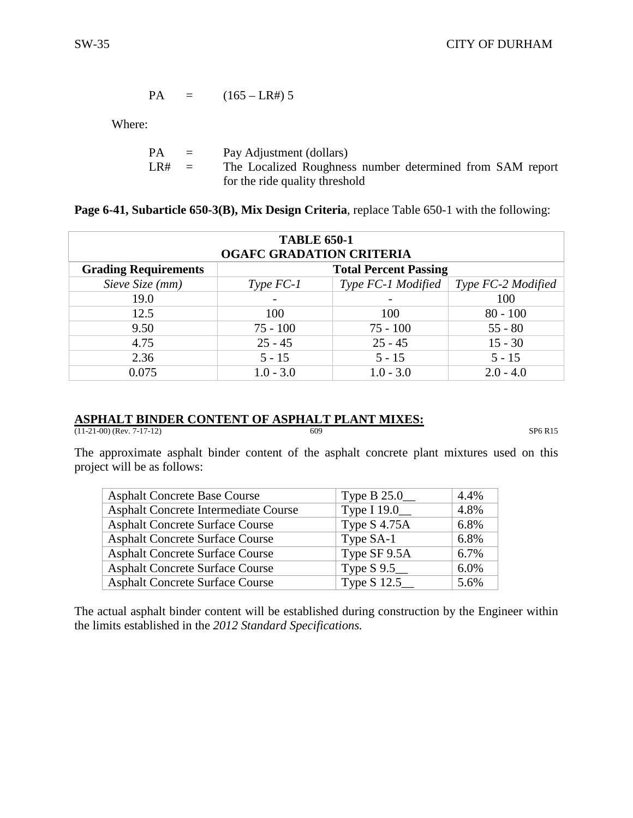$$
PA = (165 - LR#) 5
$$

Where:

| PA  | $\equiv$ $\equiv$ | Pay Adjustment (dollars)                                  |
|-----|-------------------|-----------------------------------------------------------|
| LR# | $\equiv$          | The Localized Roughness number determined from SAM report |
|     |                   | for the ride quality threshold                            |

**Page 6-41, Subarticle 650-3(B), Mix Design Criteria**, replace Table 650-1 with the following:

| <b>TABLE 650-1</b><br><b>OGAFC GRADATION CRITERIA</b>       |             |                    |                    |
|-------------------------------------------------------------|-------------|--------------------|--------------------|
| <b>Total Percent Passing</b><br><b>Grading Requirements</b> |             |                    |                    |
| Sieve Size (mm)                                             | $Type FC-1$ | Type FC-1 Modified | Type FC-2 Modified |
| 19.0                                                        |             |                    | 100                |
| 12.5                                                        | 100         | 100                | $80 - 100$         |
| 9.50                                                        | $75 - 100$  | $75 - 100$         | $55 - 80$          |
| 4.75                                                        | $25 - 45$   | $25 - 45$          | $15 - 30$          |
| 2.36                                                        | $5 - 15$    | $5 - 15$           | $5 - 15$           |
| 0.075                                                       | $1.0 - 3.0$ | $1.0 - 3.0$        | $2.0 - 4.0$        |

#### **ASPHALT BINDER CONTENT OF ASPHALT PLANT MIXES:**

(11-21-00) (Rev. 7-17-12) 609 SP6 R15

The approximate asphalt binder content of the asphalt concrete plant mixtures used on this project will be as follows:

| <b>Asphalt Concrete Base Course</b>         | Type B 25.0_ | 4.4% |
|---------------------------------------------|--------------|------|
| <b>Asphalt Concrete Intermediate Course</b> | Type I 19.0_ | 4.8% |
| <b>Asphalt Concrete Surface Course</b>      | Type S 4.75A | 6.8% |
| <b>Asphalt Concrete Surface Course</b>      | Type SA-1    | 6.8% |
| <b>Asphalt Concrete Surface Course</b>      | Type SF 9.5A | 6.7% |
| <b>Asphalt Concrete Surface Course</b>      | Type $S$ 9.5 | 6.0% |
| <b>Asphalt Concrete Surface Course</b>      | Type S 12.5  | 5.6% |

The actual asphalt binder content will be established during construction by the Engineer within the limits established in the *2012 Standard Specifications.*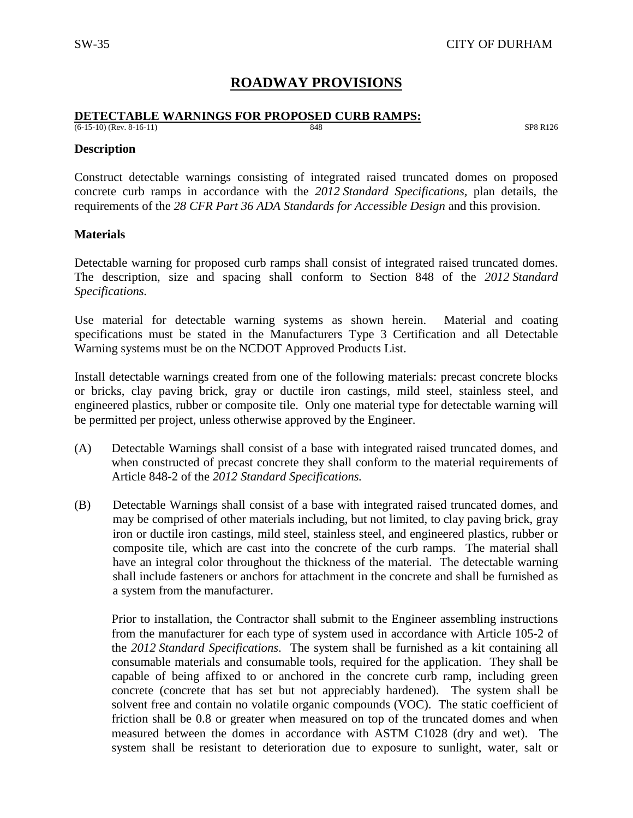### **ROADWAY PROVISIONS**

#### **DETECTABLE WARNINGS FOR PROPOSED CURB RAMPS:**

(6-15-10) (Rev. 8-16-11) 848 SP8 R126

#### **Description**

Construct detectable warnings consisting of integrated raised truncated domes on proposed concrete curb ramps in accordance with the *2012 Standard Specifications,* plan details, the requirements of the *28 CFR Part 36 ADA Standards for Accessible Design* and this provision.

#### **Materials**

Detectable warning for proposed curb ramps shall consist of integrated raised truncated domes. The description, size and spacing shall conform to Section 848 of the *2012 Standard Specifications.*

Use material for detectable warning systems as shown herein. Material and coating specifications must be stated in the Manufacturers Type 3 Certification and all Detectable Warning systems must be on the NCDOT Approved Products List.

Install detectable warnings created from one of the following materials: precast concrete blocks or bricks, clay paving brick, gray or ductile iron castings, mild steel, stainless steel, and engineered plastics, rubber or composite tile. Only one material type for detectable warning will be permitted per project, unless otherwise approved by the Engineer.

- (A) Detectable Warnings shall consist of a base with integrated raised truncated domes, and when constructed of precast concrete they shall conform to the material requirements of Article 848-2 of the *2012 Standard Specifications.*
- (B) Detectable Warnings shall consist of a base with integrated raised truncated domes, and may be comprised of other materials including, but not limited, to clay paving brick, gray iron or ductile iron castings, mild steel, stainless steel, and engineered plastics, rubber or composite tile, which are cast into the concrete of the curb ramps. The material shall have an integral color throughout the thickness of the material. The detectable warning shall include fasteners or anchors for attachment in the concrete and shall be furnished as a system from the manufacturer.

Prior to installation, the Contractor shall submit to the Engineer assembling instructions from the manufacturer for each type of system used in accordance with Article 105-2 of the *2012 Standard Specifications*. The system shall be furnished as a kit containing all consumable materials and consumable tools, required for the application. They shall be capable of being affixed to or anchored in the concrete curb ramp, including green concrete (concrete that has set but not appreciably hardened). The system shall be solvent free and contain no volatile organic compounds (VOC). The static coefficient of friction shall be 0.8 or greater when measured on top of the truncated domes and when measured between the domes in accordance with ASTM C1028 (dry and wet). The system shall be resistant to deterioration due to exposure to sunlight, water, salt or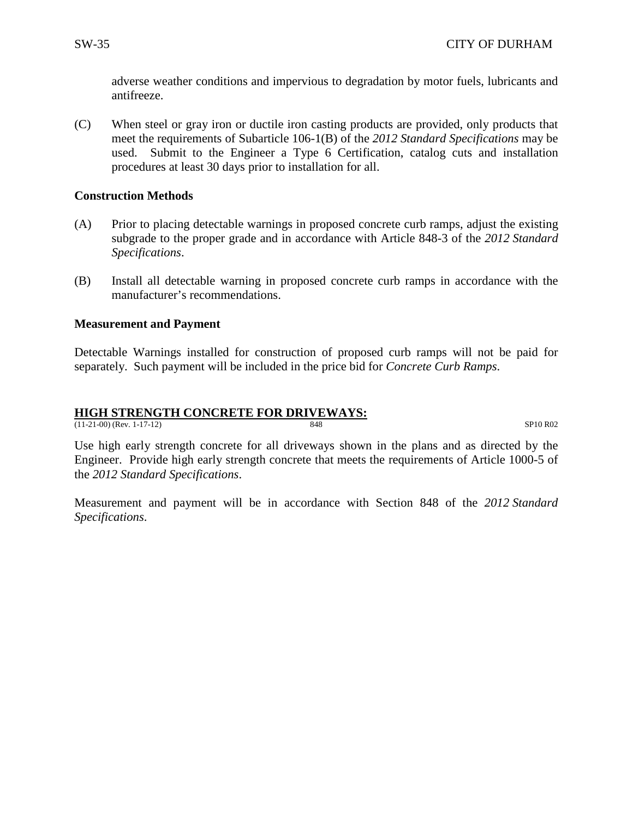adverse weather conditions and impervious to degradation by motor fuels, lubricants and antifreeze.

(C) When steel or gray iron or ductile iron casting products are provided, only products that meet the requirements of Subarticle 106-1(B) of the *2012 Standard Specifications* may be used.Submit to the Engineer a Type 6 Certification, catalog cuts and installation procedures at least 30 days prior to installation for all.

#### **Construction Methods**

- (A) Prior to placing detectable warnings in proposed concrete curb ramps, adjust the existing subgrade to the proper grade and in accordance with Article 848-3 of the *2012 Standard Specifications*.
- (B) Install all detectable warning in proposed concrete curb ramps in accordance with the manufacturer's recommendations.

#### **Measurement and Payment**

Detectable Warnings installed for construction of proposed curb ramps will not be paid for separately. Such payment will be included in the price bid for *Concrete Curb Ramps*.

#### **HIGH STRENGTH CONCRETE FOR DRIVEWAYS:**

(11-21-00) (Rev. 1-17-12) 848 SP10 R02

Use high early strength concrete for all driveways shown in the plans and as directed by the Engineer. Provide high early strength concrete that meets the requirements of Article 1000-5 of the *2012 Standard Specifications*.

Measurement and payment will be in accordance with Section 848 of the *2012 Standard Specifications*.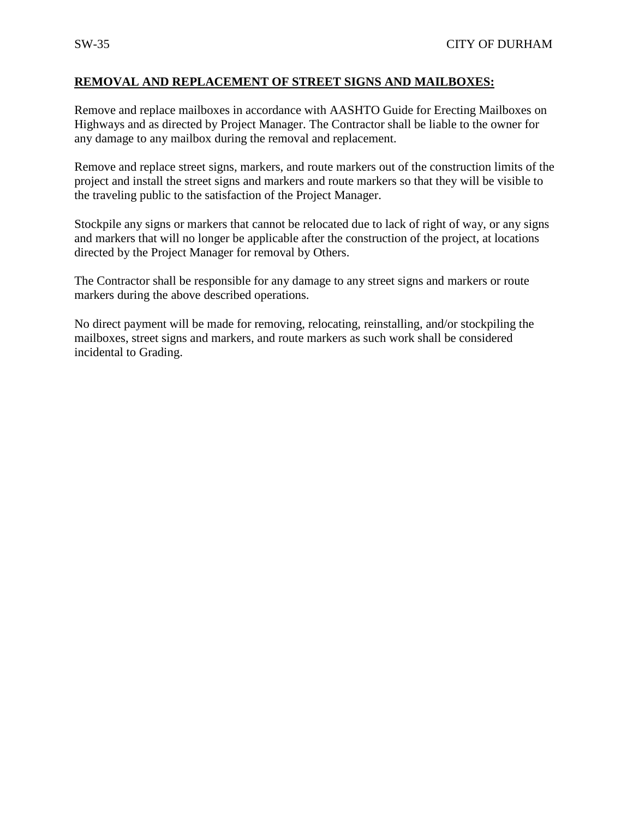#### **REMOVAL AND REPLACEMENT OF STREET SIGNS AND MAILBOXES:**

Remove and replace mailboxes in accordance with AASHTO Guide for Erecting Mailboxes on Highways and as directed by Project Manager. The Contractor shall be liable to the owner for any damage to any mailbox during the removal and replacement.

Remove and replace street signs, markers, and route markers out of the construction limits of the project and install the street signs and markers and route markers so that they will be visible to the traveling public to the satisfaction of the Project Manager.

Stockpile any signs or markers that cannot be relocated due to lack of right of way, or any signs and markers that will no longer be applicable after the construction of the project, at locations directed by the Project Manager for removal by Others.

The Contractor shall be responsible for any damage to any street signs and markers or route markers during the above described operations.

No direct payment will be made for removing, relocating, reinstalling, and/or stockpiling the mailboxes, street signs and markers, and route markers as such work shall be considered incidental to Grading.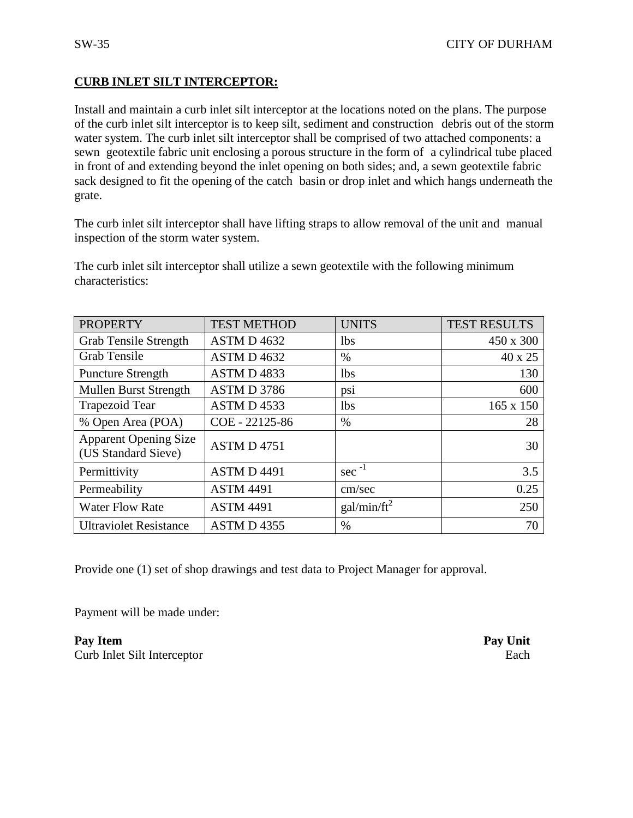#### **CURB INLET SILT INTERCEPTOR:**

Install and maintain a curb inlet silt interceptor at the locations noted on the plans. The purpose of the curb inlet silt interceptor is to keep silt, sediment and construction debris out of the storm water system. The curb inlet silt interceptor shall be comprised of two attached components: a sewn geotextile fabric unit enclosing a porous structure in the form of a cylindrical tube placed in front of and extending beyond the inlet opening on both sides; and, a sewn geotextile fabric sack designed to fit the opening of the catch basin or drop inlet and which hangs underneath the grate.

The curb inlet silt interceptor shall have lifting straps to allow removal of the unit and manual inspection of the storm water system.

The curb inlet silt interceptor shall utilize a sewn geotextile with the following minimum characteristics:

| <b>PROPERTY</b>                                     | <b>TEST METHOD</b> | <b>UNITS</b>   | <b>TEST RESULTS</b> |
|-----------------------------------------------------|--------------------|----------------|---------------------|
| <b>Grab Tensile Strength</b>                        | ASTM D 4632        | <b>lbs</b>     | 450 x 300           |
| <b>Grab Tensile</b>                                 | ASTM D 4632        | $\%$           | 40 x 25             |
| <b>Puncture Strength</b>                            | ASTM D4833         | <b>lbs</b>     | 130                 |
| Mullen Burst Strength                               | ASTM D 3786        | psi            | 600                 |
| <b>Trapezoid Tear</b>                               | ASTM D4533         | <b>lbs</b>     | $165 \times 150$    |
| % Open Area (POA)                                   | COE - 22125-86     | $\%$           | 28                  |
| <b>Apparent Opening Size</b><br>(US Standard Sieve) | <b>ASTM D 4751</b> |                | 30                  |
| Permittivity                                        | <b>ASTM D 4491</b> | $\sec^{-1}$    | 3.5                 |
| Permeability                                        | <b>ASTM 4491</b>   | cm/sec         | 0.25                |
| <b>Water Flow Rate</b>                              | <b>ASTM 4491</b>   | $gal/min/ft^2$ | 250                 |
| <b>Ultraviolet Resistance</b>                       | <b>ASTM D 4355</b> | $\%$           | 70                  |

Provide one (1) set of shop drawings and test data to Project Manager for approval.

Payment will be made under:

#### **Pay Item Pay Unit** Curb Inlet Silt Interceptor Each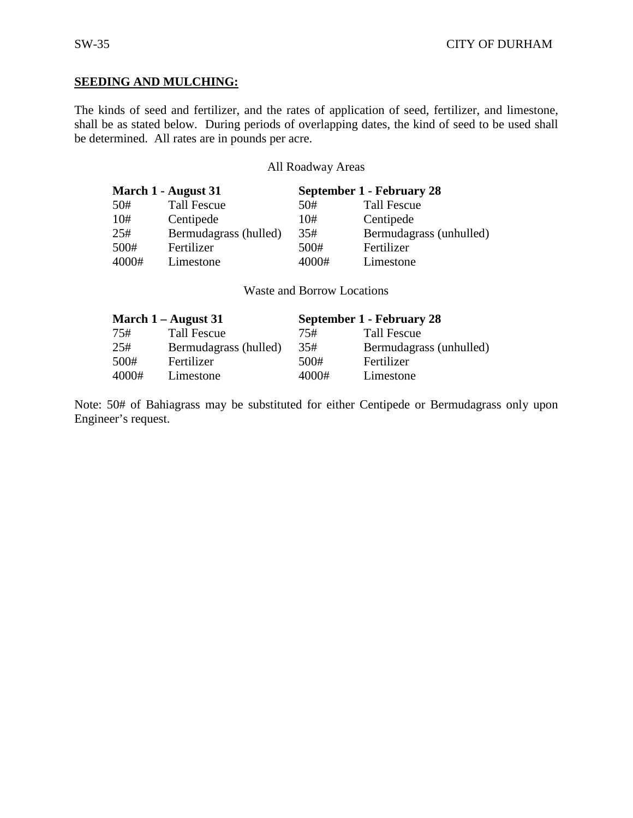#### **SEEDING AND MULCHING:**

The kinds of seed and fertilizer, and the rates of application of seed, fertilizer, and limestone, shall be as stated below. During periods of overlapping dates, the kind of seed to be used shall be determined. All rates are in pounds per acre.

#### All Roadway Areas

| March 1 - August 31 |                       | September 1 - February 28 |                         |  |
|---------------------|-----------------------|---------------------------|-------------------------|--|
| 50#                 | <b>Tall Fescue</b>    | 50#                       | <b>Tall Fescue</b>      |  |
| 10#                 | Centipede             | 10#                       | Centipede               |  |
| 25#                 | Bermudagrass (hulled) | 35#                       | Bermudagrass (unhulled) |  |
| 500#                | Fertilizer            | 500#                      | Fertilizer              |  |
| 4000#               | Limestone             | 4000#                     | Limestone               |  |

Waste and Borrow Locations

| March $1 -$ August 31 |                       | September 1 - February 28 |                         |  |
|-----------------------|-----------------------|---------------------------|-------------------------|--|
| 75#                   | <b>Tall Fescue</b>    | 75#                       | <b>Tall Fescue</b>      |  |
| 25#                   | Bermudagrass (hulled) | 35#                       | Bermudagrass (unhulled) |  |
| 500#                  | Fertilizer            | 500#                      | Fertilizer              |  |
| 4000#                 | Limestone             | 4000#                     | Limestone               |  |

Note: 50# of Bahiagrass may be substituted for either Centipede or Bermudagrass only upon Engineer's request.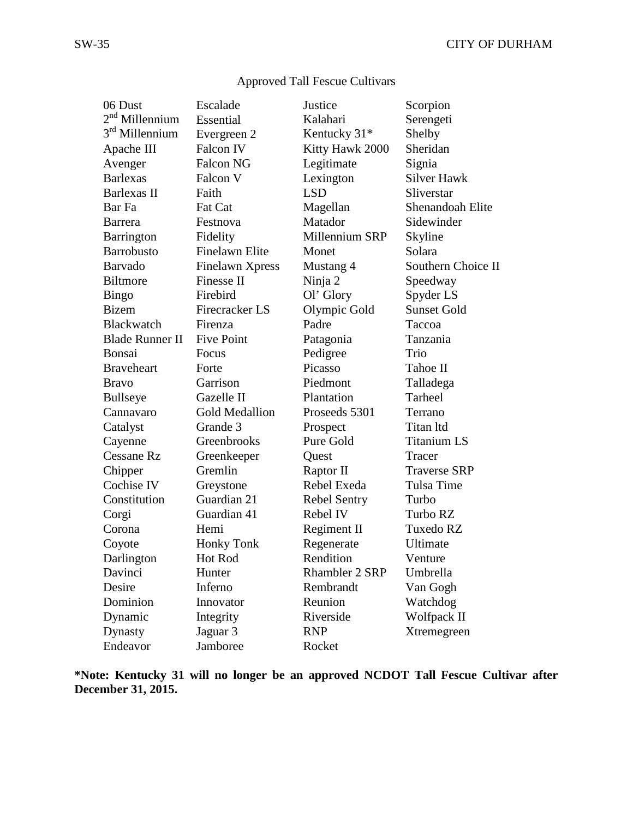### Approved Tall Fescue Cultivars

| 06 Dust                | Escalade               | Justice             | Scorpion            |
|------------------------|------------------------|---------------------|---------------------|
| $2nd$ Millennium       | Essential              | Kalahari            | Serengeti           |
| $3rd$ Millennium       | Evergreen 2            | Kentucky 31*        | Shelby              |
| Apache III             | Falcon IV              | Kitty Hawk 2000     | Sheridan            |
| Avenger                | Falcon NG              | Legitimate          | Signia              |
| <b>Barlexas</b>        | Falcon V               | Lexington           | <b>Silver Hawk</b>  |
| Barlexas II            | Faith                  | <b>LSD</b>          | Sliverstar          |
| Bar Fa                 | Fat Cat                | Magellan            | Shenandoah Elite    |
| <b>Barrera</b>         | Festnova               | Matador             | Sidewinder          |
| Barrington             | Fidelity               | Millennium SRP      | Skyline             |
| <b>Barrobusto</b>      | <b>Finelawn Elite</b>  | Monet               | Solara              |
| Barvado                | <b>Finelawn Xpress</b> | Mustang 4           | Southern Choice II  |
| <b>Biltmore</b>        | Finesse II             | Ninja 2             | Speedway            |
| <b>Bingo</b>           | Firebird               | Ol' Glory           | Spyder LS           |
| <b>Bizem</b>           | Firecracker LS         | Olympic Gold        | <b>Sunset Gold</b>  |
| <b>Blackwatch</b>      | Firenza                | Padre               | Taccoa              |
| <b>Blade Runner II</b> | <b>Five Point</b>      | Patagonia           | Tanzania            |
| Bonsai                 | Focus                  | Pedigree            | Trio                |
| <b>Braveheart</b>      | Forte                  | Picasso             | Tahoe II            |
| <b>Bravo</b>           | Garrison               | Piedmont            | Talladega           |
| <b>Bullseye</b>        | Gazelle II             | Plantation          | Tarheel             |
| Cannavaro              | Gold Medallion         | Proseeds 5301       | Terrano             |
| Catalyst               | Grande 3               | Prospect            | Titan Itd           |
| Cayenne                | Greenbrooks            | Pure Gold           | <b>Titanium LS</b>  |
| <b>Cessane Rz</b>      | Greenkeeper            | Quest               | Tracer              |
| Chipper                | Gremlin                | Raptor II           | <b>Traverse SRP</b> |
| Cochise IV             | Greystone              | Rebel Exeda         | Tulsa Time          |
| Constitution           | Guardian 21            | <b>Rebel Sentry</b> | Turbo               |
| Corgi                  | Guardian 41            | Rebel IV            | Turbo RZ            |
| Corona                 | Hemi                   | Regiment II         | Tuxedo RZ           |
| Coyote                 | <b>Honky Tonk</b>      | Regenerate          | Ultimate            |
| Darlington             | Hot Rod                | Rendition           | Venture             |
| Davinci                | Hunter                 | Rhambler 2 SRP      | Umbrella            |
| Desire                 | Inferno                | Rembrandt           | Van Gogh            |
| Dominion               | Innovator              | Reunion             | Watchdog            |
| Dynamic                | Integrity              | Riverside           | Wolfpack II         |
| Dynasty                | Jaguar 3               | <b>RNP</b>          | Xtremegreen         |
| Endeavor               | Jamboree               | Rocket              |                     |

**\*Note: Kentucky 31 will no longer be an approved NCDOT Tall Fescue Cultivar after December 31, 2015.**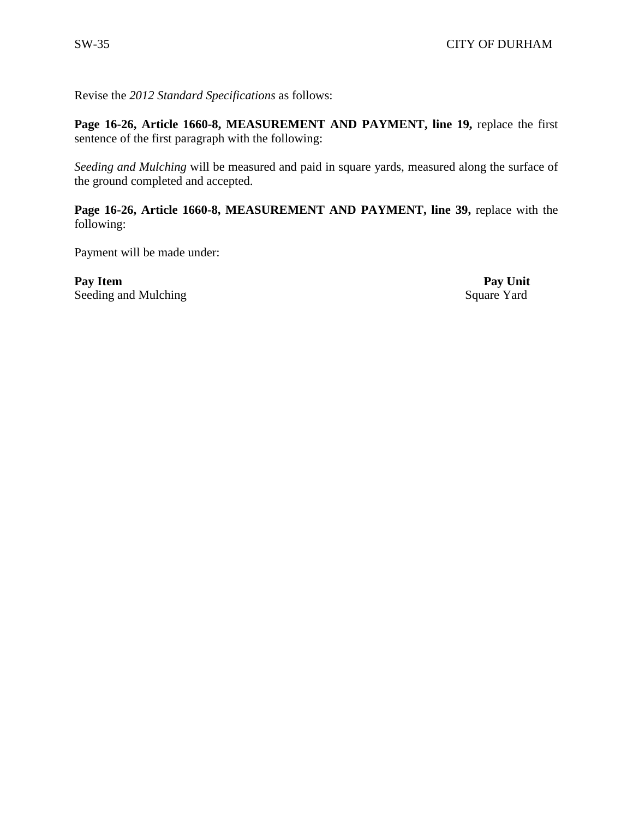Revise the *2012 Standard Specifications* as follows:

**Page 16-26, Article 1660-8, MEASUREMENT AND PAYMENT, line 19,** replace the first sentence of the first paragraph with the following:

*Seeding and Mulching* will be measured and paid in square yards, measured along the surface of the ground completed and accepted.

**Page 16-26, Article 1660-8, MEASUREMENT AND PAYMENT, line 39,** replace with the following:

Payment will be made under:

**Pay Item Pay Unit** Seeding and Mulching Square Yard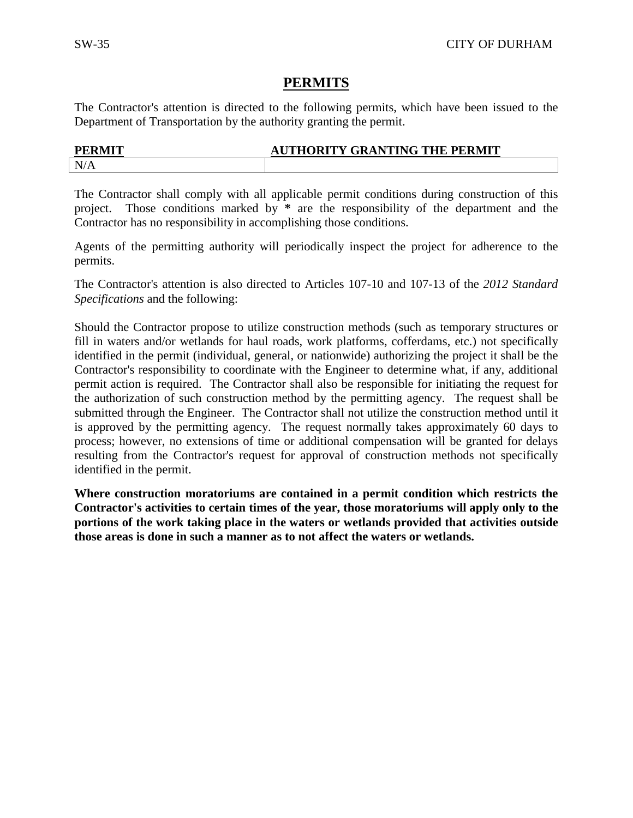### **PERMITS**

The Contractor's attention is directed to the following permits, which have been issued to the Department of Transportation by the authority granting the permit.

| <b>PERMIT</b> | <b>AUTHORITY GRANTING THE PERMIT</b> |
|---------------|--------------------------------------|
| N/            |                                      |

The Contractor shall comply with all applicable permit conditions during construction of this project. Those conditions marked by **\*** are the responsibility of the department and the Contractor has no responsibility in accomplishing those conditions.

Agents of the permitting authority will periodically inspect the project for adherence to the permits.

The Contractor's attention is also directed to Articles 107-10 and 107-13 of the *2012 Standard Specifications* and the following:

Should the Contractor propose to utilize construction methods (such as temporary structures or fill in waters and/or wetlands for haul roads, work platforms, cofferdams, etc.) not specifically identified in the permit (individual, general, or nationwide) authorizing the project it shall be the Contractor's responsibility to coordinate with the Engineer to determine what, if any, additional permit action is required. The Contractor shall also be responsible for initiating the request for the authorization of such construction method by the permitting agency. The request shall be submitted through the Engineer. The Contractor shall not utilize the construction method until it is approved by the permitting agency. The request normally takes approximately 60 days to process; however, no extensions of time or additional compensation will be granted for delays resulting from the Contractor's request for approval of construction methods not specifically identified in the permit.

**Where construction moratoriums are contained in a permit condition which restricts the Contractor's activities to certain times of the year, those moratoriums will apply only to the portions of the work taking place in the waters or wetlands provided that activities outside those areas is done in such a manner as to not affect the waters or wetlands.**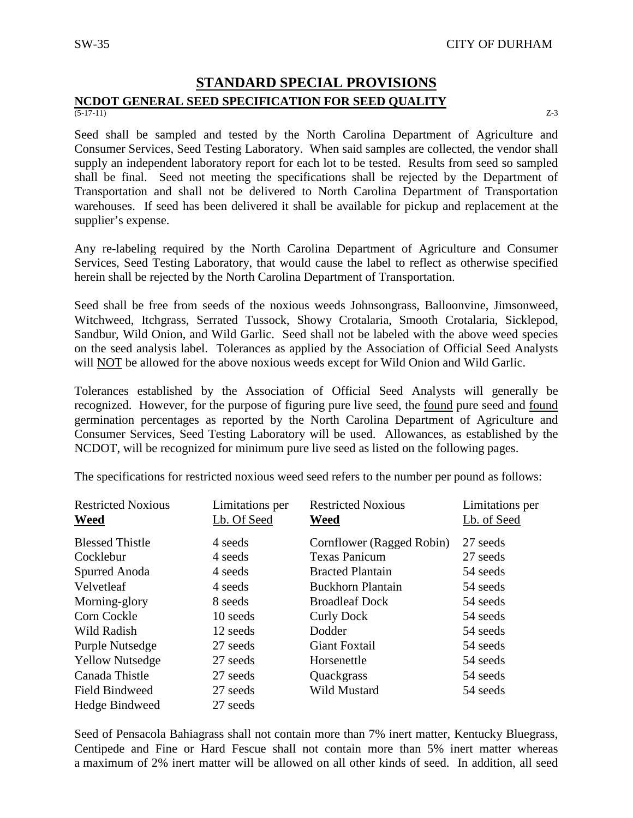#### **STANDARD SPECIAL PROVISIONS NCDOT GENERAL SEED SPECIFICATION FOR SEED QUALITY** (5-17-11)  $(5-17-11)$   $Z-3$

Seed shall be sampled and tested by the North Carolina Department of Agriculture and Consumer Services, Seed Testing Laboratory. When said samples are collected, the vendor shall supply an independent laboratory report for each lot to be tested. Results from seed so sampled shall be final. Seed not meeting the specifications shall be rejected by the Department of Transportation and shall not be delivered to North Carolina Department of Transportation warehouses. If seed has been delivered it shall be available for pickup and replacement at the supplier's expense.

Any re-labeling required by the North Carolina Department of Agriculture and Consumer Services, Seed Testing Laboratory, that would cause the label to reflect as otherwise specified herein shall be rejected by the North Carolina Department of Transportation.

Seed shall be free from seeds of the noxious weeds Johnsongrass, Balloonvine, Jimsonweed, Witchweed, Itchgrass, Serrated Tussock, Showy Crotalaria, Smooth Crotalaria, Sicklepod, Sandbur, Wild Onion, and Wild Garlic. Seed shall not be labeled with the above weed species on the seed analysis label. Tolerances as applied by the Association of Official Seed Analysts will NOT be allowed for the above noxious weeds except for Wild Onion and Wild Garlic.

Tolerances established by the Association of Official Seed Analysts will generally be recognized. However, for the purpose of figuring pure live seed, the found pure seed and found germination percentages as reported by the North Carolina Department of Agriculture and Consumer Services, Seed Testing Laboratory will be used. Allowances, as established by the NCDOT, will be recognized for minimum pure live seed as listed on the following pages.

The specifications for restricted noxious weed seed refers to the number per pound as follows:

| <b>Restricted Noxious</b> | Limitations per | <b>Restricted Noxious</b> | Limitations per |
|---------------------------|-----------------|---------------------------|-----------------|
| <b>Weed</b>               | Lb. Of Seed     | Weed                      | Lb. of Seed     |
| <b>Blessed Thistle</b>    | 4 seeds         | Cornflower (Ragged Robin) | 27 seeds        |
| Cocklebur                 | 4 seeds         | <b>Texas Panicum</b>      | 27 seeds        |
| Spurred Anoda             | 4 seeds         | <b>Bracted Plantain</b>   | 54 seeds        |
| Velvetleaf                | 4 seeds         | <b>Buckhorn Plantain</b>  | 54 seeds        |
| Morning-glory             | 8 seeds         | <b>Broadleaf Dock</b>     | 54 seeds        |
| Corn Cockle               | 10 seeds        | <b>Curly Dock</b>         | 54 seeds        |
| Wild Radish               | 12 seeds        | Dodder                    | 54 seeds        |
| Purple Nutsedge           | 27 seeds        | <b>Giant Foxtail</b>      | 54 seeds        |
| <b>Yellow Nutsedge</b>    | 27 seeds        | Horsenettle               | 54 seeds        |
| Canada Thistle            | 27 seeds        | Quackgrass                | 54 seeds        |
| <b>Field Bindweed</b>     | 27 seeds        | Wild Mustard              | 54 seeds        |
| Hedge Bindweed            | 27 seeds        |                           |                 |

Seed of Pensacola Bahiagrass shall not contain more than 7% inert matter, Kentucky Bluegrass, Centipede and Fine or Hard Fescue shall not contain more than 5% inert matter whereas a maximum of 2% inert matter will be allowed on all other kinds of seed. In addition, all seed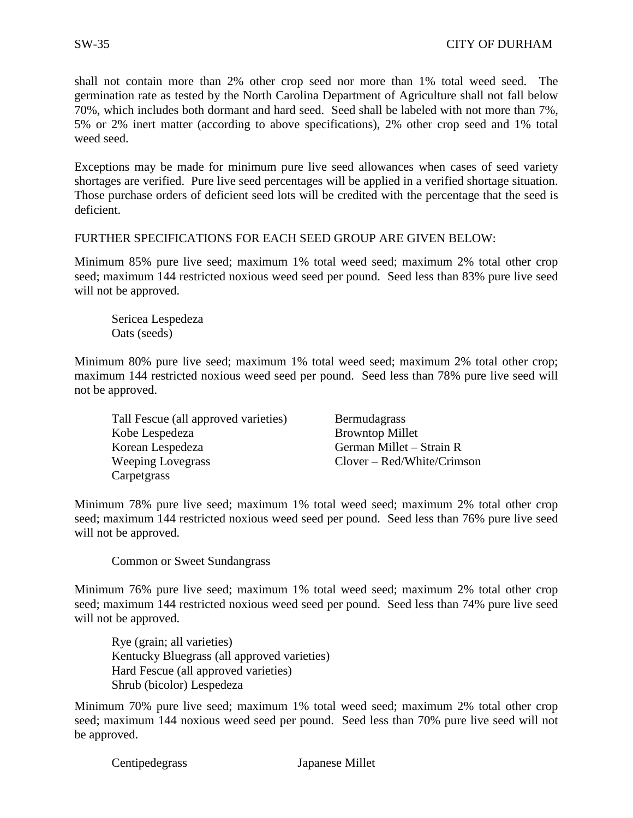shall not contain more than 2% other crop seed nor more than 1% total weed seed. The germination rate as tested by the North Carolina Department of Agriculture shall not fall below 70%, which includes both dormant and hard seed. Seed shall be labeled with not more than 7%, 5% or 2% inert matter (according to above specifications), 2% other crop seed and 1% total weed seed.

Exceptions may be made for minimum pure live seed allowances when cases of seed variety shortages are verified. Pure live seed percentages will be applied in a verified shortage situation. Those purchase orders of deficient seed lots will be credited with the percentage that the seed is deficient.

## FURTHER SPECIFICATIONS FOR EACH SEED GROUP ARE GIVEN BELOW:

Minimum 85% pure live seed; maximum 1% total weed seed; maximum 2% total other crop seed; maximum 144 restricted noxious weed seed per pound. Seed less than 83% pure live seed will not be approved.

Sericea Lespedeza Oats (seeds)

Minimum 80% pure live seed; maximum 1% total weed seed; maximum 2% total other crop; maximum 144 restricted noxious weed seed per pound. Seed less than 78% pure live seed will not be approved.

| Tall Fescue (all approved varieties) | <b>Bermudagrass</b>        |
|--------------------------------------|----------------------------|
| Kobe Lespedeza                       | <b>Browntop Millet</b>     |
| Korean Lespedeza                     | German Millet – Strain R   |
| <b>Weeping Lovegrass</b>             | Clover – Red/White/Crimson |
| Carpetgrass                          |                            |

Minimum 78% pure live seed; maximum 1% total weed seed; maximum 2% total other crop seed; maximum 144 restricted noxious weed seed per pound. Seed less than 76% pure live seed will not be approved.

Common or Sweet Sundangrass

Minimum 76% pure live seed; maximum 1% total weed seed; maximum 2% total other crop seed; maximum 144 restricted noxious weed seed per pound. Seed less than 74% pure live seed will not be approved.

Rye (grain; all varieties) Kentucky Bluegrass (all approved varieties) Hard Fescue (all approved varieties) Shrub (bicolor) Lespedeza

Minimum 70% pure live seed; maximum 1% total weed seed; maximum 2% total other crop seed; maximum 144 noxious weed seed per pound. Seed less than 70% pure live seed will not be approved.

Centipedegrass Japanese Millet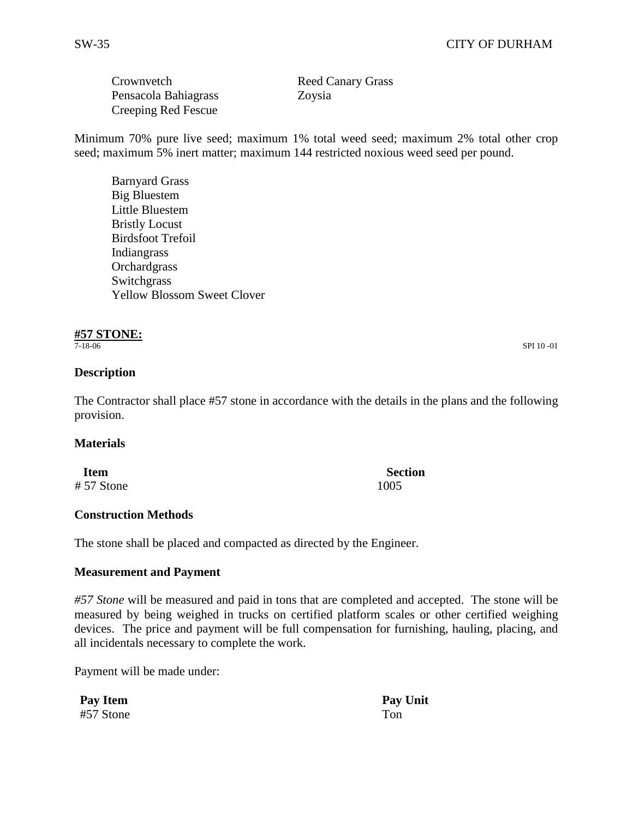Crownvetch Reed Canary Grass Pensacola Bahiagrass Zoysia Creeping Red Fescue

Minimum 70% pure live seed; maximum 1% total weed seed; maximum 2% total other crop seed; maximum 5% inert matter; maximum 144 restricted noxious weed seed per pound.

Barnyard Grass Big Bluestem Little Bluestem Bristly Locust Birdsfoot Trefoil Indiangrass **Orchardgrass Switchgrass** Yellow Blossom Sweet Clover

# **#57 STONE:**

#### **Description**

The Contractor shall place #57 stone in accordance with the details in the plans and the following provision.

#### **Materials**

**Item Section** # 57 Stone 1005

# **Construction Methods**

The stone shall be placed and compacted as directed by the Engineer.

# **Measurement and Payment**

*#57 Stone* will be measured and paid in tons that are completed and accepted. The stone will be measured by being weighed in trucks on certified platform scales or other certified weighing devices. The price and payment will be full compensation for furnishing, hauling, placing, and all incidentals necessary to complete the work.

Payment will be made under:

#57 Stone Ton

**Pay Item Pay Unit**

7-18-06 SPI 10 -01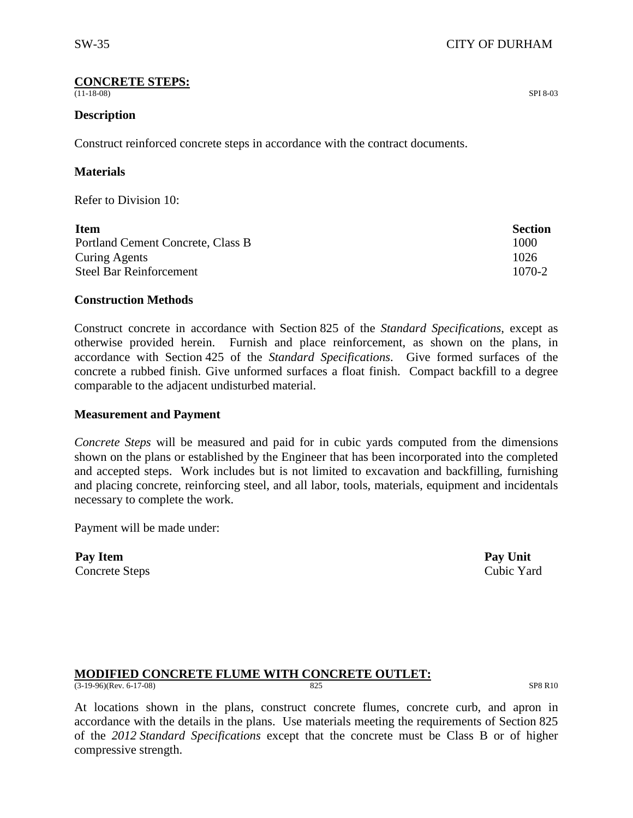# **CONCRETE STEPS:**

(11-18-08) SPI 8-03

#### **Description**

Construct reinforced concrete steps in accordance with the contract documents.

#### **Materials**

Refer to Division 10:

| <b>Item</b>                       | <b>Section</b> |
|-----------------------------------|----------------|
| Portland Cement Concrete, Class B | 1000           |
| <b>Curing Agents</b>              | 1026           |
| <b>Steel Bar Reinforcement</b>    | 1070-2         |

#### **Construction Methods**

Construct concrete in accordance with Section 825 of the *Standard Specifications*, except as otherwise provided herein. Furnish and place reinforcement, as shown on the plans, in accordance with Section 425 of the *Standard Specifications*. Give formed surfaces of the concrete a rubbed finish. Give unformed surfaces a float finish. Compact backfill to a degree comparable to the adjacent undisturbed material.

#### **Measurement and Payment**

*Concrete Steps* will be measured and paid for in cubic yards computed from the dimensions shown on the plans or established by the Engineer that has been incorporated into the completed and accepted steps. Work includes but is not limited to excavation and backfilling, furnishing and placing concrete, reinforcing steel, and all labor, tools, materials, equipment and incidentals necessary to complete the work.

Payment will be made under:

**Pay Item Pay Unit** Concrete Steps Cubic Yard

# **MODIFIED CONCRETE FLUME WITH CONCRETE OUTLET:**<br>(3,19,96)(Rev. 6,17,08)

(3-19-96)(Rev. 6-17-08) 825 SP8 R10

At locations shown in the plans, construct concrete flumes, concrete curb, and apron in accordance with the details in the plans. Use materials meeting the requirements of Section 825 of the *2012 Standard Specifications* except that the concrete must be Class B or of higher compressive strength.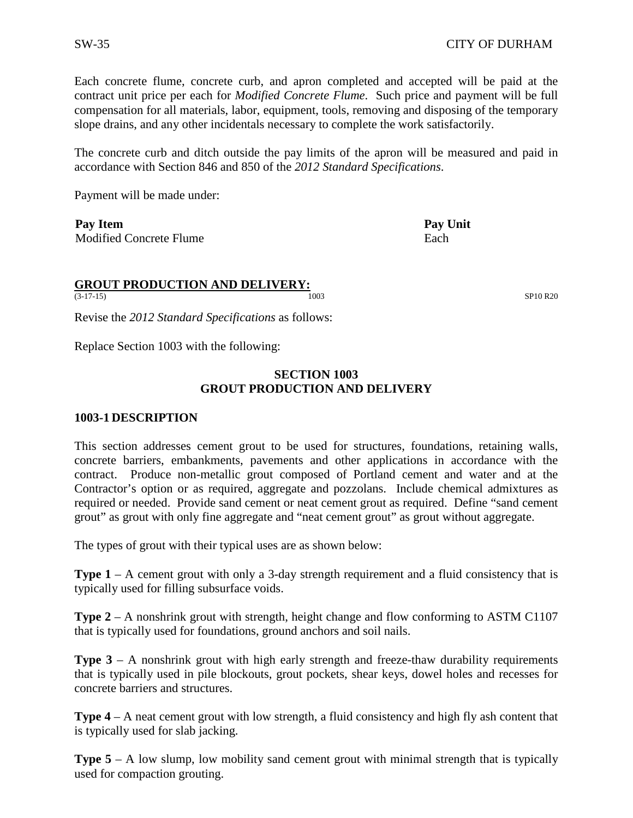Each concrete flume, concrete curb, and apron completed and accepted will be paid at the contract unit price per each for *Modified Concrete Flume*. Such price and payment will be full compensation for all materials, labor, equipment, tools, removing and disposing of the temporary slope drains, and any other incidentals necessary to complete the work satisfactorily.

The concrete curb and ditch outside the pay limits of the apron will be measured and paid in accordance with Section 846 and 850 of the *2012 Standard Specifications*.

Payment will be made under:

**Pay Item Pay Unit** Modified Concrete Flume **Each** 

# **GROUT PRODUCTION AND DELIVERY:**<br>(3-17-15)

(3-17-15) 1003 SP10 R20

Revise the *2012 Standard Specifications* as follows:

Replace Section 1003 with the following:

## **SECTION 1003 GROUT PRODUCTION AND DELIVERY**

#### **1003-1 DESCRIPTION**

This section addresses cement grout to be used for structures, foundations, retaining walls, concrete barriers, embankments, pavements and other applications in accordance with the contract. Produce non-metallic grout composed of Portland cement and water and at the Contractor's option or as required, aggregate and pozzolans. Include chemical admixtures as required or needed. Provide sand cement or neat cement grout as required. Define "sand cement grout" as grout with only fine aggregate and "neat cement grout" as grout without aggregate.

The types of grout with their typical uses are as shown below:

**Type 1** – A cement grout with only a 3-day strength requirement and a fluid consistency that is typically used for filling subsurface voids.

**Type 2** – A nonshrink grout with strength, height change and flow conforming to ASTM C1107 that is typically used for foundations, ground anchors and soil nails.

**Type 3** – A nonshrink grout with high early strength and freeze-thaw durability requirements that is typically used in pile blockouts, grout pockets, shear keys, dowel holes and recesses for concrete barriers and structures.

**Type 4** – A neat cement grout with low strength, a fluid consistency and high fly ash content that is typically used for slab jacking.

**Type 5** – A low slump, low mobility sand cement grout with minimal strength that is typically used for compaction grouting.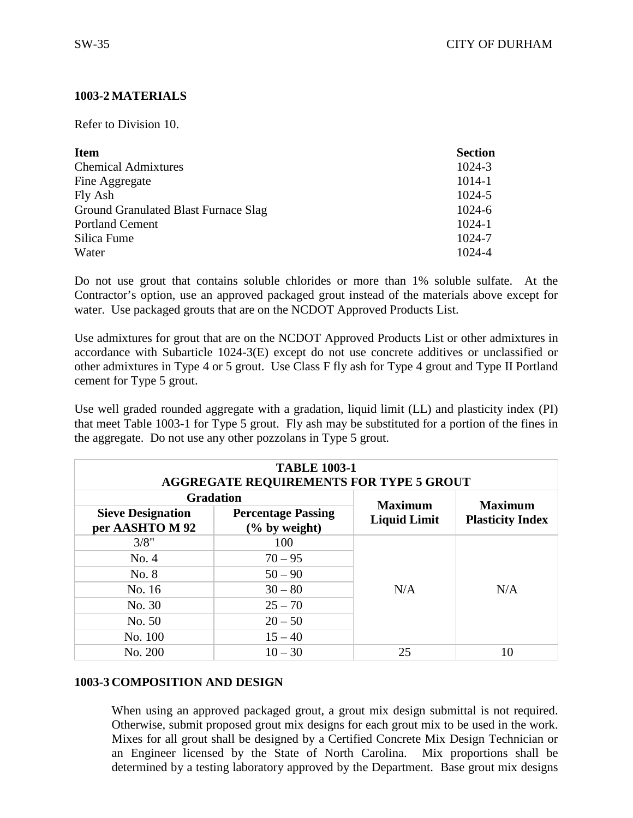# **1003-2 MATERIALS**

Refer to Division 10.

| <b>Item</b>                          | <b>Section</b> |
|--------------------------------------|----------------|
| <b>Chemical Admixtures</b>           | 1024-3         |
| Fine Aggregate                       | 1014-1         |
| Fly Ash                              | 1024-5         |
| Ground Granulated Blast Furnace Slag | $1024 - 6$     |
| <b>Portland Cement</b>               | 1024-1         |
| Silica Fume                          | 1024-7         |
| Water                                | 1024-4         |

Do not use grout that contains soluble chlorides or more than 1% soluble sulfate. At the Contractor's option, use an approved packaged grout instead of the materials above except for water. Use packaged grouts that are on the NCDOT Approved Products List.

Use admixtures for grout that are on the NCDOT Approved Products List or other admixtures in accordance with Subarticle 1024-3(E) except do not use concrete additives or unclassified or other admixtures in Type 4 or 5 grout. Use Class F fly ash for Type 4 grout and Type II Portland cement for Type 5 grout.

Use well graded rounded aggregate with a gradation, liquid limit (LL) and plasticity index (PI) that meet Table 1003-1 for Type 5 grout. Fly ash may be substituted for a portion of the fines in the aggregate. Do not use any other pozzolans in Type 5 grout.

| <b>TABLE 1003-1</b><br><b>AGGREGATE REQUIREMENTS FOR TYPE 5 GROUT</b>                        |           |                     |                         |  |
|----------------------------------------------------------------------------------------------|-----------|---------------------|-------------------------|--|
| <b>Gradation</b>                                                                             |           | <b>Maximum</b>      | <b>Maximum</b>          |  |
| <b>Percentage Passing</b><br><b>Sieve Designation</b><br>per AASHTO M 92<br>$(\%$ by weight) |           | <b>Liquid Limit</b> | <b>Plasticity Index</b> |  |
| 3/8"                                                                                         | 100       |                     | N/A                     |  |
| No. 4                                                                                        | $70 - 95$ |                     |                         |  |
| No. 8                                                                                        | $50 - 90$ |                     |                         |  |
| No. 16                                                                                       | $30 - 80$ | N/A                 |                         |  |
| No. 30                                                                                       | $25 - 70$ |                     |                         |  |
| No. 50                                                                                       | $20 - 50$ |                     |                         |  |
| No. 100                                                                                      | $15 - 40$ |                     |                         |  |
| No. 200                                                                                      | $10 - 30$ | 25                  | 10                      |  |

# **1003-3 COMPOSITION AND DESIGN**

When using an approved packaged grout, a grout mix design submittal is not required. Otherwise, submit proposed grout mix designs for each grout mix to be used in the work. Mixes for all grout shall be designed by a Certified Concrete Mix Design Technician or an Engineer licensed by the State of North Carolina. Mix proportions shall be determined by a testing laboratory approved by the Department. Base grout mix designs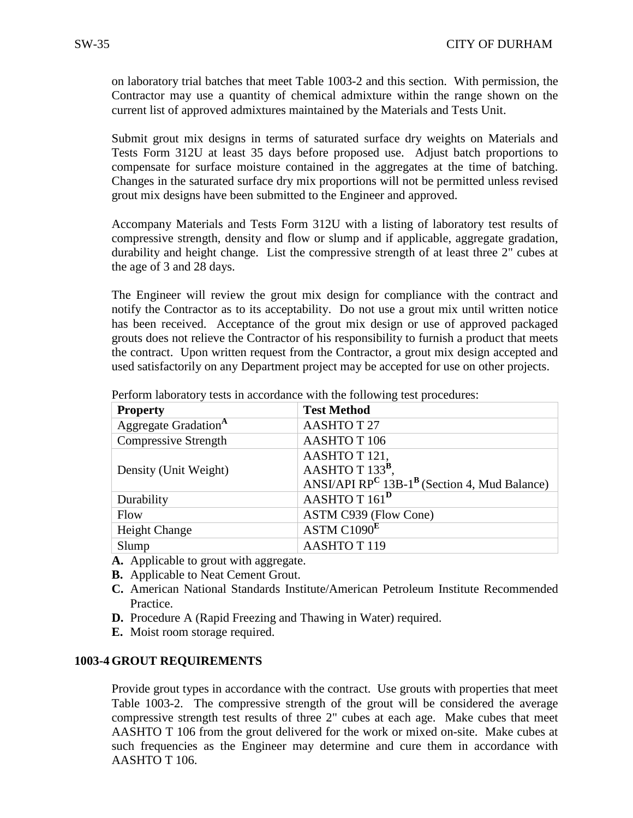on laboratory trial batches that meet Table 1003-2 and this section. With permission, the Contractor may use a quantity of chemical admixture within the range shown on the current list of approved admixtures maintained by the Materials and Tests Unit.

Submit grout mix designs in terms of saturated surface dry weights on Materials and Tests Form 312U at least 35 days before proposed use. Adjust batch proportions to compensate for surface moisture contained in the aggregates at the time of batching. Changes in the saturated surface dry mix proportions will not be permitted unless revised grout mix designs have been submitted to the Engineer and approved.

Accompany Materials and Tests Form 312U with a listing of laboratory test results of compressive strength, density and flow or slump and if applicable, aggregate gradation, durability and height change. List the compressive strength of at least three 2" cubes at the age of 3 and 28 days.

The Engineer will review the grout mix design for compliance with the contract and notify the Contractor as to its acceptability. Do not use a grout mix until written notice has been received. Acceptance of the grout mix design or use of approved packaged grouts does not relieve the Contractor of his responsibility to furnish a product that meets the contract. Upon written request from the Contractor, a grout mix design accepted and used satisfactorily on any Department project may be accepted for use on other projects.

| <b>Property</b>                  | <b>Test Method</b>                                                   |
|----------------------------------|----------------------------------------------------------------------|
| Aggregate Gradation <sup>A</sup> | <b>AASHTOT27</b>                                                     |
| <b>Compressive Strength</b>      | AASHTOT <sub>106</sub>                                               |
|                                  | AASHTO T 121,                                                        |
| Density (Unit Weight)            | AASHTO T $133^{\overline{B}}$ ,                                      |
|                                  | ANSI/API RP <sup>C</sup> 13B-1 <sup>B</sup> (Section 4, Mud Balance) |
| Durability                       | AASHTO T 161 <sup>D</sup>                                            |
| Flow                             | ASTM C939 (Flow Cone)                                                |
| <b>Height Change</b>             | ASTM C1090 <sup>E</sup>                                              |
| Slump                            | <b>AASHTOT119</b>                                                    |

Perform laboratory tests in accordance with the following test procedures:

- **A.** Applicable to grout with aggregate.
- **B.** Applicable to Neat Cement Grout.
- **C.** American National Standards Institute/American Petroleum Institute Recommended Practice.
- **D.** Procedure A (Rapid Freezing and Thawing in Water) required.
- **E.** Moist room storage required.

#### **1003-4 GROUT REQUIREMENTS**

Provide grout types in accordance with the contract. Use grouts with properties that meet Table 1003-2. The compressive strength of the grout will be considered the average compressive strength test results of three 2" cubes at each age. Make cubes that meet AASHTO T 106 from the grout delivered for the work or mixed on-site. Make cubes at such frequencies as the Engineer may determine and cure them in accordance with AASHTO T 106.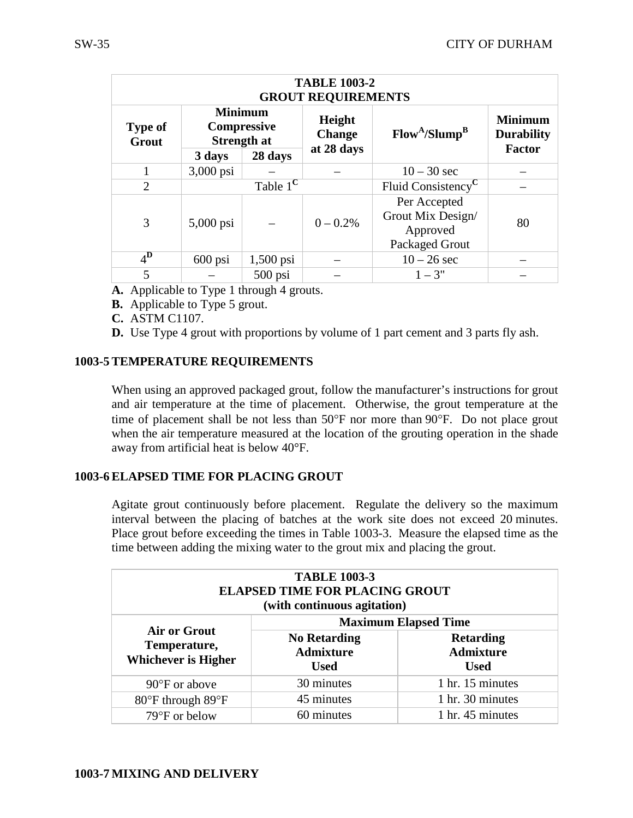| <b>TABLE 1003-2</b><br><b>GROUT REQUIREMENTS</b> |                                                            |             |                                |                                                                 |                                                      |
|--------------------------------------------------|------------------------------------------------------------|-------------|--------------------------------|-----------------------------------------------------------------|------------------------------------------------------|
| <b>Type of</b><br>Grout                          | <b>Minimum</b><br><b>Compressive</b><br><b>Strength at</b> |             | Height<br><b>Change</b>        |                                                                 | <b>Minimum</b><br><b>Durability</b><br><b>Factor</b> |
|                                                  | 3 days                                                     | 28 days     | at 28 days                     |                                                                 |                                                      |
|                                                  | 3,000 psi                                                  |             |                                | $10 - 30$ sec                                                   |                                                      |
| $\overline{2}$                                   | Table $1^{\mathbf{C}}$                                     |             | Fluid Consistency <sup>C</sup> |                                                                 |                                                      |
| 3                                                | 5,000 psi                                                  |             | $0 - 0.2%$                     | Per Accepted<br>Grout Mix Design/<br>Approved<br>Packaged Grout | 80                                                   |
| $\overline{4^{\mathbf{D}}}$                      | $600$ psi                                                  | $1,500$ psi |                                | $10 - 26$ sec                                                   |                                                      |
| 5                                                |                                                            | $500$ psi   |                                | $1 - 3"$                                                        |                                                      |

- **A.** Applicable to Type 1 through 4 grouts.
- **B.** Applicable to Type 5 grout.
- **C.** ASTM C1107.
- **D.** Use Type 4 grout with proportions by volume of 1 part cement and 3 parts fly ash.

## **1003-5 TEMPERATURE REQUIREMENTS**

When using an approved packaged grout, follow the manufacturer's instructions for grout and air temperature at the time of placement. Otherwise, the grout temperature at the time of placement shall be not less than 50°F nor more than 90°F. Do not place grout when the air temperature measured at the location of the grouting operation in the shade away from artificial heat is below 40°F.

# **1003-6 ELAPSED TIME FOR PLACING GROUT**

Agitate grout continuously before placement. Regulate the delivery so the maximum interval between the placing of batches at the work site does not exceed 20 minutes. Place grout before exceeding the times in Table 1003-3. Measure the elapsed time as the time between adding the mixing water to the grout mix and placing the grout.

| <b>TABLE 1003-3</b><br><b>ELAPSED TIME FOR PLACING GROUT</b><br>(with continuous agitation) |                                                        |                                                     |  |  |
|---------------------------------------------------------------------------------------------|--------------------------------------------------------|-----------------------------------------------------|--|--|
|                                                                                             | <b>Maximum Elapsed Time</b>                            |                                                     |  |  |
| Air or Grout<br>Temperature,<br><b>Whichever is Higher</b>                                  | <b>No Retarding</b><br><b>Admixture</b><br><b>Used</b> | <b>Retarding</b><br><b>Admixture</b><br><b>Used</b> |  |  |
| $90^{\circ}$ F or above                                                                     | 30 minutes                                             | 1 hr. 15 minutes                                    |  |  |
| 80°F through 89°F                                                                           | 45 minutes                                             | 1 hr. 30 minutes                                    |  |  |
| 79°F or below                                                                               | 60 minutes                                             | 1 hr. 45 minutes                                    |  |  |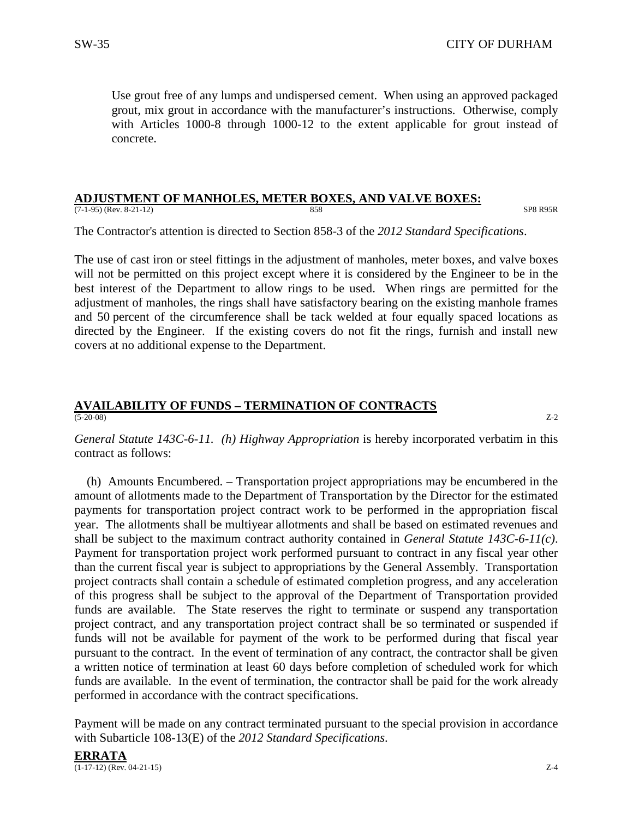Use grout free of any lumps and undispersed cement. When using an approved packaged grout, mix grout in accordance with the manufacturer's instructions. Otherwise, comply with Articles 1000-8 through 1000-12 to the extent applicable for grout instead of concrete.

#### **ADJUSTMENT OF MANHOLES, METER BOXES, AND VALVE BOXES:**

(7-1-95) (Rev. 8-21-12) 858 SP8 R95R

The Contractor's attention is directed to Section 858-3 of the *2012 Standard Specifications*.

The use of cast iron or steel fittings in the adjustment of manholes, meter boxes, and valve boxes will not be permitted on this project except where it is considered by the Engineer to be in the best interest of the Department to allow rings to be used. When rings are permitted for the adjustment of manholes, the rings shall have satisfactory bearing on the existing manhole frames and 50 percent of the circumference shall be tack welded at four equally spaced locations as directed by the Engineer. If the existing covers do not fit the rings, furnish and install new covers at no additional expense to the Department.

#### **AVAILABILITY OF FUNDS – TERMINATION OF CONTRACTS** (5-20-08) Z-2

*General Statute 143C-6-11. (h) Highway Appropriation* is hereby incorporated verbatim in this contract as follows:

 (h) Amounts Encumbered. – Transportation project appropriations may be encumbered in the amount of allotments made to the Department of Transportation by the Director for the estimated payments for transportation project contract work to be performed in the appropriation fiscal year. The allotments shall be multiyear allotments and shall be based on estimated revenues and shall be subject to the maximum contract authority contained in *General Statute 143C-6-11(c)*. Payment for transportation project work performed pursuant to contract in any fiscal year other than the current fiscal year is subject to appropriations by the General Assembly. Transportation project contracts shall contain a schedule of estimated completion progress, and any acceleration of this progress shall be subject to the approval of the Department of Transportation provided funds are available. The State reserves the right to terminate or suspend any transportation project contract, and any transportation project contract shall be so terminated or suspended if funds will not be available for payment of the work to be performed during that fiscal year pursuant to the contract. In the event of termination of any contract, the contractor shall be given a written notice of termination at least 60 days before completion of scheduled work for which funds are available. In the event of termination, the contractor shall be paid for the work already performed in accordance with the contract specifications.

Payment will be made on any contract terminated pursuant to the special provision in accordance with Subarticle 108-13(E) of the *2012 Standard Specifications*.

**ERRATA**  $(1-17-12)$  (Rev. 04-21-15)  $Z-4$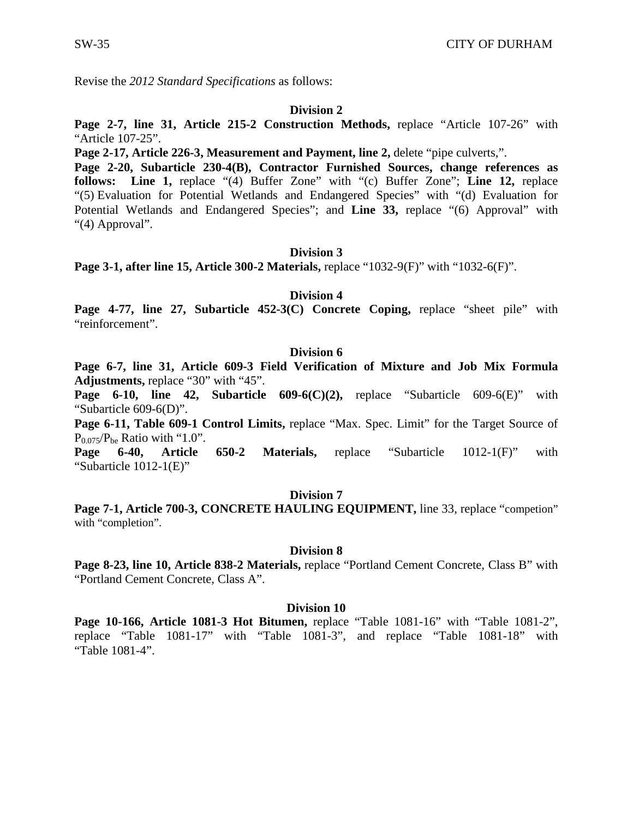Revise the *2012 Standard Specifications* as follows:

## **Division 2**

**Page 2-7, line 31, Article 215-2 Construction Methods,** replace "Article 107-26" with "Article 107-25".

**Page 2-17, Article 226-3, Measurement and Payment, line 2,** delete "pipe culverts,".

**Page 2-20, Subarticle 230-4(B), Contractor Furnished Sources, change references as follows: Line 1,** replace "(4) Buffer Zone" with "(c) Buffer Zone"; **Line 12,** replace "(5) Evaluation for Potential Wetlands and Endangered Species" with "(d) Evaluation for Potential Wetlands and Endangered Species"; and **Line 33,** replace "(6) Approval" with "(4) Approval".

## **Division 3**

**Page 3-1, after line 15, Article 300-2 Materials,** replace "1032-9(F)" with "1032-6(F)".

#### **Division 4**

**Page 4-77, line 27, Subarticle 452-3(C) Concrete Coping, replace "sheet pile" with** "reinforcement".

#### **Division 6**

**Page 6-7, line 31, Article 609-3 Field Verification of Mixture and Job Mix Formula Adjustments,** replace "30" with "45".

**Page 6-10, line 42, Subarticle 609-6(C)(2), replace "Subarticle 609-6(E)" with** "Subarticle 609-6(D)".

**Page 6-11, Table 609-1 Control Limits,** replace "Max. Spec. Limit" for the Target Source of  $P_{0.075}/P_{be}$  Ratio with "1.0".

**Page 6-40, Article 650-2 Materials,** replace "Subarticle 1012-1(F)" with "Subarticle 1012-1(E)"

#### **Division 7**

Page 7-1, Article 700-3, CONCRETE HAULING EQUIPMENT, line 33, replace "competion" with "completion".

#### **Division 8**

**Page 8-23, line 10, Article 838-2 Materials,** replace "Portland Cement Concrete, Class B" with "Portland Cement Concrete, Class A".

#### **Division 10**

**Page 10-166, Article 1081-3 Hot Bitumen,** replace "Table 1081-16" with "Table 1081-2", replace "Table 1081-17" with "Table 1081-3", and replace "Table 1081-18" with "Table 1081-4".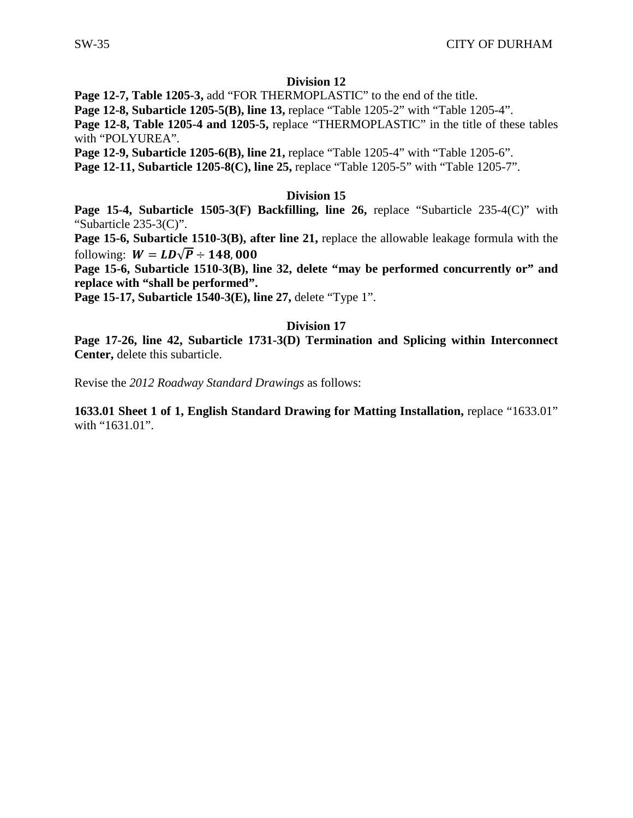## **Division 12**

**Page 12-7, Table 1205-3, add "FOR THERMOPLASTIC"** to the end of the title.

**Page 12-8, Subarticle 1205-5(B), line 13, replace "Table 1205-2" with "Table 1205-4".** 

**Page 12-8, Table 1205-4 and 1205-5,** replace "THERMOPLASTIC" in the title of these tables with "POLYUREA".

**Page 12-9, Subarticle 1205-6(B), line 21, replace "Table 1205-4" with "Table 1205-6".** 

**Page 12-11, Subarticle 1205-8(C), line 25, replace "Table 1205-5" with "Table 1205-7".** 

#### **Division 15**

Page 15-4, Subarticle 1505-3(F) Backfilling, line 26, replace "Subarticle 235-4(C)" with "Subarticle 235-3(C)".

Page 15-6, Subarticle 1510-3(B), after line 21, replace the allowable leakage formula with the following:  $W = LD\sqrt{P} \div 148.000$ 

Page 15-6, Subarticle 1510-3(B), line 32, delete "may be performed concurrently or" and **replace with "shall be performed".**

**Page 15-17, Subarticle 1540-3(E), line 27,** delete "Type 1".

## **Division 17**

**Page 17-26, line 42, Subarticle 1731-3(D) Termination and Splicing within Interconnect Center,** delete this subarticle.

Revise the *2012 Roadway Standard Drawings* as follows:

**1633.01 Sheet 1 of 1, English Standard Drawing for Matting Installation,** replace "1633.01" with "1631.01".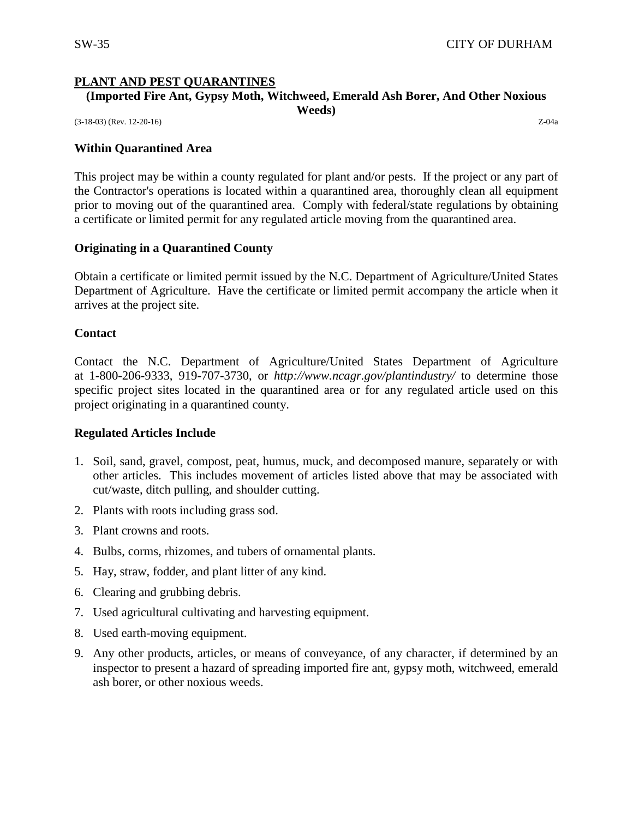#### **PLANT AND PEST QUARANTINES (Imported Fire Ant, Gypsy Moth, Witchweed, Emerald Ash Borer, And Other Noxious**

(3-18-03) (Rev. 12-20-16) Z-04a

#### **Within Quarantined Area**

This project may be within a county regulated for plant and/or pests. If the project or any part of the Contractor's operations is located within a quarantined area, thoroughly clean all equipment prior to moving out of the quarantined area. Comply with federal/state regulations by obtaining a certificate or limited permit for any regulated article moving from the quarantined area.

**Weeds)**

#### **Originating in a Quarantined County**

Obtain a certificate or limited permit issued by the N.C. Department of Agriculture/United States Department of Agriculture. Have the certificate or limited permit accompany the article when it arrives at the project site.

#### **Contact**

Contact the N.C. Department of Agriculture/United States Department of Agriculture at 1-800-206-9333, 919-707-3730, or *http://www.ncagr.gov/plantindustry/* to determine those specific project sites located in the quarantined area or for any regulated article used on this project originating in a quarantined county.

#### **Regulated Articles Include**

- 1. Soil, sand, gravel, compost, peat, humus, muck, and decomposed manure, separately or with other articles. This includes movement of articles listed above that may be associated with cut/waste, ditch pulling, and shoulder cutting.
- 2. Plants with roots including grass sod.
- 3. Plant crowns and roots.
- 4. Bulbs, corms, rhizomes, and tubers of ornamental plants.
- 5. Hay, straw, fodder, and plant litter of any kind.
- 6. Clearing and grubbing debris.
- 7. Used agricultural cultivating and harvesting equipment.
- 8. Used earth-moving equipment.
- 9. Any other products, articles, or means of conveyance, of any character, if determined by an inspector to present a hazard of spreading imported fire ant, gypsy moth, witchweed, emerald ash borer, or other noxious weeds.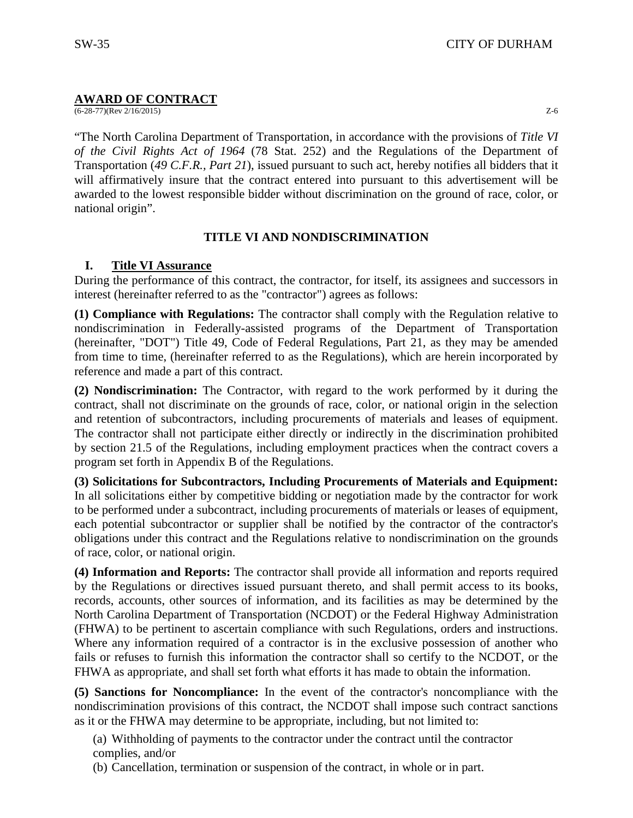# **AWARD OF CONTRACT**

(6-28-77)(Rev 2/16/2015) Z-6

"The North Carolina Department of Transportation, in accordance with the provisions of *Title VI of the Civil Rights Act of 1964* (78 Stat. 252) and the Regulations of the Department of Transportation (*49 C.F.R., Part 21*), issued pursuant to such act, hereby notifies all bidders that it will affirmatively insure that the contract entered into pursuant to this advertisement will be awarded to the lowest responsible bidder without discrimination on the ground of race, color, or national origin".

# **TITLE VI AND NONDISCRIMINATION**

# **I. Title VI Assurance**

During the performance of this contract, the contractor, for itself, its assignees and successors in interest (hereinafter referred to as the "contractor") agrees as follows:

**(1) Compliance with Regulations:** The contractor shall comply with the Regulation relative to nondiscrimination in Federally-assisted programs of the Department of Transportation (hereinafter, "DOT") Title 49, Code of Federal Regulations, Part 21, as they may be amended from time to time, (hereinafter referred to as the Regulations), which are herein incorporated by reference and made a part of this contract.

**(2) Nondiscrimination:** The Contractor, with regard to the work performed by it during the contract, shall not discriminate on the grounds of race, color, or national origin in the selection and retention of subcontractors, including procurements of materials and leases of equipment. The contractor shall not participate either directly or indirectly in the discrimination prohibited by section 21.5 of the Regulations, including employment practices when the contract covers a program set forth in Appendix B of the Regulations.

**(3) Solicitations for Subcontractors, Including Procurements of Materials and Equipment:**  In all solicitations either by competitive bidding or negotiation made by the contractor for work to be performed under a subcontract, including procurements of materials or leases of equipment, each potential subcontractor or supplier shall be notified by the contractor of the contractor's obligations under this contract and the Regulations relative to nondiscrimination on the grounds of race, color, or national origin.

**(4) Information and Reports:** The contractor shall provide all information and reports required by the Regulations or directives issued pursuant thereto, and shall permit access to its books, records, accounts, other sources of information, and its facilities as may be determined by the North Carolina Department of Transportation (NCDOT) or the Federal Highway Administration (FHWA) to be pertinent to ascertain compliance with such Regulations, orders and instructions. Where any information required of a contractor is in the exclusive possession of another who fails or refuses to furnish this information the contractor shall so certify to the NCDOT, or the FHWA as appropriate, and shall set forth what efforts it has made to obtain the information.

**(5) Sanctions for Noncompliance:** In the event of the contractor's noncompliance with the nondiscrimination provisions of this contract, the NCDOT shall impose such contract sanctions as it or the FHWA may determine to be appropriate, including, but not limited to:

(a) Withholding of payments to the contractor under the contract until the contractor complies, and/or

(b) Cancellation, termination or suspension of the contract, in whole or in part.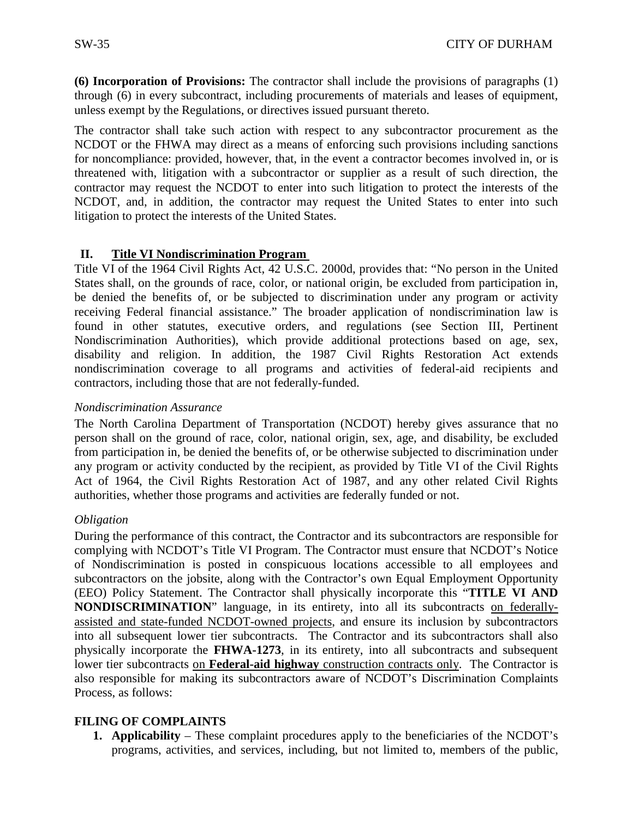**(6) Incorporation of Provisions:** The contractor shall include the provisions of paragraphs (1) through (6) in every subcontract, including procurements of materials and leases of equipment, unless exempt by the Regulations, or directives issued pursuant thereto.

The contractor shall take such action with respect to any subcontractor procurement as the NCDOT or the FHWA may direct as a means of enforcing such provisions including sanctions for noncompliance: provided, however, that, in the event a contractor becomes involved in, or is threatened with, litigation with a subcontractor or supplier as a result of such direction, the contractor may request the NCDOT to enter into such litigation to protect the interests of the NCDOT, and, in addition, the contractor may request the United States to enter into such litigation to protect the interests of the United States.

# **II. Title VI Nondiscrimination Program**

Title VI of the 1964 Civil Rights Act, 42 U.S.C. 2000d, provides that: "No person in the United States shall, on the grounds of race, color, or national origin, be excluded from participation in, be denied the benefits of, or be subjected to discrimination under any program or activity receiving Federal financial assistance." The broader application of nondiscrimination law is found in other statutes, executive orders, and regulations (see Section III, Pertinent Nondiscrimination Authorities), which provide additional protections based on age, sex, disability and religion. In addition, the 1987 Civil Rights Restoration Act extends nondiscrimination coverage to all programs and activities of federal-aid recipients and contractors, including those that are not federally-funded.

## *Nondiscrimination Assurance*

The North Carolina Department of Transportation (NCDOT) hereby gives assurance that no person shall on the ground of race, color, national origin, sex, age, and disability, be excluded from participation in, be denied the benefits of, or be otherwise subjected to discrimination under any program or activity conducted by the recipient, as provided by Title VI of the Civil Rights Act of 1964, the Civil Rights Restoration Act of 1987, and any other related Civil Rights authorities, whether those programs and activities are federally funded or not.

#### *Obligation*

During the performance of this contract, the Contractor and its subcontractors are responsible for complying with NCDOT's Title VI Program. The Contractor must ensure that NCDOT's Notice of Nondiscrimination is posted in conspicuous locations accessible to all employees and subcontractors on the jobsite, along with the Contractor's own Equal Employment Opportunity (EEO) Policy Statement. The Contractor shall physically incorporate this "**TITLE VI AND NONDISCRIMINATION**" language, in its entirety, into all its subcontracts on federallyassisted and state-funded NCDOT-owned projects, and ensure its inclusion by subcontractors into all subsequent lower tier subcontracts. The Contractor and its subcontractors shall also physically incorporate the **FHWA-1273**, in its entirety, into all subcontracts and subsequent lower tier subcontracts on **Federal-aid highway** construction contracts only. The Contractor is also responsible for making its subcontractors aware of NCDOT's Discrimination Complaints Process, as follows:

# **FILING OF COMPLAINTS**

**1. Applicability** – These complaint procedures apply to the beneficiaries of the NCDOT's programs, activities, and services, including, but not limited to, members of the public,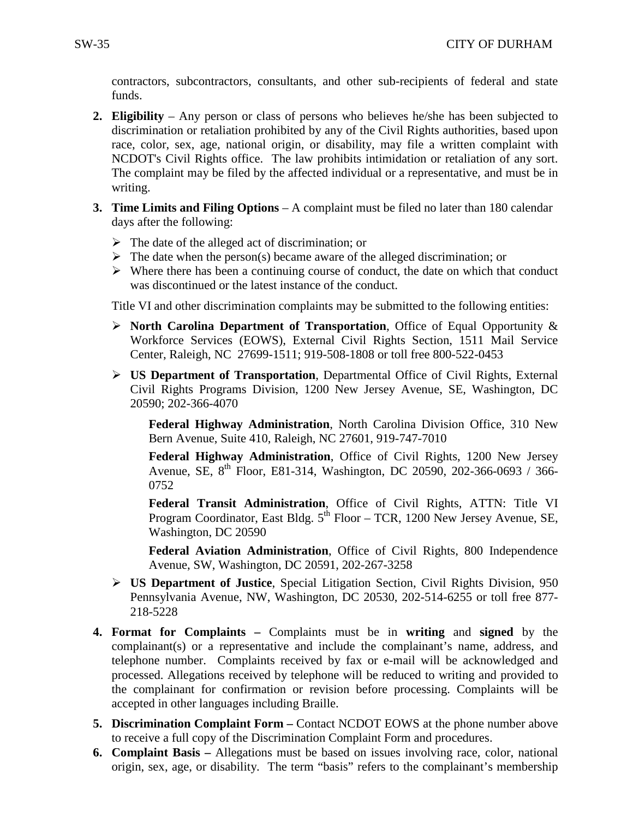contractors, subcontractors, consultants, and other sub-recipients of federal and state funds.

- **2. Eligibility**  Any person or class of persons who believes he/she has been subjected to discrimination or retaliation prohibited by any of the Civil Rights authorities, based upon race, color, sex, age, national origin, or disability, may file a written complaint with NCDOT's Civil Rights office. The law prohibits intimidation or retaliation of any sort. The complaint may be filed by the affected individual or a representative, and must be in writing.
- **3. Time Limits and Filing Options** A complaint must be filed no later than 180 calendar days after the following:
	- $\triangleright$  The date of the alleged act of discrimination; or
	- $\triangleright$  The date when the person(s) became aware of the alleged discrimination; or
	- $\triangleright$  Where there has been a continuing course of conduct, the date on which that conduct was discontinued or the latest instance of the conduct.

Title VI and other discrimination complaints may be submitted to the following entities:

- **North Carolina Department of Transportation**, Office of Equal Opportunity & Workforce Services (EOWS), External Civil Rights Section, 1511 Mail Service Center, Raleigh, NC 27699-1511; 919-508-1808 or toll free 800-522-0453
- **US Department of Transportation**, Departmental Office of Civil Rights, External Civil Rights Programs Division, 1200 New Jersey Avenue, SE, Washington, DC 20590; 202-366-4070

**Federal Highway Administration**, North Carolina Division Office, 310 New Bern Avenue, Suite 410, Raleigh, NC 27601, 919-747-7010

**Federal Highway Administration**, Office of Civil Rights, 1200 New Jersey Avenue, SE, 8<sup>th</sup> Floor, E81-314, Washington, DC 20590, 202-366-0693 / 366-0752

**Federal Transit Administration**, Office of Civil Rights, ATTN: Title VI Program Coordinator, East Bldg.  $5^{th}$  Floor – TCR, 1200 New Jersey Avenue, SE, Washington, DC 20590

**Federal Aviation Administration**, Office of Civil Rights, 800 Independence Avenue, SW, Washington, DC 20591, 202-267-3258

- **US Department of Justice**, Special Litigation Section, Civil Rights Division, 950 Pennsylvania Avenue, NW, Washington, DC 20530, 202-514-6255 or toll free 877- 218-5228
- **4. Format for Complaints –** Complaints must be in **writing** and **signed** by the complainant(s) or a representative and include the complainant's name, address, and telephone number. Complaints received by fax or e-mail will be acknowledged and processed. Allegations received by telephone will be reduced to writing and provided to the complainant for confirmation or revision before processing. Complaints will be accepted in other languages including Braille.
- **5. Discrimination Complaint Form –** Contact NCDOT EOWS at the phone number above to receive a full copy of the Discrimination Complaint Form and procedures.
- **6. Complaint Basis –** Allegations must be based on issues involving race, color, national origin, sex, age, or disability. The term "basis" refers to the complainant's membership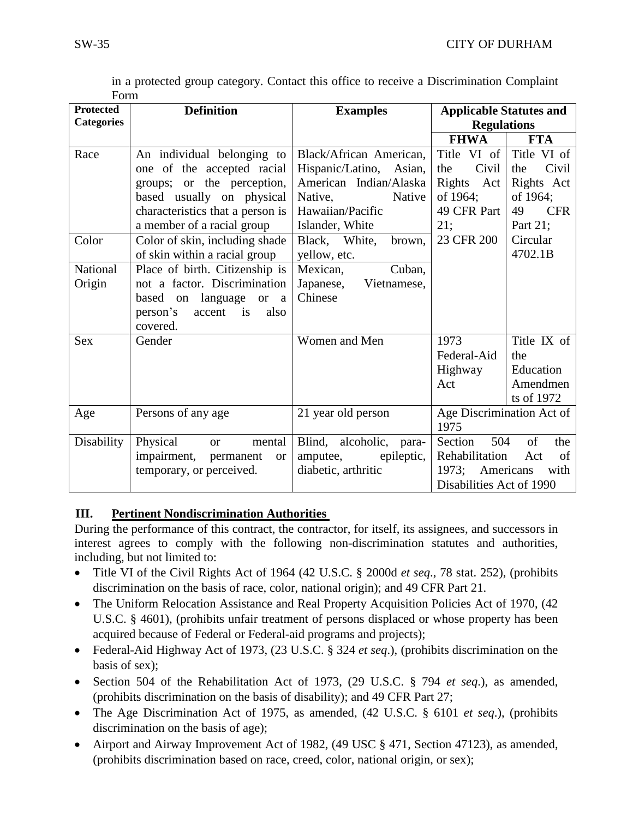in a protected group category. Contact this office to receive a Discrimination Complaint Form

| <b>Protected</b>  | <b>Definition</b>                         | <b>Examples</b>            | <b>Applicable Statutes and</b> |                   |
|-------------------|-------------------------------------------|----------------------------|--------------------------------|-------------------|
| <b>Categories</b> |                                           |                            | <b>Regulations</b>             |                   |
|                   |                                           |                            | <b>FHWA</b>                    | <b>FTA</b>        |
| Race              | An individual belonging to                | Black/African American,    | Title<br>VI of                 | Title VI of       |
|                   | one of the accepted racial                | Hispanic/Latino,<br>Asian, | Civil<br>the                   | Civil<br>the      |
|                   | groups; or the perception,                | American Indian/Alaska     | Rights<br>Act                  | Rights Act        |
|                   | based usually on physical                 | Native,<br>Native          | of 1964;                       | of 1964;          |
|                   | characteristics that a person is          | Hawaiian/Pacific           | 49 CFR Part                    | 49<br><b>CFR</b>  |
|                   | a member of a racial group                | Islander, White            | 21;                            | Part 21;          |
| Color             | Color of skin, including shade            | Black, White,<br>brown.    | 23 CFR 200                     | Circular          |
|                   | of skin within a racial group             | yellow, etc.               |                                | 4702.1B           |
| National          | Place of birth. Citizenship is            | Mexican,<br>Cuban,         |                                |                   |
| Origin            | not a factor. Discrimination              | Vietnamese,<br>Japanese,   |                                |                   |
|                   | on language or<br>based<br>a              | Chinese                    |                                |                   |
|                   | person's<br>is<br>also<br>accent          |                            |                                |                   |
|                   | covered.                                  |                            |                                |                   |
| Sex               | Gender                                    | Women and Men              | 1973                           | Title IX of       |
|                   |                                           |                            | Federal-Aid                    | the               |
|                   |                                           |                            | Highway                        | Education         |
|                   |                                           |                            | Act                            | Amendmen          |
|                   |                                           |                            |                                | ts of 1972        |
| Age               | Persons of any age                        | 21 year old person         | Age Discrimination Act of      |                   |
|                   |                                           |                            | 1975                           |                   |
| Disability        | Physical<br>mental<br><sub>or</sub>       | Blind, alcoholic, para-    | Section<br>504                 | of<br>the         |
|                   | impairment,<br>permanent<br><sub>or</sub> | epileptic,<br>amputee,     | Rehabilitation                 | Act<br>of         |
|                   | temporary, or perceived.                  | diabetic, arthritic        | 1973:                          | Americans<br>with |
|                   |                                           |                            | Disabilities Act of 1990       |                   |

# **III. Pertinent Nondiscrimination Authorities**

During the performance of this contract, the contractor, for itself, its assignees, and successors in interest agrees to comply with the following non-discrimination statutes and authorities, including, but not limited to:

- Title VI of the Civil Rights Act of 1964 (42 U.S.C. § 2000d *et seq*., 78 stat. 252), (prohibits discrimination on the basis of race, color, national origin); and 49 CFR Part 21.
- The Uniform Relocation Assistance and Real Property Acquisition Policies Act of 1970, (42) U.S.C. § 4601), (prohibits unfair treatment of persons displaced or whose property has been acquired because of Federal or Federal-aid programs and projects);
- Federal-Aid Highway Act of 1973, (23 U.S.C. § 324 *et seq*.), (prohibits discrimination on the basis of sex);
- Section 504 of the Rehabilitation Act of 1973, (29 U.S.C. § 794 *et seq*.), as amended, (prohibits discrimination on the basis of disability); and 49 CFR Part 27;
- The Age Discrimination Act of 1975, as amended, (42 U.S.C. § 6101 *et seq*.), (prohibits discrimination on the basis of age);
- Airport and Airway Improvement Act of 1982, (49 USC § 471, Section 47123), as amended, (prohibits discrimination based on race, creed, color, national origin, or sex);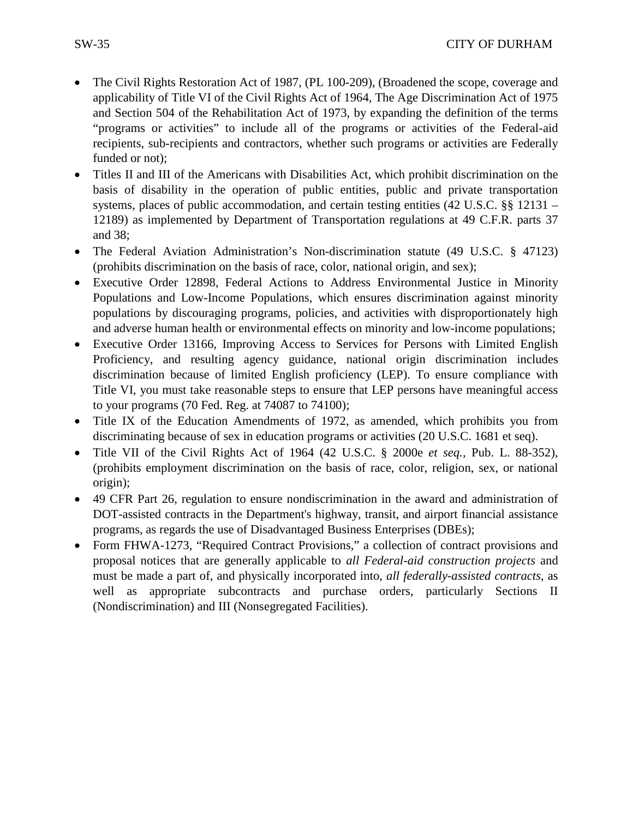- The Civil Rights Restoration Act of 1987, (PL 100-209), (Broadened the scope, coverage and applicability of Title VI of the Civil Rights Act of 1964, The Age Discrimination Act of 1975 and Section 504 of the Rehabilitation Act of 1973, by expanding the definition of the terms "programs or activities" to include all of the programs or activities of the Federal-aid recipients, sub-recipients and contractors, whether such programs or activities are Federally funded or not);
- Titles II and III of the Americans with Disabilities Act, which prohibit discrimination on the basis of disability in the operation of public entities, public and private transportation systems, places of public accommodation, and certain testing entities (42 U.S.C. §§ 12131 – 12189) as implemented by Department of Transportation regulations at 49 C.F.R. parts 37 and 38;
- The Federal Aviation Administration's Non-discrimination statute (49 U.S.C. § 47123) (prohibits discrimination on the basis of race, color, national origin, and sex);
- Executive Order 12898, Federal Actions to Address Environmental Justice in Minority Populations and Low-Income Populations, which ensures discrimination against minority populations by discouraging programs, policies, and activities with disproportionately high and adverse human health or environmental effects on minority and low-income populations;
- Executive Order 13166, Improving Access to Services for Persons with Limited English Proficiency, and resulting agency guidance, national origin discrimination includes discrimination because of limited English proficiency (LEP). To ensure compliance with Title VI, you must take reasonable steps to ensure that LEP persons have meaningful access to your programs (70 Fed. Reg. at 74087 to 74100);
- Title IX of the Education Amendments of 1972, as amended, which prohibits you from discriminating because of sex in education programs or activities (20 U.S.C. 1681 et seq).
- Title VII of the Civil Rights Act of 1964 (42 U.S.C. § 2000e *et seq.,* Pub. L. 88-352), (prohibits employment discrimination on the basis of race, color, religion, sex, or national origin);
- 49 CFR Part 26, regulation to ensure nondiscrimination in the award and administration of DOT-assisted contracts in the Department's highway, transit, and airport financial assistance programs, as regards the use of Disadvantaged Business Enterprises (DBEs);
- Form FHWA-1273, "Required Contract Provisions," a collection of contract provisions and proposal notices that are generally applicable to *all Federal-aid construction projects* and must be made a part of, and physically incorporated into, *all federally-assisted contracts*, as well as appropriate subcontracts and purchase orders, particularly Sections II (Nondiscrimination) and III (Nonsegregated Facilities).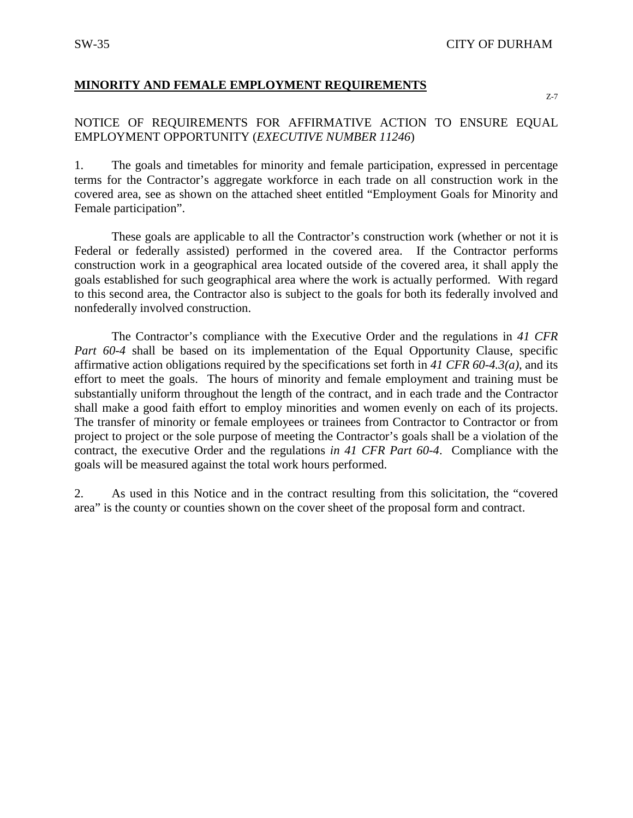## **MINORITY AND FEMALE EMPLOYMENT REQUIREMENTS**

Z-7

NOTICE OF REQUIREMENTS FOR AFFIRMATIVE ACTION TO ENSURE EQUAL EMPLOYMENT OPPORTUNITY (*EXECUTIVE NUMBER 11246*)

1. The goals and timetables for minority and female participation, expressed in percentage terms for the Contractor's aggregate workforce in each trade on all construction work in the covered area, see as shown on the attached sheet entitled "Employment Goals for Minority and Female participation".

These goals are applicable to all the Contractor's construction work (whether or not it is Federal or federally assisted) performed in the covered area. If the Contractor performs construction work in a geographical area located outside of the covered area, it shall apply the goals established for such geographical area where the work is actually performed. With regard to this second area, the Contractor also is subject to the goals for both its federally involved and nonfederally involved construction.

The Contractor's compliance with the Executive Order and the regulations in *41 CFR Part 60-4* shall be based on its implementation of the Equal Opportunity Clause, specific affirmative action obligations required by the specifications set forth in *41 CFR 60-4.3(a)*, and its effort to meet the goals. The hours of minority and female employment and training must be substantially uniform throughout the length of the contract, and in each trade and the Contractor shall make a good faith effort to employ minorities and women evenly on each of its projects. The transfer of minority or female employees or trainees from Contractor to Contractor or from project to project or the sole purpose of meeting the Contractor's goals shall be a violation of the contract, the executive Order and the regulations *in 41 CFR Part 60-4*. Compliance with the goals will be measured against the total work hours performed.

2. As used in this Notice and in the contract resulting from this solicitation, the "covered area" is the county or counties shown on the cover sheet of the proposal form and contract.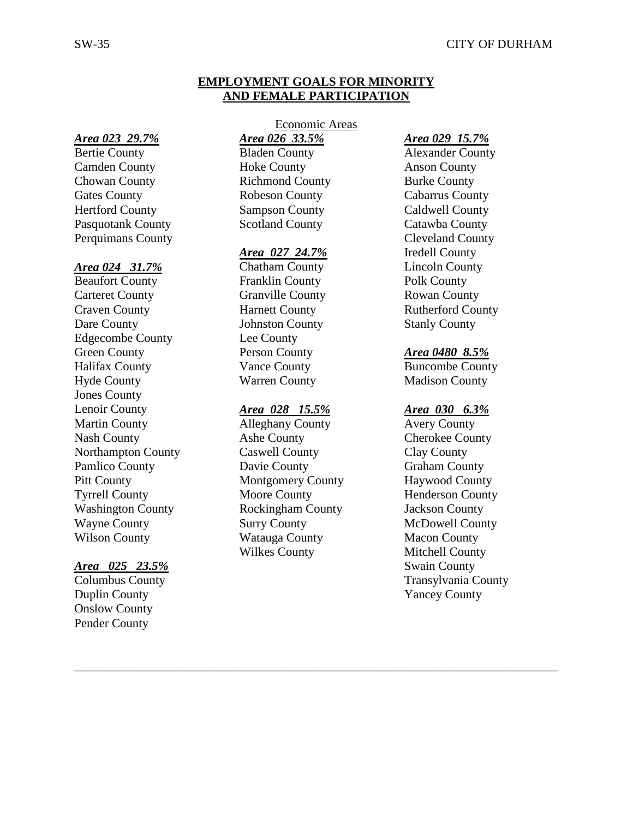#### **SW-35 PHONE CITY OF DURHAM**

#### **EMPLOYMENT GOALS FOR MINORITY AND FEMALE PARTICIPATION**

*Area 023 29.7% Area 026 33.5% Area 029 15.7%*

Camden County Hoke County Anson County Chowan County Richmond County Burke County Gates County **Cabarrus County** Robeson County **Cabarrus County** Hertford County Sampson County Caldwell County Pasquotank County Scotland County Catawba County Perquimans County **Cleveland County** 

#### *Area 024 31.7%* Chatham County Lincoln County

Beaufort County Franklin County Polk County Carteret County Granville County Rowan County Craven County Harnett County Rutherford County Dare County **Stanly County** Johnston County **Stanly County** Edgecombe County Lee County Green County **Person County** *Area 0480 8.5%* Halifax County Vance County Buncombe County Hyde County Warren County Madison County Jones County Lenoir County *Area 028 15.5% Area 030 6.3%* Martin County Alleghany County Avery County Nash County Ashe County Cherokee County Northampton County **Caswell County** Clay County Pamlico County **Davie County** Davie County Graham County Pitt County **Montgomery County** Haywood County Tyrrell County **Moore County** Henderson County Washington County Rockingham County Jackson County Wayne County **Surry County** Surry County **McDowell County** Wilson County **Watauga County** Macon County

#### *Area 025 23.5%* Swain County

Duplin County Yancey County Onslow County Pender County

# Economic Areas

Bertie County **Bladen County Bladen County Alexander County** 

#### *Area 027 24.7%* Iredell County

Wilkes County Mitchell County

\_\_\_\_\_\_\_\_\_\_\_\_\_\_\_\_\_\_\_\_\_\_\_\_\_\_\_\_\_\_\_\_\_\_\_\_\_\_\_\_\_\_\_\_\_\_\_\_\_\_\_\_\_\_\_\_\_\_\_\_\_\_\_\_\_\_\_\_\_\_\_\_\_\_\_\_\_\_

Columbus County Transylvania County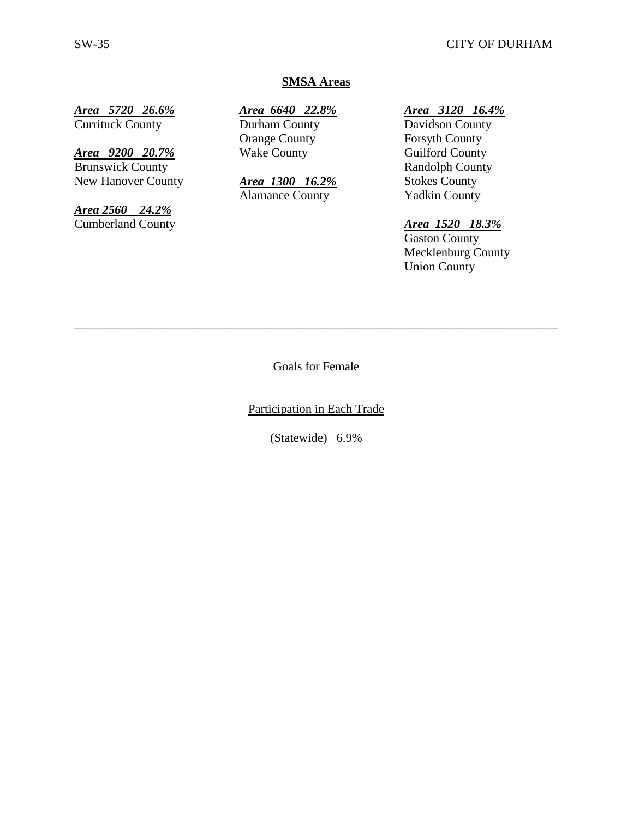#### **SW-35 Participally CITY OF DURHAM**

# **SMSA Areas**

# *Area 5720 26.6% Area 6640 22.8% Area 3120 16.4%*

*Area 9200 20.7%* Brunswick County **Randolph County** Randolph County New Hanover County *Area 1300 16.2%* Stokes County

*Area 2560 24.2%*

Durham County Davidson County Orange County<br>
Wake County<br>
Guilford County<br>
Guilford County

# Alamance County Yadkin County

# Area 1520 18.3%

Gaston County Mecklenburg County Union County

Goals for Female

\_\_\_\_\_\_\_\_\_\_\_\_\_\_\_\_\_\_\_\_\_\_\_\_\_\_\_\_\_\_\_\_\_\_\_\_\_\_\_\_\_\_\_\_\_\_\_\_\_\_\_\_\_\_\_\_\_\_\_\_\_\_\_\_\_\_\_\_\_\_\_\_\_\_\_\_\_\_

Participation in Each Trade

(Statewide) 6.9%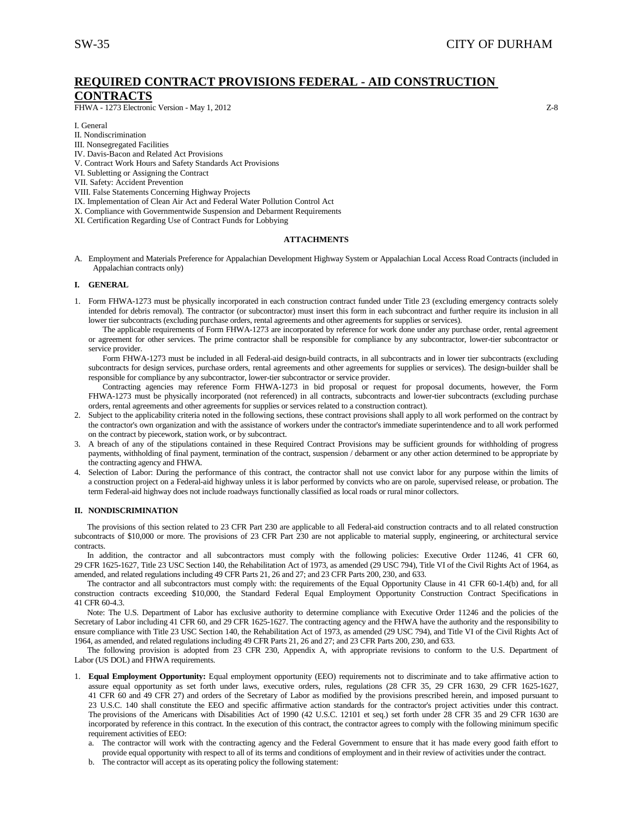#### **REQUIRED CONTRACT PROVISIONS FEDERAL - AID CONSTRUCTION CONTRACTS**

FHWA - 1273 Electronic Version - May 1, 2012 **Z-8** 

I. General

- II. Nondiscrimination
- III. Nonsegregated Facilities
- IV. Davis-Bacon and Related Act Provisions
- V. Contract Work Hours and Safety Standards Act Provisions
- VI. Subletting or Assigning the Contract
- VII. Safety: Accident Prevention
- VIII. False Statements Concerning Highway Projects
- IX. Implementation of Clean Air Act and Federal Water Pollution Control Act
- X. Compliance with Governmentwide Suspension and Debarment Requirements
- XI. Certification Regarding Use of Contract Funds for Lobbying

#### **ATTACHMENTS**

A. Employment and Materials Preference for Appalachian Development Highway System or Appalachian Local Access Road Contracts (included in Appalachian contracts only)

#### **I. GENERAL**

1. Form FHWA-1273 must be physically incorporated in each construction contract funded under Title 23 (excluding emergency contracts solely intended for debris removal). The contractor (or subcontractor) must insert this form in each subcontract and further require its inclusion in all lower tier subcontracts (excluding purchase orders, rental agreements and other agreements for supplies or services).

The applicable requirements of Form FHWA-1273 are incorporated by reference for work done under any purchase order, rental agreement or agreement for other services. The prime contractor shall be responsible for compliance by any subcontractor, lower-tier subcontractor or service provider.

Form FHWA-1273 must be included in all Federal-aid design-build contracts, in all subcontracts and in lower tier subcontracts (excluding subcontracts for design services, purchase orders, rental agreements and other agreements for supplies or services). The design-builder shall be responsible for compliance by any subcontractor, lower-tier subcontractor or service provider.

Contracting agencies may reference Form FHWA-1273 in bid proposal or request for proposal documents, however, the Form FHWA-1273 must be physically incorporated (not referenced) in all contracts, subcontracts and lower-tier subcontracts (excluding purchase orders, rental agreements and other agreements for supplies or services related to a construction contract).

- 2. Subject to the applicability criteria noted in the following sections, these contract provisions shall apply to all work performed on the contract by the contractor's own organization and with the assistance of workers under the contractor's immediate superintendence and to all work performed on the contract by piecework, station work, or by subcontract.
- 3. A breach of any of the stipulations contained in these Required Contract Provisions may be sufficient grounds for withholding of progress payments, withholding of final payment, termination of the contract, suspension / debarment or any other action determined to be appropriate by the contracting agency and FHWA.
- 4. Selection of Labor: During the performance of this contract, the contractor shall not use convict labor for any purpose within the limits of a construction project on a Federal-aid highway unless it is labor performed by convicts who are on parole, supervised release, or probation. The term Federal-aid highway does not include roadways functionally classified as local roads or rural minor collectors.

#### **II. NONDISCRIMINATION**

The provisions of this section related to 23 CFR Part 230 are applicable to all Federal-aid construction contracts and to all related construction subcontracts of \$10,000 or more. The provisions of 23 CFR Part 230 are not applicable to material supply, engineering, or architectural service contracts.

In addition, the contractor and all subcontractors must comply with the following policies: Executive Order 11246, 41 CFR 60, 29 CFR 1625-1627, Title 23 USC Section 140, the Rehabilitation Act of 1973, as amended (29 USC 794), Title VI of the Civil Rights Act of 1964, as amended, and related regulations including 49 CFR Parts 21, 26 and 27; and 23 CFR Parts 200, 230, and 633.

The contractor and all subcontractors must comply with: the requirements of the Equal Opportunity Clause in 41 CFR 60-1.4(b) and, for all construction contracts exceeding \$10,000, the Standard Federal Equal Employment Opportunity Construction Contract Specifications in 41 CFR 60-4.3.

Note: The U.S. Department of Labor has exclusive authority to determine compliance with Executive Order 11246 and the policies of the Secretary of Labor including 41 CFR 60, and 29 CFR 1625-1627. The contracting agency and the FHWA have the authority and the responsibility to ensure compliance with Title 23 USC Section 140, the Rehabilitation Act of 1973, as amended (29 USC 794), and Title VI of the Civil Rights Act of 1964, as amended, and related regulations including 49 CFR Parts 21, 26 and 27; and 23 CFR Parts 200, 230, and 633.

The following provision is adopted from 23 CFR 230, Appendix A, with appropriate revisions to conform to the U.S. Department of Labor (US DOL) and FHWA requirements.

- 1. **Equal Employment Opportunity:** Equal employment opportunity (EEO) requirements not to discriminate and to take affirmative action to assure equal opportunity as set forth under laws, executive orders, rules, regulations (28 CFR 35, 29 CFR 1630, 29 CFR 1625-1627, 41 CFR 60 and 49 CFR 27) and orders of the Secretary of Labor as modified by the provisions prescribed herein, and imposed pursuant to 23 U.S.C. 140 shall constitute the EEO and specific affirmative action standards for the contractor's project activities under this contract. The provisions of the Americans with Disabilities Act of 1990 (42 U.S.C. 12101 et seq.) set forth under 28 CFR 35 and 29 CFR 1630 are incorporated by reference in this contract. In the execution of this contract, the contractor agrees to comply with the following minimum specific requirement activities of EEO:
	- a. The contractor will work with the contracting agency and the Federal Government to ensure that it has made every good faith effort to provide equal opportunity with respect to all of its terms and conditions of employment and in their review of activities under the contract.
	- b. The contractor will accept as its operating policy the following statement: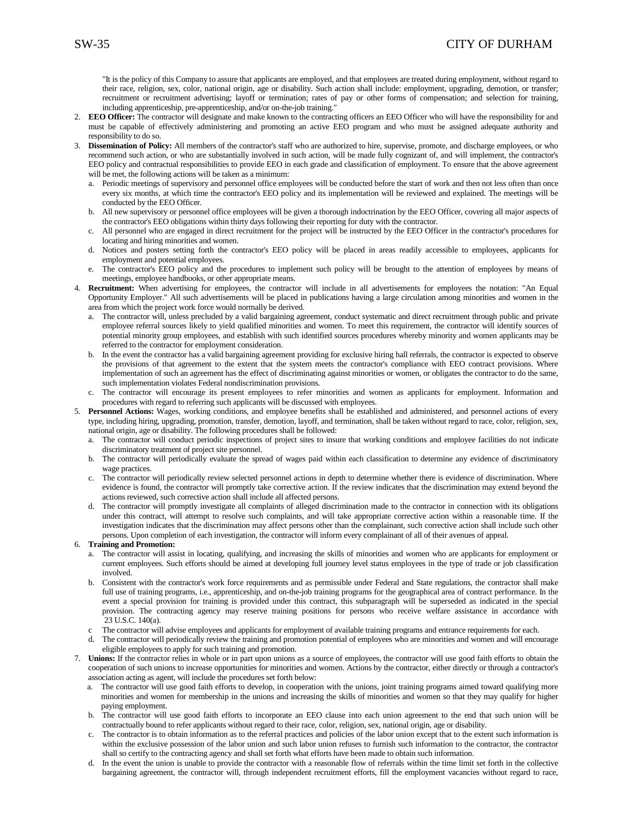#### **SW-35 PHONE CITY OF DURHAM**

"It is the policy of this Company to assure that applicants are employed, and that employees are treated during employment, without regard to their race, religion, sex, color, national origin, age or disability. Such action shall include: employment, upgrading, demotion, or transfer; recruitment or recruitment advertising; layoff or termination; rates of pay or other forms of compensation; and selection for training, including apprenticeship, pre-apprenticeship, and/or on-the-job training."

- 2. **EEO Officer:** The contractor will designate and make known to the contracting officers an EEO Officer who will have the responsibility for and must be capable of effectively administering and promoting an active EEO program and who must be assigned adequate authority and responsibility to do so.
- 3. **Dissemination of Policy:** All members of the contractor's staff who are authorized to hire, supervise, promote, and discharge employees, or who recommend such action, or who are substantially involved in such action, will be made fully cognizant of, and will implement, the contractor's EEO policy and contractual responsibilities to provide EEO in each grade and classification of employment. To ensure that the above agreement will be met, the following actions will be taken as a minimum:
	- a. Periodic meetings of supervisory and personnel office employees will be conducted before the start of work and then not less often than once every six months, at which time the contractor's EEO policy and its implementation will be reviewed and explained. The meetings will be conducted by the EEO Officer.
	- b. All new supervisory or personnel office employees will be given a thorough indoctrination by the EEO Officer, covering all major aspects of the contractor's EEO obligations within thirty days following their reporting for duty with the contractor.
	- c. All personnel who are engaged in direct recruitment for the project will be instructed by the EEO Officer in the contractor's procedures for locating and hiring minorities and women.
	- d. Notices and posters setting forth the contractor's EEO policy will be placed in areas readily accessible to employees, applicants for employment and potential employees.
	- e. The contractor's EEO policy and the procedures to implement such policy will be brought to the attention of employees by means of meetings, employee handbooks, or other appropriate means.
- 4. **Recruitment:** When advertising for employees, the contractor will include in all advertisements for employees the notation: "An Equal Opportunity Employer." All such advertisements will be placed in publications having a large circulation among minorities and women in the area from which the project work force would normally be derived.
	- a. The contractor will, unless precluded by a valid bargaining agreement, conduct systematic and direct recruitment through public and private employee referral sources likely to yield qualified minorities and women. To meet this requirement, the contractor will identify sources of potential minority group employees, and establish with such identified sources procedures whereby minority and women applicants may be referred to the contractor for employment consideration.
	- b. In the event the contractor has a valid bargaining agreement providing for exclusive hiring hall referrals, the contractor is expected to observe the provisions of that agreement to the extent that the system meets the contractor's compliance with EEO contract provisions. Where implementation of such an agreement has the effect of discriminating against minorities or women, or obligates the contractor to do the same, such implementation violates Federal nondiscrimination provisions.
	- c. The contractor will encourage its present employees to refer minorities and women as applicants for employment. Information and procedures with regard to referring such applicants will be discussed with employees.
- 5. **Personnel Actions:** Wages, working conditions, and employee benefits shall be established and administered, and personnel actions of every type, including hiring, upgrading, promotion, transfer, demotion, layoff, and termination, shall be taken without regard to race, color, religion, sex, national origin, age or disability. The following procedures shall be followed:
	- a. The contractor will conduct periodic inspections of project sites to insure that working conditions and employee facilities do not indicate discriminatory treatment of project site personnel.
	- b. The contractor will periodically evaluate the spread of wages paid within each classification to determine any evidence of discriminatory wage practices.
	- c. The contractor will periodically review selected personnel actions in depth to determine whether there is evidence of discrimination. Where evidence is found, the contractor will promptly take corrective action. If the review indicates that the discrimination may extend beyond the actions reviewed, such corrective action shall include all affected persons.
	- d. The contractor will promptly investigate all complaints of alleged discrimination made to the contractor in connection with its obligations under this contract, will attempt to resolve such complaints, and will take appropriate corrective action within a reasonable time. If the investigation indicates that the discrimination may affect persons other than the complainant, such corrective action shall include such other persons. Upon completion of each investigation, the contractor will inform every complainant of all of their avenues of appeal.

#### 6. **Training and Promotion:**

- a. The contractor will assist in locating, qualifying, and increasing the skills of minorities and women who are applicants for employment or current employees. Such efforts should be aimed at developing full journey level status employees in the type of trade or job classification involved.
- b. Consistent with the contractor's work force requirements and as permissible under Federal and State regulations, the contractor shall make full use of training programs, i.e., apprenticeship, and on-the-job training programs for the geographical area of contract performance. In the event a special provision for training is provided under this contract, this subparagraph will be superseded as indicated in the special provision. The contracting agency may reserve training positions for persons who receive welfare assistance in accordance with 23 U.S.C. 140(a).
- c The contractor will advise employees and applicants for employment of available training programs and entrance requirements for each.
- d. The contractor will periodically review the training and promotion potential of employees who are minorities and women and will encourage eligible employees to apply for such training and promotion.
- 7. **Unions:** If the contractor relies in whole or in part upon unions as a source of employees, the contractor will use good faith efforts to obtain the cooperation of such unions to increase opportunities for minorities and women. Actions by the contractor, either directly or through a contractor's association acting as agent, will include the procedures set forth below:
	- a. The contractor will use good faith efforts to develop, in cooperation with the unions, joint training programs aimed toward qualifying more minorities and women for membership in the unions and increasing the skills of minorities and women so that they may qualify for higher paying employment.
	- b. The contractor will use good faith efforts to incorporate an EEO clause into each union agreement to the end that such union will be contractually bound to refer applicants without regard to their race, color, religion, sex, national origin, age or disability.
	- c. The contractor is to obtain information as to the referral practices and policies of the labor union except that to the extent such information is within the exclusive possession of the labor union and such labor union refuses to furnish such information to the contractor, the contractor shall so certify to the contracting agency and shall set forth what efforts have been made to obtain such information.
	- d. In the event the union is unable to provide the contractor with a reasonable flow of referrals within the time limit set forth in the collective bargaining agreement, the contractor will, through independent recruitment efforts, fill the employment vacancies without regard to race,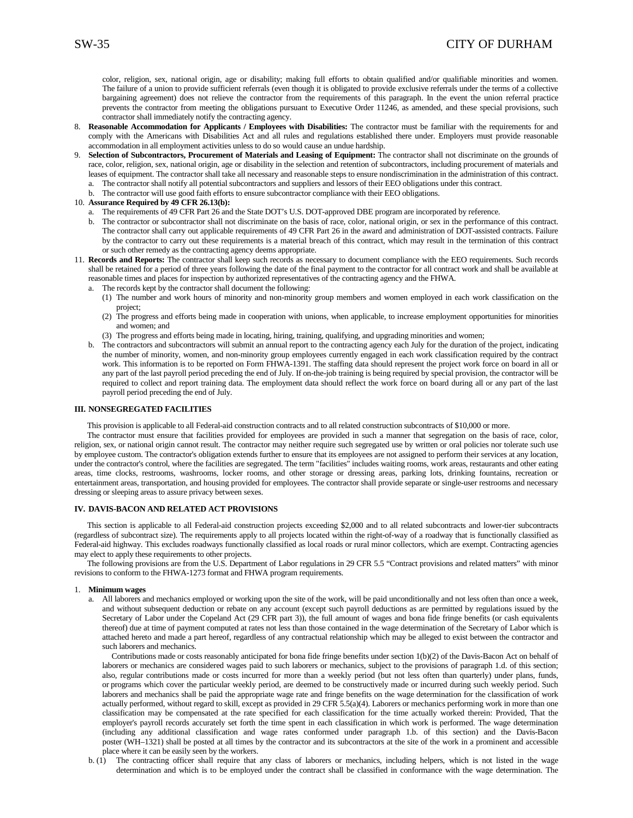#### SW-35 **95** CITY OF DURHAM

color, religion, sex, national origin, age or disability; making full efforts to obtain qualified and/or qualifiable minorities and women. The failure of a union to provide sufficient referrals (even though it is obligated to provide exclusive referrals under the terms of a collective bargaining agreement) does not relieve the contractor from the requirements of this paragraph. In the event the union referral practice prevents the contractor from meeting the obligations pursuant to Executive Order 11246, as amended, and these special provisions, such contractor shall immediately notify the contracting agency.

- 8. **Reasonable Accommodation for Applicants / Employees with Disabilities:** The contractor must be familiar with the requirements for and comply with the Americans with Disabilities Act and all rules and regulations established there under. Employers must provide reasonable accommodation in all employment activities unless to do so would cause an undue hardship.
- 9. **Selection of Subcontractors, Procurement of Materials and Leasing of Equipment:** The contractor shall not discriminate on the grounds of race, color, religion, sex, national origin, age or disability in the selection and retention of subcontractors, including procurement of materials and leases of equipment. The contractor shall take all necessary and reasonable steps to ensure nondiscrimination in the administration of this contract. a. The contractor shall notify all potential subcontractors and suppliers and lessors of their EEO obligations under this contract.
	- b. The contractor will use good faith efforts to ensure subcontractor compliance with their EEO obligations.
- 10. **Assurance Required by 49 CFR 26.13(b):**
	- a. The requirements of 49 CFR Part 26 and the State DOT's U.S. DOT-approved DBE program are incorporated by reference.
	- b. The contractor or subcontractor shall not discriminate on the basis of race, color, national origin, or sex in the performance of this contract. The contractor shall carry out applicable requirements of 49 CFR Part 26 in the award and administration of DOT-assisted contracts. Failure by the contractor to carry out these requirements is a material breach of this contract, which may result in the termination of this contract or such other remedy as the contracting agency deems appropriate.
- 11. **Records and Reports:** The contractor shall keep such records as necessary to document compliance with the EEO requirements. Such records shall be retained for a period of three years following the date of the final payment to the contractor for all contract work and shall be available at reasonable times and places for inspection by authorized representatives of the contracting agency and the FHWA.
	- a. The records kept by the contractor shall document the following:
		- (1) The number and work hours of minority and non-minority group members and women employed in each work classification on the project;
		- (2) The progress and efforts being made in cooperation with unions, when applicable, to increase employment opportunities for minorities and women; and
		- (3) The progress and efforts being made in locating, hiring, training, qualifying, and upgrading minorities and women;
	- b. The contractors and subcontractors will submit an annual report to the contracting agency each July for the duration of the project, indicating the number of minority, women, and non-minority group employees currently engaged in each work classification required by the contract work. This information is to be reported on Form FHWA-1391. The staffing data should represent the project work force on board in all or any part of the last payroll period preceding the end of July. If on-the-job training is being required by special provision, the contractor will be required to collect and report training data. The employment data should reflect the work force on board during all or any part of the last payroll period preceding the end of July.

#### **III. NONSEGREGATED FACILITIES**

This provision is applicable to all Federal-aid construction contracts and to all related construction subcontracts of \$10,000 or more.

The contractor must ensure that facilities provided for employees are provided in such a manner that segregation on the basis of race, color, religion, sex, or national origin cannot result. The contractor may neither require such segregated use by written or oral policies nor tolerate such use by employee custom. The contractor's obligation extends further to ensure that its employees are not assigned to perform their services at any location, under the contractor's control, where the facilities are segregated. The term "facilities" includes waiting rooms, work areas, restaurants and other eating areas, time clocks, restrooms, washrooms, locker rooms, and other storage or dressing areas, parking lots, drinking fountains, recreation or entertainment areas, transportation, and housing provided for employees. The contractor shall provide separate or single-user restrooms and necessary dressing or sleeping areas to assure privacy between sexes.

#### **IV. DAVIS-BACON AND RELATED ACT PROVISIONS**

This section is applicable to all Federal-aid construction projects exceeding \$2,000 and to all related subcontracts and lower-tier subcontracts (regardless of subcontract size). The requirements apply to all projects located within the right-of-way of a roadway that is functionally classified as Federal-aid highway. This excludes roadways functionally classified as local roads or rural minor collectors, which are exempt. Contracting agencies may elect to apply these requirements to other projects.

The following provisions are from the U.S. Department of Labor regulations in 29 CFR 5.5 "Contract provisions and related matters" with minor revisions to conform to the FHWA-1273 format and FHWA program requirements.

#### 1. **Minimum wages**

a. All laborers and mechanics employed or working upon the site of the work, will be paid unconditionally and not less often than once a week, and without subsequent deduction or rebate on any account (except such payroll deductions as are permitted by regulations issued by the Secretary of Labor under the Copeland Act (29 CFR part 3)), the full amount of wages and bona fide fringe benefits (or cash equivalents thereof) due at time of payment computed at rates not less than those contained in the wage determination of the Secretary of Labor which is attached hereto and made a part hereof, regardless of any contractual relationship which may be alleged to exist between the contractor and such laborers and mechanics.

Contributions made or costs reasonably anticipated for bona fide fringe benefits under section 1(b)(2) of the Davis-Bacon Act on behalf of laborers or mechanics are considered wages paid to such laborers or mechanics, subject to the provisions of paragraph 1.d. of this section; also, regular contributions made or costs incurred for more than a weekly period (but not less often than quarterly) under plans, funds, or programs which cover the particular weekly period, are deemed to be constructively made or incurred during such weekly period. Such laborers and mechanics shall be paid the appropriate wage rate and fringe benefits on the wage determination for the classification of work actually performed, without regard to skill, except as provided in 29 CFR 5.5(a)(4). Laborers or mechanics performing work in more than one classification may be compensated at the rate specified for each classification for the time actually worked therein: Provided, That the employer's payroll records accurately set forth the time spent in each classification in which work is performed. The wage determination (including any additional classification and wage rates conformed under paragraph 1.b. of this section) and the Davis-Bacon poster (WH–1321) shall be posted at all times by the contractor and its subcontractors at the site of the work in a prominent and accessible place where it can be easily seen by the workers.

b. (1) The contracting officer shall require that any class of laborers or mechanics, including helpers, which is not listed in the wage determination and which is to be employed under the contract shall be classified in conformance with the wage determination. The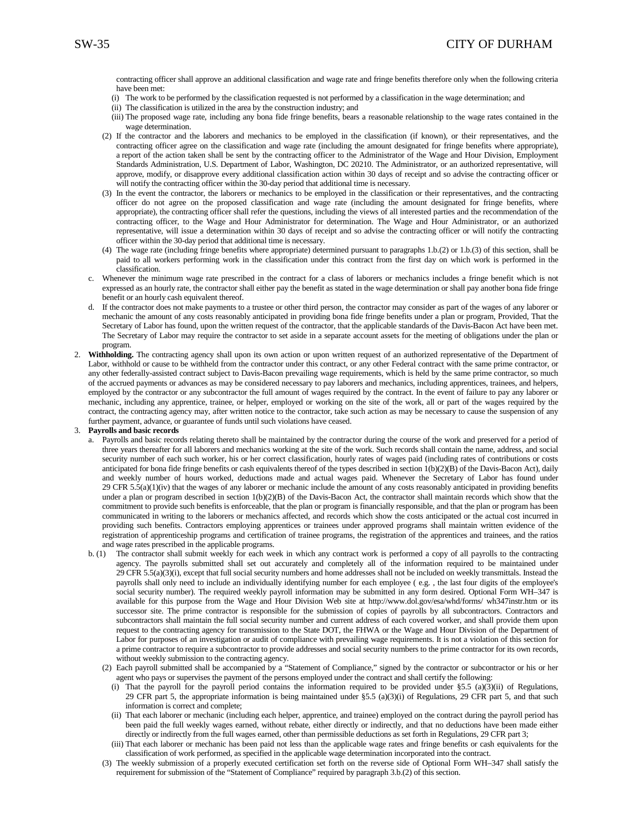contracting officer shall approve an additional classification and wage rate and fringe benefits therefore only when the following criteria have been met:

- (i) The work to be performed by the classification requested is not performed by a classification in the wage determination; and
- (ii) The classification is utilized in the area by the construction industry; and
- (iii) The proposed wage rate, including any bona fide fringe benefits, bears a reasonable relationship to the wage rates contained in the wage determination.
- (2) If the contractor and the laborers and mechanics to be employed in the classification (if known), or their representatives, and the contracting officer agree on the classification and wage rate (including the amount designated for fringe benefits where appropriate), a report of the action taken shall be sent by the contracting officer to the Administrator of the Wage and Hour Division, Employment Standards Administration, U.S. Department of Labor, Washington, DC 20210. The Administrator, or an authorized representative, will approve, modify, or disapprove every additional classification action within 30 days of receipt and so advise the contracting officer or will notify the contracting officer within the 30-day period that additional time is necessary.
- (3) In the event the contractor, the laborers or mechanics to be employed in the classification or their representatives, and the contracting officer do not agree on the proposed classification and wage rate (including the amount designated for fringe benefits, where appropriate), the contracting officer shall refer the questions, including the views of all interested parties and the recommendation of the contracting officer, to the Wage and Hour Administrator for determination. The Wage and Hour Administrator, or an authorized representative, will issue a determination within 30 days of receipt and so advise the contracting officer or will notify the contracting officer within the 30-day period that additional time is necessary.
- (4) The wage rate (including fringe benefits where appropriate) determined pursuant to paragraphs 1.b.(2) or 1.b.(3) of this section, shall be paid to all workers performing work in the classification under this contract from the first day on which work is performed in the classification.
- c. Whenever the minimum wage rate prescribed in the contract for a class of laborers or mechanics includes a fringe benefit which is not expressed as an hourly rate, the contractor shall either pay the benefit as stated in the wage determination or shall pay another bona fide fringe benefit or an hourly cash equivalent thereof.
- d. If the contractor does not make payments to a trustee or other third person, the contractor may consider as part of the wages of any laborer or mechanic the amount of any costs reasonably anticipated in providing bona fide fringe benefits under a plan or program, Provided, That the Secretary of Labor has found, upon the written request of the contractor, that the applicable standards of the Davis-Bacon Act have been met. The Secretary of Labor may require the contractor to set aside in a separate account assets for the meeting of obligations under the plan or program.
- 2. Withholding. The contracting agency shall upon its own action or upon written request of an authorized representative of the Department of Labor, withhold or cause to be withheld from the contractor under this contract, or any other Federal contract with the same prime contractor, or any other federally-assisted contract subject to Davis-Bacon prevailing wage requirements, which is held by the same prime contractor, so much of the accrued payments or advances as may be considered necessary to pay laborers and mechanics, including apprentices, trainees, and helpers, employed by the contractor or any subcontractor the full amount of wages required by the contract. In the event of failure to pay any laborer or mechanic, including any apprentice, trainee, or helper, employed or working on the site of the work, all or part of the wages required by the contract, the contracting agency may, after written notice to the contractor, take such action as may be necessary to cause the suspension of any further payment, advance, or guarantee of funds until such violations have ceased.

#### 3. **Payrolls and basic records**

- a. Payrolls and basic records relating thereto shall be maintained by the contractor during the course of the work and preserved for a period of three years thereafter for all laborers and mechanics working at the site of the work. Such records shall contain the name, address, and social security number of each such worker, his or her correct classification, hourly rates of wages paid (including rates of contributions or costs anticipated for bona fide fringe benefits or cash equivalents thereof of the types described in section  $1(b)(2)(B)$  of the Davis-Bacon Act), daily and weekly number of hours worked, deductions made and actual wages paid. Whenever the Secretary of Labor has found under 29 CFR 5.5(a)(1)(iv) that the wages of any laborer or mechanic include the amount of any costs reasonably anticipated in providing benefits under a plan or program described in section  $1(b)(2)(B)$  of the Davis-Bacon Act, the contractor shall maintain records which show that the commitment to provide such benefits is enforceable, that the plan or program is financially responsible, and that the plan or program has been communicated in writing to the laborers or mechanics affected, and records which show the costs anticipated or the actual cost incurred in providing such benefits. Contractors employing apprentices or trainees under approved programs shall maintain written evidence of the registration of apprenticeship programs and certification of trainee programs, the registration of the apprentices and trainees, and the ratios and wage rates prescribed in the applicable programs.
- b. (1) The contractor shall submit weekly for each week in which any contract work is performed a copy of all payrolls to the contracting agency. The payrolls submitted shall set out accurately and completely all of the information required to be maintained under 29 CFR 5.5(a)(3)(i), except that full social security numbers and home addresses shall not be included on weekly transmittals. Instead the payrolls shall only need to include an individually identifying number for each employee ( e.g. , the last four digits of the employee's social security number). The required weekly payroll information may be submitted in any form desired. Optional Form WH–347 is available for this purpose from the Wage and Hour Division Web site at http://www.dol.gov/esa/whd/forms/ wh347instr.htm or its successor site. The prime contractor is responsible for the submission of copies of payrolls by all subcontractors. Contractors and subcontractors shall maintain the full social security number and current address of each covered worker, and shall provide them upon request to the contracting agency for transmission to the State DOT, the FHWA or the Wage and Hour Division of the Department of Labor for purposes of an investigation or audit of compliance with prevailing wage requirements. It is not a violation of this section for a prime contractor to require a subcontractor to provide addresses and social security numbers to the prime contractor for its own records, without weekly submission to the contracting agency.
	- (2) Each payroll submitted shall be accompanied by a "Statement of Compliance," signed by the contractor or subcontractor or his or her agent who pays or supervises the payment of the persons employed under the contract and shall certify the following:
		- (i) That the payroll for the payroll period contains the information required to be provided under  $\S 5.5$  (a)(3)(ii) of Regulations, 29 CFR part 5, the appropriate information is being maintained under §5.5 (a)(3)(i) of Regulations, 29 CFR part 5, and that such information is correct and complete;
		- (ii) That each laborer or mechanic (including each helper, apprentice, and trainee) employed on the contract during the payroll period has been paid the full weekly wages earned, without rebate, either directly or indirectly, and that no deductions have been made either directly or indirectly from the full wages earned, other than permissible deductions as set forth in Regulations, 29 CFR part 3;
		- (iii) That each laborer or mechanic has been paid not less than the applicable wage rates and fringe benefits or cash equivalents for the classification of work performed, as specified in the applicable wage determination incorporated into the contract.
	- (3) The weekly submission of a properly executed certification set forth on the reverse side of Optional Form WH–347 shall satisfy the requirement for submission of the "Statement of Compliance" required by paragraph 3.b.(2) of this section.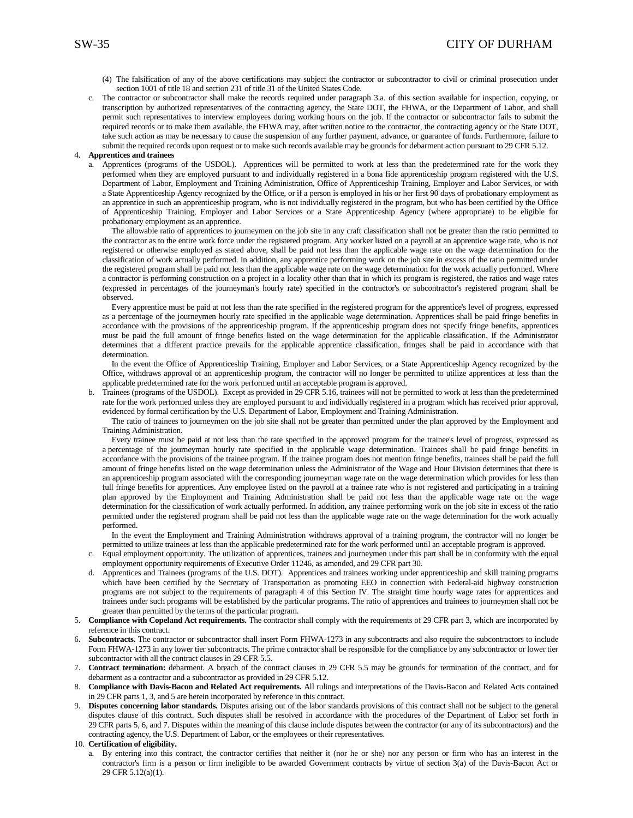- (4) The falsification of any of the above certifications may subject the contractor or subcontractor to civil or criminal prosecution under section 1001 of title 18 and section 231 of title 31 of the United States Code.
- c. The contractor or subcontractor shall make the records required under paragraph 3.a. of this section available for inspection, copying, or transcription by authorized representatives of the contracting agency, the State DOT, the FHWA, or the Department of Labor, and shall permit such representatives to interview employees during working hours on the job. If the contractor or subcontractor fails to submit the required records or to make them available, the FHWA may, after written notice to the contractor, the contracting agency or the State DOT, take such action as may be necessary to cause the suspension of any further payment, advance, or guarantee of funds. Furthermore, failure to submit the required records upon request or to make such records available may be grounds for debarment action pursuant to 29 CFR 5.12.

#### 4. **Apprentices and trainees**

a. Apprentices (programs of the USDOL). Apprentices will be permitted to work at less than the predetermined rate for the work they performed when they are employed pursuant to and individually registered in a bona fide apprenticeship program registered with the U.S. Department of Labor, Employment and Training Administration, Office of Apprenticeship Training, Employer and Labor Services, or with a State Apprenticeship Agency recognized by the Office, or if a person is employed in his or her first 90 days of probationary employment as an apprentice in such an apprenticeship program, who is not individually registered in the program, but who has been certified by the Office of Apprenticeship Training, Employer and Labor Services or a State Apprenticeship Agency (where appropriate) to be eligible for probationary employment as an apprentice.

The allowable ratio of apprentices to journeymen on the job site in any craft classification shall not be greater than the ratio permitted to the contractor as to the entire work force under the registered program. Any worker listed on a payroll at an apprentice wage rate, who is not registered or otherwise employed as stated above, shall be paid not less than the applicable wage rate on the wage determination for the classification of work actually performed. In addition, any apprentice performing work on the job site in excess of the ratio permitted under the registered program shall be paid not less than the applicable wage rate on the wage determination for the work actually performed. Where a contractor is performing construction on a project in a locality other than that in which its program is registered, the ratios and wage rates (expressed in percentages of the journeyman's hourly rate) specified in the contractor's or subcontractor's registered program shall be observed.

Every apprentice must be paid at not less than the rate specified in the registered program for the apprentice's level of progress, expressed as a percentage of the journeymen hourly rate specified in the applicable wage determination. Apprentices shall be paid fringe benefits in accordance with the provisions of the apprenticeship program. If the apprenticeship program does not specify fringe benefits, apprentices must be paid the full amount of fringe benefits listed on the wage determination for the applicable classification. If the Administrator determines that a different practice prevails for the applicable apprentice classification, fringes shall be paid in accordance with that determination.

In the event the Office of Apprenticeship Training, Employer and Labor Services, or a State Apprenticeship Agency recognized by the Office, withdraws approval of an apprenticeship program, the contractor will no longer be permitted to utilize apprentices at less than the applicable predetermined rate for the work performed until an acceptable program is approved.

b. Trainees (programs of the USDOL). Except as provided in 29 CFR 5.16, trainees will not be permitted to work at less than the predetermined rate for the work performed unless they are employed pursuant to and individually registered in a program which has received prior approval, evidenced by formal certification by the U.S. Department of Labor, Employment and Training Administration.

The ratio of trainees to journeymen on the job site shall not be greater than permitted under the plan approved by the Employment and Training Administration.

Every trainee must be paid at not less than the rate specified in the approved program for the trainee's level of progress, expressed as a percentage of the journeyman hourly rate specified in the applicable wage determination. Trainees shall be paid fringe benefits in accordance with the provisions of the trainee program. If the trainee program does not mention fringe benefits, trainees shall be paid the full amount of fringe benefits listed on the wage determination unless the Administrator of the Wage and Hour Division determines that there is an apprenticeship program associated with the corresponding journeyman wage rate on the wage determination which provides for less than full fringe benefits for apprentices. Any employee listed on the payroll at a trainee rate who is not registered and participating in a training plan approved by the Employment and Training Administration shall be paid not less than the applicable wage rate on the wage determination for the classification of work actually performed. In addition, any trainee performing work on the job site in excess of the ratio permitted under the registered program shall be paid not less than the applicable wage rate on the wage determination for the work actually performed.

In the event the Employment and Training Administration withdraws approval of a training program, the contractor will no longer be permitted to utilize trainees at less than the applicable predetermined rate for the work performed until an acceptable program is approved.

- c. Equal employment opportunity. The utilization of apprentices, trainees and journeymen under this part shall be in conformity with the equal employment opportunity requirements of Executive Order 11246, as amended, and 29 CFR part 30.
- d. Apprentices and Trainees (programs of the U.S. DOT). Apprentices and trainees working under apprenticeship and skill training programs which have been certified by the Secretary of Transportation as promoting EEO in connection with Federal-aid highway construction programs are not subject to the requirements of paragraph 4 of this Section IV. The straight time hourly wage rates for apprentices and trainees under such programs will be established by the particular programs. The ratio of apprentices and trainees to journeymen shall not be greater than permitted by the terms of the particular program.
- 5. **Compliance with Copeland Act requirements.** The contractor shall comply with the requirements of 29 CFR part 3, which are incorporated by reference in this contract.
- 6. **Subcontracts.** The contractor or subcontractor shall insert Form FHWA-1273 in any subcontracts and also require the subcontractors to include Form FHWA-1273 in any lower tier subcontracts. The prime contractor shall be responsible for the compliance by any subcontractor or lower tier subcontractor with all the contract clauses in 29 CFR 5.5.
- 7. **Contract termination:** debarment. A breach of the contract clauses in 29 CFR 5.5 may be grounds for termination of the contract, and for debarment as a contractor and a subcontractor as provided in 29 CFR 5.12.
- 8. **Compliance with Davis-Bacon and Related Act requirements.** All rulings and interpretations of the Davis-Bacon and Related Acts contained in 29 CFR parts 1, 3, and 5 are herein incorporated by reference in this contract.
- 9. **Disputes concerning labor standards.** Disputes arising out of the labor standards provisions of this contract shall not be subject to the general disputes clause of this contract. Such disputes shall be resolved in accordance with the procedures of the Department of Labor set forth in 29 CFR parts 5, 6, and 7. Disputes within the meaning of this clause include disputes between the contractor (or any of its subcontractors) and the contracting agency, the U.S. Department of Labor, or the employees or their representatives.
- 10. **Certification of eligibility.**
	- a. By entering into this contract, the contractor certifies that neither it (nor he or she) nor any person or firm who has an interest in the contractor's firm is a person or firm ineligible to be awarded Government contracts by virtue of section 3(a) of the Davis-Bacon Act or 29 CFR 5.12(a)(1).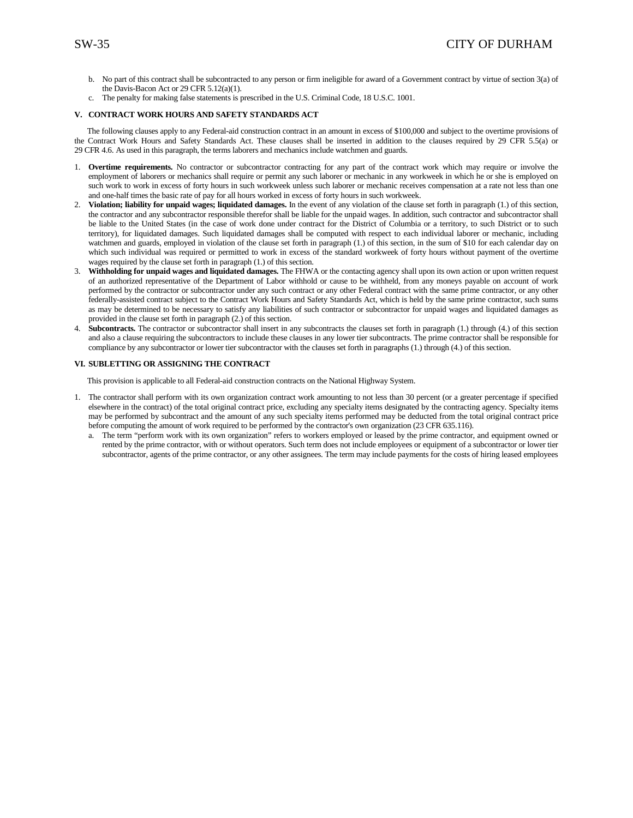- b. No part of this contract shall be subcontracted to any person or firm ineligible for award of a Government contract by virtue of section 3(a) of the Davis-Bacon Act or 29 CFR 5.12(a)(1).
- The penalty for making false statements is prescribed in the U.S. Criminal Code, 18 U.S.C. 1001.

#### **V. CONTRACT WORK HOURS AND SAFETY STANDARDS ACT**

The following clauses apply to any Federal-aid construction contract in an amount in excess of \$100,000 and subject to the overtime provisions of the Contract Work Hours and Safety Standards Act. These clauses shall be inserted in addition to the clauses required by 29 CFR 5.5(a) or 29 CFR 4.6. As used in this paragraph, the terms laborers and mechanics include watchmen and guards.

- 1. **Overtime requirements.** No contractor or subcontractor contracting for any part of the contract work which may require or involve the employment of laborers or mechanics shall require or permit any such laborer or mechanic in any workweek in which he or she is employed on such work to work in excess of forty hours in such workweek unless such laborer or mechanic receives compensation at a rate not less than one and one-half times the basic rate of pay for all hours worked in excess of forty hours in such workweek.
- 2. **Violation; liability for unpaid wages; liquidated damages.** In the event of any violation of the clause set forth in paragraph (1.) of this section, the contractor and any subcontractor responsible therefor shall be liable for the unpaid wages. In addition, such contractor and subcontractor shall be liable to the United States (in the case of work done under contract for the District of Columbia or a territory, to such District or to such territory), for liquidated damages. Such liquidated damages shall be computed with respect to each individual laborer or mechanic, including watchmen and guards, employed in violation of the clause set forth in paragraph (1.) of this section, in the sum of \$10 for each calendar day on which such individual was required or permitted to work in excess of the standard workweek of forty hours without payment of the overtime wages required by the clause set forth in paragraph (1.) of this section.
- 3. **Withholding for unpaid wages and liquidated damages.** The FHWA or the contacting agency shall upon its own action or upon written request of an authorized representative of the Department of Labor withhold or cause to be withheld, from any moneys payable on account of work performed by the contractor or subcontractor under any such contract or any other Federal contract with the same prime contractor, or any other federally-assisted contract subject to the Contract Work Hours and Safety Standards Act, which is held by the same prime contractor, such sums as may be determined to be necessary to satisfy any liabilities of such contractor or subcontractor for unpaid wages and liquidated damages as provided in the clause set forth in paragraph (2.) of this section.
- 4. **Subcontracts.** The contractor or subcontractor shall insert in any subcontracts the clauses set forth in paragraph (1.) through (4.) of this section and also a clause requiring the subcontractors to include these clauses in any lower tier subcontracts. The prime contractor shall be responsible for compliance by any subcontractor or lower tier subcontractor with the clauses set forth in paragraphs (1.) through (4.) of this section.

#### **VI. SUBLETTING OR ASSIGNING THE CONTRACT**

This provision is applicable to all Federal-aid construction contracts on the National Highway System.

- 1. The contractor shall perform with its own organization contract work amounting to not less than 30 percent (or a greater percentage if specified elsewhere in the contract) of the total original contract price, excluding any specialty items designated by the contracting agency. Specialty items may be performed by subcontract and the amount of any such specialty items performed may be deducted from the total original contract price before computing the amount of work required to be performed by the contractor's own organization (23 CFR 635.116).
	- a. The term "perform work with its own organization" refers to workers employed or leased by the prime contractor, and equipment owned or rented by the prime contractor, with or without operators. Such term does not include employees or equipment of a subcontractor or lower tier subcontractor, agents of the prime contractor, or any other assignees. The term may include payments for the costs of hiring leased employees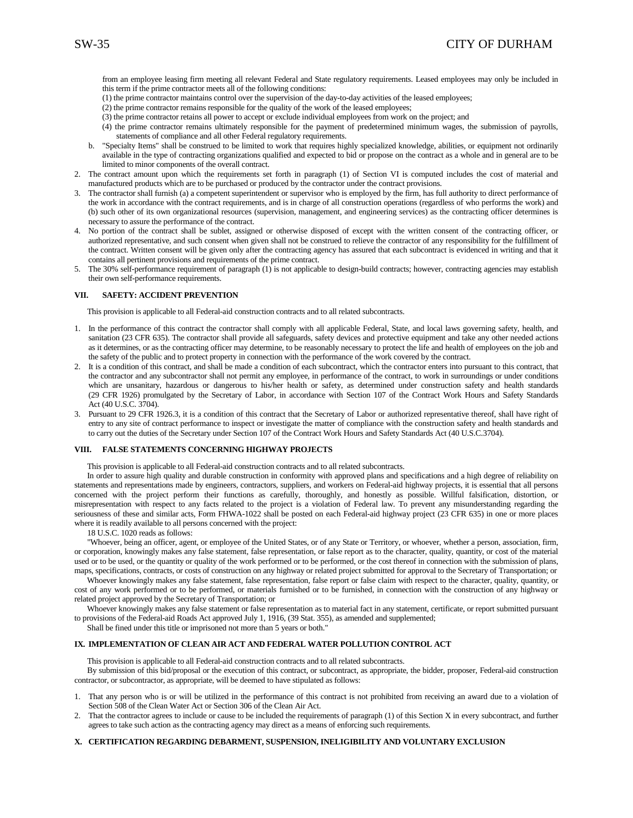from an employee leasing firm meeting all relevant Federal and State regulatory requirements. Leased employees may only be included in this term if the prime contractor meets all of the following conditions:

- (1) the prime contractor maintains control over the supervision of the day-to-day activities of the leased employees;
- (2) the prime contractor remains responsible for the quality of the work of the leased employees;
- (3) the prime contractor retains all power to accept or exclude individual employees from work on the project; and
- (4) the prime contractor remains ultimately responsible for the payment of predetermined minimum wages, the submission of payrolls, statements of compliance and all other Federal regulatory requirements.
- b. "Specialty Items" shall be construed to be limited to work that requires highly specialized knowledge, abilities, or equipment not ordinarily available in the type of contracting organizations qualified and expected to bid or propose on the contract as a whole and in general are to be limited to minor components of the overall contract.
- 2. The contract amount upon which the requirements set forth in paragraph (1) of Section VI is computed includes the cost of material and manufactured products which are to be purchased or produced by the contractor under the contract provisions.
- 3. The contractor shall furnish (a) a competent superintendent or supervisor who is employed by the firm, has full authority to direct performance of the work in accordance with the contract requirements, and is in charge of all construction operations (regardless of who performs the work) and (b) such other of its own organizational resources (supervision, management, and engineering services) as the contracting officer determines is necessary to assure the performance of the contract.
- 4. No portion of the contract shall be sublet, assigned or otherwise disposed of except with the written consent of the contracting officer, or authorized representative, and such consent when given shall not be construed to relieve the contractor of any responsibility for the fulfillment of the contract. Written consent will be given only after the contracting agency has assured that each subcontract is evidenced in writing and that it contains all pertinent provisions and requirements of the prime contract.
- 5. The 30% self-performance requirement of paragraph (1) is not applicable to design-build contracts; however, contracting agencies may establish their own self-performance requirements.

#### **VII. SAFETY: ACCIDENT PREVENTION**

This provision is applicable to all Federal-aid construction contracts and to all related subcontracts.

- 1. In the performance of this contract the contractor shall comply with all applicable Federal, State, and local laws governing safety, health, and sanitation (23 CFR 635). The contractor shall provide all safeguards, safety devices and protective equipment and take any other needed actions as it determines, or as the contracting officer may determine, to be reasonably necessary to protect the life and health of employees on the job and the safety of the public and to protect property in connection with the performance of the work covered by the contract.
- 2. It is a condition of this contract, and shall be made a condition of each subcontract, which the contractor enters into pursuant to this contract, that the contractor and any subcontractor shall not permit any employee, in performance of the contract, to work in surroundings or under conditions which are unsanitary, hazardous or dangerous to his/her health or safety, as determined under construction safety and health standards (29 CFR 1926) promulgated by the Secretary of Labor, in accordance with Section 107 of the Contract Work Hours and Safety Standards Act (40 U.S.C. 3704).
- 3. Pursuant to 29 CFR 1926.3, it is a condition of this contract that the Secretary of Labor or authorized representative thereof, shall have right of entry to any site of contract performance to inspect or investigate the matter of compliance with the construction safety and health standards and to carry out the duties of the Secretary under Section 107 of the Contract Work Hours and Safety Standards Act (40 U.S.C.3704).

#### **VIII. FALSE STATEMENTS CONCERNING HIGHWAY PROJECTS**

This provision is applicable to all Federal-aid construction contracts and to all related subcontracts.

In order to assure high quality and durable construction in conformity with approved plans and specifications and a high degree of reliability on statements and representations made by engineers, contractors, suppliers, and workers on Federal-aid highway projects, it is essential that all persons concerned with the project perform their functions as carefully, thoroughly, and honestly as possible. Willful falsification, distortion, or misrepresentation with respect to any facts related to the project is a violation of Federal law. To prevent any misunderstanding regarding the seriousness of these and similar acts, Form FHWA-1022 shall be posted on each Federal-aid highway project (23 CFR 635) in one or more places where it is readily available to all persons concerned with the project:

18 U.S.C. 1020 reads as follows:

"Whoever, being an officer, agent, or employee of the United States, or of any State or Territory, or whoever, whether a person, association, firm, or corporation, knowingly makes any false statement, false representation, or false report as to the character, quality, quantity, or cost of the material used or to be used, or the quantity or quality of the work performed or to be performed, or the cost thereof in connection with the submission of plans, maps, specifications, contracts, or costs of construction on any highway or related project submitted for approval to the Secretary of Transportation; or

Whoever knowingly makes any false statement, false representation, false report or false claim with respect to the character, quality, quantity, or cost of any work performed or to be performed, or materials furnished or to be furnished, in connection with the construction of any highway or related project approved by the Secretary of Transportation; or

Whoever knowingly makes any false statement or false representation as to material fact in any statement, certificate, or report submitted pursuant to provisions of the Federal-aid Roads Act approved July 1, 1916, (39 Stat. 355), as amended and supplemented;

Shall be fined under this title or imprisoned not more than 5 years or both."

#### **IX. IMPLEMENTATION OF CLEAN AIR ACT AND FEDERAL WATER POLLUTION CONTROL ACT**

This provision is applicable to all Federal-aid construction contracts and to all related subcontracts.

By submission of this bid/proposal or the execution of this contract, or subcontract, as appropriate, the bidder, proposer, Federal-aid construction contractor, or subcontractor, as appropriate, will be deemed to have stipulated as follows:

- 1. That any person who is or will be utilized in the performance of this contract is not prohibited from receiving an award due to a violation of Section 508 of the Clean Water Act or Section 306 of the Clean Air Act.
- 2. That the contractor agrees to include or cause to be included the requirements of paragraph (1) of this Section X in every subcontract, and further agrees to take such action as the contracting agency may direct as a means of enforcing such requirements.

#### **X. CERTIFICATION REGARDING DEBARMENT, SUSPENSION, INELIGIBILITY AND VOLUNTARY EXCLUSION**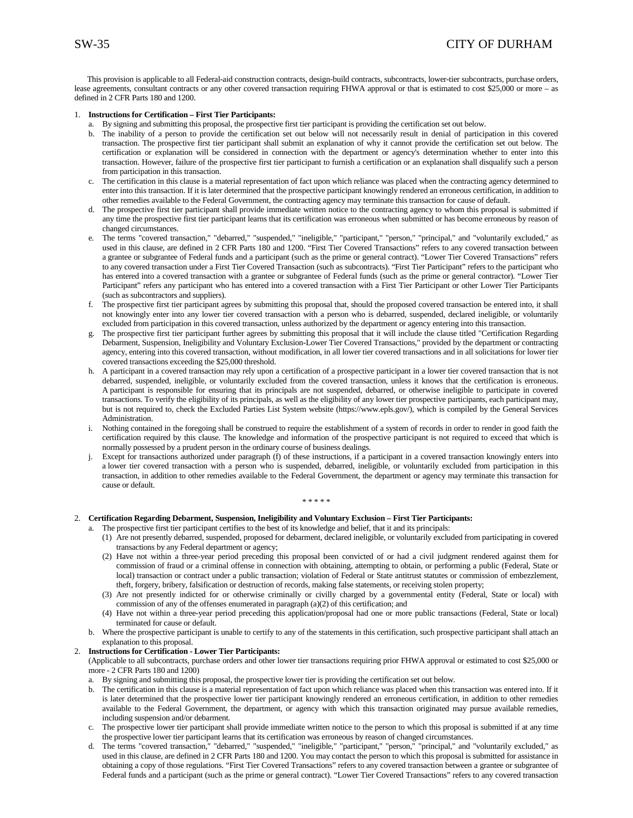This provision is applicable to all Federal-aid construction contracts, design-build contracts, subcontracts, lower-tier subcontracts, purchase orders, lease agreements, consultant contracts or any other covered transaction requiring FHWA approval or that is estimated to cost \$25,000 or more – as defined in 2 CFR Parts 180 and 1200.

#### 1. **Instructions for Certification – First Tier Participants:**

- a. By signing and submitting this proposal, the prospective first tier participant is providing the certification set out below.
- b. The inability of a person to provide the certification set out below will not necessarily result in denial of participation in this covered transaction. The prospective first tier participant shall submit an explanation of why it cannot provide the certification set out below. The certification or explanation will be considered in connection with the department or agency's determination whether to enter into this transaction. However, failure of the prospective first tier participant to furnish a certification or an explanation shall disqualify such a person from participation in this transaction.
- c. The certification in this clause is a material representation of fact upon which reliance was placed when the contracting agency determined to enter into this transaction. If it is later determined that the prospective participant knowingly rendered an erroneous certification, in addition to other remedies available to the Federal Government, the contracting agency may terminate this transaction for cause of default.
- d. The prospective first tier participant shall provide immediate written notice to the contracting agency to whom this proposal is submitted if any time the prospective first tier participant learns that its certification was erroneous when submitted or has become erroneous by reason of changed circumstances.
- e. The terms "covered transaction," "debarred," "suspended," "ineligible," "participant," "person," "principal," and "voluntarily excluded," as used in this clause, are defined in 2 CFR Parts 180 and 1200. "First Tier Covered Transactions" refers to any covered transaction between a grantee or subgrantee of Federal funds and a participant (such as the prime or general contract). "Lower Tier Covered Transactions" refers to any covered transaction under a First Tier Covered Transaction (such as subcontracts). "First Tier Participant" refers to the participant who has entered into a covered transaction with a grantee or subgrantee of Federal funds (such as the prime or general contractor). "Lower Tier Participant" refers any participant who has entered into a covered transaction with a First Tier Participant or other Lower Tier Participants (such as subcontractors and suppliers).
- f. The prospective first tier participant agrees by submitting this proposal that, should the proposed covered transaction be entered into, it shall not knowingly enter into any lower tier covered transaction with a person who is debarred, suspended, declared ineligible, or voluntarily excluded from participation in this covered transaction, unless authorized by the department or agency entering into this transaction.
- g. The prospective first tier participant further agrees by submitting this proposal that it will include the clause titled "Certification Regarding Debarment, Suspension, Ineligibility and Voluntary Exclusion-Lower Tier Covered Transactions," provided by the department or contracting agency, entering into this covered transaction, without modification, in all lower tier covered transactions and in all solicitations for lower tier covered transactions exceeding the \$25,000 threshold.
- h. A participant in a covered transaction may rely upon a certification of a prospective participant in a lower tier covered transaction that is not debarred, suspended, ineligible, or voluntarily excluded from the covered transaction, unless it knows that the certification is erroneous. A participant is responsible for ensuring that its principals are not suspended, debarred, or otherwise ineligible to participate in covered transactions. To verify the eligibility of its principals, as well as the eligibility of any lower tier prospective participants, each participant may, but is not required to, check the Excluded Parties List System website (https://www.epls.gov/), which is compiled by the General Services Administration.
- i. Nothing contained in the foregoing shall be construed to require the establishment of a system of records in order to render in good faith the certification required by this clause. The knowledge and information of the prospective participant is not required to exceed that which is normally possessed by a prudent person in the ordinary course of business dealings.
- j. Except for transactions authorized under paragraph (f) of these instructions, if a participant in a covered transaction knowingly enters into a lower tier covered transaction with a person who is suspended, debarred, ineligible, or voluntarily excluded from participation in this transaction, in addition to other remedies available to the Federal Government, the department or agency may terminate this transaction for cause or default.

\* \* \* \* \*

#### 2. **Certification Regarding Debarment, Suspension, Ineligibility and Voluntary Exclusion – First Tier Participants:**

- a. The prospective first tier participant certifies to the best of its knowledge and belief, that it and its principals:
	- (1) Are not presently debarred, suspended, proposed for debarment, declared ineligible, or voluntarily excluded from participating in covered transactions by any Federal department or agency;
	- (2) Have not within a three-year period preceding this proposal been convicted of or had a civil judgment rendered against them for commission of fraud or a criminal offense in connection with obtaining, attempting to obtain, or performing a public (Federal, State or local) transaction or contract under a public transaction; violation of Federal or State antitrust statutes or commission of embezzlement, theft, forgery, bribery, falsification or destruction of records, making false statements, or receiving stolen property;
	- (3) Are not presently indicted for or otherwise criminally or civilly charged by a governmental entity (Federal, State or local) with commission of any of the offenses enumerated in paragraph (a)(2) of this certification; and
	- (4) Have not within a three-year period preceding this application/proposal had one or more public transactions (Federal, State or local) terminated for cause or default.
- b. Where the prospective participant is unable to certify to any of the statements in this certification, such prospective participant shall attach an explanation to this proposal.

#### 2. **Instructions for Certification - Lower Tier Participants:**

(Applicable to all subcontracts, purchase orders and other lower tier transactions requiring prior FHWA approval or estimated to cost \$25,000 or more - 2 CFR Parts 180 and 1200)

- a. By signing and submitting this proposal, the prospective lower tier is providing the certification set out below.
- b. The certification in this clause is a material representation of fact upon which reliance was placed when this transaction was entered into. If it is later determined that the prospective lower tier participant knowingly rendered an erroneous certification, in addition to other remedies available to the Federal Government, the department, or agency with which this transaction originated may pursue available remedies, including suspension and/or debarment.
- c. The prospective lower tier participant shall provide immediate written notice to the person to which this proposal is submitted if at any time the prospective lower tier participant learns that its certification was erroneous by reason of changed circumstances.
- d. The terms "covered transaction," "debarred," "suspended," "ineligible," "participant," "person," "principal," and "voluntarily excluded," as used in this clause, are defined in 2 CFR Parts 180 and 1200. You may contact the person to which this proposal is submitted for assistance in obtaining a copy of those regulations. "First Tier Covered Transactions" refers to any covered transaction between a grantee or subgrantee of Federal funds and a participant (such as the prime or general contract). "Lower Tier Covered Transactions" refers to any covered transaction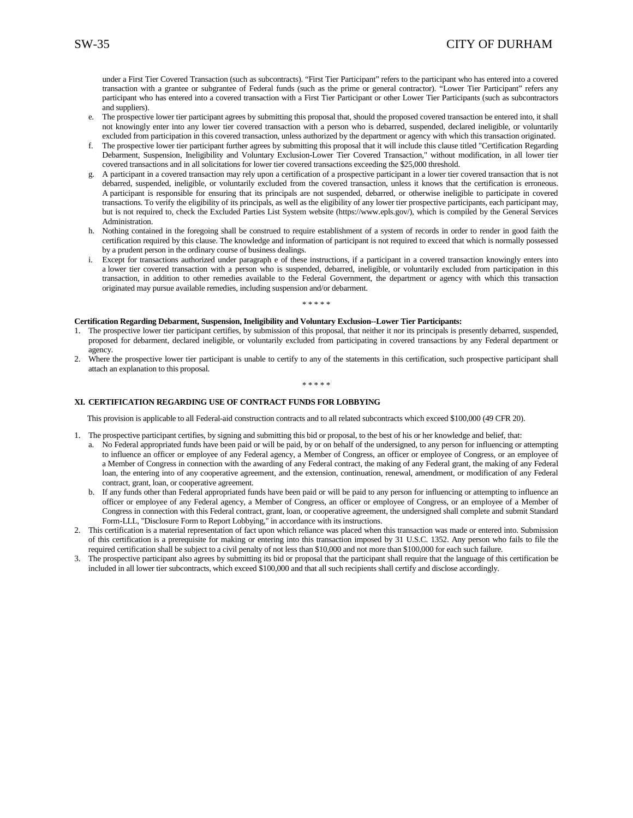under a First Tier Covered Transaction (such as subcontracts). "First Tier Participant" refers to the participant who has entered into a covered transaction with a grantee or subgrantee of Federal funds (such as the prime or general contractor). "Lower Tier Participant" refers any participant who has entered into a covered transaction with a First Tier Participant or other Lower Tier Participants (such as subcontractors and suppliers).

- e. The prospective lower tier participant agrees by submitting this proposal that, should the proposed covered transaction be entered into, it shall not knowingly enter into any lower tier covered transaction with a person who is debarred, suspended, declared ineligible, or voluntarily excluded from participation in this covered transaction, unless authorized by the department or agency with which this transaction originated.
- f. The prospective lower tier participant further agrees by submitting this proposal that it will include this clause titled "Certification Regarding Debarment, Suspension, Ineligibility and Voluntary Exclusion-Lower Tier Covered Transaction," without modification, in all lower tier covered transactions and in all solicitations for lower tier covered transactions exceeding the \$25,000 threshold.
- g. A participant in a covered transaction may rely upon a certification of a prospective participant in a lower tier covered transaction that is not debarred, suspended, ineligible, or voluntarily excluded from the covered transaction, unless it knows that the certification is erroneous. A participant is responsible for ensuring that its principals are not suspended, debarred, or otherwise ineligible to participate in covered transactions. To verify the eligibility of its principals, as well as the eligibility of any lower tier prospective participants, each participant may, but is not required to, check the Excluded Parties List System website (https://www.epls.gov/), which is compiled by the General Services Administration.
- h. Nothing contained in the foregoing shall be construed to require establishment of a system of records in order to render in good faith the certification required by this clause. The knowledge and information of participant is not required to exceed that which is normally possessed by a prudent person in the ordinary course of business dealings.
- i. Except for transactions authorized under paragraph e of these instructions, if a participant in a covered transaction knowingly enters into a lower tier covered transaction with a person who is suspended, debarred, ineligible, or voluntarily excluded from participation in this transaction, in addition to other remedies available to the Federal Government, the department or agency with which this transaction originated may pursue available remedies, including suspension and/or debarment.

#### \* \* \* \* \*

#### **Certification Regarding Debarment, Suspension, Ineligibility and Voluntary Exclusion--Lower Tier Participants:**

- 1. The prospective lower tier participant certifies, by submission of this proposal, that neither it nor its principals is presently debarred, suspended, proposed for debarment, declared ineligible, or voluntarily excluded from participating in covered transactions by any Federal department or agency.
- 2. Where the prospective lower tier participant is unable to certify to any of the statements in this certification, such prospective participant shall attach an explanation to this proposal.

\* \* \* \* \*

#### **XI. CERTIFICATION REGARDING USE OF CONTRACT FUNDS FOR LOBBYING**

This provision is applicable to all Federal-aid construction contracts and to all related subcontracts which exceed \$100,000 (49 CFR 20).

- 1. The prospective participant certifies, by signing and submitting this bid or proposal, to the best of his or her knowledge and belief, that:
	- a. No Federal appropriated funds have been paid or will be paid, by or on behalf of the undersigned, to any person for influencing or attempting to influence an officer or employee of any Federal agency, a Member of Congress, an officer or employee of Congress, or an employee of a Member of Congress in connection with the awarding of any Federal contract, the making of any Federal grant, the making of any Federal loan, the entering into of any cooperative agreement, and the extension, continuation, renewal, amendment, or modification of any Federal contract, grant, loan, or cooperative agreement.
	- b. If any funds other than Federal appropriated funds have been paid or will be paid to any person for influencing or attempting to influence an officer or employee of any Federal agency, a Member of Congress, an officer or employee of Congress, or an employee of a Member of Congress in connection with this Federal contract, grant, loan, or cooperative agreement, the undersigned shall complete and submit Standard Form-LLL, "Disclosure Form to Report Lobbying," in accordance with its instructions.
- 2. This certification is a material representation of fact upon which reliance was placed when this transaction was made or entered into. Submission of this certification is a prerequisite for making or entering into this transaction imposed by 31 U.S.C. 1352. Any person who fails to file the required certification shall be subject to a civil penalty of not less than \$10,000 and not more than \$100,000 for each such failure.
- 3. The prospective participant also agrees by submitting its bid or proposal that the participant shall require that the language of this certification be included in all lower tier subcontracts, which exceed \$100,000 and that all such recipients shall certify and disclose accordingly.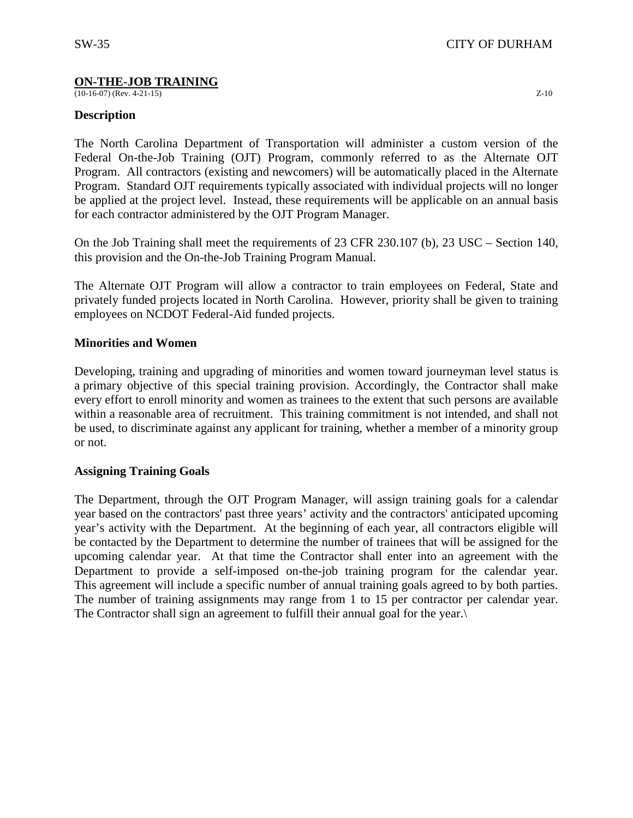#### **ON-THE-JOB TRAINING**

 $(10-16-07)$  (Rev. 4-21-15)  $Z-10$ 

#### **Description**

The North Carolina Department of Transportation will administer a custom version of the Federal On-the-Job Training (OJT) Program, commonly referred to as the Alternate OJT Program. All contractors (existing and newcomers) will be automatically placed in the Alternate Program. Standard OJT requirements typically associated with individual projects will no longer be applied at the project level. Instead, these requirements will be applicable on an annual basis for each contractor administered by the OJT Program Manager.

On the Job Training shall meet the requirements of 23 CFR 230.107 (b), 23 USC – Section 140, this provision and the On-the-Job Training Program Manual.

The Alternate OJT Program will allow a contractor to train employees on Federal, State and privately funded projects located in North Carolina. However, priority shall be given to training employees on NCDOT Federal-Aid funded projects.

#### **Minorities and Women**

Developing, training and upgrading of minorities and women toward journeyman level status is a primary objective of this special training provision. Accordingly, the Contractor shall make every effort to enroll minority and women as trainees to the extent that such persons are available within a reasonable area of recruitment. This training commitment is not intended, and shall not be used, to discriminate against any applicant for training, whether a member of a minority group or not.

#### **Assigning Training Goals**

The Department, through the OJT Program Manager, will assign training goals for a calendar year based on the contractors' past three years' activity and the contractors' anticipated upcoming year's activity with the Department. At the beginning of each year, all contractors eligible will be contacted by the Department to determine the number of trainees that will be assigned for the upcoming calendar year. At that time the Contractor shall enter into an agreement with the Department to provide a self-imposed on-the-job training program for the calendar year. This agreement will include a specific number of annual training goals agreed to by both parties. The number of training assignments may range from 1 to 15 per contractor per calendar year. The Contractor shall sign an agreement to fulfill their annual goal for the year.\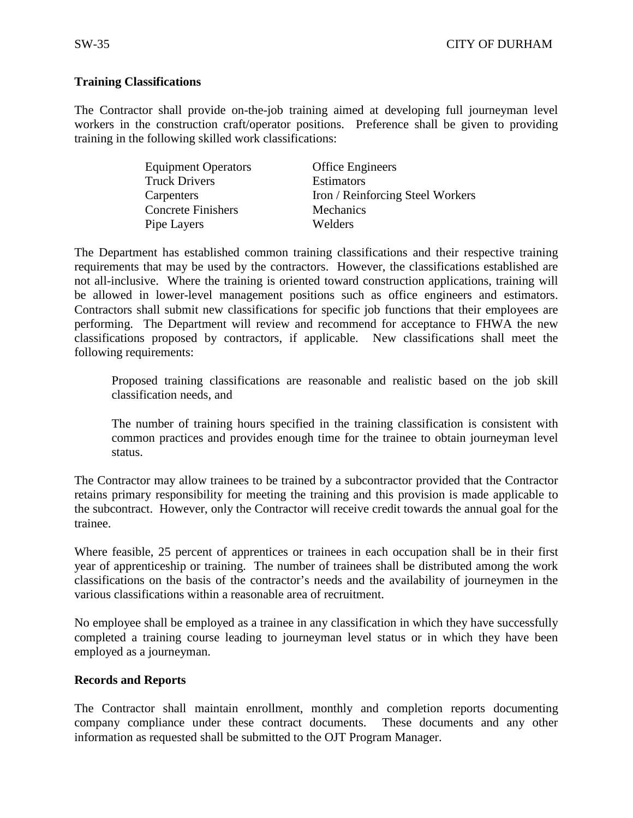## **Training Classifications**

The Contractor shall provide on-the-job training aimed at developing full journeyman level workers in the construction craft/operator positions. Preference shall be given to providing training in the following skilled work classifications:

> Equipment Operators Office Engineers Truck Drivers Estimators Carpenters Iron / Reinforcing Steel Workers Concrete Finishers Mechanics Pipe Layers Welders

The Department has established common training classifications and their respective training requirements that may be used by the contractors. However, the classifications established are not all-inclusive. Where the training is oriented toward construction applications, training will be allowed in lower-level management positions such as office engineers and estimators. Contractors shall submit new classifications for specific job functions that their employees are performing. The Department will review and recommend for acceptance to FHWA the new classifications proposed by contractors, if applicable. New classifications shall meet the following requirements:

Proposed training classifications are reasonable and realistic based on the job skill classification needs, and

The number of training hours specified in the training classification is consistent with common practices and provides enough time for the trainee to obtain journeyman level status.

The Contractor may allow trainees to be trained by a subcontractor provided that the Contractor retains primary responsibility for meeting the training and this provision is made applicable to the subcontract. However, only the Contractor will receive credit towards the annual goal for the trainee.

Where feasible, 25 percent of apprentices or trainees in each occupation shall be in their first year of apprenticeship or training. The number of trainees shall be distributed among the work classifications on the basis of the contractor's needs and the availability of journeymen in the various classifications within a reasonable area of recruitment.

No employee shall be employed as a trainee in any classification in which they have successfully completed a training course leading to journeyman level status or in which they have been employed as a journeyman.

#### **Records and Reports**

The Contractor shall maintain enrollment, monthly and completion reports documenting company compliance under these contract documents. These documents and any other information as requested shall be submitted to the OJT Program Manager.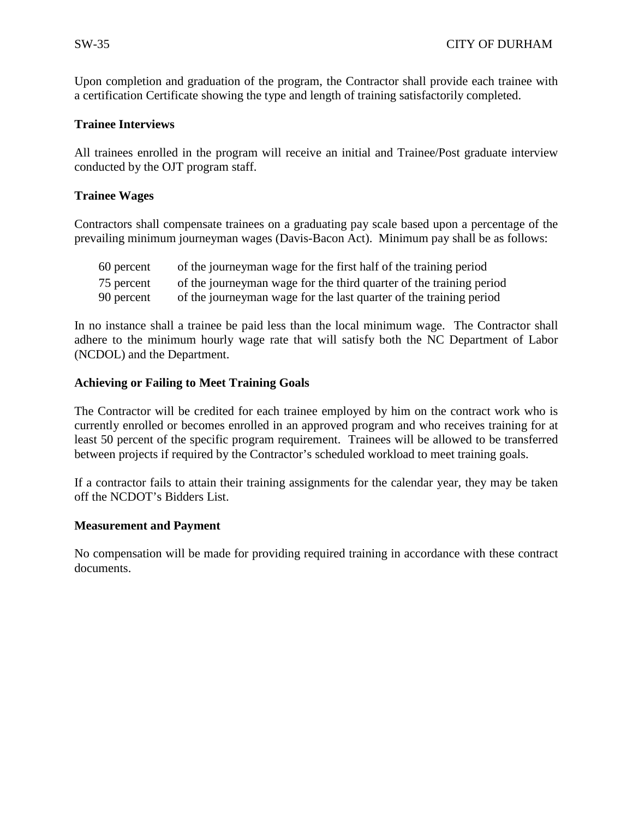Upon completion and graduation of the program, the Contractor shall provide each trainee with a certification Certificate showing the type and length of training satisfactorily completed.

#### **Trainee Interviews**

All trainees enrolled in the program will receive an initial and Trainee/Post graduate interview conducted by the OJT program staff.

#### **Trainee Wages**

Contractors shall compensate trainees on a graduating pay scale based upon a percentage of the prevailing minimum journeyman wages (Davis-Bacon Act). Minimum pay shall be as follows:

| 60 percent | of the journeyman wage for the first half of the training period    |
|------------|---------------------------------------------------------------------|
| 75 percent | of the journeyman wage for the third quarter of the training period |
| 90 percent | of the journeyman wage for the last quarter of the training period  |

In no instance shall a trainee be paid less than the local minimum wage. The Contractor shall adhere to the minimum hourly wage rate that will satisfy both the NC Department of Labor (NCDOL) and the Department.

#### **Achieving or Failing to Meet Training Goals**

The Contractor will be credited for each trainee employed by him on the contract work who is currently enrolled or becomes enrolled in an approved program and who receives training for at least 50 percent of the specific program requirement. Trainees will be allowed to be transferred between projects if required by the Contractor's scheduled workload to meet training goals.

If a contractor fails to attain their training assignments for the calendar year, they may be taken off the NCDOT's Bidders List.

#### **Measurement and Payment**

No compensation will be made for providing required training in accordance with these contract documents.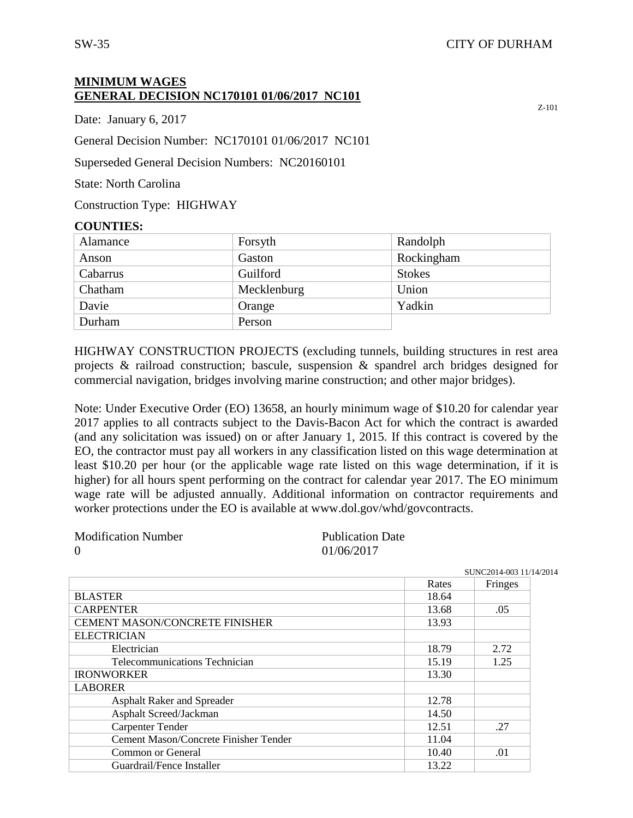## **MINIMUM WAGES GENERAL DECISION NC170101 01/06/2017 NC101**

Date: January 6, 2017

General Decision Number: NC170101 01/06/2017 NC101

Superseded General Decision Numbers: NC20160101

State: North Carolina

Construction Type: HIGHWAY

#### **COUNTIES:**

| Alamance | Forsyth     | Randolph      |
|----------|-------------|---------------|
| Anson    | Gaston      | Rockingham    |
| Cabarrus | Guilford    | <b>Stokes</b> |
| Chatham  | Mecklenburg | Union         |
| Davie    | Orange      | Yadkin        |
| Durham   | Person      |               |

HIGHWAY CONSTRUCTION PROJECTS (excluding tunnels, building structures in rest area projects & railroad construction; bascule, suspension & spandrel arch bridges designed for commercial navigation, bridges involving marine construction; and other major bridges).

Note: Under Executive Order (EO) 13658, an hourly minimum wage of \$10.20 for calendar year 2017 applies to all contracts subject to the Davis-Bacon Act for which the contract is awarded (and any solicitation was issued) on or after January 1, 2015. If this contract is covered by the EO, the contractor must pay all workers in any classification listed on this wage determination at least \$10.20 per hour (or the applicable wage rate listed on this wage determination, if it is higher) for all hours spent performing on the contract for calendar year 2017. The EO minimum wage rate will be adjusted annually. Additional information on contractor requirements and worker protections under the EO is available at www.dol.gov/whd/govcontracts.

| <b>Modification Number</b> | <b>Publication Date</b> |
|----------------------------|-------------------------|
|                            | 01/06/2017              |

|                                       |       | SUNC2014-003 11/14/2014 |
|---------------------------------------|-------|-------------------------|
|                                       | Rates | Fringes                 |
| <b>BLASTER</b>                        | 18.64 |                         |
| <b>CARPENTER</b>                      | 13.68 | .05                     |
| <b>CEMENT MASON/CONCRETE FINISHER</b> | 13.93 |                         |
| <b>ELECTRICIAN</b>                    |       |                         |
| Electrician                           | 18.79 | 2.72                    |
| Telecommunications Technician         | 15.19 | 1.25                    |
| <b>IRONWORKER</b>                     | 13.30 |                         |
| <b>LABORER</b>                        |       |                         |
| <b>Asphalt Raker and Spreader</b>     | 12.78 |                         |
| Asphalt Screed/Jackman                | 14.50 |                         |
| <b>Carpenter Tender</b>               | 12.51 | .27                     |
| Cement Mason/Concrete Finisher Tender | 11.04 |                         |
| Common or General                     | 10.40 | .01                     |
| Guardrail/Fence Installer             | 13.22 |                         |

Z-101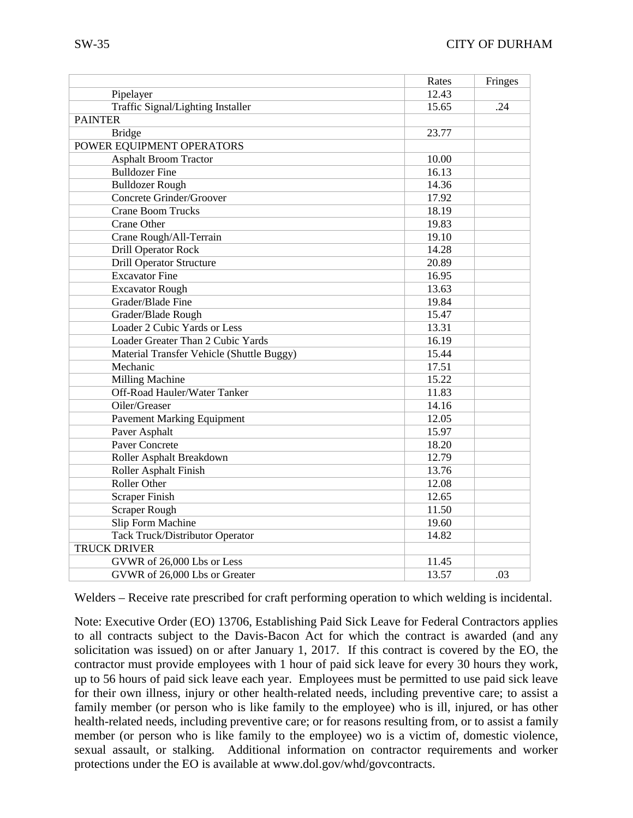|                                           | Rates | Fringes |
|-------------------------------------------|-------|---------|
| Pipelayer                                 | 12.43 |         |
| <b>Traffic Signal/Lighting Installer</b>  | 15.65 | .24     |
| <b>PAINTER</b>                            |       |         |
| <b>Bridge</b>                             | 23.77 |         |
| POWER EQUIPMENT OPERATORS                 |       |         |
| <b>Asphalt Broom Tractor</b>              | 10.00 |         |
| <b>Bulldozer Fine</b>                     | 16.13 |         |
| <b>Bulldozer Rough</b>                    | 14.36 |         |
| Concrete Grinder/Groover                  | 17.92 |         |
| <b>Crane Boom Trucks</b>                  | 18.19 |         |
| <b>Crane Other</b>                        | 19.83 |         |
| Crane Rough/All-Terrain                   | 19.10 |         |
| <b>Drill Operator Rock</b>                | 14.28 |         |
| <b>Drill Operator Structure</b>           | 20.89 |         |
| <b>Excavator Fine</b>                     | 16.95 |         |
| <b>Excavator Rough</b>                    | 13.63 |         |
| Grader/Blade Fine                         | 19.84 |         |
| Grader/Blade Rough                        | 15.47 |         |
| Loader 2 Cubic Yards or Less              | 13.31 |         |
| Loader Greater Than 2 Cubic Yards         | 16.19 |         |
| Material Transfer Vehicle (Shuttle Buggy) | 15.44 |         |
| Mechanic                                  | 17.51 |         |
| <b>Milling Machine</b>                    | 15.22 |         |
| Off-Road Hauler/Water Tanker              | 11.83 |         |
| Oiler/Greaser                             | 14.16 |         |
| <b>Pavement Marking Equipment</b>         | 12.05 |         |
| Paver Asphalt                             | 15.97 |         |
| <b>Paver Concrete</b>                     | 18.20 |         |
| Roller Asphalt Breakdown                  | 12.79 |         |
| Roller Asphalt Finish                     | 13.76 |         |
| Roller Other                              | 12.08 |         |
| <b>Scraper Finish</b>                     | 12.65 |         |
| Scraper Rough                             | 11.50 |         |
| Slip Form Machine                         | 19.60 |         |
| Tack Truck/Distributor Operator           | 14.82 |         |
| <b>TRUCK DRIVER</b>                       |       |         |
| GVWR of 26,000 Lbs or Less                | 11.45 |         |
| GVWR of 26,000 Lbs or Greater             | 13.57 | .03     |

Welders – Receive rate prescribed for craft performing operation to which welding is incidental.

Note: Executive Order (EO) 13706, Establishing Paid Sick Leave for Federal Contractors applies to all contracts subject to the Davis-Bacon Act for which the contract is awarded (and any solicitation was issued) on or after January 1, 2017. If this contract is covered by the EO, the contractor must provide employees with 1 hour of paid sick leave for every 30 hours they work, up to 56 hours of paid sick leave each year. Employees must be permitted to use paid sick leave for their own illness, injury or other health-related needs, including preventive care; to assist a family member (or person who is like family to the employee) who is ill, injured, or has other health-related needs, including preventive care; or for reasons resulting from, or to assist a family member (or person who is like family to the employee) wo is a victim of, domestic violence, sexual assault, or stalking. Additional information on contractor requirements and worker protections under the EO is available at www.dol.gov/whd/govcontracts.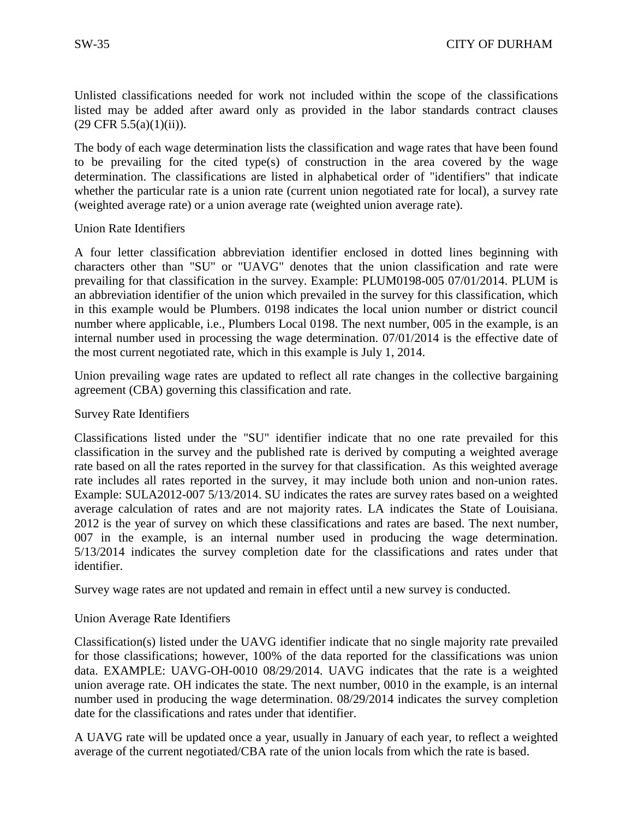Unlisted classifications needed for work not included within the scope of the classifications listed may be added after award only as provided in the labor standards contract clauses  $(29 \text{ CFR } 5.5(a)(1)(ii)).$ 

The body of each wage determination lists the classification and wage rates that have been found to be prevailing for the cited type(s) of construction in the area covered by the wage determination. The classifications are listed in alphabetical order of "identifiers" that indicate whether the particular rate is a union rate (current union negotiated rate for local), a survey rate (weighted average rate) or a union average rate (weighted union average rate).

## Union Rate Identifiers

A four letter classification abbreviation identifier enclosed in dotted lines beginning with characters other than "SU" or "UAVG" denotes that the union classification and rate were prevailing for that classification in the survey. Example: PLUM0198-005 07/01/2014. PLUM is an abbreviation identifier of the union which prevailed in the survey for this classification, which in this example would be Plumbers. 0198 indicates the local union number or district council number where applicable, i.e., Plumbers Local 0198. The next number, 005 in the example, is an internal number used in processing the wage determination. 07/01/2014 is the effective date of the most current negotiated rate, which in this example is July 1, 2014.

Union prevailing wage rates are updated to reflect all rate changes in the collective bargaining agreement (CBA) governing this classification and rate.

#### Survey Rate Identifiers

Classifications listed under the "SU" identifier indicate that no one rate prevailed for this classification in the survey and the published rate is derived by computing a weighted average rate based on all the rates reported in the survey for that classification. As this weighted average rate includes all rates reported in the survey, it may include both union and non-union rates. Example: SULA2012-007 5/13/2014. SU indicates the rates are survey rates based on a weighted average calculation of rates and are not majority rates. LA indicates the State of Louisiana. 2012 is the year of survey on which these classifications and rates are based. The next number, 007 in the example, is an internal number used in producing the wage determination. 5/13/2014 indicates the survey completion date for the classifications and rates under that identifier.

Survey wage rates are not updated and remain in effect until a new survey is conducted.

# Union Average Rate Identifiers

Classification(s) listed under the UAVG identifier indicate that no single majority rate prevailed for those classifications; however, 100% of the data reported for the classifications was union data. EXAMPLE: UAVG-OH-0010 08/29/2014. UAVG indicates that the rate is a weighted union average rate. OH indicates the state. The next number, 0010 in the example, is an internal number used in producing the wage determination. 08/29/2014 indicates the survey completion date for the classifications and rates under that identifier.

A UAVG rate will be updated once a year, usually in January of each year, to reflect a weighted average of the current negotiated/CBA rate of the union locals from which the rate is based.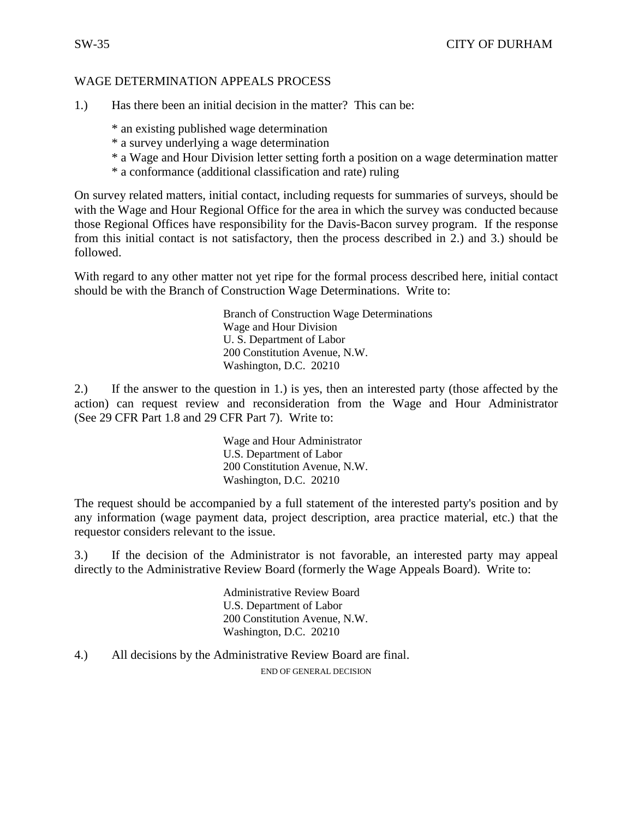# WAGE DETERMINATION APPEALS PROCESS

1.) Has there been an initial decision in the matter? This can be:

\* an existing published wage determination

- \* a survey underlying a wage determination
- \* a Wage and Hour Division letter setting forth a position on a wage determination matter
- \* a conformance (additional classification and rate) ruling

On survey related matters, initial contact, including requests for summaries of surveys, should be with the Wage and Hour Regional Office for the area in which the survey was conducted because those Regional Offices have responsibility for the Davis-Bacon survey program. If the response from this initial contact is not satisfactory, then the process described in 2.) and 3.) should be followed.

With regard to any other matter not yet ripe for the formal process described here, initial contact should be with the Branch of Construction Wage Determinations. Write to:

> Branch of Construction Wage Determinations Wage and Hour Division U. S. Department of Labor 200 Constitution Avenue, N.W. Washington, D.C. 20210

2.) If the answer to the question in 1.) is yes, then an interested party (those affected by the action) can request review and reconsideration from the Wage and Hour Administrator (See 29 CFR Part 1.8 and 29 CFR Part 7). Write to:

> Wage and Hour Administrator U.S. Department of Labor 200 Constitution Avenue, N.W. Washington, D.C. 20210

The request should be accompanied by a full statement of the interested party's position and by any information (wage payment data, project description, area practice material, etc.) that the requestor considers relevant to the issue.

3.) If the decision of the Administrator is not favorable, an interested party may appeal directly to the Administrative Review Board (formerly the Wage Appeals Board). Write to:

> Administrative Review Board U.S. Department of Labor 200 Constitution Avenue, N.W. Washington, D.C. 20210

4.) All decisions by the Administrative Review Board are final.

END OF GENERAL DECISION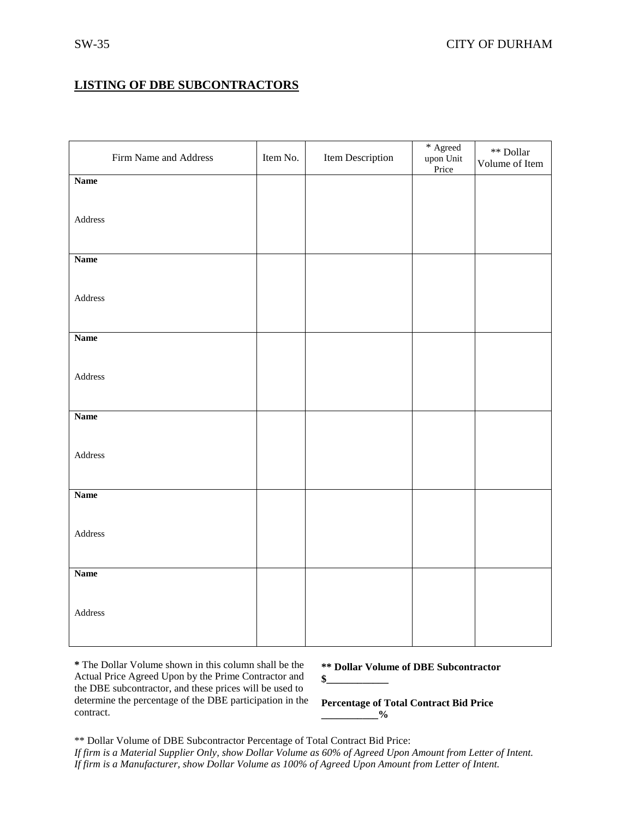# **LISTING OF DBE SUBCONTRACTORS**

| Firm Name and Address             | Item No. | Item Description | * Agreed<br>upon Unit<br>Price | $\ast\ast$ Dollar<br>Volume of Item |
|-----------------------------------|----------|------------------|--------------------------------|-------------------------------------|
| <b>Name</b>                       |          |                  |                                |                                     |
| $\operatorname{\mathsf{Address}}$ |          |                  |                                |                                     |
| <b>Name</b>                       |          |                  |                                |                                     |
| Address                           |          |                  |                                |                                     |
| <b>Name</b>                       |          |                  |                                |                                     |
| Address                           |          |                  |                                |                                     |
| <b>Name</b>                       |          |                  |                                |                                     |
| Address                           |          |                  |                                |                                     |
| <b>Name</b>                       |          |                  |                                |                                     |
| $\operatorname{\sf Address}$      |          |                  |                                |                                     |
| <b>Name</b>                       |          |                  |                                |                                     |
| $\operatorname{\mathsf{Address}}$ |          |                  |                                |                                     |

**\*** The Dollar Volume shown in this column shall be the Actual Price Agreed Upon by the Prime Contractor and the DBE subcontractor, and these prices will be used to determine the percentage of the DBE participation in the contract.

#### **\*\* Dollar Volume of DBE Subcontractor**   $\bullet$

**Percentage of Total Contract Bid Price**   $\sim$   $\frac{0}{0}$ 

\*\* Dollar Volume of DBE Subcontractor Percentage of Total Contract Bid Price: *If firm is a Material Supplier Only, show Dollar Volume as 60% of Agreed Upon Amount from Letter of Intent. If firm is a Manufacturer, show Dollar Volume as 100% of Agreed Upon Amount from Letter of Intent.*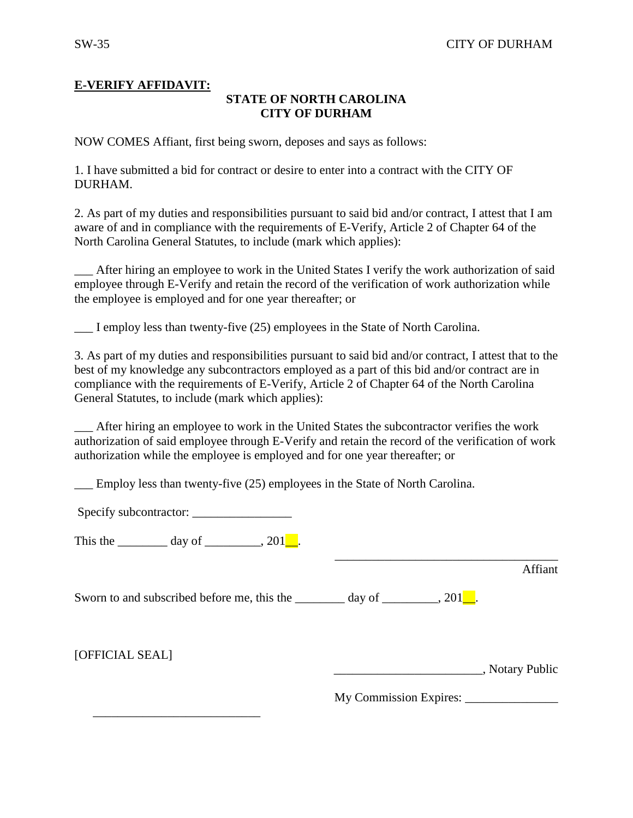# **E-VERIFY AFFIDAVIT:**

# **STATE OF NORTH CAROLINA CITY OF DURHAM**

NOW COMES Affiant, first being sworn, deposes and says as follows:

1. I have submitted a bid for contract or desire to enter into a contract with the CITY OF DURHAM.

2. As part of my duties and responsibilities pursuant to said bid and/or contract, I attest that I am aware of and in compliance with the requirements of E-Verify, Article 2 of Chapter 64 of the North Carolina General Statutes, to include (mark which applies):

\_\_\_ After hiring an employee to work in the United States I verify the work authorization of said employee through E-Verify and retain the record of the verification of work authorization while the employee is employed and for one year thereafter; or

\_\_\_ I employ less than twenty-five (25) employees in the State of North Carolina.

3. As part of my duties and responsibilities pursuant to said bid and/or contract, I attest that to the best of my knowledge any subcontractors employed as a part of this bid and/or contract are in compliance with the requirements of E-Verify, Article 2 of Chapter 64 of the North Carolina General Statutes, to include (mark which applies):

\_\_\_ After hiring an employee to work in the United States the subcontractor verifies the work authorization of said employee through E-Verify and retain the record of the verification of work authorization while the employee is employed and for one year thereafter; or

Employ less than twenty-five (25) employees in the State of North Carolina.

Specify subcontractor:

This the  $\qquad \qquad \text{day of} \qquad \qquad .201$ .

\_\_\_\_\_\_\_\_\_\_\_\_\_\_\_\_\_\_\_\_\_\_\_\_\_\_\_

Sworn to and subscribed before me, this the  $\qquad \qquad$  day of  $\qquad \qquad$ , 201.

[OFFICIAL SEAL]

\_\_\_\_\_\_\_\_\_\_\_\_\_\_\_\_\_\_\_\_\_\_\_\_, Notary Public

\_\_\_\_\_\_\_\_\_\_\_\_\_\_\_\_\_\_\_\_\_\_\_\_\_\_\_\_\_\_\_\_\_\_\_\_

Affiant

My Commission Expires: \_\_\_\_\_\_\_\_\_\_\_\_\_\_\_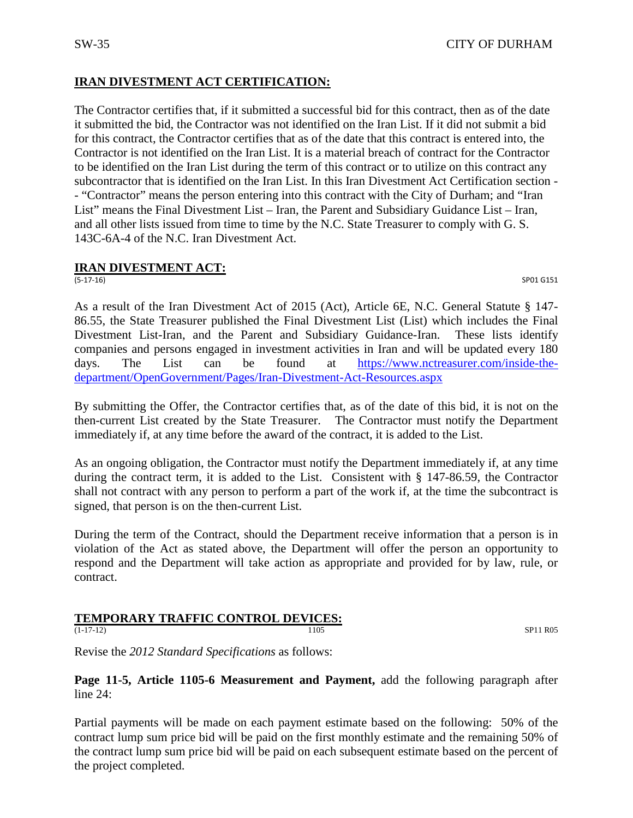# **IRAN DIVESTMENT ACT CERTIFICATION:**

The Contractor certifies that, if it submitted a successful bid for this contract, then as of the date it submitted the bid, the Contractor was not identified on the Iran List. If it did not submit a bid for this contract, the Contractor certifies that as of the date that this contract is entered into, the Contractor is not identified on the Iran List. It is a material breach of contract for the Contractor to be identified on the Iran List during the term of this contract or to utilize on this contract any subcontractor that is identified on the Iran List. In this Iran Divestment Act Certification section - - "Contractor" means the person entering into this contract with the City of Durham; and "Iran List" means the Final Divestment List – Iran, the Parent and Subsidiary Guidance List – Iran, and all other lists issued from time to time by the N.C. State Treasurer to comply with G. S. 143C-6A-4 of the N.C. Iran Divestment Act.

# **IRAN DIVESTMENT ACT:**<br>(5-17-16)

(5-17-16) SP01 G151

As a result of the Iran Divestment Act of 2015 (Act), Article 6E, N.C. General Statute § 147- 86.55, the State Treasurer published the Final Divestment List (List) which includes the Final Divestment List-Iran, and the Parent and Subsidiary Guidance-Iran. These lists identify companies and persons engaged in investment activities in Iran and will be updated every 180 days. The List can be found at [https://www.nctreasurer.com/inside-the](https://www.nctreasurer.com/inside-the-department/OpenGovernment/Pages/Iran-Divestment-Act-Resources.aspx)[department/OpenGovernment/Pages/Iran-Divestment-Act-Resources.aspx](https://www.nctreasurer.com/inside-the-department/OpenGovernment/Pages/Iran-Divestment-Act-Resources.aspx)

By submitting the Offer, the Contractor certifies that, as of the date of this bid, it is not on the then-current List created by the State Treasurer. The Contractor must notify the Department immediately if, at any time before the award of the contract, it is added to the List.

As an ongoing obligation, the Contractor must notify the Department immediately if, at any time during the contract term, it is added to the List. Consistent with § 147-86.59, the Contractor shall not contract with any person to perform a part of the work if, at the time the subcontract is signed, that person is on the then-current List.

During the term of the Contract, should the Department receive information that a person is in violation of the Act as stated above, the Department will offer the person an opportunity to respond and the Department will take action as appropriate and provided for by law, rule, or contract.

# **TEMPORARY TRAFFIC CONTROL DEVICES:**<br>(1-17-12) 1105

(1-17-12) 1105 SP11 R05

Revise the *2012 Standard Specifications* as follows:

**Page 11-5, Article 1105-6 Measurement and Payment,** add the following paragraph after line 24:

Partial payments will be made on each payment estimate based on the following: 50% of the contract lump sum price bid will be paid on the first monthly estimate and the remaining 50% of the contract lump sum price bid will be paid on each subsequent estimate based on the percent of the project completed.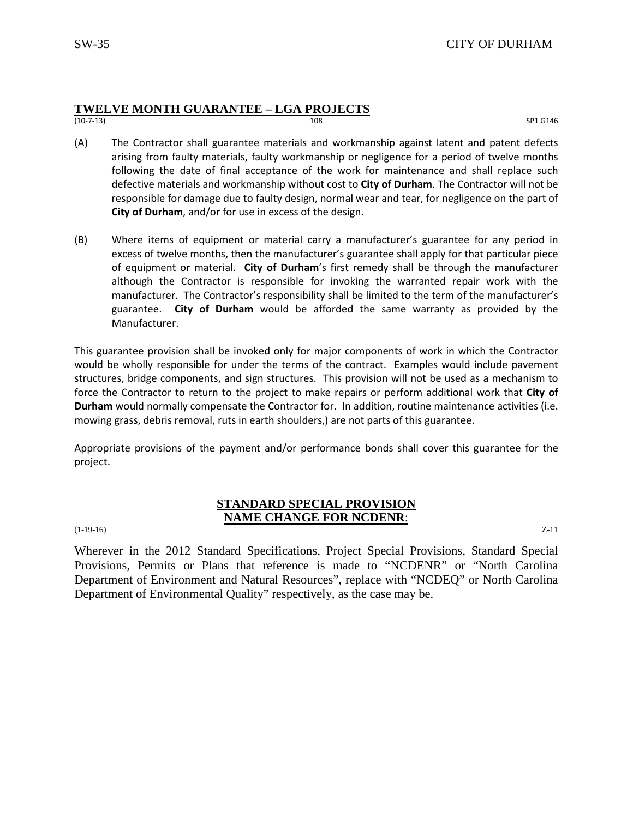# **TWELVE MONTH GUARANTEE – LGA PROJECTS**

(10-7-13) 108 SP1 G146

- (A) The Contractor shall guarantee materials and workmanship against latent and patent defects arising from faulty materials, faulty workmanship or negligence for a period of twelve months following the date of final acceptance of the work for maintenance and shall replace such defective materials and workmanship without cost to **City of Durham**. The Contractor will not be responsible for damage due to faulty design, normal wear and tear, for negligence on the part of **City of Durham**, and/or for use in excess of the design.
- (B) Where items of equipment or material carry a manufacturer's guarantee for any period in excess of twelve months, then the manufacturer's guarantee shall apply for that particular piece of equipment or material. **City of Durham**'s first remedy shall be through the manufacturer although the Contractor is responsible for invoking the warranted repair work with the manufacturer. The Contractor's responsibility shall be limited to the term of the manufacturer's guarantee. **City of Durham** would be afforded the same warranty as provided by the Manufacturer.

This guarantee provision shall be invoked only for major components of work in which the Contractor would be wholly responsible for under the terms of the contract. Examples would include pavement structures, bridge components, and sign structures. This provision will not be used as a mechanism to force the Contractor to return to the project to make repairs or perform additional work that **City of Durham** would normally compensate the Contractor for. In addition, routine maintenance activities (i.e. mowing grass, debris removal, ruts in earth shoulders,) are not parts of this guarantee.

Appropriate provisions of the payment and/or performance bonds shall cover this guarantee for the project.

#### **STANDARD SPECIAL PROVISION NAME CHANGE FOR NCDENR**:

(1-19-16) Z-11

Wherever in the 2012 Standard Specifications, Project Special Provisions, Standard Special Provisions, Permits or Plans that reference is made to "NCDENR" or "North Carolina Department of Environment and Natural Resources", replace with "NCDEQ" or North Carolina Department of Environmental Quality" respectively, as the case may be.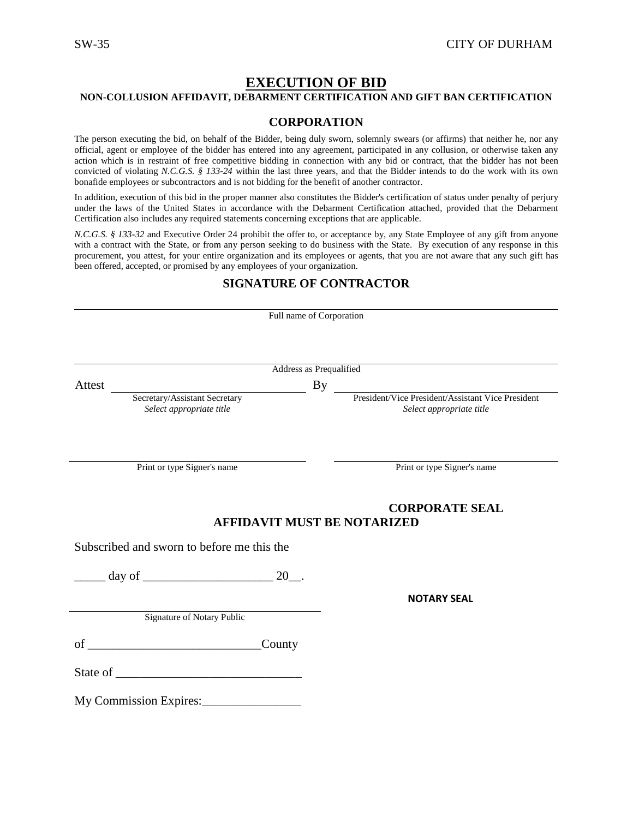#### **EXECUTION OF BID**

#### **NON-COLLUSION AFFIDAVIT, DEBARMENT CERTIFICATION AND GIFT BAN CERTIFICATION**

#### **CORPORATION**

The person executing the bid, on behalf of the Bidder, being duly sworn, solemnly swears (or affirms) that neither he, nor any official, agent or employee of the bidder has entered into any agreement, participated in any collusion, or otherwise taken any action which is in restraint of free competitive bidding in connection with any bid or contract, that the bidder has not been convicted of violating *N.C.G.S. § 133-24* within the last three years, and that the Bidder intends to do the work with its own bonafide employees or subcontractors and is not bidding for the benefit of another contractor.

In addition, execution of this bid in the proper manner also constitutes the Bidder's certification of status under penalty of perjury under the laws of the United States in accordance with the Debarment Certification attached, provided that the Debarment Certification also includes any required statements concerning exceptions that are applicable.

*N.C.G.S. § 133-32* and Executive Order 24 prohibit the offer to, or acceptance by, any State Employee of any gift from anyone with a contract with the State, or from any person seeking to do business with the State. By execution of any response in this procurement, you attest, for your entire organization and its employees or agents, that you are not aware that any such gift has been offered, accepted, or promised by any employees of your organization.

|        |                                                           | Full name of Corporation |                                                                                  |
|--------|-----------------------------------------------------------|--------------------------|----------------------------------------------------------------------------------|
|        |                                                           |                          |                                                                                  |
|        |                                                           | Address as Prequalified  |                                                                                  |
| Attest |                                                           |                          |                                                                                  |
|        | Secretary/Assistant Secretary<br>Select appropriate title |                          | By President/Vice President/Assistant Vice President<br>Select appropriate title |
|        |                                                           |                          |                                                                                  |
|        | Print or type Signer's name                               |                          | Print or type Signer's name                                                      |
|        | Subscribed and sworn to before me this the                |                          | <b>CORPORATE SEAL</b><br><b>AFFIDAVIT MUST BE NOTARIZED</b>                      |
|        | $\frac{day \text{ of } 20}{x}$ .                          |                          |                                                                                  |
|        |                                                           |                          | <b>NOTARY SEAL</b>                                                               |
|        | <b>Signature of Notary Public</b>                         |                          |                                                                                  |
|        | of County                                                 |                          |                                                                                  |
|        |                                                           |                          |                                                                                  |
|        | My Commission Expires:                                    |                          |                                                                                  |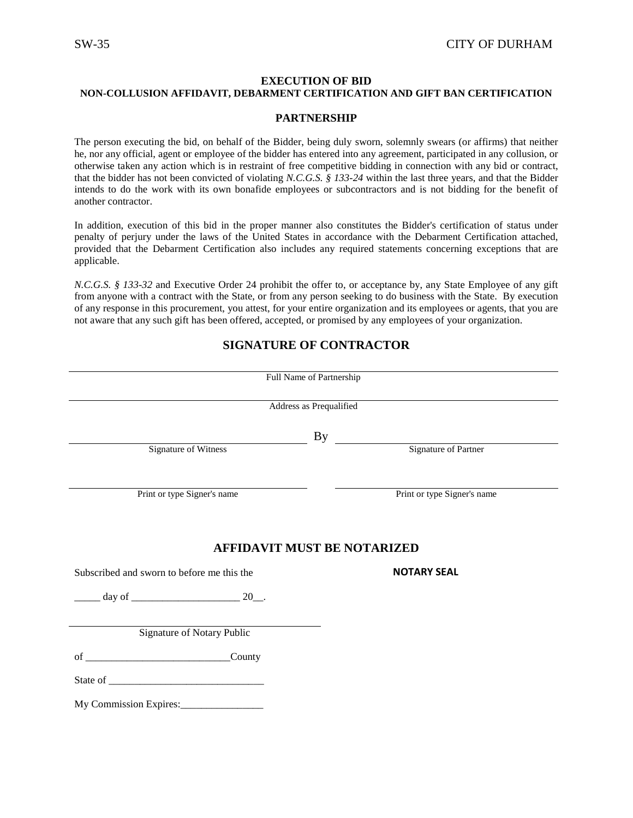#### **EXECUTION OF BID NON-COLLUSION AFFIDAVIT, DEBARMENT CERTIFICATION AND GIFT BAN CERTIFICATION**

#### **PARTNERSHIP**

The person executing the bid, on behalf of the Bidder, being duly sworn, solemnly swears (or affirms) that neither he, nor any official, agent or employee of the bidder has entered into any agreement, participated in any collusion, or otherwise taken any action which is in restraint of free competitive bidding in connection with any bid or contract, that the bidder has not been convicted of violating *N.C.G.S. § 133-24* within the last three years, and that the Bidder intends to do the work with its own bonafide employees or subcontractors and is not bidding for the benefit of another contractor.

In addition, execution of this bid in the proper manner also constitutes the Bidder's certification of status under penalty of perjury under the laws of the United States in accordance with the Debarment Certification attached, provided that the Debarment Certification also includes any required statements concerning exceptions that are applicable.

*N.C.G.S. § 133-32* and Executive Order 24 prohibit the offer to, or acceptance by, any State Employee of any gift from anyone with a contract with the State, or from any person seeking to do business with the State. By execution of any response in this procurement, you attest, for your entire organization and its employees or agents, that you are not aware that any such gift has been offered, accepted, or promised by any employees of your organization.

|                                            | Full Name of Partnership           |                                              |
|--------------------------------------------|------------------------------------|----------------------------------------------|
|                                            | Address as Prequalified            |                                              |
|                                            |                                    | Signature of Witness By Signature of Partner |
|                                            |                                    |                                              |
|                                            |                                    | Print or type Signer's name                  |
| Print or type Signer's name                |                                    |                                              |
|                                            |                                    |                                              |
|                                            | <b>AFFIDAVIT MUST BE NOTARIZED</b> |                                              |
| Subscribed and sworn to before me this the |                                    | <b>NOTARY SEAL</b>                           |
|                                            |                                    |                                              |
| <b>Signature of Notary Public</b>          |                                    |                                              |
|                                            |                                    |                                              |
|                                            |                                    |                                              |
|                                            |                                    |                                              |
|                                            |                                    |                                              |
|                                            |                                    |                                              |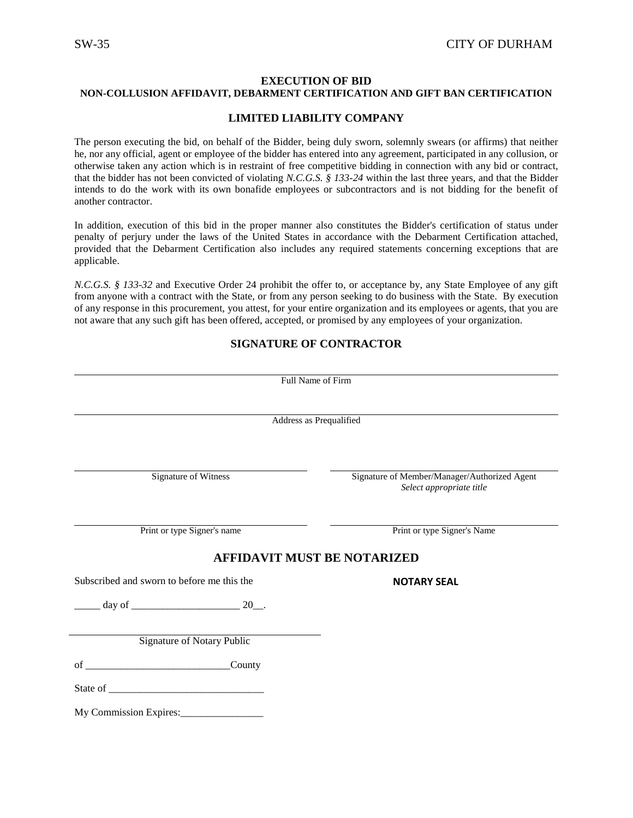#### **EXECUTION OF BID NON-COLLUSION AFFIDAVIT, DEBARMENT CERTIFICATION AND GIFT BAN CERTIFICATION**

#### **LIMITED LIABILITY COMPANY**

The person executing the bid, on behalf of the Bidder, being duly sworn, solemnly swears (or affirms) that neither he, nor any official, agent or employee of the bidder has entered into any agreement, participated in any collusion, or otherwise taken any action which is in restraint of free competitive bidding in connection with any bid or contract, that the bidder has not been convicted of violating *N.C.G.S. § 133-24* within the last three years, and that the Bidder intends to do the work with its own bonafide employees or subcontractors and is not bidding for the benefit of another contractor.

In addition, execution of this bid in the proper manner also constitutes the Bidder's certification of status under penalty of perjury under the laws of the United States in accordance with the Debarment Certification attached, provided that the Debarment Certification also includes any required statements concerning exceptions that are applicable.

*N.C.G.S. § 133-32* and Executive Order 24 prohibit the offer to, or acceptance by, any State Employee of any gift from anyone with a contract with the State, or from any person seeking to do business with the State. By execution of any response in this procurement, you attest, for your entire organization and its employees or agents, that you are not aware that any such gift has been offered, accepted, or promised by any employees of your organization.

|                                            | Full Name of Firm                                                        |
|--------------------------------------------|--------------------------------------------------------------------------|
|                                            | Address as Prequalified                                                  |
| Signature of Witness                       | Signature of Member/Manager/Authorized Agent<br>Select appropriate title |
| Print or type Signer's name                | Print or type Signer's Name                                              |
|                                            | <b>AFFIDAVIT MUST BE NOTARIZED</b>                                       |
| Subscribed and sworn to before me this the | <b>NOTARY SEAL</b>                                                       |
|                                            |                                                                          |
| <b>Signature of Notary Public</b>          |                                                                          |
|                                            |                                                                          |
|                                            |                                                                          |
|                                            |                                                                          |
|                                            |                                                                          |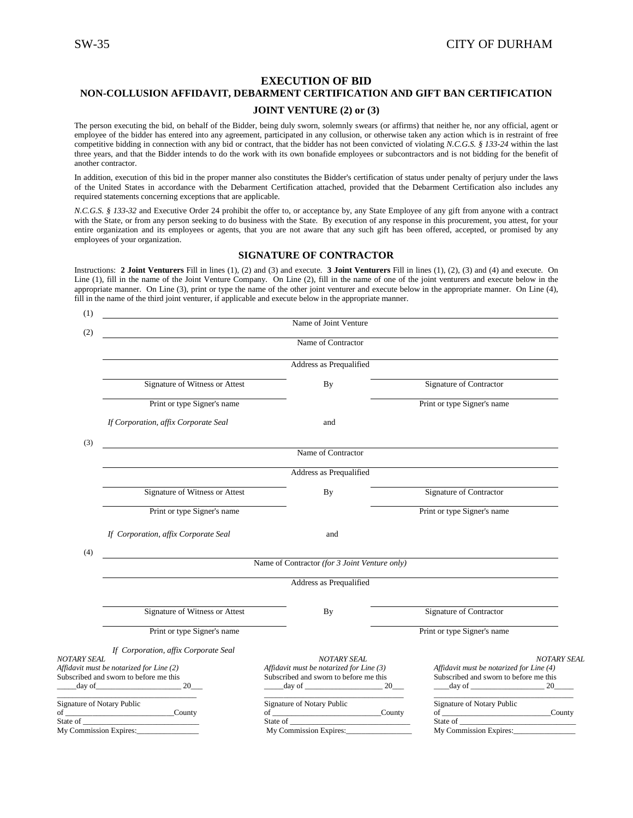$(1)$ 

#### **EXECUTION OF BID**

#### **NON-COLLUSION AFFIDAVIT, DEBARMENT CERTIFICATION AND GIFT BAN CERTIFICATION**

#### **JOINT VENTURE (2) or (3)**

The person executing the bid, on behalf of the Bidder, being duly sworn, solemnly swears (or affirms) that neither he, nor any official, agent or employee of the bidder has entered into any agreement, participated in any collusion, or otherwise taken any action which is in restraint of free competitive bidding in connection with any bid or contract, that the bidder has not been convicted of violating *N.C.G.S. § 133-24* within the last three years, and that the Bidder intends to do the work with its own bonafide employees or subcontractors and is not bidding for the benefit of another contractor.

In addition, execution of this bid in the proper manner also constitutes the Bidder's certification of status under penalty of perjury under the laws of the United States in accordance with the Debarment Certification attached, provided that the Debarment Certification also includes any required statements concerning exceptions that are applicable.

*N.C.G.S. § 133-32* and Executive Order 24 prohibit the offer to, or acceptance by, any State Employee of any gift from anyone with a contract with the State, or from any person seeking to do business with the State. By execution of any response in this procurement, you attest, for your entire organization and its employees or agents, that you are not aware that any such gift has been offered, accepted, or promised by any employees of your organization.

#### **SIGNATURE OF CONTRACTOR**

Instructions: **2 Joint Venturers** Fill in lines (1), (2) and (3) and execute. **3 Joint Venturers** Fill in lines (1), (2), (3) and (4) and execute. On Line (1), fill in the name of the Joint Venture Company. On Line (2), fill in the name of one of the joint venturers and execute below in the appropriate manner. On Line (3), print or type the name of the other joint venturer and execute below in the appropriate manner. On Line (4), fill in the name of the third joint venturer, if applicable and execute below in the appropriate manner.

|                                                                                    | Name of Joint Venture                                                              |                                                                                    |
|------------------------------------------------------------------------------------|------------------------------------------------------------------------------------|------------------------------------------------------------------------------------|
|                                                                                    | Name of Contractor                                                                 |                                                                                    |
|                                                                                    | Address as Prequalified                                                            |                                                                                    |
| Signature of Witness or Attest                                                     | By                                                                                 | <b>Signature of Contractor</b>                                                     |
| Print or type Signer's name                                                        |                                                                                    | Print or type Signer's name                                                        |
| If Corporation, affix Corporate Seal                                               | and                                                                                |                                                                                    |
|                                                                                    |                                                                                    |                                                                                    |
|                                                                                    |                                                                                    |                                                                                    |
|                                                                                    | Address as Prequalified                                                            |                                                                                    |
|                                                                                    | By                                                                                 | Signature of Contractor                                                            |
| Print or type Signer's name                                                        |                                                                                    | Print or type Signer's name                                                        |
| If Corporation, affix Corporate Seal                                               | and                                                                                |                                                                                    |
|                                                                                    |                                                                                    |                                                                                    |
|                                                                                    |                                                                                    |                                                                                    |
|                                                                                    |                                                                                    |                                                                                    |
|                                                                                    | Address as Prequalified                                                            |                                                                                    |
| Signature of Witness or Attest                                                     | By                                                                                 | Signature of Contractor                                                            |
| Print or type Signer's name                                                        |                                                                                    | Print or type Signer's name                                                        |
| If Corporation, affix Corporate Seal                                               |                                                                                    |                                                                                    |
| NOTARY SEAL                                                                        | NOTARY SEAL                                                                        | <b>NOTARY SEAL</b>                                                                 |
| Affidavit must be notarized for Line (2)<br>Subscribed and sworn to before me this | Affidavit must be notarized for Line (3)<br>Subscribed and sworn to before me this | Affidavit must be notarized for Line (4)<br>Subscribed and sworn to before me this |
| $\frac{1}{20}$ day of 20                                                           | $\frac{\text{day of}}{\text{day of}}$ 20                                           |                                                                                    |
| <b>Signature of Notary Public</b>                                                  | Signature of Notary Public                                                         | $\_\$ {day of $\_\_\_\_\_$ 20<br>Signature of Notary Public                        |
|                                                                                    |                                                                                    |                                                                                    |
|                                                                                    | Signature of Witness or Attest                                                     | Name of Contractor<br>Name of Contractor (for 3 Joint Venture only)                |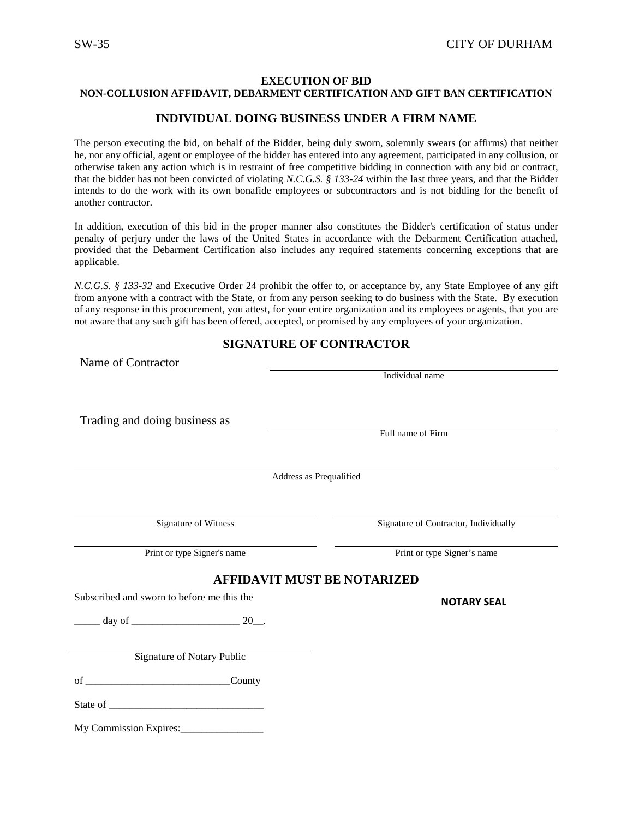#### **EXECUTION OF BID NON-COLLUSION AFFIDAVIT, DEBARMENT CERTIFICATION AND GIFT BAN CERTIFICATION**

#### **INDIVIDUAL DOING BUSINESS UNDER A FIRM NAME**

The person executing the bid, on behalf of the Bidder, being duly sworn, solemnly swears (or affirms) that neither he, nor any official, agent or employee of the bidder has entered into any agreement, participated in any collusion, or otherwise taken any action which is in restraint of free competitive bidding in connection with any bid or contract, that the bidder has not been convicted of violating *N.C.G.S. § 133-24* within the last three years, and that the Bidder intends to do the work with its own bonafide employees or subcontractors and is not bidding for the benefit of another contractor.

In addition, execution of this bid in the proper manner also constitutes the Bidder's certification of status under penalty of perjury under the laws of the United States in accordance with the Debarment Certification attached, provided that the Debarment Certification also includes any required statements concerning exceptions that are applicable.

*N.C.G.S. § 133-32* and Executive Order 24 prohibit the offer to, or acceptance by, any State Employee of any gift from anyone with a contract with the State, or from any person seeking to do business with the State. By execution of any response in this procurement, you attest, for your entire organization and its employees or agents, that you are not aware that any such gift has been offered, accepted, or promised by any employees of your organization.

| Name of Contractor                         |                                       |
|--------------------------------------------|---------------------------------------|
|                                            | Individual name                       |
| Trading and doing business as              |                                       |
|                                            | Full name of Firm                     |
|                                            | Address as Prequalified               |
| Signature of Witness                       | Signature of Contractor, Individually |
| Print or type Signer's name                | Print or type Signer's name           |
|                                            | <b>AFFIDAVIT MUST BE NOTARIZED</b>    |
| Subscribed and sworn to before me this the | <b>NOTARY SEAL</b>                    |
|                                            |                                       |
| <b>Signature of Notary Public</b>          |                                       |
| of County                                  |                                       |
|                                            |                                       |
| My Commission Expires:__________           |                                       |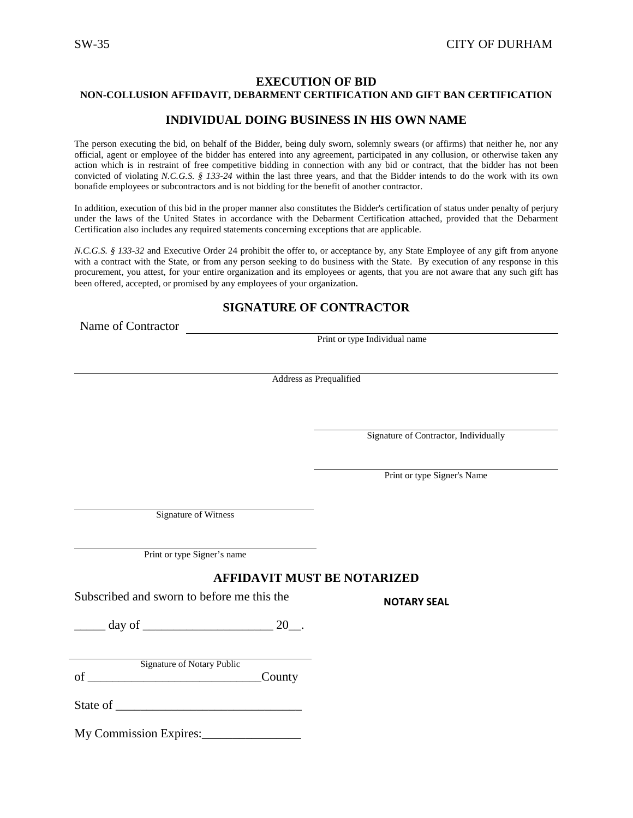#### **EXECUTION OF BID NON-COLLUSION AFFIDAVIT, DEBARMENT CERTIFICATION AND GIFT BAN CERTIFICATION**

#### **INDIVIDUAL DOING BUSINESS IN HIS OWN NAME**

The person executing the bid, on behalf of the Bidder, being duly sworn, solemnly swears (or affirms) that neither he, nor any official, agent or employee of the bidder has entered into any agreement, participated in any collusion, or otherwise taken any action which is in restraint of free competitive bidding in connection with any bid or contract, that the bidder has not been convicted of violating *N.C.G.S. § 133-24* within the last three years, and that the Bidder intends to do the work with its own bonafide employees or subcontractors and is not bidding for the benefit of another contractor.

In addition, execution of this bid in the proper manner also constitutes the Bidder's certification of status under penalty of perjury under the laws of the United States in accordance with the Debarment Certification attached, provided that the Debarment Certification also includes any required statements concerning exceptions that are applicable.

*N.C.G.S. § 133-32* and Executive Order 24 prohibit the offer to, or acceptance by, any State Employee of any gift from anyone with a contract with the State, or from any person seeking to do business with the State. By execution of any response in this procurement, you attest, for your entire organization and its employees or agents, that you are not aware that any such gift has been offered, accepted, or promised by any employees of your organization.

#### **SIGNATURE OF CONTRACTOR**

Name of Contractor

Print or type Individual name

Address as Prequalified

Signature of Contractor, Individually

Print or type Signer's Name

Signature of Witness

Print or type Signer's name

#### **AFFIDAVIT MUST BE NOTARIZED**

Subscribed and sworn to before me this the

**NOTARY SEAL**

 $\frac{1}{20}$  day of  $\frac{1}{20}$  20.

Signature of Notary Public

of County

State of

My Commission Expires: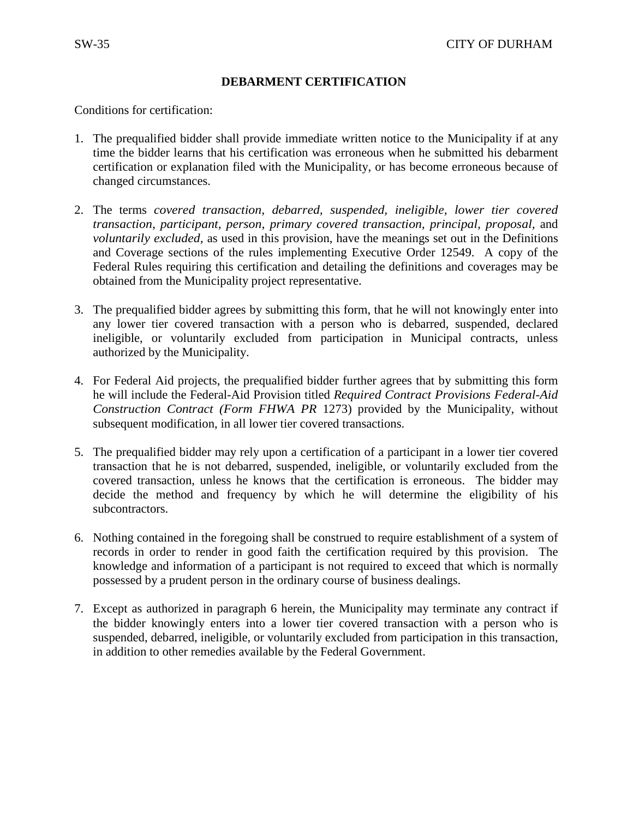#### **DEBARMENT CERTIFICATION**

Conditions for certification:

- 1. The prequalified bidder shall provide immediate written notice to the Municipality if at any time the bidder learns that his certification was erroneous when he submitted his debarment certification or explanation filed with the Municipality, or has become erroneous because of changed circumstances.
- 2. The terms *covered transaction, debarred, suspended, ineligible, lower tier covered transaction, participant, person, primary covered transaction, principal, proposal,* and *voluntarily excluded,* as used in this provision, have the meanings set out in the Definitions and Coverage sections of the rules implementing Executive Order 12549. A copy of the Federal Rules requiring this certification and detailing the definitions and coverages may be obtained from the Municipality project representative.
- 3. The prequalified bidder agrees by submitting this form, that he will not knowingly enter into any lower tier covered transaction with a person who is debarred, suspended, declared ineligible, or voluntarily excluded from participation in Municipal contracts, unless authorized by the Municipality.
- 4. For Federal Aid projects, the prequalified bidder further agrees that by submitting this form he will include the Federal-Aid Provision titled *Required Contract Provisions Federal-Aid Construction Contract (Form FHWA PR* 1273) provided by the Municipality, without subsequent modification, in all lower tier covered transactions.
- 5. The prequalified bidder may rely upon a certification of a participant in a lower tier covered transaction that he is not debarred, suspended, ineligible, or voluntarily excluded from the covered transaction, unless he knows that the certification is erroneous. The bidder may decide the method and frequency by which he will determine the eligibility of his subcontractors.
- 6. Nothing contained in the foregoing shall be construed to require establishment of a system of records in order to render in good faith the certification required by this provision. The knowledge and information of a participant is not required to exceed that which is normally possessed by a prudent person in the ordinary course of business dealings.
- 7. Except as authorized in paragraph 6 herein, the Municipality may terminate any contract if the bidder knowingly enters into a lower tier covered transaction with a person who is suspended, debarred, ineligible, or voluntarily excluded from participation in this transaction, in addition to other remedies available by the Federal Government.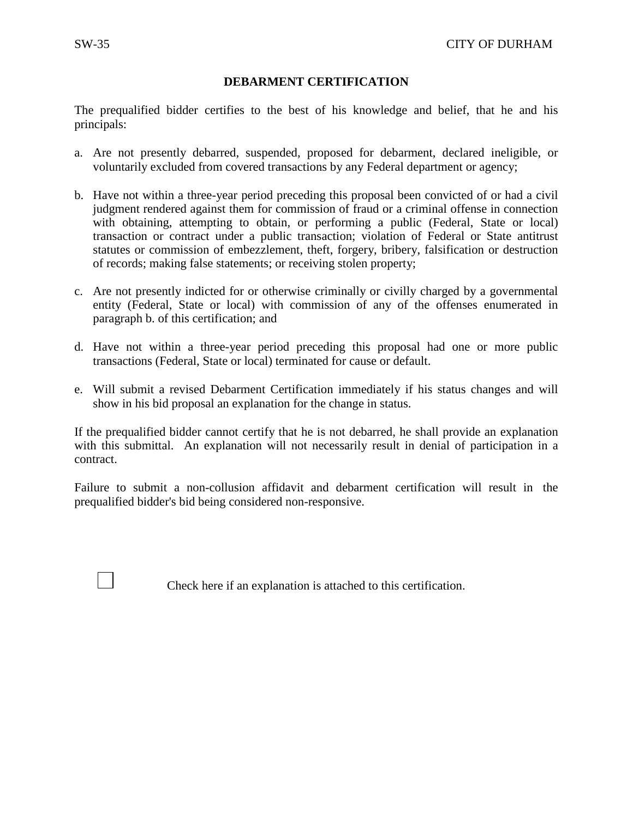#### **DEBARMENT CERTIFICATION**

The prequalified bidder certifies to the best of his knowledge and belief, that he and his principals:

- a. Are not presently debarred, suspended, proposed for debarment, declared ineligible, or voluntarily excluded from covered transactions by any Federal department or agency;
- b. Have not within a three-year period preceding this proposal been convicted of or had a civil judgment rendered against them for commission of fraud or a criminal offense in connection with obtaining, attempting to obtain, or performing a public (Federal, State or local) transaction or contract under a public transaction; violation of Federal or State antitrust statutes or commission of embezzlement, theft, forgery, bribery, falsification or destruction of records; making false statements; or receiving stolen property;
- c. Are not presently indicted for or otherwise criminally or civilly charged by a governmental entity (Federal, State or local) with commission of any of the offenses enumerated in paragraph b. of this certification; and
- d. Have not within a three-year period preceding this proposal had one or more public transactions (Federal, State or local) terminated for cause or default.
- e. Will submit a revised Debarment Certification immediately if his status changes and will show in his bid proposal an explanation for the change in status.

If the prequalified bidder cannot certify that he is not debarred, he shall provide an explanation with this submittal. An explanation will not necessarily result in denial of participation in a contract.

Failure to submit a non-collusion affidavit and debarment certification will result in the prequalified bidder's bid being considered non-responsive.

Check here if an explanation is attached to this certification.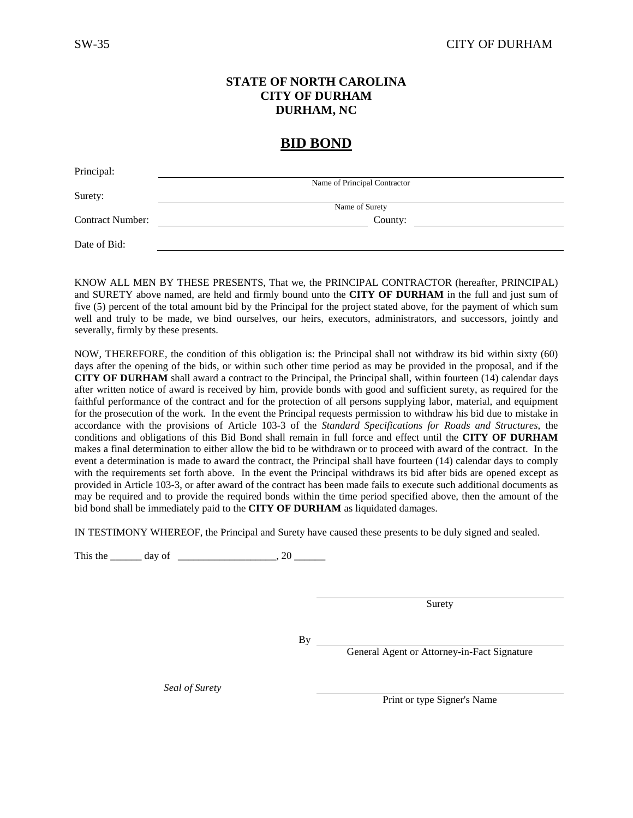$P_1$ .  $P_2$ 

#### **STATE OF NORTH CAROLINA CITY OF DURHAM DURHAM, NC**

# **BID BOND**

| Principal:              | Name of Principal Contractor |  |
|-------------------------|------------------------------|--|
| Surety:                 |                              |  |
|                         | Name of Surety               |  |
| <b>Contract Number:</b> | County:                      |  |
| Date of Bid:            |                              |  |

KNOW ALL MEN BY THESE PRESENTS, That we, the PRINCIPAL CONTRACTOR (hereafter, PRINCIPAL) and SURETY above named, are held and firmly bound unto the **CITY OF DURHAM** in the full and just sum of five (5) percent of the total amount bid by the Principal for the project stated above, for the payment of which sum well and truly to be made, we bind ourselves, our heirs, executors, administrators, and successors, jointly and severally, firmly by these presents.

NOW, THEREFORE, the condition of this obligation is: the Principal shall not withdraw its bid within sixty (60) days after the opening of the bids, or within such other time period as may be provided in the proposal, and if the **CITY OF DURHAM** shall award a contract to the Principal, the Principal shall, within fourteen (14) calendar days after written notice of award is received by him, provide bonds with good and sufficient surety, as required for the faithful performance of the contract and for the protection of all persons supplying labor, material, and equipment for the prosecution of the work. In the event the Principal requests permission to withdraw his bid due to mistake in accordance with the provisions of Article 103-3 of the *Standard Specifications for Roads and Structures*, the conditions and obligations of this Bid Bond shall remain in full force and effect until the **CITY OF DURHAM** makes a final determination to either allow the bid to be withdrawn or to proceed with award of the contract. In the event a determination is made to award the contract, the Principal shall have fourteen (14) calendar days to comply with the requirements set forth above. In the event the Principal withdraws its bid after bids are opened except as provided in Article 103-3, or after award of the contract has been made fails to execute such additional documents as may be required and to provide the required bonds within the time period specified above, then the amount of the bid bond shall be immediately paid to the **CITY OF DURHAM** as liquidated damages.

IN TESTIMONY WHEREOF, the Principal and Surety have caused these presents to be duly signed and sealed.

This the \_\_\_\_\_\_ day of \_\_\_\_\_\_\_\_\_\_\_\_\_\_\_\_\_\_\_, 20 \_\_\_\_\_\_

Surety

 $By$ <sub>--</sub>

General Agent or Attorney-in-Fact Signature

*Seal of Surety*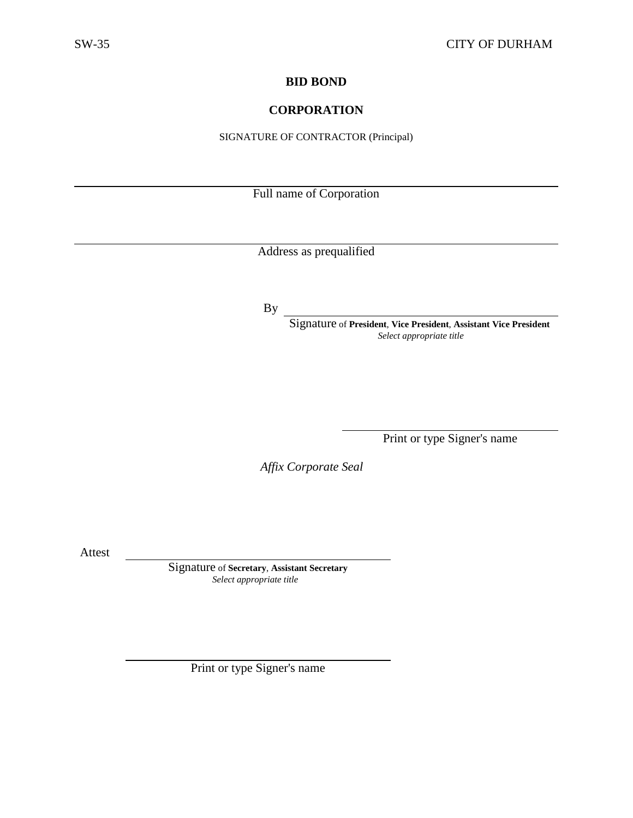#### **CORPORATION**

SIGNATURE OF CONTRACTOR (Principal)

Full name of Corporation

Address as prequalified

By

Signature of **President**, **Vice President**, **Assistant Vice President** *Select appropriate title*

Print or type Signer's name

*Affix Corporate Seal*

Attest

Signature of **Secretary**, **Assistant Secretary** *Select appropriate title*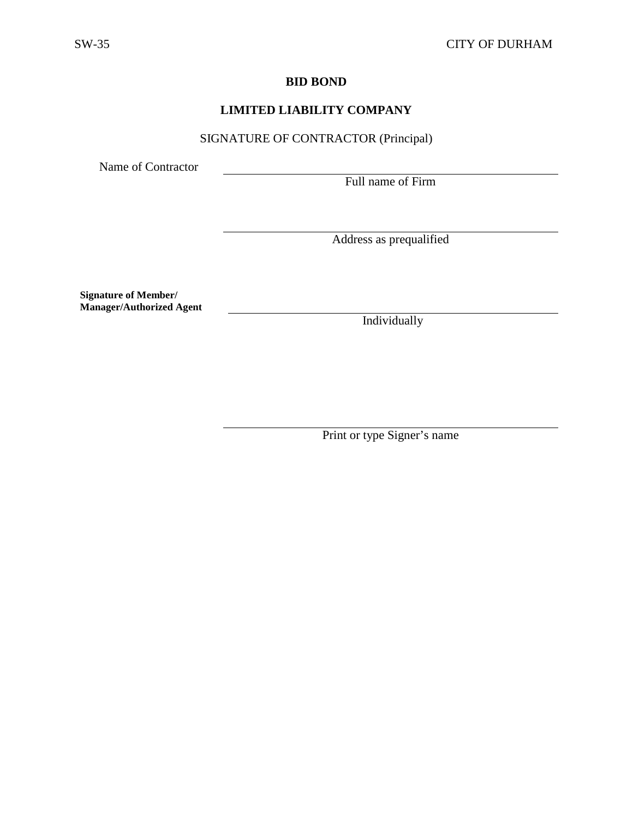# **LIMITED LIABILITY COMPANY**

# SIGNATURE OF CONTRACTOR (Principal)

Name of Contractor

Full name of Firm

Address as prequalified

**Signature of Member/ Manager/Authorized Agent**

Individually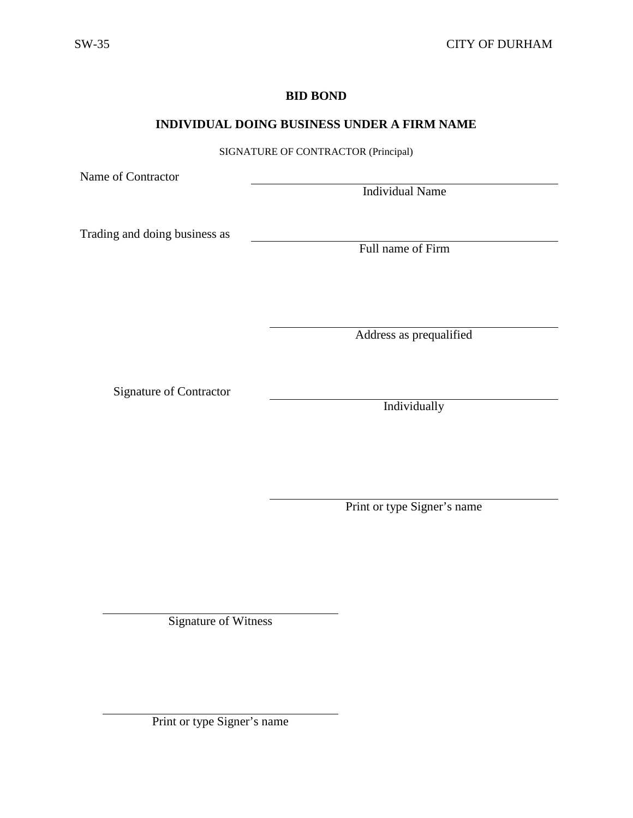### **INDIVIDUAL DOING BUSINESS UNDER A FIRM NAME**

SIGNATURE OF CONTRACTOR (Principal)

Name of Contractor

Individual Name

Trading and doing business as

Full name of Firm

Address as prequalified

Signature of Contractor

Individually

Print or type Signer's name

Signature of Witness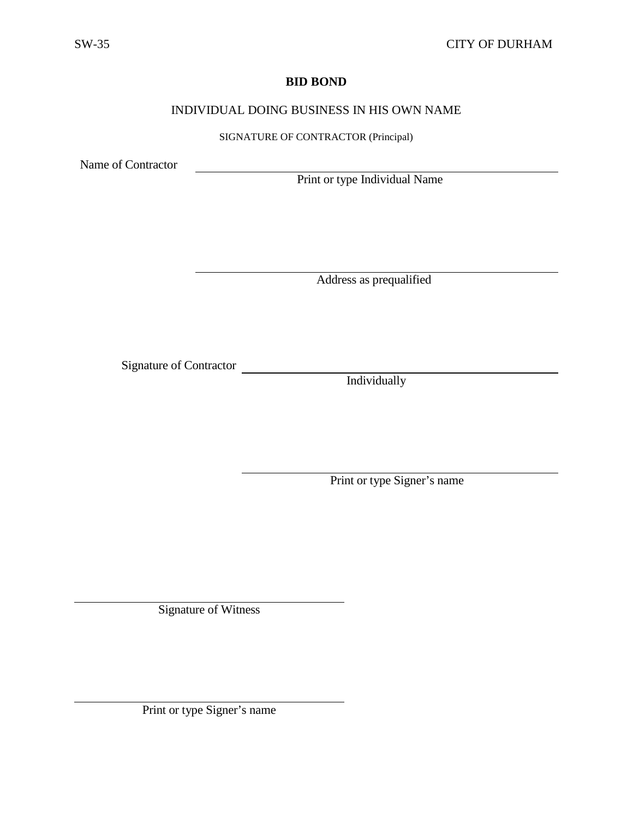#### INDIVIDUAL DOING BUSINESS IN HIS OWN NAME

#### SIGNATURE OF CONTRACTOR (Principal)

Name of Contractor

Print or type Individual Name

Address as prequalified

Signature of Contractor

Individually

Print or type Signer's name

Signature of Witness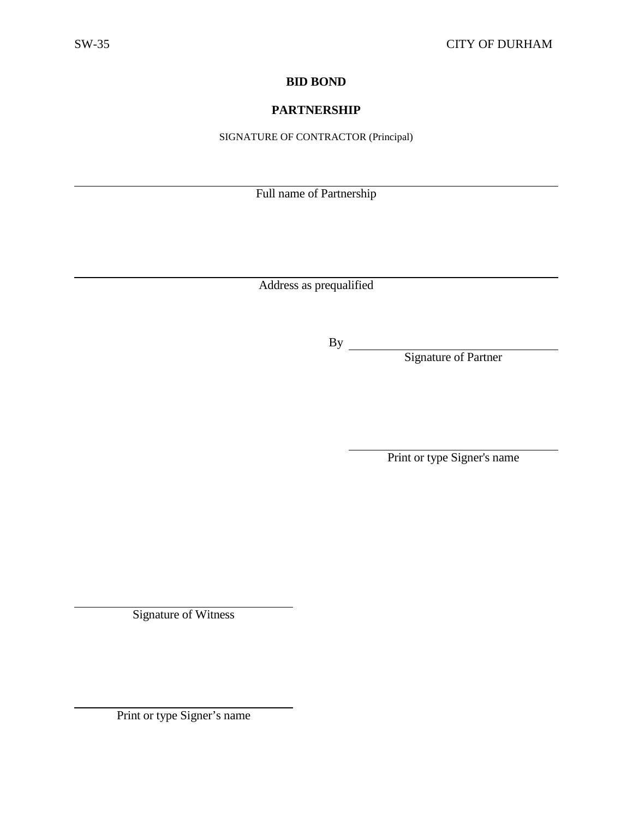# **PARTNERSHIP**

SIGNATURE OF CONTRACTOR (Principal)

Full name of Partnership

Address as prequalified

By

Signature of Partner

Print or type Signer's name

Signature of Witness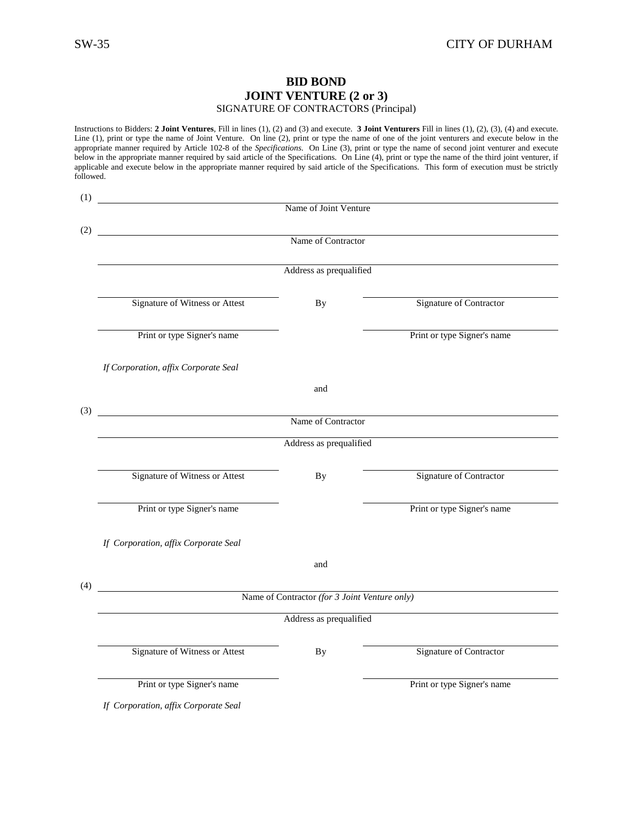#### **BID BOND JOINT VENTURE (2 or 3)** SIGNATURE OF CONTRACTORS (Principal)

Instructions to Bidders: **2 Joint Ventures**, Fill in lines (1), (2) and (3) and execute. **3 Joint Venturers** Fill in lines (1), (2), (3), (4) and execute. Line (1), print or type the name of Joint Venture. On line (2), print or type the name of one of the joint venturers and execute below in the appropriate manner required by Article 102-8 of the *Specifications*. On Line (3), print or type the name of second joint venturer and execute below in the appropriate manner required by said article of the Specifications. On Line (4), print or type the name of the third joint venturer, if applicable and execute below in the appropriate manner required by said article of the Specifications. This form of execution must be strictly followed.

|                                      |                                       | Name of Joint Venture                         |                                |
|--------------------------------------|---------------------------------------|-----------------------------------------------|--------------------------------|
|                                      |                                       |                                               |                                |
|                                      |                                       | Name of Contractor                            |                                |
|                                      |                                       | Address as prequalified                       |                                |
|                                      | Signature of Witness or Attest        | <b>By</b>                                     | Signature of Contractor        |
|                                      | Print or type Signer's name           |                                               | Print or type Signer's name    |
| If Corporation, affix Corporate Seal |                                       |                                               |                                |
|                                      |                                       | and                                           |                                |
|                                      |                                       | Name of Contractor                            |                                |
|                                      |                                       | Address as prequalified                       |                                |
|                                      | <b>Signature of Witness or Attest</b> | <b>By</b>                                     | <b>Signature of Contractor</b> |
|                                      | Print or type Signer's name           |                                               | Print or type Signer's name    |
| If Corporation, affix Corporate Seal |                                       |                                               |                                |
|                                      |                                       | and                                           |                                |
|                                      |                                       | Name of Contractor (for 3 Joint Venture only) |                                |
|                                      |                                       | Address as prequalified                       |                                |
|                                      | <b>Signature of Witness or Attest</b> | <b>By</b>                                     | <b>Signature of Contractor</b> |
|                                      | Print or type Signer's name           |                                               | Print or type Signer's name    |
| If Corporation, affix Corporate Seal |                                       |                                               |                                |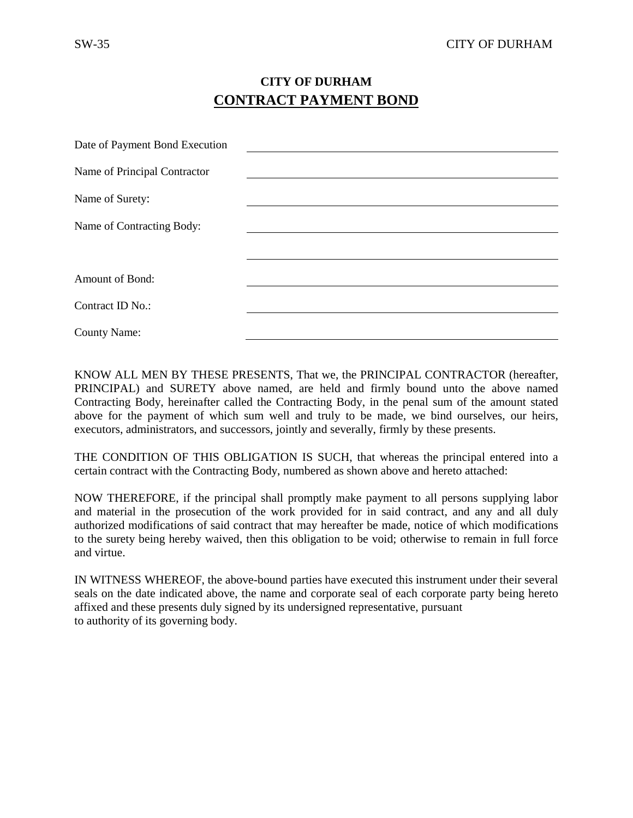# **CITY OF DURHAM CONTRACT PAYMENT BOND**

| Date of Payment Bond Execution |  |
|--------------------------------|--|
| Name of Principal Contractor   |  |
| Name of Surety:                |  |
| Name of Contracting Body:      |  |
|                                |  |
| Amount of Bond:                |  |
| Contract ID No.:               |  |
| <b>County Name:</b>            |  |

KNOW ALL MEN BY THESE PRESENTS, That we, the PRINCIPAL CONTRACTOR (hereafter, PRINCIPAL) and SURETY above named, are held and firmly bound unto the above named Contracting Body, hereinafter called the Contracting Body, in the penal sum of the amount stated above for the payment of which sum well and truly to be made, we bind ourselves, our heirs, executors, administrators, and successors, jointly and severally, firmly by these presents.

THE CONDITION OF THIS OBLIGATION IS SUCH, that whereas the principal entered into a certain contract with the Contracting Body, numbered as shown above and hereto attached:

NOW THEREFORE, if the principal shall promptly make payment to all persons supplying labor and material in the prosecution of the work provided for in said contract, and any and all duly authorized modifications of said contract that may hereafter be made, notice of which modifications to the surety being hereby waived, then this obligation to be void; otherwise to remain in full force and virtue.

IN WITNESS WHEREOF, the above-bound parties have executed this instrument under their several seals on the date indicated above, the name and corporate seal of each corporate party being hereto affixed and these presents duly signed by its undersigned representative, pursuant to authority of its governing body.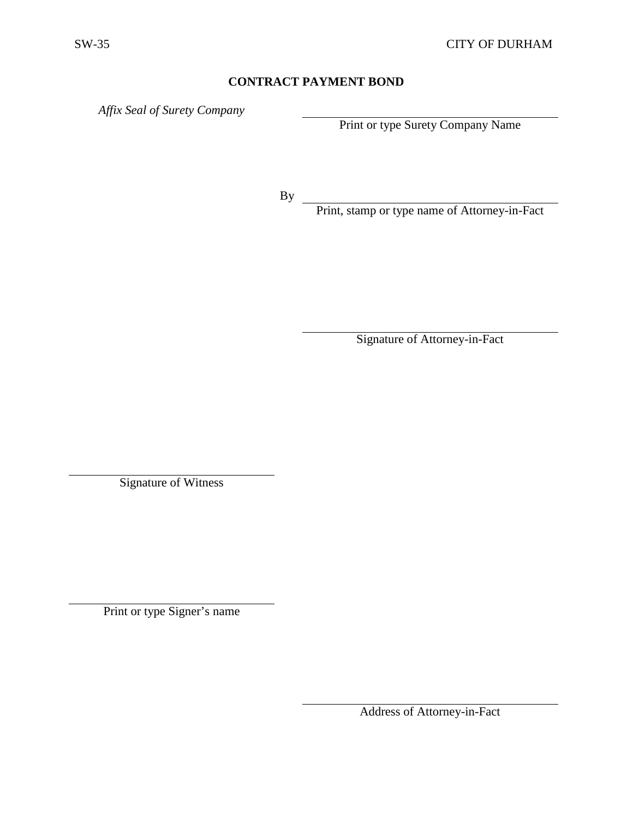*Affix Seal of Surety Company*

Print or type Surety Company Name

 $By -$ 

Print, stamp or type name of Attorney-in-Fact

Signature of Attorney-in-Fact

Signature of Witness

Print or type Signer's name

Address of Attorney-in-Fact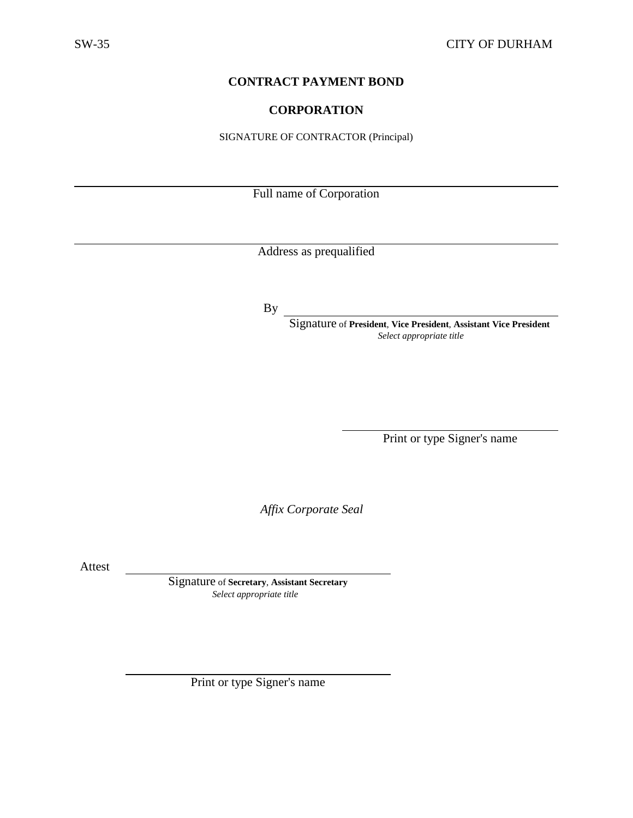#### **CORPORATION**

SIGNATURE OF CONTRACTOR (Principal)

Full name of Corporation

Address as prequalified

By

Signature of **President**, **Vice President**, **Assistant Vice President** *Select appropriate title*

<u> 1980 - Johann Barbara, martxa a</u>

Print or type Signer's name

*Affix Corporate Seal*

Attest

Signature of **Secretary**, **Assistant Secretary** *Select appropriate title*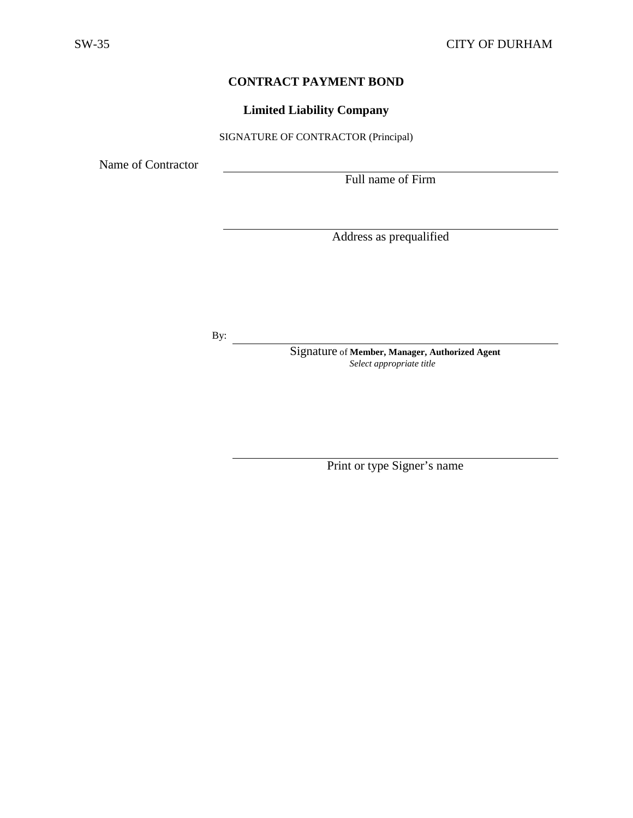**Limited Liability Company**

SIGNATURE OF CONTRACTOR (Principal)

Name of Contractor

Full name of Firm

Address as prequalified

By:  $\overline{\phantom{0}}$ 

Signature of **Member, Manager, Authorized Agent** *Select appropriate title*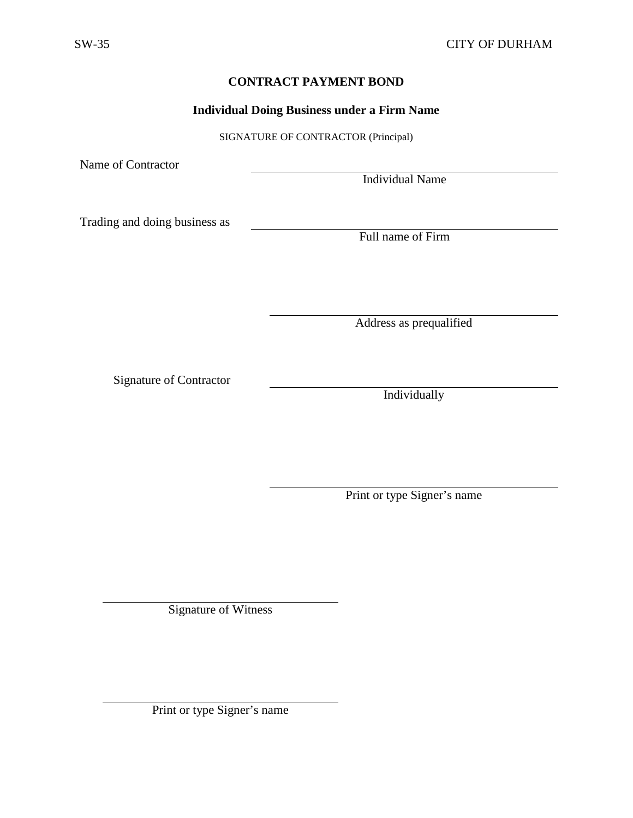### **Individual Doing Business under a Firm Name**

SIGNATURE OF CONTRACTOR (Principal)

Name of Contractor

Individual Name

Trading and doing business as

Full name of Firm

Address as prequalified

Signature of Contractor

Individually

Print or type Signer's name

Signature of Witness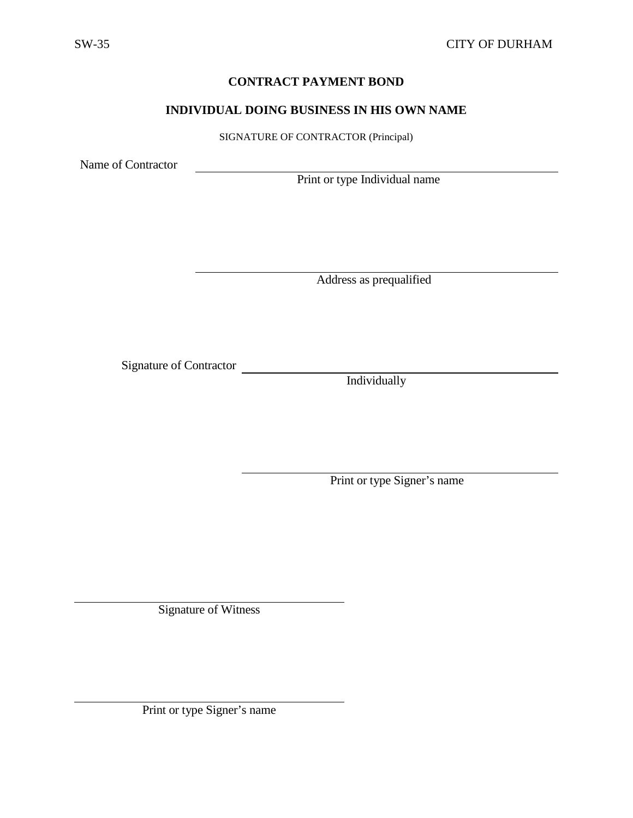# **INDIVIDUAL DOING BUSINESS IN HIS OWN NAME**

SIGNATURE OF CONTRACTOR (Principal)

Name of Contractor

Print or type Individual name

Address as prequalified

Signature of Contractor

Individually

Print or type Signer's name

Signature of Witness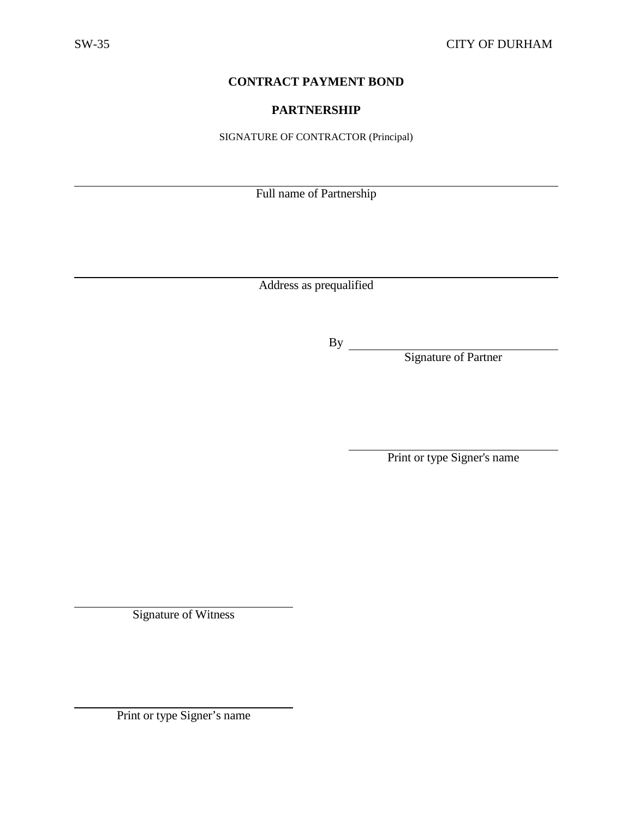# **PARTNERSHIP**

SIGNATURE OF CONTRACTOR (Principal)

Full name of Partnership

Address as prequalified

By

Signature of Partner

Print or type Signer's name

Signature of Witness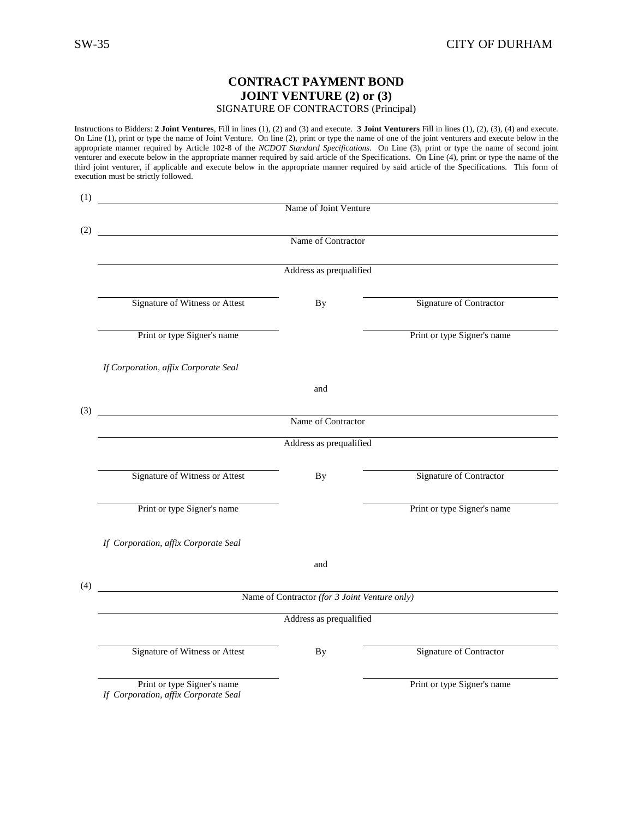#### **CONTRACT PAYMENT BOND JOINT VENTURE (2) or (3)** SIGNATURE OF CONTRACTORS (Principal)

Instructions to Bidders: **2 Joint Ventures**, Fill in lines (1), (2) and (3) and execute. **3 Joint Venturers** Fill in lines (1), (2), (3), (4) and execute. On Line (1), print or type the name of Joint Venture. On line (2), print or type the name of one of the joint venturers and execute below in the appropriate manner required by Article 102-8 of the *NCDOT Standard Specifications*. On Line (3), print or type the name of second joint venturer and execute below in the appropriate manner required by said article of the Specifications. On Line (4), print or type the name of the third joint venturer, if applicable and execute below in the appropriate manner required by said article of the Specifications. This form of execution must be strictly followed.

|                                                                                                                             | Name of Joint Venture                         |                                |
|-----------------------------------------------------------------------------------------------------------------------------|-----------------------------------------------|--------------------------------|
|                                                                                                                             |                                               |                                |
|                                                                                                                             | Name of Contractor                            |                                |
|                                                                                                                             | Address as prequalified                       |                                |
| Signature of Witness or Attest                                                                                              | <b>By</b>                                     | <b>Signature of Contractor</b> |
|                                                                                                                             |                                               |                                |
| Print or type Signer's name                                                                                                 |                                               | Print or type Signer's name    |
| If Corporation, affix Corporate Seal                                                                                        |                                               |                                |
|                                                                                                                             | and                                           |                                |
| (3)<br><u> 1980 - Johann Barn, mars ar breithinn ar chuid ann an t-Alban ann an t-Alban ann an t-Alban ann an t-Alban a</u> |                                               |                                |
|                                                                                                                             | Name of Contractor                            |                                |
|                                                                                                                             | Address as prequalified                       |                                |
| <b>Signature of Witness or Attest</b>                                                                                       | By                                            | Signature of Contractor        |
| Print or type Signer's name                                                                                                 |                                               | Print or type Signer's name    |
| If Corporation, affix Corporate Seal                                                                                        |                                               |                                |
|                                                                                                                             | and                                           |                                |
| (4)<br><u> 1989 - Johann Barbara, martxa alemani</u> ar arte                                                                |                                               |                                |
|                                                                                                                             | Name of Contractor (for 3 Joint Venture only) |                                |
|                                                                                                                             | Address as prequalified                       |                                |
| <b>Signature of Witness or Attest</b>                                                                                       | <b>By</b>                                     | Signature of Contractor        |
| Print or type Signer's name<br>If Corporation, affix Corporate Seal                                                         |                                               | Print or type Signer's name    |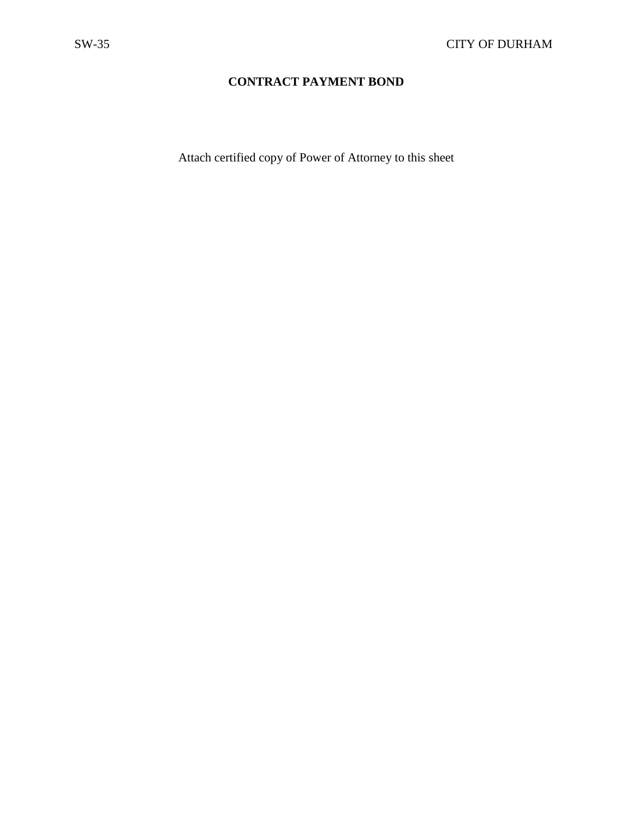Attach certified copy of Power of Attorney to this sheet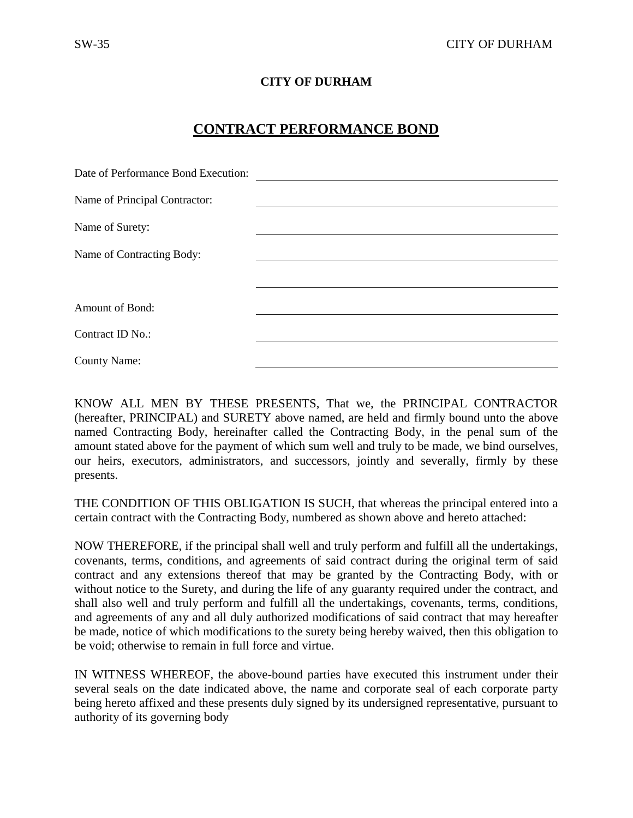#### **CITY OF DURHAM**

# **CONTRACT PERFORMANCE BOND**

| Date of Performance Bond Execution: |  |
|-------------------------------------|--|
| Name of Principal Contractor:       |  |
| Name of Surety:                     |  |
| Name of Contracting Body:           |  |
|                                     |  |
| Amount of Bond:                     |  |
| Contract ID No.:                    |  |
| <b>County Name:</b>                 |  |

KNOW ALL MEN BY THESE PRESENTS, That we, the PRINCIPAL CONTRACTOR (hereafter, PRINCIPAL) and SURETY above named, are held and firmly bound unto the above named Contracting Body, hereinafter called the Contracting Body, in the penal sum of the amount stated above for the payment of which sum well and truly to be made, we bind ourselves, our heirs, executors, administrators, and successors, jointly and severally, firmly by these presents.

THE CONDITION OF THIS OBLIGATION IS SUCH, that whereas the principal entered into a certain contract with the Contracting Body, numbered as shown above and hereto attached:

NOW THEREFORE, if the principal shall well and truly perform and fulfill all the undertakings, covenants, terms, conditions, and agreements of said contract during the original term of said contract and any extensions thereof that may be granted by the Contracting Body, with or without notice to the Surety, and during the life of any guaranty required under the contract, and shall also well and truly perform and fulfill all the undertakings, covenants, terms, conditions, and agreements of any and all duly authorized modifications of said contract that may hereafter be made, notice of which modifications to the surety being hereby waived, then this obligation to be void; otherwise to remain in full force and virtue.

IN WITNESS WHEREOF, the above-bound parties have executed this instrument under their several seals on the date indicated above, the name and corporate seal of each corporate party being hereto affixed and these presents duly signed by its undersigned representative, pursuant to authority of its governing body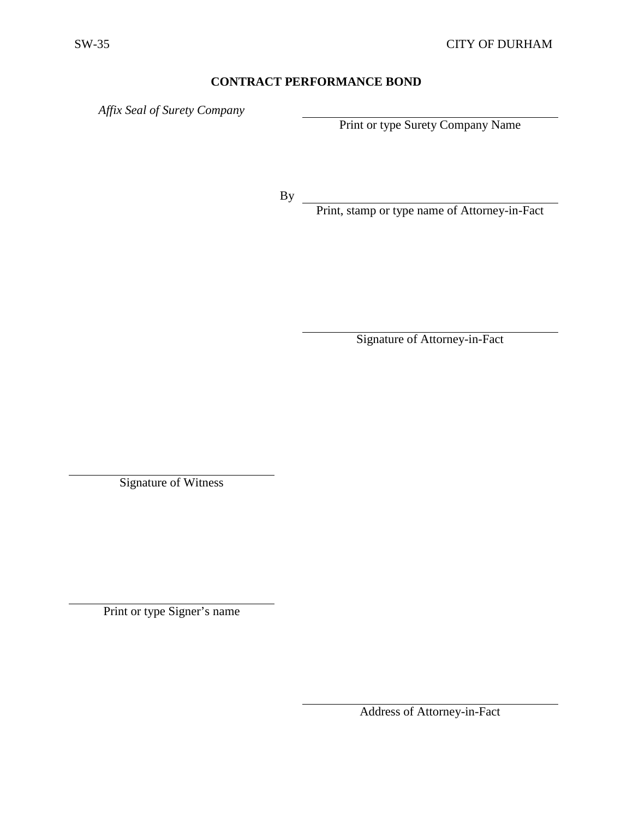*Affix Seal of Surety Company*

Print or type Surety Company Name

 $By$ 

Print, stamp or type name of Attorney-in-Fact

Signature of Attorney-in-Fact

Signature of Witness

Print or type Signer's name

Address of Attorney-in-Fact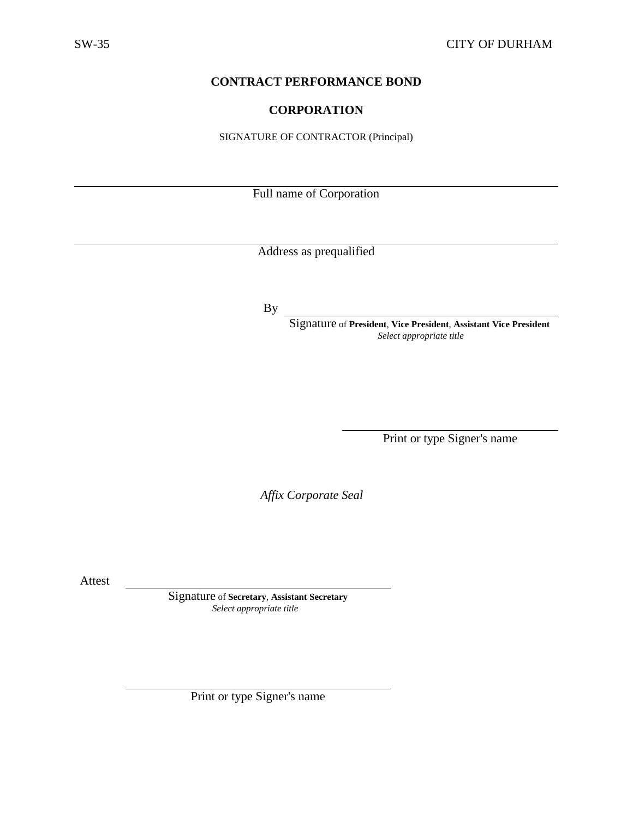#### **CORPORATION**

SIGNATURE OF CONTRACTOR (Principal)

Full name of Corporation

Address as prequalified

By

Signature of **President**, **Vice President**, **Assistant Vice President** *Select appropriate title*

Print or type Signer's name

*Affix Corporate Seal*

Attest

Signature of **Secretary**, **Assistant Secretary** *Select appropriate title*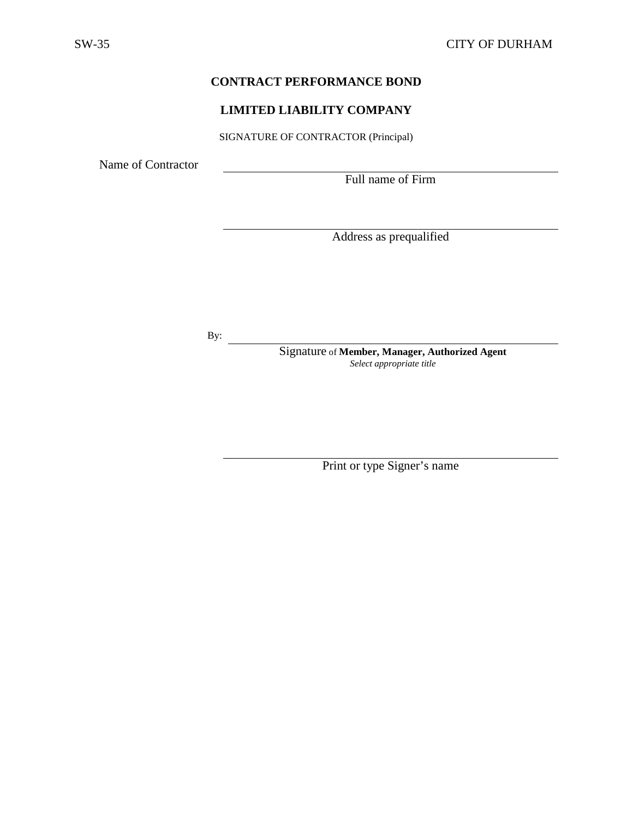### **LIMITED LIABILITY COMPANY**

SIGNATURE OF CONTRACTOR (Principal)

Name of Contractor

Full name of Firm

Address as prequalified

By:

Signature of **Member, Manager, Authorized Agent** *Select appropriate title*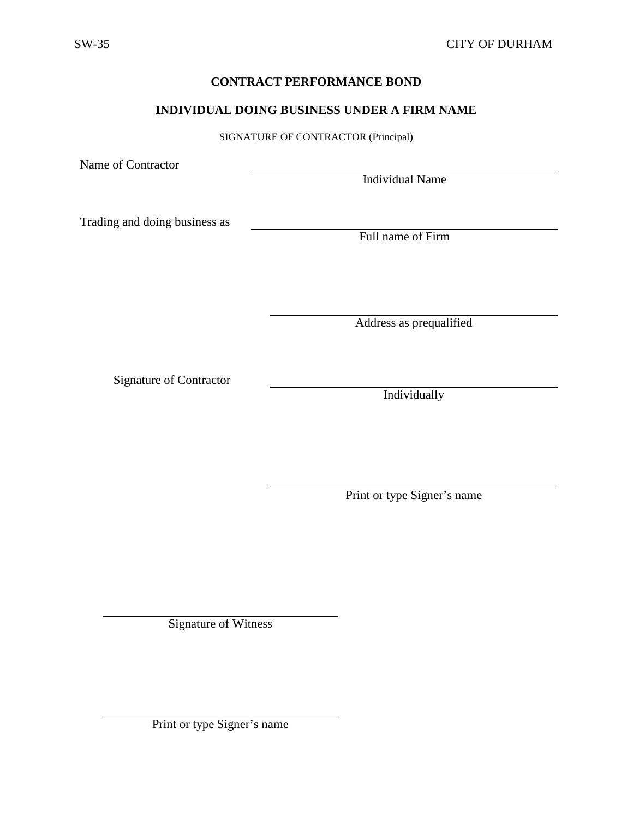# **INDIVIDUAL DOING BUSINESS UNDER A FIRM NAME**

SIGNATURE OF CONTRACTOR (Principal)

Name of Contractor

Individual Name

Trading and doing business as

Full name of Firm

Address as prequalified

Signature of Contractor

Individually

Print or type Signer's name

Signature of Witness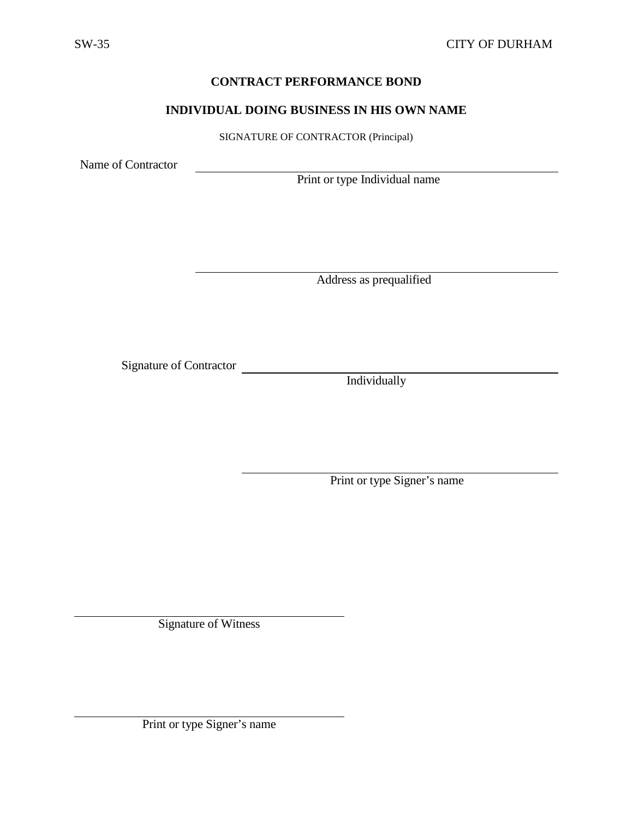# **INDIVIDUAL DOING BUSINESS IN HIS OWN NAME**

SIGNATURE OF CONTRACTOR (Principal)

Name of Contractor

Print or type Individual name

Address as prequalified

Signature of Contractor

Individually

Print or type Signer's name

Signature of Witness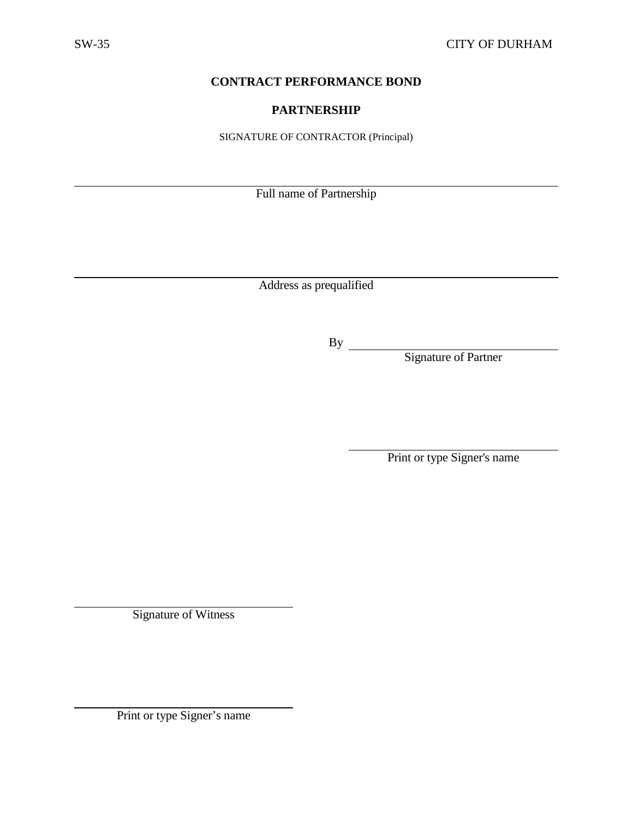### **PARTNERSHIP**

SIGNATURE OF CONTRACTOR (Principal)

Full name of Partnership

Address as prequalified

By

Signature of Partner

Print or type Signer's name

Signature of Witness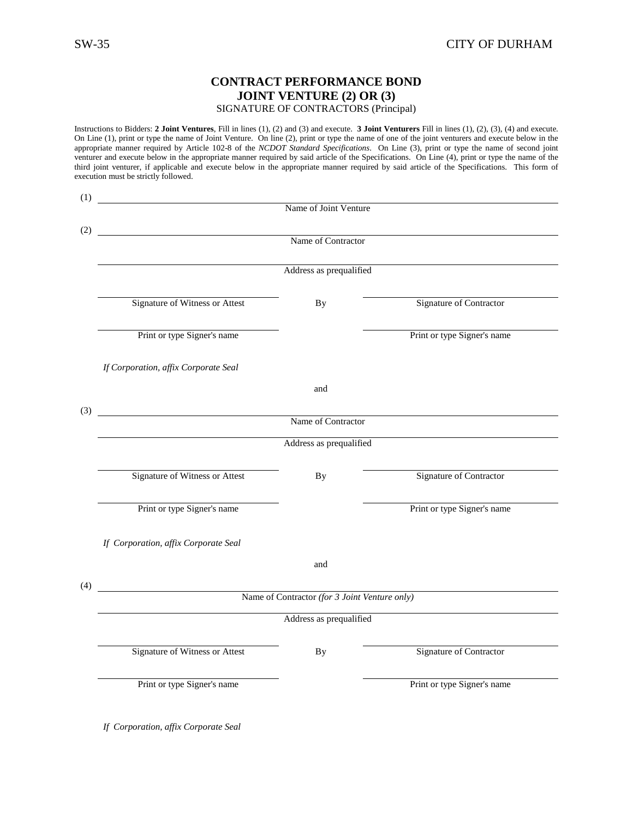# **CONTRACT PERFORMANCE BOND JOINT VENTURE (2) OR (3)**

#### SIGNATURE OF CONTRACTORS (Principal)

Instructions to Bidders: **2 Joint Ventures**, Fill in lines (1), (2) and (3) and execute. **3 Joint Venturers** Fill in lines (1), (2), (3), (4) and execute. On Line (1), print or type the name of Joint Venture. On line (2), print or type the name of one of the joint venturers and execute below in the appropriate manner required by Article 102-8 of the *NCDOT Standard Specifications*. On Line (3), print or type the name of second joint venturer and execute below in the appropriate manner required by said article of the Specifications. On Line (4), print or type the name of the third joint venturer, if applicable and execute below in the appropriate manner required by said article of the Specifications. This form of execution must be strictly followed.

| (1) |                                       |                                               |                                |
|-----|---------------------------------------|-----------------------------------------------|--------------------------------|
|     |                                       | Name of Joint Venture                         |                                |
| (2) |                                       |                                               |                                |
|     |                                       | Name of Contractor                            |                                |
|     |                                       | Address as prequalified                       |                                |
|     |                                       |                                               |                                |
|     | Signature of Witness or Attest        | <b>By</b>                                     | Signature of Contractor        |
|     | Print or type Signer's name           |                                               | Print or type Signer's name    |
|     | If Corporation, affix Corporate Seal  |                                               |                                |
|     |                                       | and                                           |                                |
| (3) |                                       |                                               |                                |
|     |                                       | Name of Contractor                            |                                |
|     |                                       | Address as prequalified                       |                                |
|     | Signature of Witness or Attest        | <b>By</b>                                     | Signature of Contractor        |
|     |                                       |                                               |                                |
|     | Print or type Signer's name           |                                               | Print or type Signer's name    |
|     | If Corporation, affix Corporate Seal  |                                               |                                |
|     |                                       | and                                           |                                |
| (4) |                                       |                                               |                                |
|     |                                       | Name of Contractor (for 3 Joint Venture only) |                                |
|     |                                       | Address as prequalified                       |                                |
|     | <b>Signature of Witness or Attest</b> | <b>By</b>                                     | <b>Signature of Contractor</b> |
|     | Print or type Signer's name           |                                               | Print or type Signer's name    |

*If Corporation, affix Corporate Seal*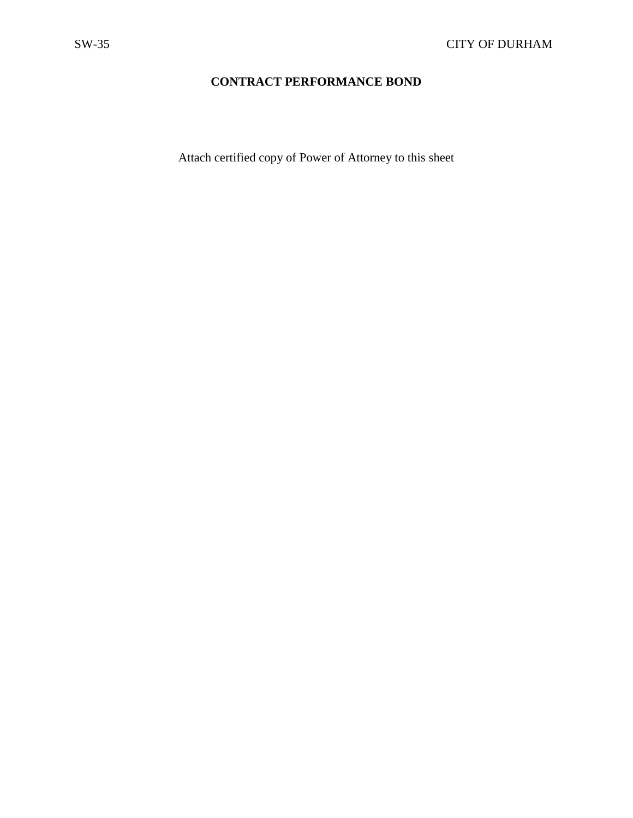## **CONTRACT PERFORMANCE BOND**

Attach certified copy of Power of Attorney to this sheet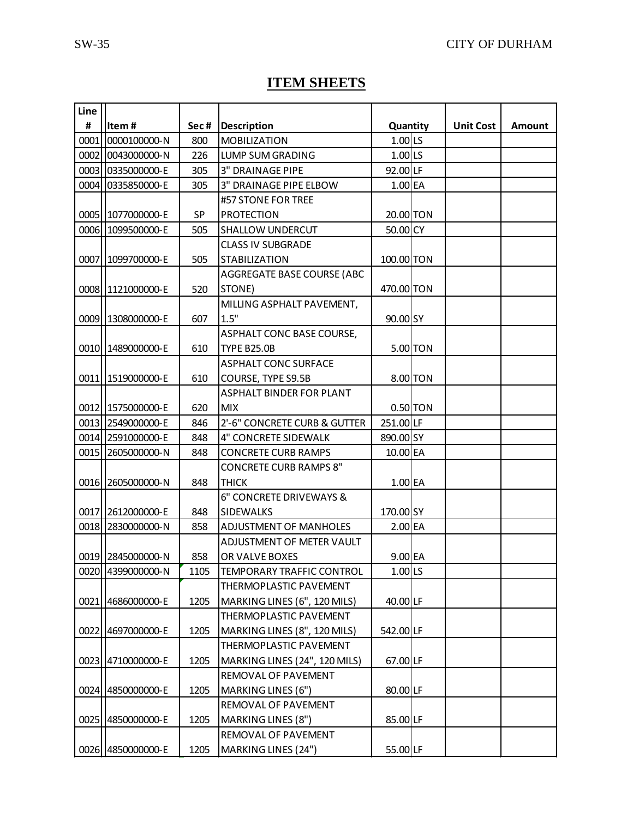## **ITEM SHEETS**

| Line |                   |      |                                   |                      |            |                  |               |
|------|-------------------|------|-----------------------------------|----------------------|------------|------------------|---------------|
| #    | Item#             | Sec# | Description                       | Quantity             |            | <b>Unit Cost</b> | <b>Amount</b> |
| 0001 | 0000100000-N      | 800  | <b>MOBILIZATION</b>               | $1.00$ <sub>LS</sub> |            |                  |               |
| 0002 | 0043000000-N      | 226  | <b>LUMP SUM GRADING</b>           | $1.00$ LS            |            |                  |               |
| 0003 | 0335000000-E      | 305  | <b>3" DRAINAGE PIPE</b>           | 92.00 LF             |            |                  |               |
| 0004 | 0335850000-E      | 305  | 3" DRAINAGE PIPE ELBOW            | $1.00$ EA            |            |                  |               |
|      |                   |      | #57 STONE FOR TREE                |                      |            |                  |               |
|      | 0005 1077000000-E | SP   | <b>PROTECTION</b>                 | 20.00 TON            |            |                  |               |
|      | 0006 1099500000-E | 505  | <b>SHALLOW UNDERCUT</b>           | 50.00 CY             |            |                  |               |
|      |                   |      | <b>CLASS IV SUBGRADE</b>          |                      |            |                  |               |
| 0007 | 1099700000-E      | 505  | <b>STABILIZATION</b>              | 100.00 TON           |            |                  |               |
|      |                   |      | <b>AGGREGATE BASE COURSE (ABC</b> |                      |            |                  |               |
|      | 0008 1121000000-E | 520  | STONE)                            | 470.00 TON           |            |                  |               |
|      |                   |      | MILLING ASPHALT PAVEMENT,         |                      |            |                  |               |
|      | 0009 1308000000-E | 607  | 1.5"                              | 90.00 SY             |            |                  |               |
|      |                   |      | ASPHALT CONC BASE COURSE,         |                      |            |                  |               |
|      | 0010 1489000000-E | 610  | TYPE B25.0B                       |                      | $5.00$ TON |                  |               |
|      |                   |      | <b>ASPHALT CONC SURFACE</b>       |                      |            |                  |               |
|      | 0011 1519000000-E | 610  | COURSE, TYPE S9.5B                |                      | $8.00$ TON |                  |               |
|      |                   |      | ASPHALT BINDER FOR PLANT          |                      |            |                  |               |
|      | 0012 1575000000-E | 620  | <b>MIX</b>                        |                      | $0.50$ TON |                  |               |
|      | 0013 2549000000-E | 846  | 2'-6" CONCRETE CURB & GUTTER      | 251.00 LF            |            |                  |               |
|      | 0014 2591000000-E | 848  | <b>4" CONCRETE SIDEWALK</b>       | 890.00 SY            |            |                  |               |
| 0015 | 2605000000-N      | 848  | <b>CONCRETE CURB RAMPS</b>        | 10.00 EA             |            |                  |               |
|      |                   |      | <b>CONCRETE CURB RAMPS 8"</b>     |                      |            |                  |               |
|      | 0016 2605000000-N | 848  | <b>THICK</b>                      | 1.00 EA              |            |                  |               |
|      |                   |      | 6" CONCRETE DRIVEWAYS &           |                      |            |                  |               |
| 0017 | 2612000000-E      | 848  | <b>SIDEWALKS</b>                  | 170.00 SY            |            |                  |               |
| 0018 | 2830000000-N      | 858  | ADJUSTMENT OF MANHOLES            | $2.00$ EA            |            |                  |               |
|      |                   |      | ADJUSTMENT OF METER VAULT         |                      |            |                  |               |
|      | 0019 2845000000-N | 858  | OR VALVE BOXES                    | $9.00$ EA            |            |                  |               |
|      | 0020 4399000000-N | 1105 | TEMPORARY TRAFFIC CONTROL         | $1.00$ LS            |            |                  |               |
|      |                   |      | THERMOPLASTIC PAVEMENT            |                      |            |                  |               |
|      | 0021 4686000000-E | 1205 | MARKING LINES (6", 120 MILS)      | 40.00 LF             |            |                  |               |
|      |                   |      | THERMOPLASTIC PAVEMENT            |                      |            |                  |               |
|      | 0022 4697000000-E | 1205 | MARKING LINES (8", 120 MILS)      | 542.00 LF            |            |                  |               |
|      |                   |      | THERMOPLASTIC PAVEMENT            |                      |            |                  |               |
|      | 0023 4710000000-E | 1205 | MARKING LINES (24", 120 MILS)     | 67.00 LF             |            |                  |               |
|      |                   |      | REMOVAL OF PAVEMENT               |                      |            |                  |               |
|      | 0024 4850000000-E | 1205 | MARKING LINES (6")                | 80.00 LF             |            |                  |               |
|      |                   |      | REMOVAL OF PAVEMENT               |                      |            |                  |               |
| 0025 | 4850000000-E      | 1205 | MARKING LINES (8")                | 85.00 LF             |            |                  |               |
|      |                   |      | REMOVAL OF PAVEMENT               |                      |            |                  |               |
|      | 0026 4850000000-E | 1205 | MARKING LINES (24")               | 55.00 LF             |            |                  |               |